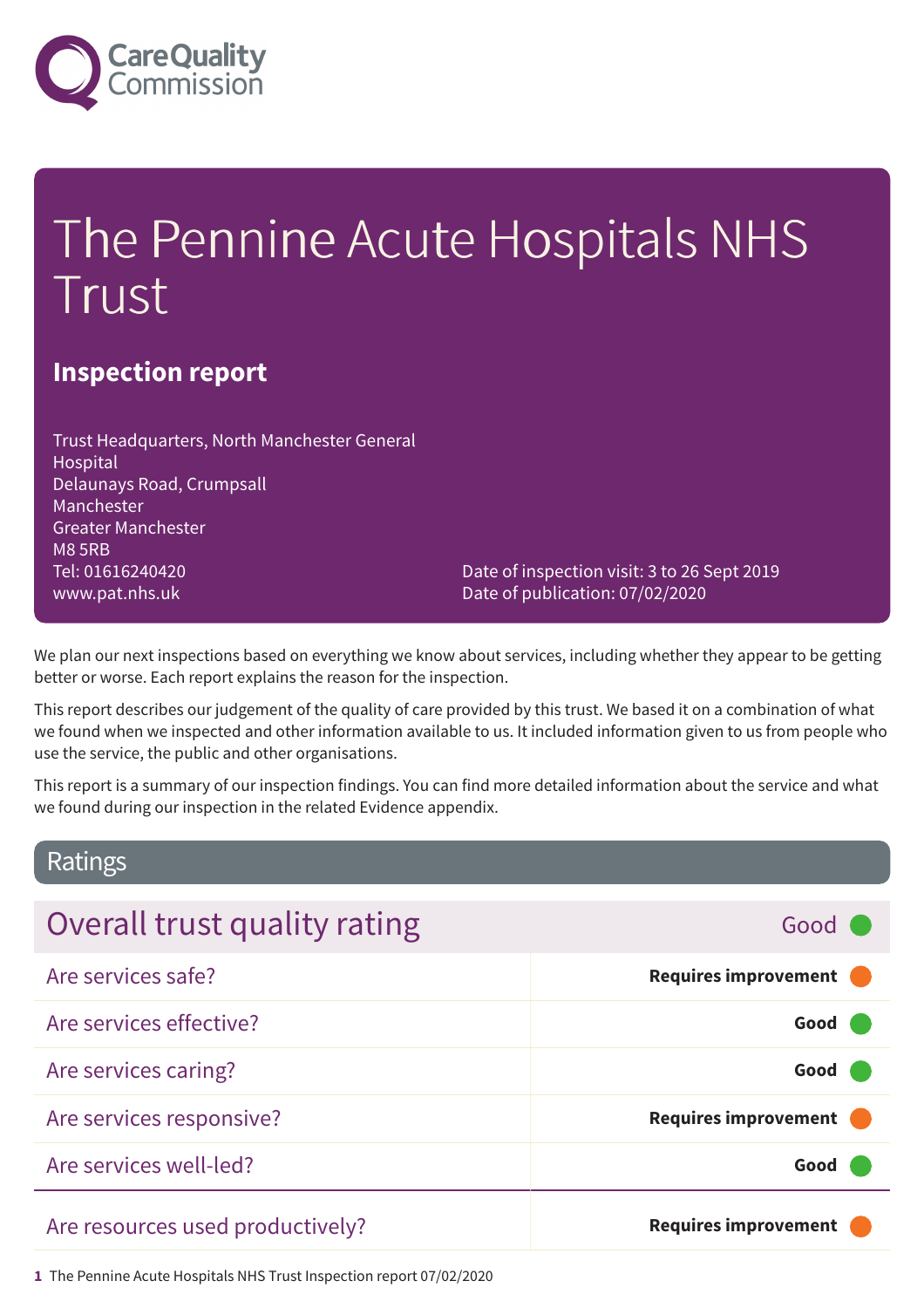

# The Pennine Acute Hospitals NHS Trust

### **Inspection report**

Trust Headquarters, North Manchester General Hospital Delaunays Road, Crumpsall Manchester Greater Manchester M8 5RB Tel: 01616240420 www.pat.nhs.uk

Date of inspection visit: 3 to 26 Sept 2019 Date of publication: 07/02/2020

We plan our next inspections based on everything we know about services, including whether they appear to be getting better or worse. Each report explains the reason for the inspection.

This report describes our judgement of the quality of care provided by this trust. We based it on a combination of what we found when we inspected and other information available to us. It included information given to us from people who use the service, the public and other organisations.

This report is a summary of our inspection findings. You can find more detailed information about the service and what we found during our inspection in the related Evidence appendix.

### Ratings

| Overall trust quality rating     | Good (                      |
|----------------------------------|-----------------------------|
| Are services safe?               | <b>Requires improvement</b> |
| Are services effective?          | Good                        |
| Are services caring?             | Good                        |
| Are services responsive?         | <b>Requires improvement</b> |
| Are services well-led?           | Good                        |
| Are resources used productively? | <b>Requires improvement</b> |

**1** The Pennine Acute Hospitals NHS Trust Inspection report 07/02/2020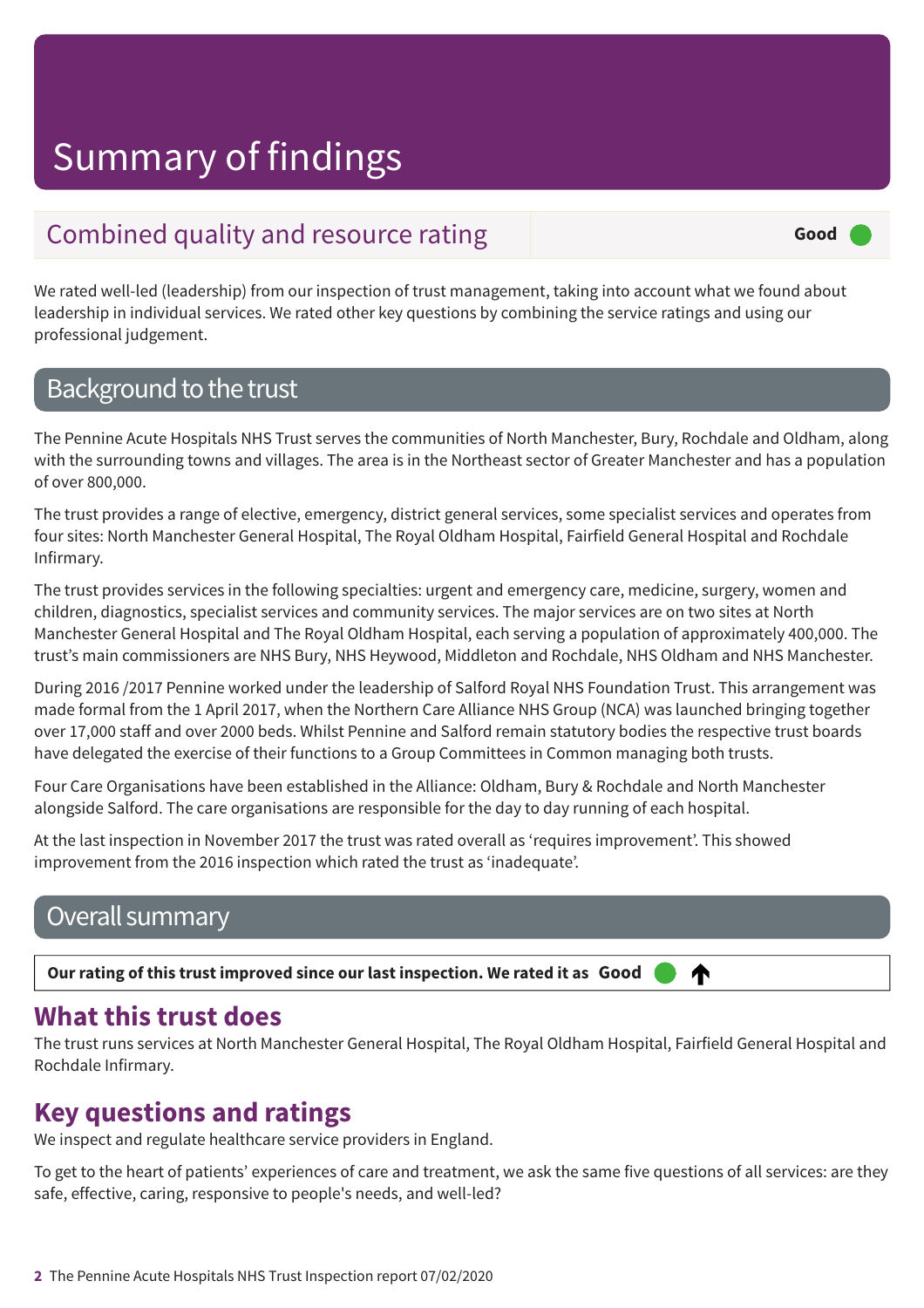### Combined quality and resource rating **Exercise 2 and Second** Good

We rated well-led (leadership) from our inspection of trust management, taking into account what we found about leadership in individual services. We rated other key questions by combining the service ratings and using our professional judgement.

### Background to the trust

The Pennine Acute Hospitals NHS Trust serves the communities of North Manchester, Bury, Rochdale and Oldham, along with the surrounding towns and villages. The area is in the Northeast sector of Greater Manchester and has a population of over 800,000.

The trust provides a range of elective, emergency, district general services, some specialist services and operates from four sites: North Manchester General Hospital, The Royal Oldham Hospital, Fairfield General Hospital and Rochdale Infirmary.

The trust provides services in the following specialties: urgent and emergency care, medicine, surgery, women and children, diagnostics, specialist services and community services. The major services are on two sites at North Manchester General Hospital and The Royal Oldham Hospital, each serving a population of approximately 400,000. The trust's main commissioners are NHS Bury, NHS Heywood, Middleton and Rochdale, NHS Oldham and NHS Manchester.

During 2016 /2017 Pennine worked under the leadership of Salford Royal NHS Foundation Trust. This arrangement was made formal from the 1 April 2017, when the Northern Care Alliance NHS Group (NCA) was launched bringing together over 17,000 staff and over 2000 beds. Whilst Pennine and Salford remain statutory bodies the respective trust boards have delegated the exercise of their functions to a Group Committees in Common managing both trusts.

Four Care Organisations have been established in the Alliance: Oldham, Bury & Rochdale and North Manchester alongside Salford. The care organisations are responsible for the day to day running of each hospital.

At the last inspection in November 2017 the trust was rated overall as 'requires improvement'. This showed improvement from the 2016 inspection which rated the trust as 'inadequate'.

### Overall summary

Our rating of this trust improved since our last inspection. We rated it as Good ⋔

### **What this trust does**

The trust runs services at North Manchester General Hospital, The Royal Oldham Hospital, Fairfield General Hospital and Rochdale Infirmary.

### **Key questions and ratings**

We inspect and regulate healthcare service providers in England.

To get to the heart of patients' experiences of care and treatment, we ask the same five questions of all services: are they safe, effective, caring, responsive to people's needs, and well-led?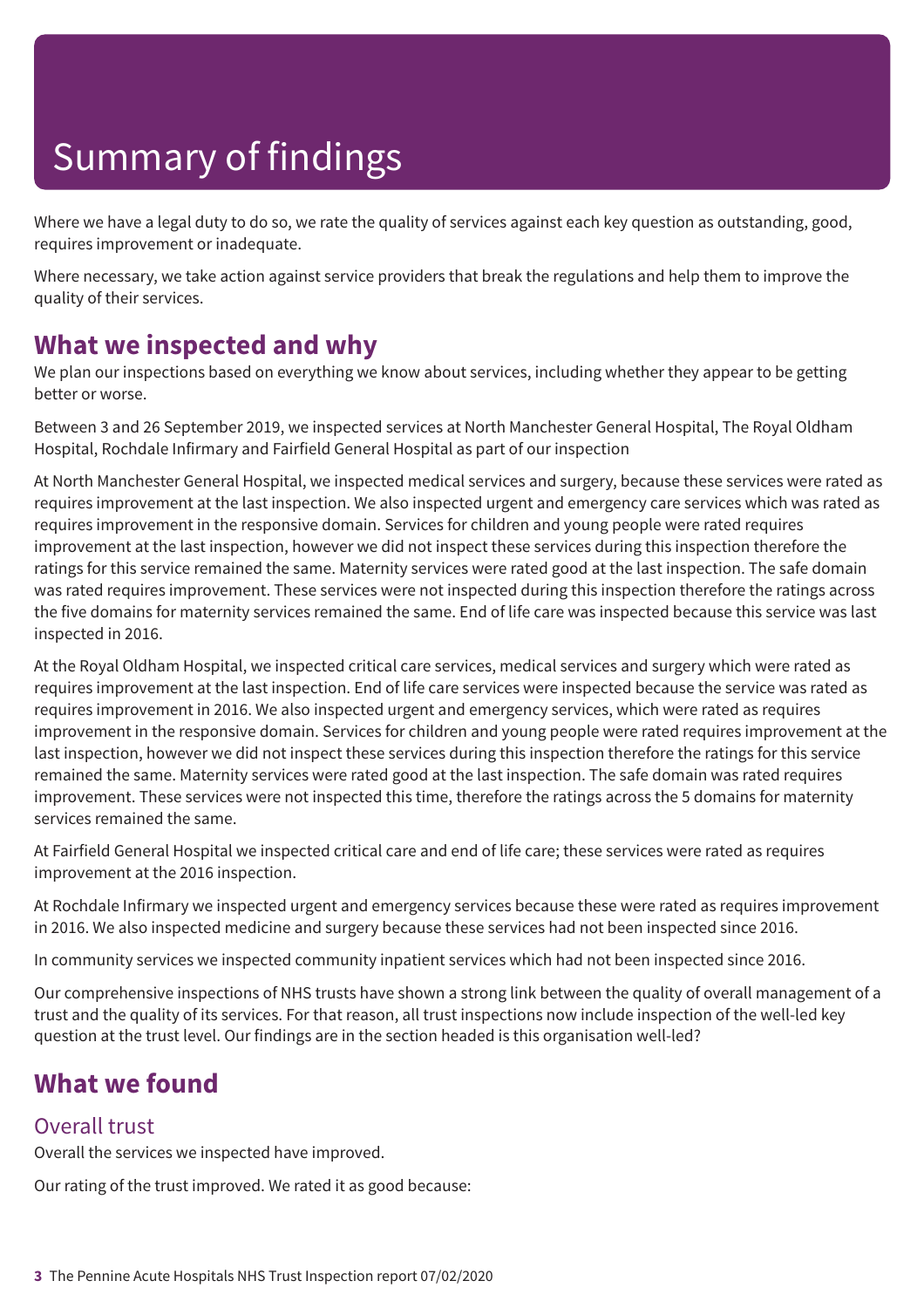Where we have a legal duty to do so, we rate the quality of services against each key question as outstanding, good, requires improvement or inadequate.

Where necessary, we take action against service providers that break the regulations and help them to improve the quality of their services.

### **What we inspected and why**

We plan our inspections based on everything we know about services, including whether they appear to be getting better or worse.

Between 3 and 26 September 2019, we inspected services at North Manchester General Hospital, The Royal Oldham Hospital, Rochdale Infirmary and Fairfield General Hospital as part of our inspection

At North Manchester General Hospital, we inspected medical services and surgery, because these services were rated as requires improvement at the last inspection. We also inspected urgent and emergency care services which was rated as requires improvement in the responsive domain. Services for children and young people were rated requires improvement at the last inspection, however we did not inspect these services during this inspection therefore the ratings for this service remained the same. Maternity services were rated good at the last inspection. The safe domain was rated requires improvement. These services were not inspected during this inspection therefore the ratings across the five domains for maternity services remained the same. End of life care was inspected because this service was last inspected in 2016.

At the Royal Oldham Hospital, we inspected critical care services, medical services and surgery which were rated as requires improvement at the last inspection. End of life care services were inspected because the service was rated as requires improvement in 2016. We also inspected urgent and emergency services, which were rated as requires improvement in the responsive domain. Services for children and young people were rated requires improvement at the last inspection, however we did not inspect these services during this inspection therefore the ratings for this service remained the same. Maternity services were rated good at the last inspection. The safe domain was rated requires improvement. These services were not inspected this time, therefore the ratings across the 5 domains for maternity services remained the same.

At Fairfield General Hospital we inspected critical care and end of life care; these services were rated as requires improvement at the 2016 inspection.

At Rochdale Infirmary we inspected urgent and emergency services because these were rated as requires improvement in 2016. We also inspected medicine and surgery because these services had not been inspected since 2016.

In community services we inspected community inpatient services which had not been inspected since 2016.

Our comprehensive inspections of NHS trusts have shown a strong link between the quality of overall management of a trust and the quality of its services. For that reason, all trust inspections now include inspection of the well-led key question at the trust level. Our findings are in the section headed is this organisation well-led?

### **What we found**

### Overall trust

Overall the services we inspected have improved.

Our rating of the trust improved. We rated it as good because: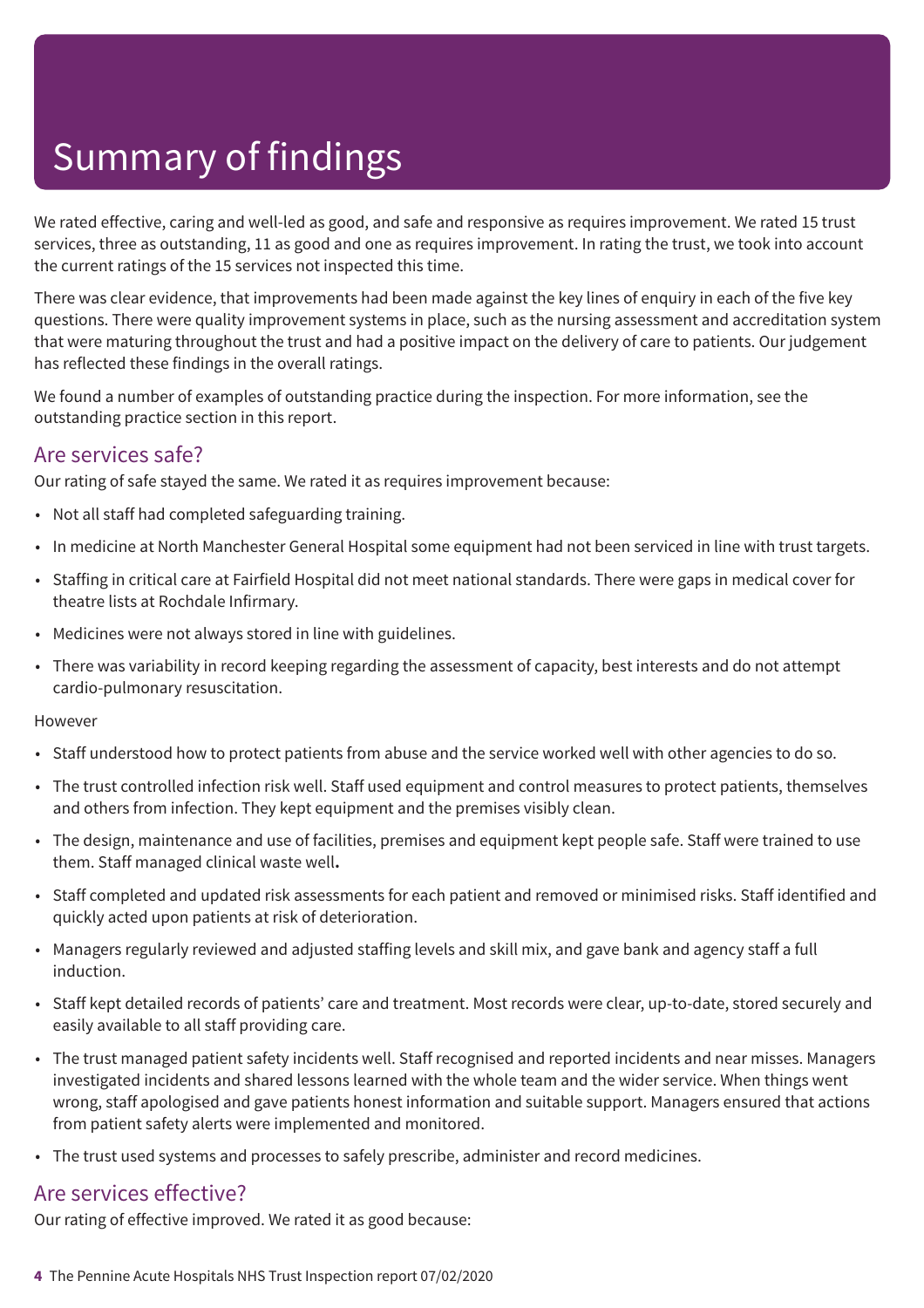We rated effective, caring and well-led as good, and safe and responsive as requires improvement. We rated 15 trust services, three as outstanding, 11 as good and one as requires improvement. In rating the trust, we took into account the current ratings of the 15 services not inspected this time.

There was clear evidence, that improvements had been made against the key lines of enquiry in each of the five key questions. There were quality improvement systems in place, such as the nursing assessment and accreditation system that were maturing throughout the trust and had a positive impact on the delivery of care to patients. Our judgement has reflected these findings in the overall ratings.

We found a number of examples of outstanding practice during the inspection. For more information, see the outstanding practice section in this report.

### Are services safe?

Our rating of safe stayed the same. We rated it as requires improvement because:

- Not all staff had completed safeguarding training.
- In medicine at North Manchester General Hospital some equipment had not been serviced in line with trust targets.
- Staffing in critical care at Fairfield Hospital did not meet national standards. There were gaps in medical cover for theatre lists at Rochdale Infirmary.
- Medicines were not always stored in line with guidelines.
- There was variability in record keeping regarding the assessment of capacity, best interests and do not attempt cardio-pulmonary resuscitation.

### However

- Staff understood how to protect patients from abuse and the service worked well with other agencies to do so.
- The trust controlled infection risk well. Staff used equipment and control measures to protect patients, themselves and others from infection. They kept equipment and the premises visibly clean.
- The design, maintenance and use of facilities, premises and equipment kept people safe. Staff were trained to use them. Staff managed clinical waste well**.**
- Staff completed and updated risk assessments for each patient and removed or minimised risks. Staff identified and quickly acted upon patients at risk of deterioration.
- Managers regularly reviewed and adjusted staffing levels and skill mix, and gave bank and agency staff a full induction.
- Staff kept detailed records of patients' care and treatment. Most records were clear, up-to-date, stored securely and easily available to all staff providing care.
- The trust managed patient safety incidents well. Staff recognised and reported incidents and near misses. Managers investigated incidents and shared lessons learned with the whole team and the wider service. When things went wrong, staff apologised and gave patients honest information and suitable support. Managers ensured that actions from patient safety alerts were implemented and monitored.
- The trust used systems and processes to safely prescribe, administer and record medicines.

### Are services effective?

Our rating of effective improved. We rated it as good because: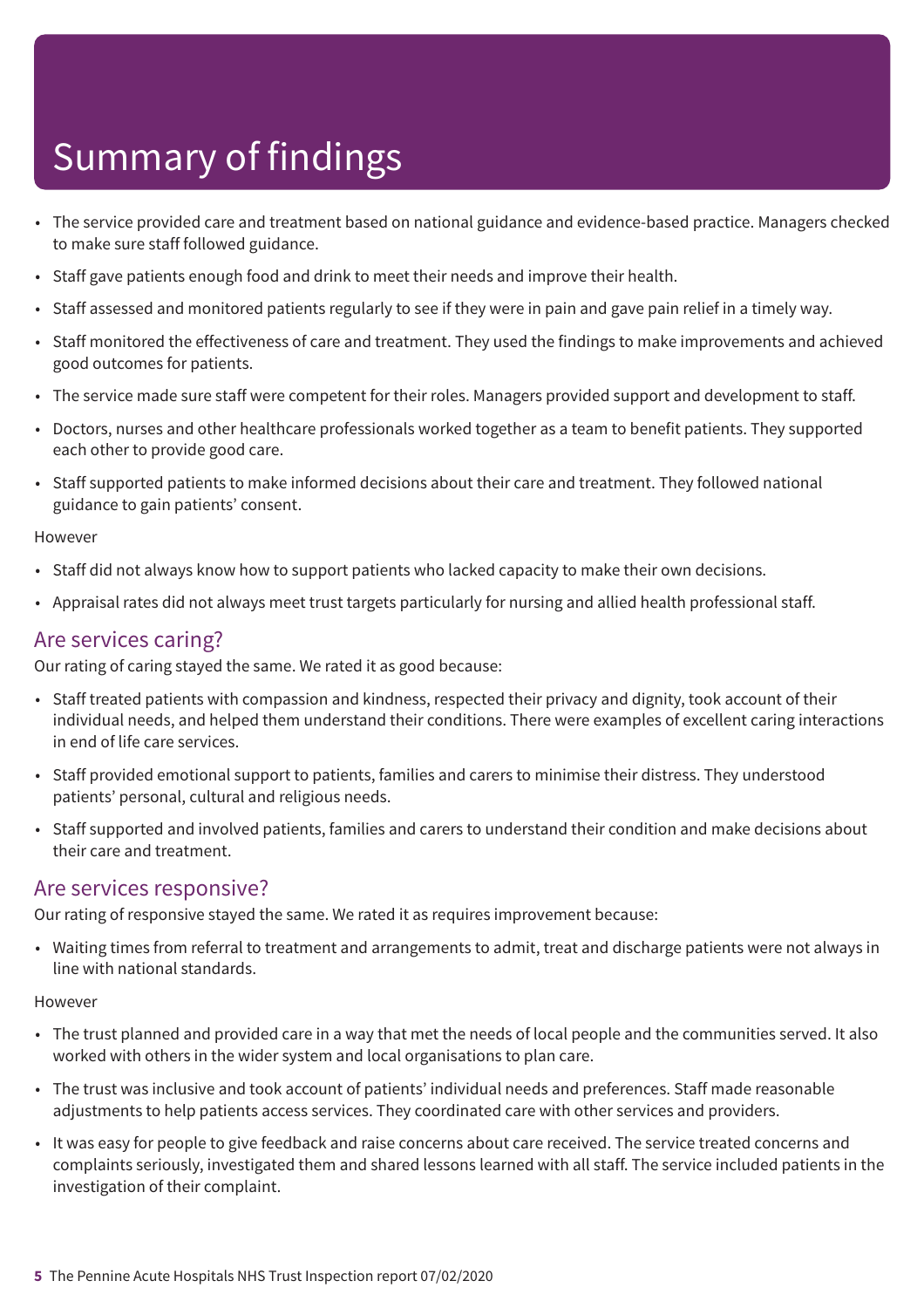- The service provided care and treatment based on national guidance and evidence-based practice. Managers checked to make sure staff followed guidance.
- Staff gave patients enough food and drink to meet their needs and improve their health.
- Staff assessed and monitored patients regularly to see if they were in pain and gave pain relief in a timely way.
- Staff monitored the effectiveness of care and treatment. They used the findings to make improvements and achieved good outcomes for patients.
- The service made sure staff were competent for their roles. Managers provided support and development to staff.
- Doctors, nurses and other healthcare professionals worked together as a team to benefit patients. They supported each other to provide good care.
- Staff supported patients to make informed decisions about their care and treatment. They followed national guidance to gain patients' consent.

#### However

- Staff did not always know how to support patients who lacked capacity to make their own decisions.
- Appraisal rates did not always meet trust targets particularly for nursing and allied health professional staff.

### Are services caring?

Our rating of caring stayed the same. We rated it as good because:

- Staff treated patients with compassion and kindness, respected their privacy and dignity, took account of their individual needs, and helped them understand their conditions. There were examples of excellent caring interactions in end of life care services.
- Staff provided emotional support to patients, families and carers to minimise their distress. They understood patients' personal, cultural and religious needs.
- Staff supported and involved patients, families and carers to understand their condition and make decisions about their care and treatment.

### Are services responsive?

Our rating of responsive stayed the same. We rated it as requires improvement because:

• Waiting times from referral to treatment and arrangements to admit, treat and discharge patients were not always in line with national standards.

#### **However**

- The trust planned and provided care in a way that met the needs of local people and the communities served. It also worked with others in the wider system and local organisations to plan care.
- The trust was inclusive and took account of patients' individual needs and preferences. Staff made reasonable adjustments to help patients access services. They coordinated care with other services and providers.
- It was easy for people to give feedback and raise concerns about care received. The service treated concerns and complaints seriously, investigated them and shared lessons learned with all staff. The service included patients in the investigation of their complaint.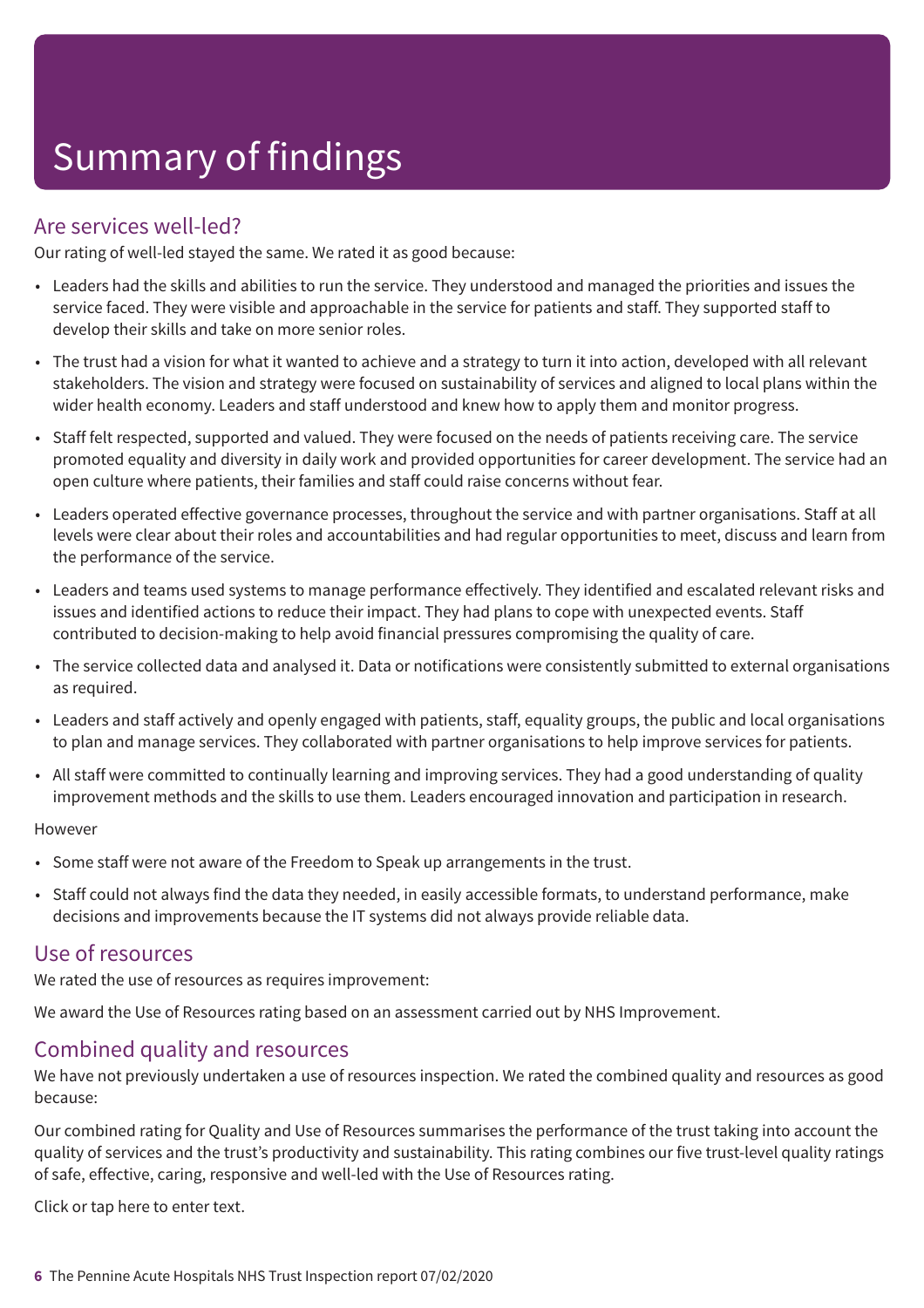### Are services well-led?

Our rating of well-led stayed the same. We rated it as good because:

- Leaders had the skills and abilities to run the service. They understood and managed the priorities and issues the service faced. They were visible and approachable in the service for patients and staff. They supported staff to develop their skills and take on more senior roles.
- The trust had a vision for what it wanted to achieve and a strategy to turn it into action, developed with all relevant stakeholders. The vision and strategy were focused on sustainability of services and aligned to local plans within the wider health economy. Leaders and staff understood and knew how to apply them and monitor progress.
- Staff felt respected, supported and valued. They were focused on the needs of patients receiving care. The service promoted equality and diversity in daily work and provided opportunities for career development. The service had an open culture where patients, their families and staff could raise concerns without fear.
- Leaders operated effective governance processes, throughout the service and with partner organisations. Staff at all levels were clear about their roles and accountabilities and had regular opportunities to meet, discuss and learn from the performance of the service.
- Leaders and teams used systems to manage performance effectively. They identified and escalated relevant risks and issues and identified actions to reduce their impact. They had plans to cope with unexpected events. Staff contributed to decision-making to help avoid financial pressures compromising the quality of care.
- The service collected data and analysed it. Data or notifications were consistently submitted to external organisations as required.
- Leaders and staff actively and openly engaged with patients, staff, equality groups, the public and local organisations to plan and manage services. They collaborated with partner organisations to help improve services for patients.
- All staff were committed to continually learning and improving services. They had a good understanding of quality improvement methods and the skills to use them. Leaders encouraged innovation and participation in research.

#### However

- Some staff were not aware of the Freedom to Speak up arrangements in the trust.
- Staff could not always find the data they needed, in easily accessible formats, to understand performance, make decisions and improvements because the IT systems did not always provide reliable data.

### Use of resources

We rated the use of resources as requires improvement:

We award the Use of Resources rating based on an assessment carried out by NHS Improvement.

### Combined quality and resources

We have not previously undertaken a use of resources inspection. We rated the combined quality and resources as good because:

Our combined rating for Quality and Use of Resources summarises the performance of the trust taking into account the quality of services and the trust's productivity and sustainability. This rating combines our five trust-level quality ratings of safe, effective, caring, responsive and well-led with the Use of Resources rating.

Click or tap here to enter text.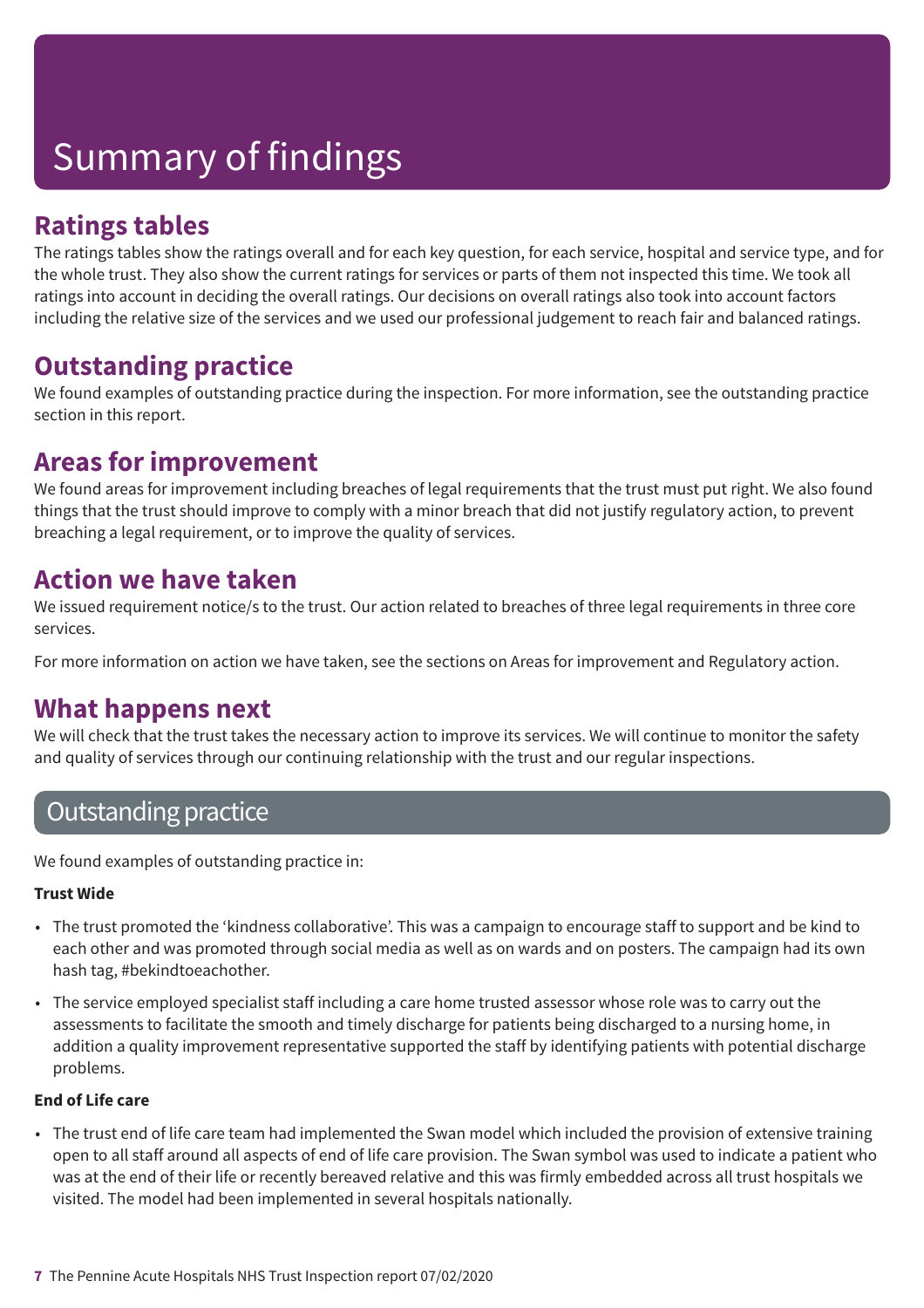### **Ratings tables**

The ratings tables show the ratings overall and for each key question, for each service, hospital and service type, and for the whole trust. They also show the current ratings for services or parts of them not inspected this time. We took all ratings into account in deciding the overall ratings. Our decisions on overall ratings also took into account factors including the relative size of the services and we used our professional judgement to reach fair and balanced ratings.

### **Outstanding practice**

We found examples of outstanding practice during the inspection. For more information, see the outstanding practice section in this report.

### **Areas for improvement**

We found areas for improvement including breaches of legal requirements that the trust must put right. We also found things that the trust should improve to comply with a minor breach that did not justify regulatory action, to prevent breaching a legal requirement, or to improve the quality of services.

### **Action we have taken**

We issued requirement notice/s to the trust. Our action related to breaches of three legal requirements in three core services.

For more information on action we have taken, see the sections on Areas for improvement and Regulatory action.

### **What happens next**

We will check that the trust takes the necessary action to improve its services. We will continue to monitor the safety and quality of services through our continuing relationship with the trust and our regular inspections.

### Outstanding practice

We found examples of outstanding practice in:

### **Trust Wide**

- The trust promoted the 'kindness collaborative'. This was a campaign to encourage staff to support and be kind to each other and was promoted through social media as well as on wards and on posters. The campaign had its own hash tag, #bekindtoeachother.
- The service employed specialist staff including a care home trusted assessor whose role was to carry out the assessments to facilitate the smooth and timely discharge for patients being discharged to a nursing home, in addition a quality improvement representative supported the staff by identifying patients with potential discharge problems.

### **End of Life care**

• The trust end of life care team had implemented the Swan model which included the provision of extensive training open to all staff around all aspects of end of life care provision. The Swan symbol was used to indicate a patient who was at the end of their life or recently bereaved relative and this was firmly embedded across all trust hospitals we visited. The model had been implemented in several hospitals nationally.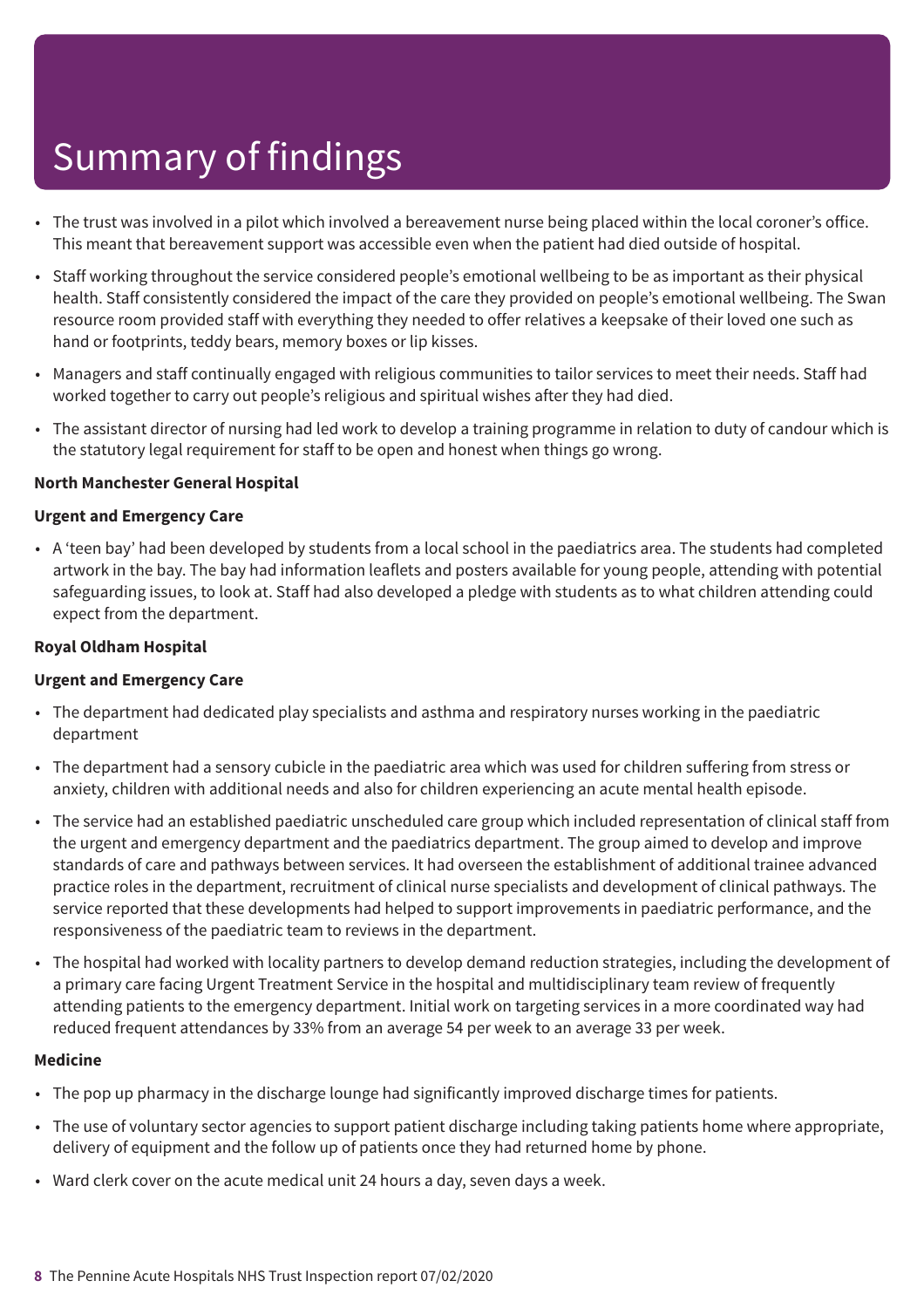- The trust was involved in a pilot which involved a bereavement nurse being placed within the local coroner's office. This meant that bereavement support was accessible even when the patient had died outside of hospital.
- Staff working throughout the service considered people's emotional wellbeing to be as important as their physical health. Staff consistently considered the impact of the care they provided on people's emotional wellbeing. The Swan resource room provided staff with everything they needed to offer relatives a keepsake of their loved one such as hand or footprints, teddy bears, memory boxes or lip kisses.
- Managers and staff continually engaged with religious communities to tailor services to meet their needs. Staff had worked together to carry out people's religious and spiritual wishes after they had died.
- The assistant director of nursing had led work to develop a training programme in relation to duty of candour which is the statutory legal requirement for staff to be open and honest when things go wrong.

#### **North Manchester General Hospital**

#### **Urgent and Emergency Care**

• A 'teen bay' had been developed by students from a local school in the paediatrics area. The students had completed artwork in the bay. The bay had information leaflets and posters available for young people, attending with potential safeguarding issues, to look at. Staff had also developed a pledge with students as to what children attending could expect from the department.

#### **Royal Oldham Hospital**

#### **Urgent and Emergency Care**

- The department had dedicated play specialists and asthma and respiratory nurses working in the paediatric department
- The department had a sensory cubicle in the paediatric area which was used for children suffering from stress or anxiety, children with additional needs and also for children experiencing an acute mental health episode.
- The service had an established paediatric unscheduled care group which included representation of clinical staff from the urgent and emergency department and the paediatrics department. The group aimed to develop and improve standards of care and pathways between services. It had overseen the establishment of additional trainee advanced practice roles in the department, recruitment of clinical nurse specialists and development of clinical pathways. The service reported that these developments had helped to support improvements in paediatric performance, and the responsiveness of the paediatric team to reviews in the department.
- The hospital had worked with locality partners to develop demand reduction strategies, including the development of a primary care facing Urgent Treatment Service in the hospital and multidisciplinary team review of frequently attending patients to the emergency department. Initial work on targeting services in a more coordinated way had reduced frequent attendances by 33% from an average 54 per week to an average 33 per week.

#### **Medicine**

- The pop up pharmacy in the discharge lounge had significantly improved discharge times for patients.
- The use of voluntary sector agencies to support patient discharge including taking patients home where appropriate, delivery of equipment and the follow up of patients once they had returned home by phone.
- Ward clerk cover on the acute medical unit 24 hours a day, seven days a week.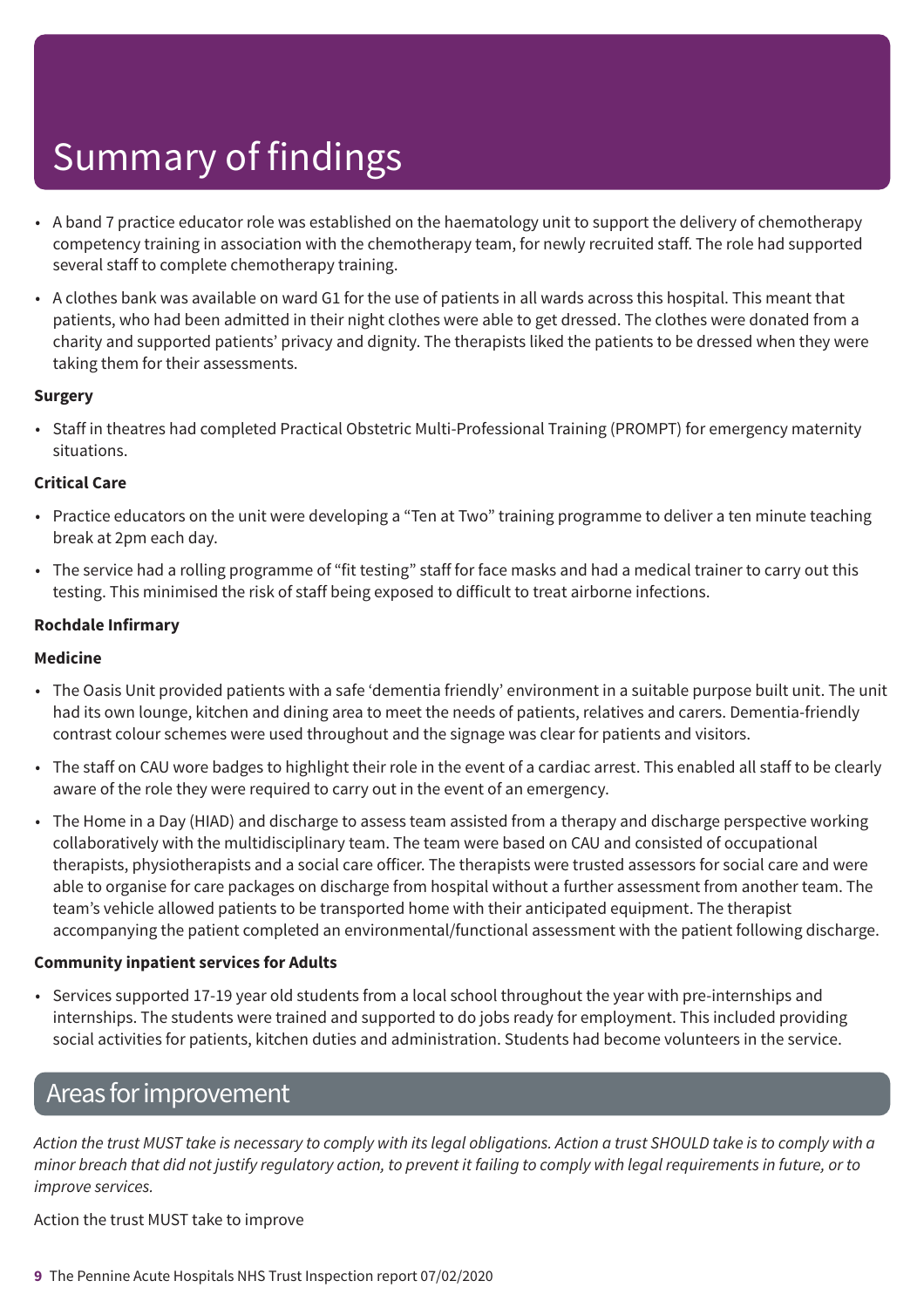- A band 7 practice educator role was established on the haematology unit to support the delivery of chemotherapy competency training in association with the chemotherapy team, for newly recruited staff. The role had supported several staff to complete chemotherapy training.
- A clothes bank was available on ward G1 for the use of patients in all wards across this hospital. This meant that patients, who had been admitted in their night clothes were able to get dressed. The clothes were donated from a charity and supported patients' privacy and dignity. The therapists liked the patients to be dressed when they were taking them for their assessments.

### **Surgery**

• Staff in theatres had completed Practical Obstetric Multi-Professional Training (PROMPT) for emergency maternity situations.

### **Critical Care**

- Practice educators on the unit were developing a "Ten at Two" training programme to deliver a ten minute teaching break at 2pm each day.
- The service had a rolling programme of "fit testing" staff for face masks and had a medical trainer to carry out this testing. This minimised the risk of staff being exposed to difficult to treat airborne infections.

### **Rochdale Infirmary**

### **Medicine**

- The Oasis Unit provided patients with a safe 'dementia friendly' environment in a suitable purpose built unit. The unit had its own lounge, kitchen and dining area to meet the needs of patients, relatives and carers. Dementia-friendly contrast colour schemes were used throughout and the signage was clear for patients and visitors.
- The staff on CAU wore badges to highlight their role in the event of a cardiac arrest. This enabled all staff to be clearly aware of the role they were required to carry out in the event of an emergency.
- The Home in a Day (HIAD) and discharge to assess team assisted from a therapy and discharge perspective working collaboratively with the multidisciplinary team. The team were based on CAU and consisted of occupational therapists, physiotherapists and a social care officer. The therapists were trusted assessors for social care and were able to organise for care packages on discharge from hospital without a further assessment from another team. The team's vehicle allowed patients to be transported home with their anticipated equipment. The therapist accompanying the patient completed an environmental/functional assessment with the patient following discharge.

### **Community inpatient services for Adults**

• Services supported 17-19 year old students from a local school throughout the year with pre-internships and internships. The students were trained and supported to do jobs ready for employment. This included providing social activities for patients, kitchen duties and administration. Students had become volunteers in the service.

### Areas forimprovement

Action the trust MUST take is necessary to comply with its legal obligations. Action a trust SHOULD take is to comply with a minor breach that did not justify regulatory action, to prevent it failing to comply with legal reguirements in future, or to *improve services.*

Action the trust MUST take to improve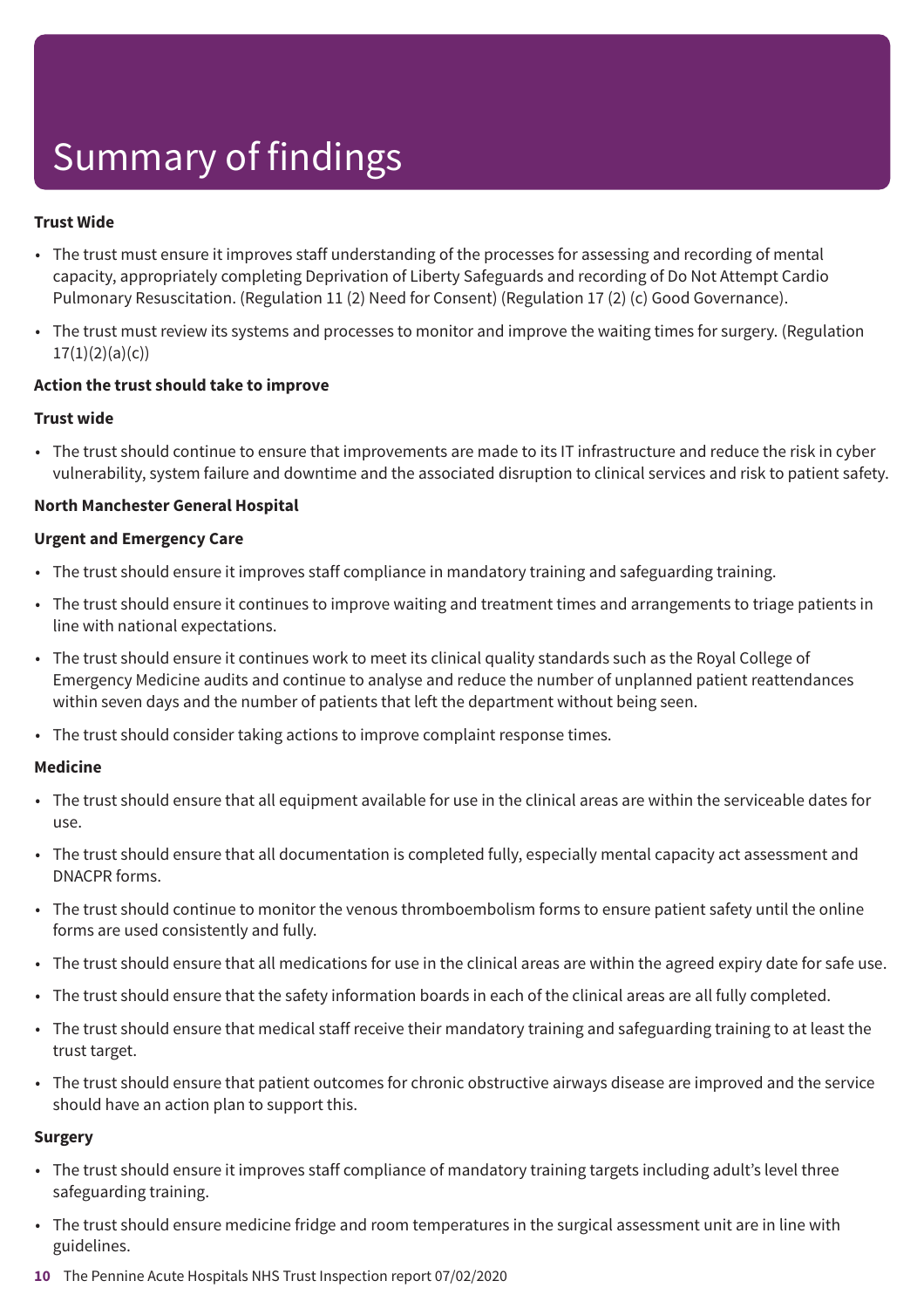### **Trust Wide**

- The trust must ensure it improves staff understanding of the processes for assessing and recording of mental capacity, appropriately completing Deprivation of Liberty Safeguards and recording of Do Not Attempt Cardio Pulmonary Resuscitation. (Regulation 11 (2) Need for Consent) (Regulation 17 (2) (c) Good Governance).
- The trust must review its systems and processes to monitor and improve the waiting times for surgery. (Regulation  $17(1)(2)(a)(c)$

#### **Action the trust should take to improve**

#### **Trust wide**

• The trust should continue to ensure that improvements are made to its IT infrastructure and reduce the risk in cyber vulnerability, system failure and downtime and the associated disruption to clinical services and risk to patient safety.

#### **North Manchester General Hospital**

#### **Urgent and Emergency Care**

- The trust should ensure it improves staff compliance in mandatory training and safeguarding training.
- The trust should ensure it continues to improve waiting and treatment times and arrangements to triage patients in line with national expectations.
- The trust should ensure it continues work to meet its clinical quality standards such as the Royal College of Emergency Medicine audits and continue to analyse and reduce the number of unplanned patient reattendances within seven days and the number of patients that left the department without being seen.
- The trust should consider taking actions to improve complaint response times.

#### **Medicine**

- The trust should ensure that all equipment available for use in the clinical areas are within the serviceable dates for use.
- The trust should ensure that all documentation is completed fully, especially mental capacity act assessment and DNACPR forms.
- The trust should continue to monitor the venous thromboembolism forms to ensure patient safety until the online forms are used consistently and fully.
- The trust should ensure that all medications for use in the clinical areas are within the agreed expiry date for safe use.
- The trust should ensure that the safety information boards in each of the clinical areas are all fully completed.
- The trust should ensure that medical staff receive their mandatory training and safeguarding training to at least the trust target.
- The trust should ensure that patient outcomes for chronic obstructive airways disease are improved and the service should have an action plan to support this.

### **Surgery**

- The trust should ensure it improves staff compliance of mandatory training targets including adult's level three safeguarding training.
- The trust should ensure medicine fridge and room temperatures in the surgical assessment unit are in line with guidelines.
- **10** The Pennine Acute Hospitals NHS Trust Inspection report 07/02/2020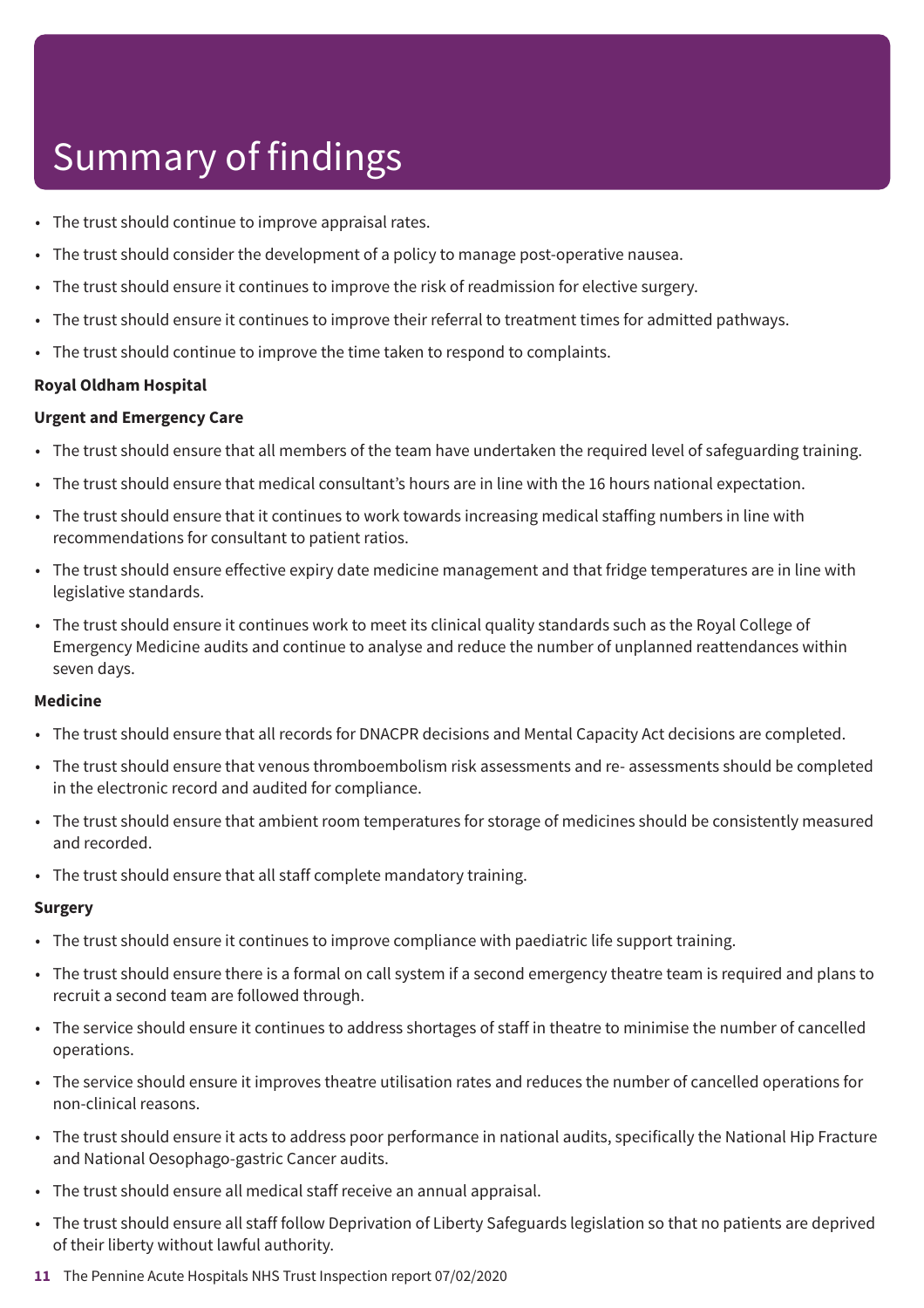- The trust should continue to improve appraisal rates.
- The trust should consider the development of a policy to manage post-operative nausea.
- The trust should ensure it continues to improve the risk of readmission for elective surgery.
- The trust should ensure it continues to improve their referral to treatment times for admitted pathways.
- The trust should continue to improve the time taken to respond to complaints.

#### **Royal Oldham Hospital**

#### **Urgent and Emergency Care**

- The trust should ensure that all members of the team have undertaken the required level of safeguarding training.
- The trust should ensure that medical consultant's hours are in line with the 16 hours national expectation.
- The trust should ensure that it continues to work towards increasing medical staffing numbers in line with recommendations for consultant to patient ratios.
- The trust should ensure effective expiry date medicine management and that fridge temperatures are in line with legislative standards.
- The trust should ensure it continues work to meet its clinical quality standards such as the Royal College of Emergency Medicine audits and continue to analyse and reduce the number of unplanned reattendances within seven days.

#### **Medicine**

- The trust should ensure that all records for DNACPR decisions and Mental Capacity Act decisions are completed.
- The trust should ensure that venous thromboembolism risk assessments and re- assessments should be completed in the electronic record and audited for compliance.
- The trust should ensure that ambient room temperatures for storage of medicines should be consistently measured and recorded.
- The trust should ensure that all staff complete mandatory training.

#### **Surgery**

- The trust should ensure it continues to improve compliance with paediatric life support training.
- The trust should ensure there is a formal on call system if a second emergency theatre team is required and plans to recruit a second team are followed through.
- The service should ensure it continues to address shortages of staff in theatre to minimise the number of cancelled operations.
- The service should ensure it improves theatre utilisation rates and reduces the number of cancelled operations for non-clinical reasons.
- The trust should ensure it acts to address poor performance in national audits, specifically the National Hip Fracture and National Oesophago-gastric Cancer audits.
- The trust should ensure all medical staff receive an annual appraisal.
- The trust should ensure all staff follow Deprivation of Liberty Safeguards legislation so that no patients are deprived of their liberty without lawful authority.
- **11** The Pennine Acute Hospitals NHS Trust Inspection report 07/02/2020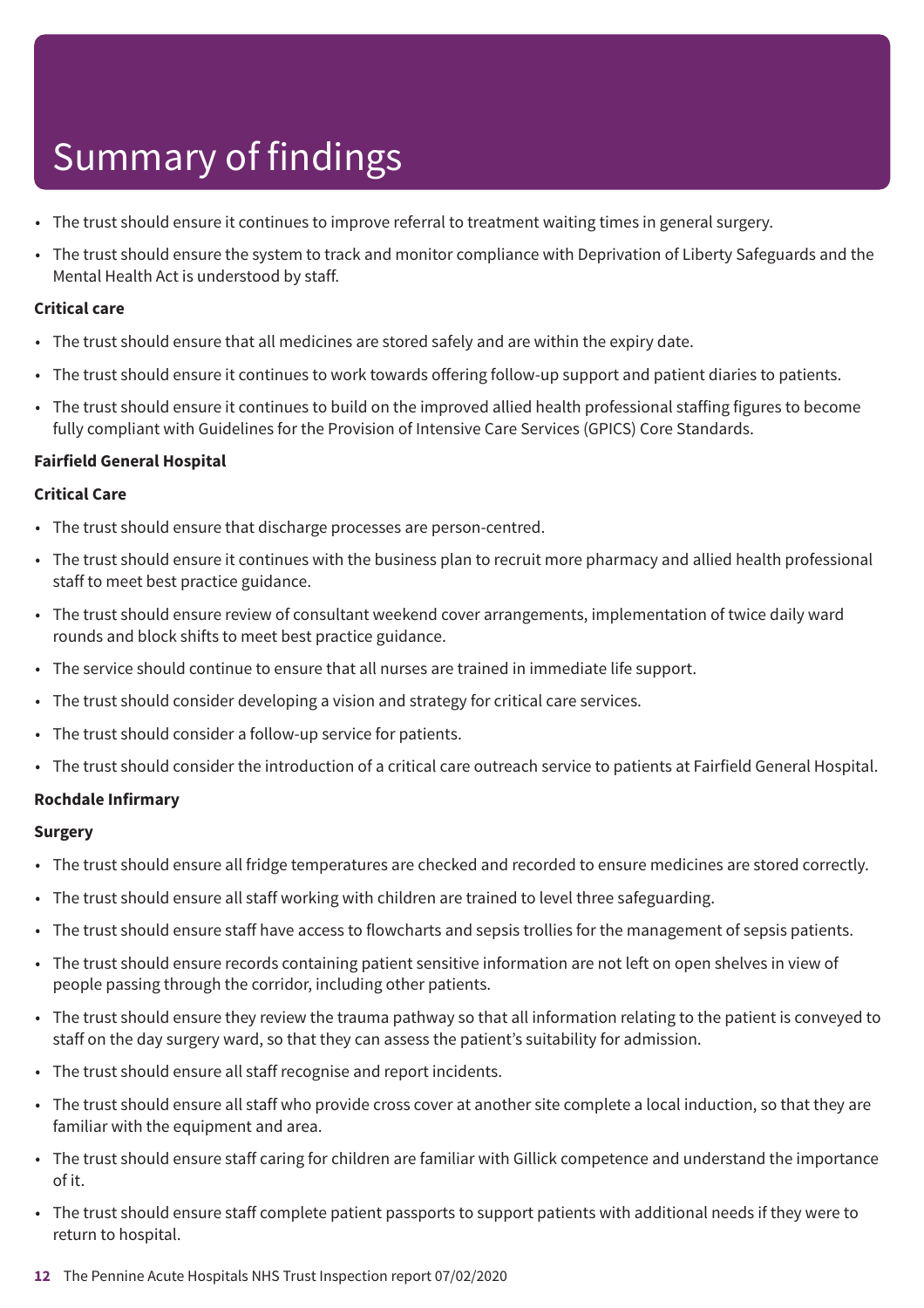- The trust should ensure it continues to improve referral to treatment waiting times in general surgery.
- The trust should ensure the system to track and monitor compliance with Deprivation of Liberty Safeguards and the Mental Health Act is understood by staff.

### **Critical care**

- The trust should ensure that all medicines are stored safely and are within the expiry date.
- The trust should ensure it continues to work towards offering follow-up support and patient diaries to patients.
- The trust should ensure it continues to build on the improved allied health professional staffing figures to become fully compliant with Guidelines for the Provision of Intensive Care Services (GPICS) Core Standards.

### **Fairfield General Hospital**

### **Critical Care**

- The trust should ensure that discharge processes are person-centred.
- The trust should ensure it continues with the business plan to recruit more pharmacy and allied health professional staff to meet best practice guidance.
- The trust should ensure review of consultant weekend cover arrangements, implementation of twice daily ward rounds and block shifts to meet best practice guidance.
- The service should continue to ensure that all nurses are trained in immediate life support.
- The trust should consider developing a vision and strategy for critical care services.
- The trust should consider a follow-up service for patients.
- The trust should consider the introduction of a critical care outreach service to patients at Fairfield General Hospital.

### **Rochdale Infirmary**

### **Surgery**

- The trust should ensure all fridge temperatures are checked and recorded to ensure medicines are stored correctly.
- The trust should ensure all staff working with children are trained to level three safeguarding.
- The trust should ensure staff have access to flowcharts and sepsis trollies for the management of sepsis patients.
- The trust should ensure records containing patient sensitive information are not left on open shelves in view of people passing through the corridor, including other patients.
- The trust should ensure they review the trauma pathway so that all information relating to the patient is conveyed to staff on the day surgery ward, so that they can assess the patient's suitability for admission.
- The trust should ensure all staff recognise and report incidents.
- The trust should ensure all staff who provide cross cover at another site complete a local induction, so that they are familiar with the equipment and area.
- The trust should ensure staff caring for children are familiar with Gillick competence and understand the importance of it.
- The trust should ensure staff complete patient passports to support patients with additional needs if they were to return to hospital.
- **12** The Pennine Acute Hospitals NHS Trust Inspection report 07/02/2020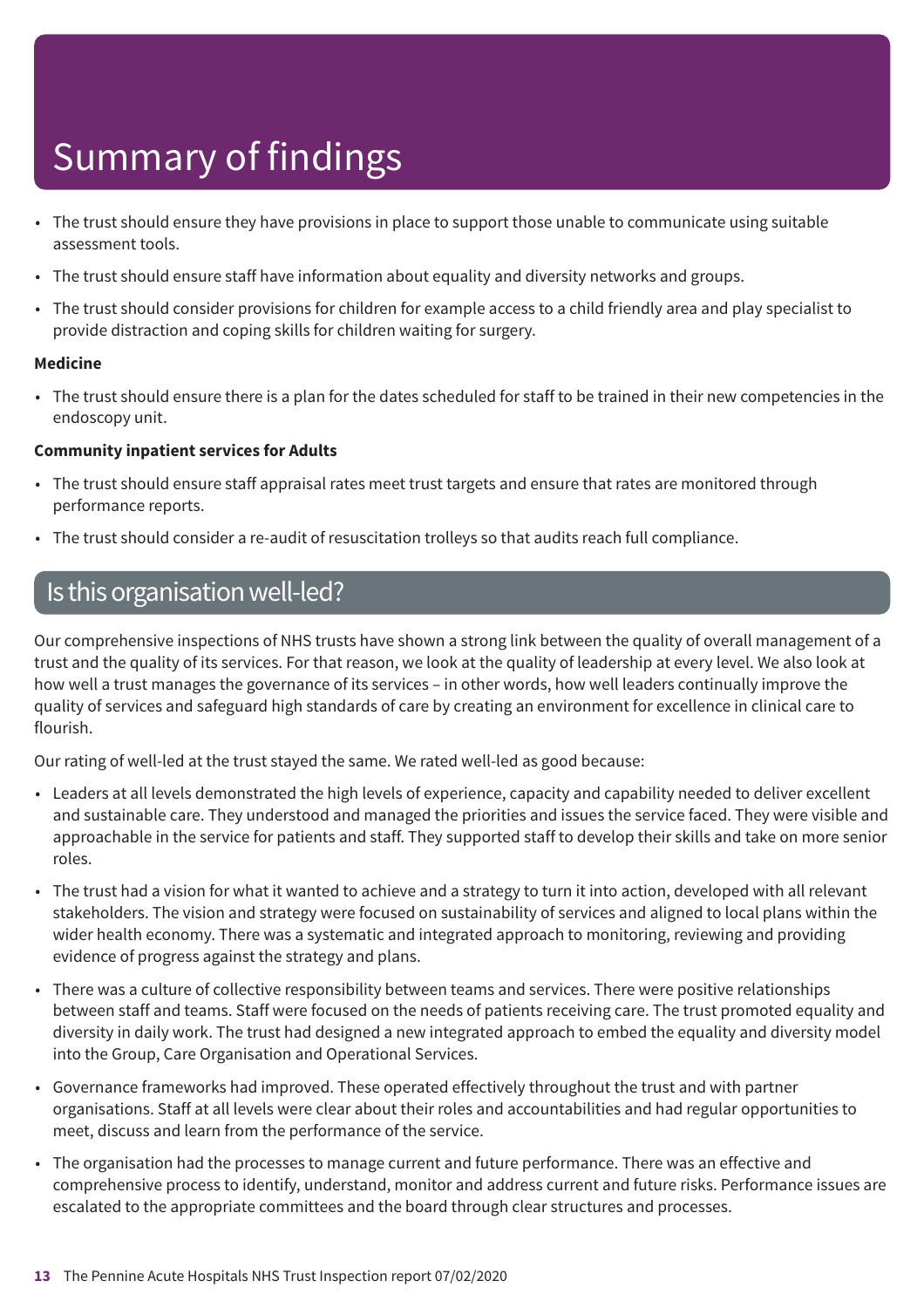- The trust should ensure they have provisions in place to support those unable to communicate using suitable assessment tools.
- The trust should ensure staff have information about equality and diversity networks and groups.
- The trust should consider provisions for children for example access to a child friendly area and play specialist to provide distraction and coping skills for children waiting for surgery.

### **Medicine**

• The trust should ensure there is a plan for the dates scheduled for staff to be trained in their new competencies in the endoscopy unit.

### **Community inpatient services for Adults**

- The trust should ensure staff appraisal rates meet trust targets and ensure that rates are monitored through performance reports.
- The trust should consider a re-audit of resuscitation trolleys so that audits reach full compliance.

### Is this organisation well-led?

Our comprehensive inspections of NHS trusts have shown a strong link between the quality of overall management of a trust and the quality of its services. For that reason, we look at the quality of leadership at every level. We also look at how well a trust manages the governance of its services – in other words, how well leaders continually improve the quality of services and safeguard high standards of care by creating an environment for excellence in clinical care to flourish.

Our rating of well-led at the trust stayed the same. We rated well-led as good because:

- Leaders at all levels demonstrated the high levels of experience, capacity and capability needed to deliver excellent and sustainable care. They understood and managed the priorities and issues the service faced. They were visible and approachable in the service for patients and staff. They supported staff to develop their skills and take on more senior roles.
- The trust had a vision for what it wanted to achieve and a strategy to turn it into action, developed with all relevant stakeholders. The vision and strategy were focused on sustainability of services and aligned to local plans within the wider health economy. There was a systematic and integrated approach to monitoring, reviewing and providing evidence of progress against the strategy and plans.
- There was a culture of collective responsibility between teams and services. There were positive relationships between staff and teams. Staff were focused on the needs of patients receiving care. The trust promoted equality and diversity in daily work. The trust had designed a new integrated approach to embed the equality and diversity model into the Group, Care Organisation and Operational Services.
- Governance frameworks had improved. These operated effectively throughout the trust and with partner organisations. Staff at all levels were clear about their roles and accountabilities and had regular opportunities to meet, discuss and learn from the performance of the service.
- The organisation had the processes to manage current and future performance. There was an effective and comprehensive process to identify, understand, monitor and address current and future risks. Performance issues are escalated to the appropriate committees and the board through clear structures and processes.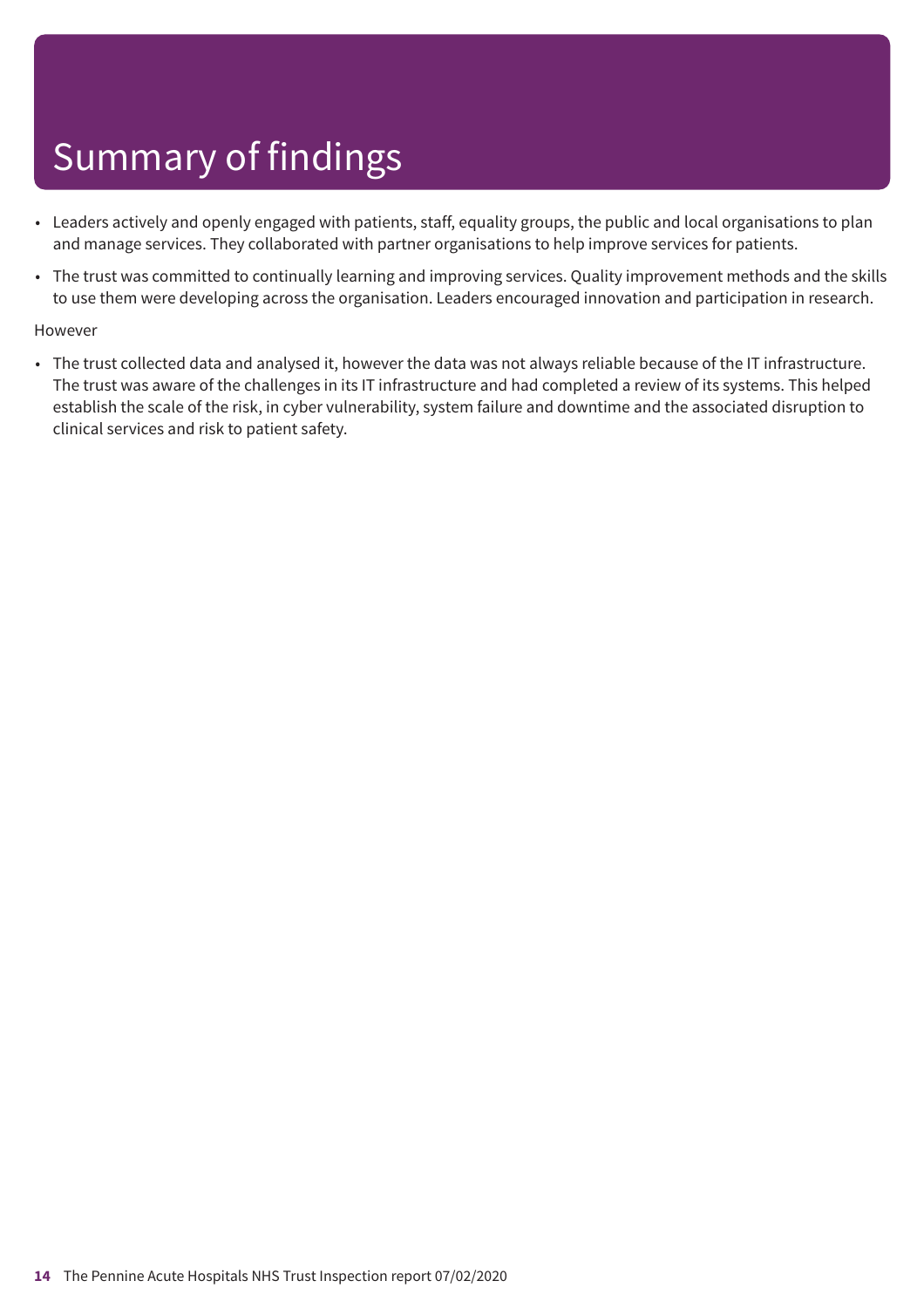- Leaders actively and openly engaged with patients, staff, equality groups, the public and local organisations to plan and manage services. They collaborated with partner organisations to help improve services for patients.
- The trust was committed to continually learning and improving services. Quality improvement methods and the skills to use them were developing across the organisation. Leaders encouraged innovation and participation in research.

### However

• The trust collected data and analysed it, however the data was not always reliable because of the IT infrastructure. The trust was aware of the challenges in its IT infrastructure and had completed a review of its systems. This helped establish the scale of the risk, in cyber vulnerability, system failure and downtime and the associated disruption to clinical services and risk to patient safety.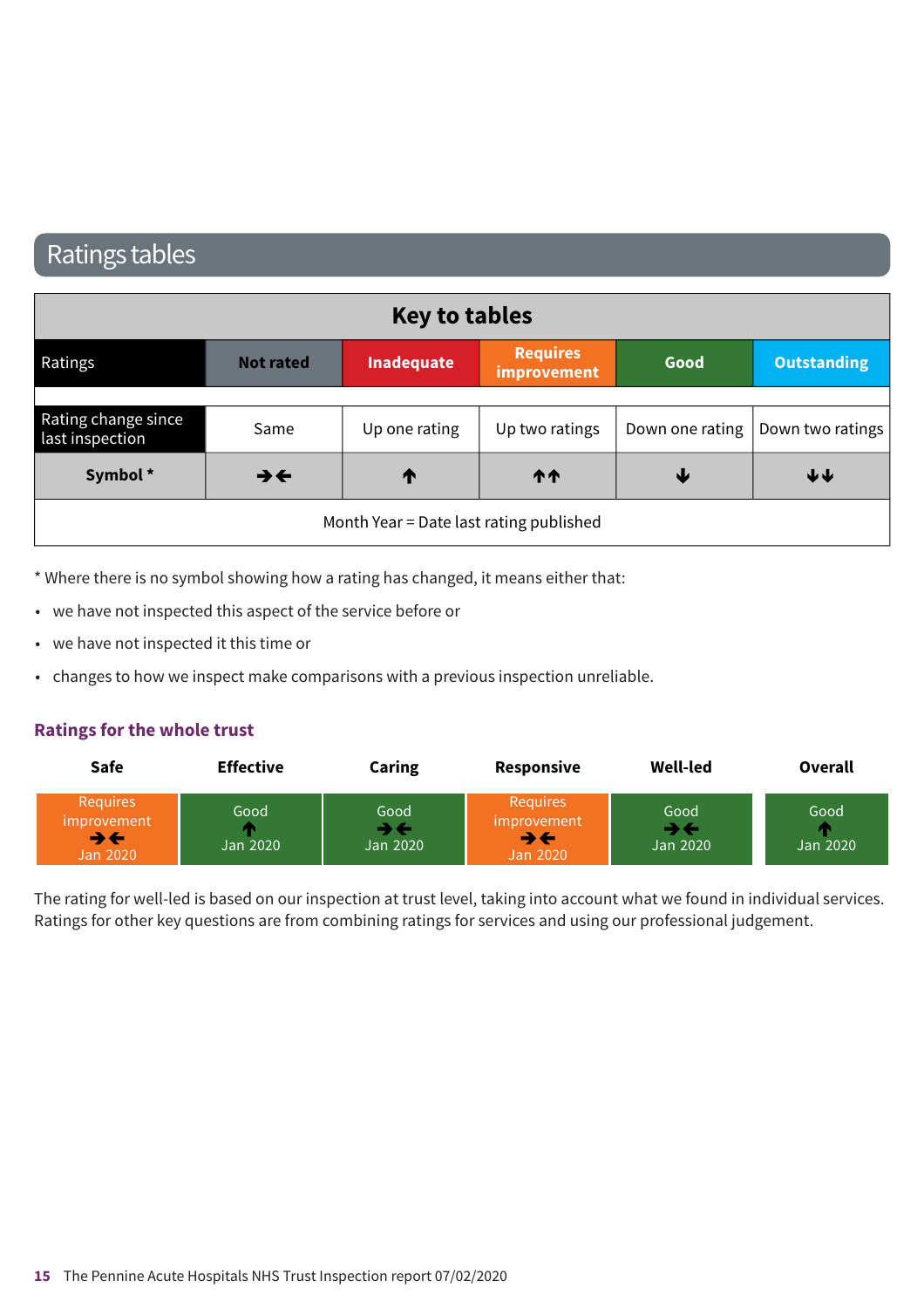### Ratings tables

|                                        |                          | <b>Key to tables</b>                    |                                |      |                                    |
|----------------------------------------|--------------------------|-----------------------------------------|--------------------------------|------|------------------------------------|
| Ratings                                | <b>Not rated</b>         | Inadequate                              | <b>Requires</b><br>improvement | Good | <b>Outstanding</b>                 |
|                                        |                          |                                         |                                |      |                                    |
| Rating change since<br>last inspection | Same                     | Up one rating                           | Up two ratings                 |      | Down one rating   Down two ratings |
| Symbol*                                | $\rightarrow \leftarrow$ | ↑                                       | <b>11</b>                      | ₩    | $\blacklozenge \blacklozenge$      |
|                                        |                          | Month Year = Date last rating published |                                |      |                                    |

\* Where there is no symbol showing how a rating has changed, it means either that:

- we have not inspected this aspect of the service before or
- we have not inspected it this time or
- changes to how we inspect make comparisons with a previous inspection unreliable.

### **Ratings for the whole trust**

| <b>Safe</b>                                                                   | <b>Effective</b> | Caring                                         | Responsive                                | <b>Well-led</b>                                     | Overall          |
|-------------------------------------------------------------------------------|------------------|------------------------------------------------|-------------------------------------------|-----------------------------------------------------|------------------|
| <b>Requires</b><br><i>improvement</i><br>$\rightarrow \leftarrow$<br>Jan 2020 | Good<br>Jan 2020 | Good<br>$\rightarrow$ $\leftarrow$<br>Jan 2020 | Requires<br>improvement<br>→←<br>Jan 2020 | Good<br>$\blacktriangleright\leftarrow$<br>Jan 2020 | Good<br>Jan 2020 |

The rating for well-led is based on our inspection at trust level, taking into account what we found in individual services. Ratings for other key questions are from combining ratings for services and using our professional judgement.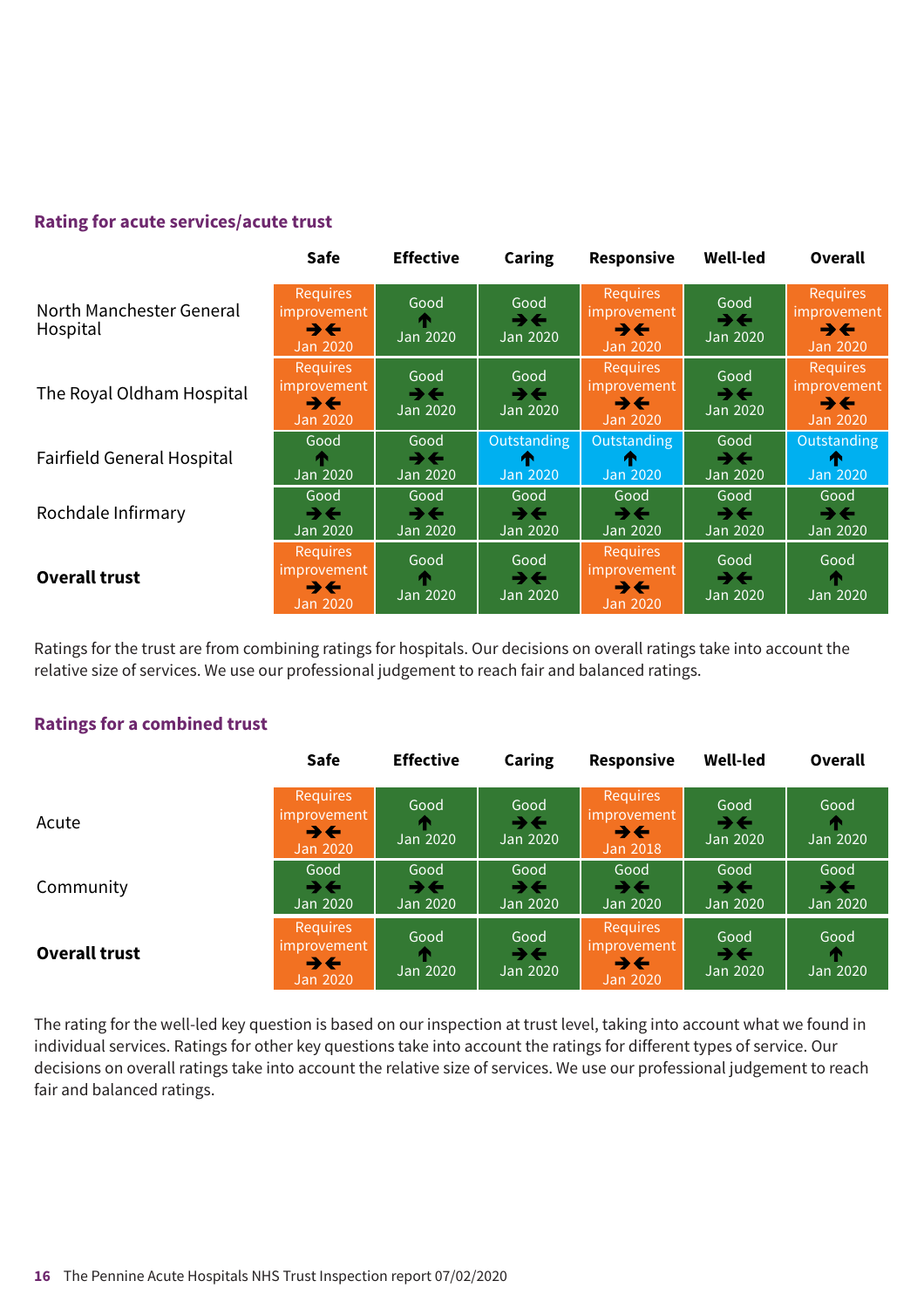### **Rating for acute services/acute trust**

|                                      | <b>Safe</b>                                                            | <b>Effective</b>                             | <b>Caring</b>                                | Responsive                                              | <b>Well-led</b>                                | Overall                                                                |
|--------------------------------------|------------------------------------------------------------------------|----------------------------------------------|----------------------------------------------|---------------------------------------------------------|------------------------------------------------|------------------------------------------------------------------------|
| North Manchester General<br>Hospital | Requires<br>improvement<br>$\rightarrow \leftarrow$<br><b>Jan 2020</b> | Good<br>Jan 2020                             | Good<br>→←<br>Jan 2020                       | <b>Requires</b><br>improvement<br>→←<br><b>Jan 2020</b> | Good<br>→←<br>Jan 2020                         | <b>Requires</b><br>improvement<br>$\rightarrow \leftarrow$<br>Jan 2020 |
| The Royal Oldham Hospital            | Requires<br>improvement<br>$\rightarrow \leftarrow$<br><b>Jan 2020</b> | Good<br>→←<br>Jan 2020                       | Good<br>→←<br>Jan 2020                       | Requires<br>improvement<br>うそ<br>Jan 2020               | Good<br>$\rightarrow$ $\leftarrow$<br>Jan 2020 | <b>Requires</b><br>improvement<br>$\rightarrow \leftarrow$<br>Jan 2020 |
| <b>Fairfield General Hospital</b>    | Good<br>Jan 2020                                                       | Good<br>$\rightarrow \leftarrow$<br>Jan 2020 | Outstanding<br>m<br>Jan 2020                 | <b>Outstanding</b><br>m<br><b>Jan 2020</b>              | Good<br>→←<br>Jan 2020                         | Outstanding<br>ИΝ<br><b>Jan 2020</b>                                   |
| Rochdale Infirmary                   | Good<br>$\rightarrow \leftarrow$<br>Jan 2020                           | Good<br>$\rightarrow \leftarrow$<br>Jan 2020 | Good<br>$\rightarrow \leftarrow$<br>Jan 2020 | Good<br>→←<br>Jan 2020                                  | Good<br>→←<br>Jan 2020                         | Good<br>$\rightarrow \leftarrow$<br>Jan 2020                           |
| <b>Overall trust</b>                 | Requires<br><i>improvement</i><br>うそ<br><b>Jan 2020</b>                | Good<br>Jan 2020                             | Good<br>$\rightarrow \leftarrow$<br>Jan 2020 | <b>Requires</b><br>improvement<br>→←<br>Jan 2020        | Good<br>→←<br>Jan 2020                         | Good<br>Jan 2020                                                       |

Ratings for the trust are from combining ratings for hospitals. Our decisions on overall ratings take into account the relative size of services. We use our professional judgement to reach fair and balanced ratings.

### **Ratings for a combined trust**

|                      | Safe                                                                          | <b>Effective</b>       | <b>Caring</b>                                | <b>Responsive</b>                                       | <b>Well-led</b>        | Overall                                      |
|----------------------|-------------------------------------------------------------------------------|------------------------|----------------------------------------------|---------------------------------------------------------|------------------------|----------------------------------------------|
| Acute                | Requires<br>improvement<br>$\rightarrow \leftarrow$<br><b>Jan 2020</b>        | Good<br>Jan 2020       | Good<br>$\rightarrow \leftarrow$<br>Jan 2020 | Requires<br><i><b>Improvement</b></i><br>うそ<br>Jan 2018 | Good<br>→←<br>Jan 2020 | Good<br>Jan 2020                             |
| Community            | Good<br>$\rightarrow \leftarrow$<br>Jan 2020                                  | Good<br>→←<br>Jan 2020 | Good<br>→←<br>Jan 2020                       | Good<br>→←<br>Jan 2020                                  | Good<br>→←<br>Jan 2020 | Good<br>$\rightarrow \leftarrow$<br>Jan 2020 |
| <b>Overall trust</b> | <b>Requires</b><br><i>improvement</i><br>$\rightarrow \leftarrow$<br>Jan 2020 | Good<br>Jan 2020       | Good<br>$\rightarrow \leftarrow$<br>Jan 2020 | <b>Requires</b><br>umprovement<br>→←<br>Jan 2020        | Good<br>→←<br>Jan 2020 | Good<br>т<br>Jan 2020                        |

The rating for the well-led key question is based on our inspection at trust level, taking into account what we found in individual services. Ratings for other key questions take into account the ratings for different types of service. Our decisions on overall ratings take into account the relative size of services. We use our professional judgement to reach fair and balanced ratings.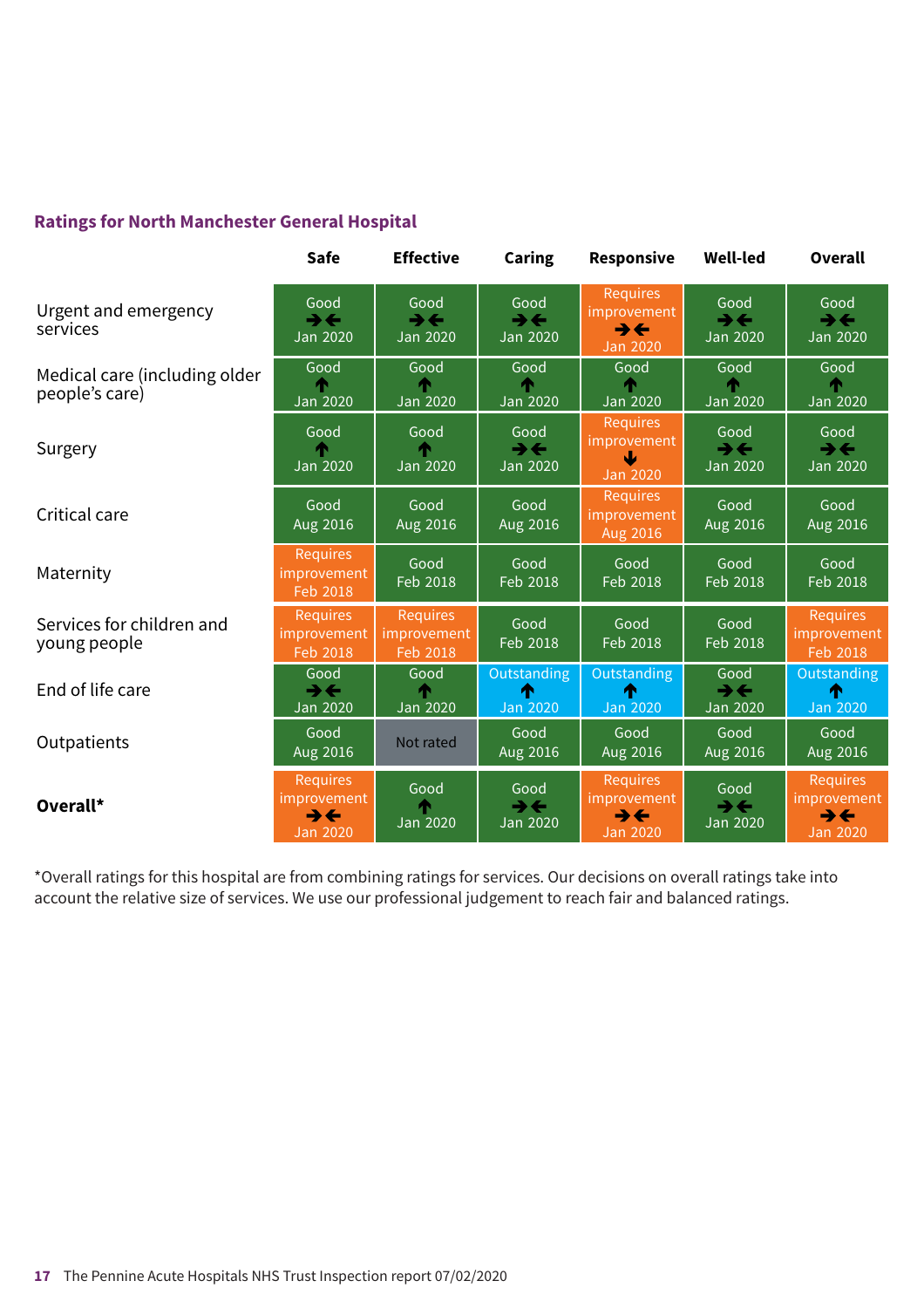### **Ratings for North Manchester General Hospital**

|                                                 | <b>Safe</b>                                                                   | <b>Effective</b>                                    | Caring                                       | Responsive                                                                    | <b>Well-led</b>                                     | <b>Overall</b>                                                                       |
|-------------------------------------------------|-------------------------------------------------------------------------------|-----------------------------------------------------|----------------------------------------------|-------------------------------------------------------------------------------|-----------------------------------------------------|--------------------------------------------------------------------------------------|
| Urgent and emergency<br>services                | Good<br>$\rightarrow \leftarrow$<br><b>Jan 2020</b>                           | Good<br>$\rightarrow \leftarrow$<br><b>Jan 2020</b> | Good<br>$\rightarrow \leftarrow$<br>Jan 2020 | Requires<br>improvement<br>$\rightarrow \leftarrow$<br><b>Jan 2020</b>        | Good<br>$\rightarrow \leftarrow$<br><b>Jan 2020</b> | Good<br>$\rightarrow \leftarrow$<br><b>Jan 2020</b>                                  |
| Medical care (including older<br>people's care) | Good<br><b>Jan 2020</b>                                                       | Good<br><b>Jan 2020</b>                             | Good<br><b>Jan 2020</b>                      | Good<br><b>Jan 2020</b>                                                       | Good<br><b>Jan 2020</b>                             | Good<br><b>Jan 2020</b>                                                              |
| Surgery                                         | Good<br><b>Jan 2020</b>                                                       | Good<br><b>Jan 2020</b>                             | Good<br>$\rightarrow \leftarrow$<br>Jan 2020 | <b>Requires</b><br>improvement<br><b>Jan 2020</b>                             | Good<br>$\rightarrow \leftarrow$<br><b>Jan 2020</b> | Good<br>$\rightarrow \leftarrow$<br><b>Jan 2020</b>                                  |
| Critical care                                   | Good<br>Aug 2016                                                              | Good<br>Aug 2016                                    | Good<br>Aug 2016                             | <b>Requires</b><br>improvement<br>Aug 2016                                    | Good<br>Aug 2016                                    | Good<br>Aug 2016                                                                     |
| Maternity                                       | <b>Requires</b><br>improvement<br>Feb 2018                                    | Good<br>Feb 2018                                    | Good<br>Feb 2018                             | Good<br>Feb 2018                                                              | Good<br>Feb 2018                                    | Good<br>Feb 2018                                                                     |
| Services for children and<br>young people       | <b>Requires</b><br>improvement<br>Feb 2018                                    | <b>Requires</b><br>improvement<br>Feb 2018          | Good<br>Feb 2018                             | Good<br>Feb 2018                                                              | Good<br>Feb 2018                                    | <b>Requires</b><br>improvement<br>Feb 2018                                           |
| End of life care                                | Good<br>$\rightarrow \leftarrow$<br><b>Jan 2020</b>                           | Good<br><b>Jan 2020</b>                             | Outstanding<br>↑<br><b>Jan 2020</b>          | <b>Outstanding</b><br>́Ѧ<br>Jan 2020                                          | Good<br>$\rightarrow \leftarrow$<br><b>Jan 2020</b> | Outstanding<br>́↑<br><b>Jan 2020</b>                                                 |
| Outpatients                                     | Good<br>Aug 2016                                                              | Not rated                                           | Good<br>Aug 2016                             | Good<br>Aug 2016                                                              | Good<br>Aug 2016                                    | Good<br>Aug 2016                                                                     |
| Overall*                                        | <b>Requires</b><br>improvement<br>$\rightarrow \leftarrow$<br><b>Jan 2020</b> | Good<br><b>Jan 2020</b>                             | Good<br>$\rightarrow \leftarrow$<br>Jan 2020 | <b>Requires</b><br>improvement<br>$\rightarrow \leftarrow$<br><b>Jan 2020</b> | Good<br>$\rightarrow \leftarrow$<br>Jan 2020        | <b>Requires</b><br><i>improvement</i><br>$\rightarrow \leftarrow$<br><b>Jan 2020</b> |

\*Overall ratings for this hospital are from combining ratings for services. Our decisions on overall ratings take into account the relative size of services. We use our professional judgement to reach fair and balanced ratings.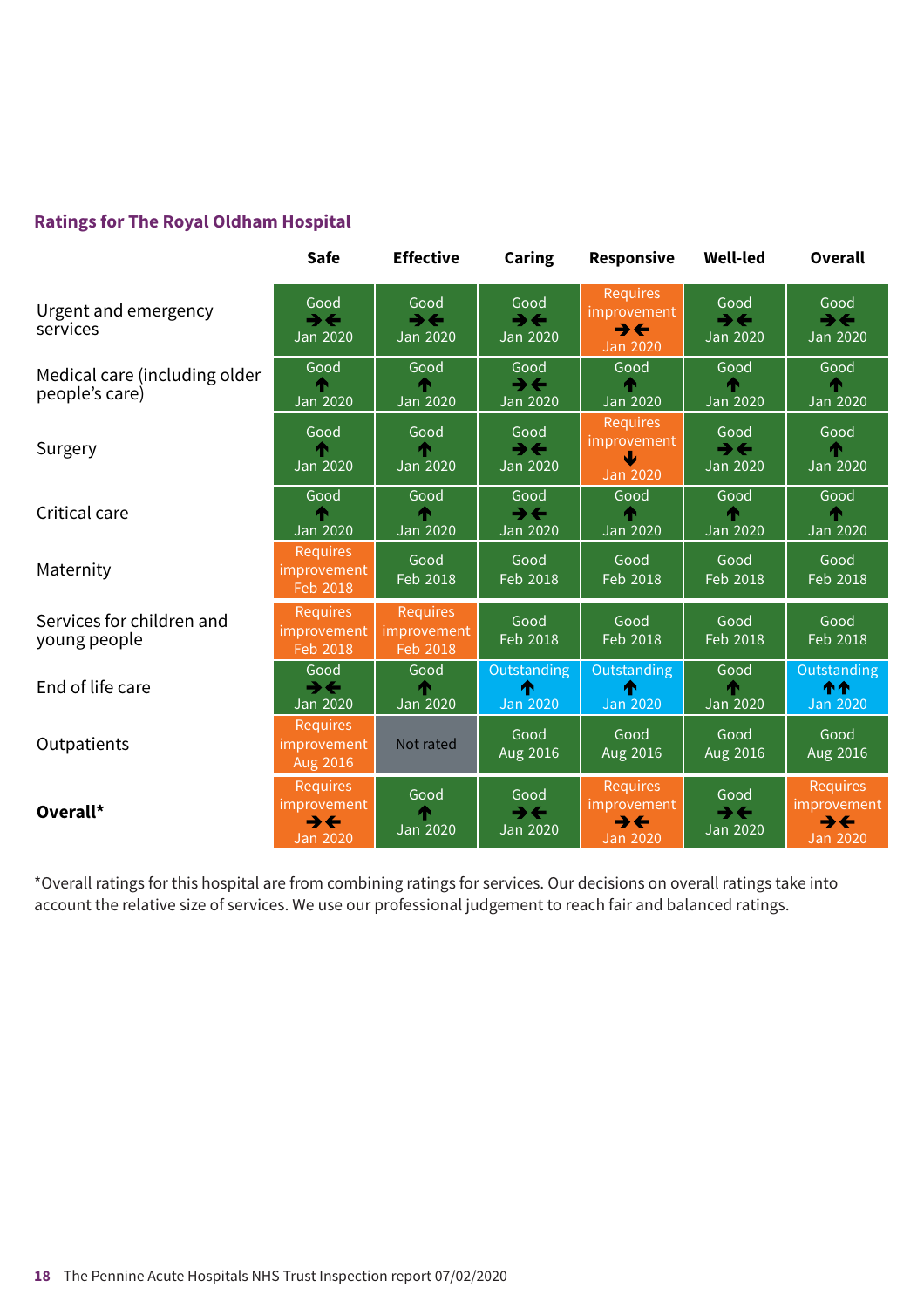### **Ratings for The Royal Oldham Hospital**

|                                                 | Safe                                                                          | <b>Effective</b>                                    | <b>Caring</b>                                       | <b>Responsive</b>                                                             | <b>Well-led</b>                                     | Overall                                                                              |
|-------------------------------------------------|-------------------------------------------------------------------------------|-----------------------------------------------------|-----------------------------------------------------|-------------------------------------------------------------------------------|-----------------------------------------------------|--------------------------------------------------------------------------------------|
| Urgent and emergency<br>services                | Good<br>$\rightarrow \leftarrow$<br><b>Jan 2020</b>                           | Good<br>$\rightarrow \leftarrow$<br><b>Jan 2020</b> | Good<br>$\rightarrow \leftarrow$<br>Jan 2020        | <b>Requires</b><br>improvement<br>$\rightarrow \leftarrow$<br><b>Jan 2020</b> | Good<br>$\rightarrow \leftarrow$<br><b>Jan 2020</b> | Good<br>$\rightarrow$<br><b>Jan 2020</b>                                             |
| Medical care (including older<br>people's care) | Good<br><b>Jan 2020</b>                                                       | Good<br><b>Jan 2020</b>                             | Good<br>$\rightarrow$<br>Jan 2020                   | Good<br>Jan 2020                                                              | Good<br><b>Jan 2020</b>                             | Good<br><b>Jan 2020</b>                                                              |
| Surgery                                         | Good<br><b>Jan 2020</b>                                                       | Good<br><b>Jan 2020</b>                             | Good<br>$\rightarrow \leftarrow$<br>Jan 2020        | <b>Requires</b><br>improvement<br>₩<br>Jan 2020                               | Good<br>$\rightarrow \leftarrow$<br><b>Jan 2020</b> | Good<br><b>Jan 2020</b>                                                              |
| Critical care                                   | Good<br><b>Jan 2020</b>                                                       | Good<br>Jan 2020                                    | Good<br>$\rightarrow \leftarrow$<br>Jan 2020        | Good<br>Jan 2020                                                              | Good<br>Jan 2020                                    | Good<br><b>Jan 2020</b>                                                              |
| Maternity                                       | Requires<br>improvement<br>Feb 2018                                           | Good<br>Feb 2018                                    | Good<br>Feb 2018                                    | Good<br>Feb 2018                                                              | Good<br>Feb 2018                                    | Good<br>Feb 2018                                                                     |
| Services for children and<br>young people       | <b>Requires</b><br>improvement<br>Feb 2018                                    | <b>Requires</b><br>mprovement<br>Feb 2018           | Good<br>Feb 2018                                    | Good<br>Feb 2018                                                              | Good<br>Feb 2018                                    | Good<br>Feb 2018                                                                     |
| End of life care                                | Good<br>$\rightarrow$<br><b>Jan 2020</b>                                      | Good<br><b>Jan 2020</b>                             | <b>Outstanding</b><br>́↑<br><b>Jan 2020</b>         | Outstanding<br>Λ<br><b>Jan 2020</b>                                           | Good<br><b>Jan 2020</b>                             | <b>Outstanding</b><br>个个<br><b>Jan 2020</b>                                          |
| Outpatients                                     | <b>Requires</b><br>improvement<br>Aug 2016                                    | Not rated                                           | Good<br>Aug 2016                                    | Good<br>Aug 2016                                                              | Good<br>Aug 2016                                    | Good<br>Aug 2016                                                                     |
| Overall*                                        | <b>Requires</b><br>improvement<br>$\rightarrow \leftarrow$<br><b>Jan 2020</b> | Good<br><b>Jan 2020</b>                             | Good<br>$\rightarrow \leftarrow$<br><b>Jan 2020</b> | <b>Requires</b><br>improvement<br>$\rightarrow \leftarrow$<br><b>Jan 2020</b> | Good<br>$\rightarrow \leftarrow$<br>Jan 2020        | <b>Requires</b><br><i>improvement</i><br>$\rightarrow \leftarrow$<br><b>Jan 2020</b> |

\*Overall ratings for this hospital are from combining ratings for services. Our decisions on overall ratings take into account the relative size of services. We use our professional judgement to reach fair and balanced ratings.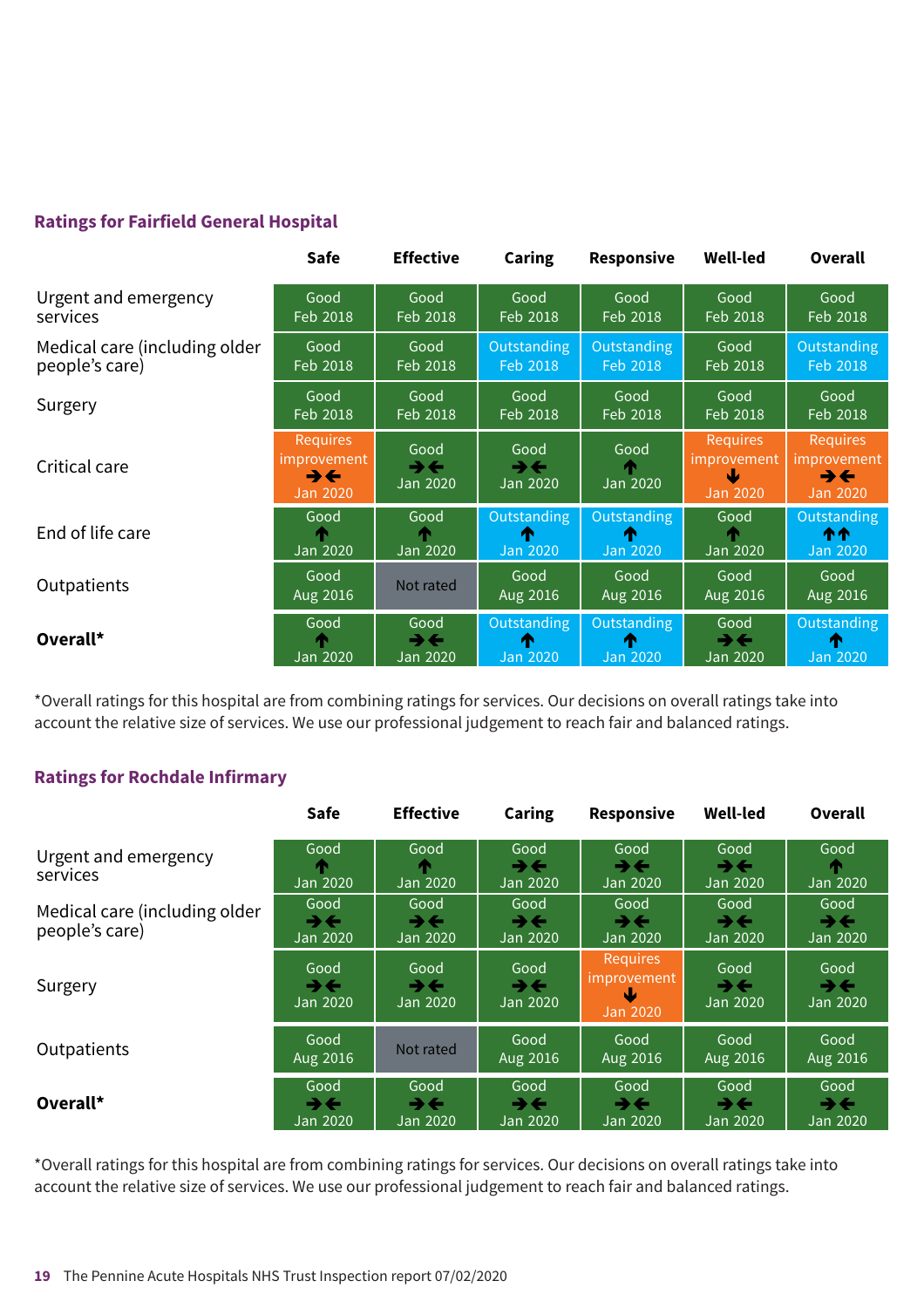### **Ratings for Fairfield General Hospital**

|                                                 | <b>Safe</b>                                                                          | <b>Effective</b>                             | Caring                                       | Responsive                          | <b>Well-led</b>                                        | <b>Overall</b>                                                          |
|-------------------------------------------------|--------------------------------------------------------------------------------------|----------------------------------------------|----------------------------------------------|-------------------------------------|--------------------------------------------------------|-------------------------------------------------------------------------|
| Urgent and emergency<br>services                | Good<br>Feb 2018                                                                     | Good<br>Feb 2018                             | Good<br>Feb 2018                             | Good<br>Feb 2018                    | Good<br>Feb 2018                                       | Good<br>Feb 2018                                                        |
| Medical care (including older<br>people's care) | Good<br>Feb 2018                                                                     | Good<br>Feb 2018                             | Outstanding<br>Feb 2018                      | Outstanding<br>Feb 2018             | Good<br>Feb 2018                                       | Outstanding<br>Feb 2018                                                 |
| Surgery                                         | Good<br>Feb 2018                                                                     | Good<br>Feb 2018                             | Good<br>Feb 2018                             | Good<br>Feb 2018                    | Good<br>Feb 2018                                       | Good<br>Feb 2018                                                        |
| Critical care                                   | <b>Requires</b><br><i>improvement</i><br>$\rightarrow \leftarrow$<br><b>Jan 2020</b> | Good<br>$\rightarrow \leftarrow$<br>Jan 2020 | Good<br>$\rightarrow \leftarrow$<br>Jan 2020 | Good<br>Jan 2020                    | <b>Requires</b><br>improvement<br>Ψ<br><b>Jan 2020</b> | <b>Requires</b><br>improvement'<br>$\rightarrow \leftarrow$<br>Jan 2020 |
| End of life care                                | Good<br>Jan 2020                                                                     | Good<br>Jan 2020                             | Outstanding<br>æ<br><b>Jan 2020</b>          | <b>Outstanding</b><br>m<br>Jan 2020 | Good<br>Jan 2020                                       | Outstanding<br>ተተ<br>Jan 2020                                           |
| Outpatients                                     | Good<br>Aug 2016                                                                     | Not rated                                    | Good<br>Aug 2016                             | Good<br>Aug 2016                    | Good<br>Aug 2016                                       | Good<br>Aug 2016                                                        |
| Overall*                                        | Good<br>Jan 2020                                                                     | Good<br>$\rightarrow \leftarrow$<br>Jan 2020 | Outstanding<br>T<br><b>Jan 2020</b>          | Outstanding<br>m<br><b>Jan 2020</b> | Good<br>$\rightarrow \leftarrow$<br>Jan 2020           | Outstanding<br>m<br>Jan 2020                                            |

### **Ratings for Rochdale Infirmary**

| Overall <sup>*</sup>                                                                                                                                                                                                                   | <b>Jan 2020</b>                                     | ⋺⋲<br>Jan 2020                               | T<br><b>Jan 2020</b>                         | T<br><b>Jan 2020</b>                                | ⋺⋲<br>Jan 2020                               | T<br>Jan 2020                                |
|----------------------------------------------------------------------------------------------------------------------------------------------------------------------------------------------------------------------------------------|-----------------------------------------------------|----------------------------------------------|----------------------------------------------|-----------------------------------------------------|----------------------------------------------|----------------------------------------------|
| *Overall ratings for this hospital are from combining ratings for services. Our decisions on overall ratings take into<br>account the relative size of services. We use our professional judgement to reach fair and balanced ratings. |                                                     |                                              |                                              |                                                     |                                              |                                              |
| <b>Ratings for Rochdale Infirmary</b>                                                                                                                                                                                                  |                                                     |                                              |                                              |                                                     |                                              |                                              |
|                                                                                                                                                                                                                                        | Safe                                                | <b>Effective</b>                             | <b>Caring</b>                                | Responsive                                          | <b>Well-led</b>                              | Overall                                      |
| Urgent and emergency<br>services                                                                                                                                                                                                       | Good<br>Jan 2020                                    | Good<br>Jan 2020                             | Good<br>$\rightarrow \leftarrow$<br>Jan 2020 | Good<br>$\rightarrow$ $\leftarrow$<br>Jan 2020      | Good<br>$\rightarrow \leftarrow$<br>Jan 2020 | Good<br>Jan 2020                             |
| Medical care (including older<br>people's care)                                                                                                                                                                                        | Good<br>$\rightarrow \leftarrow$<br><b>Jan 2020</b> | Good<br>$\rightarrow \leftarrow$<br>Jan 2020 | Good<br>$\rightarrow$<br>Jan 2020            | Good<br>$\rightarrow \leftarrow$<br><b>Jan 2020</b> | Good<br>$\rightarrow \leftarrow$<br>Jan 2020 | Good<br>$\rightarrow$<br>Jan 2020            |
| Surgery                                                                                                                                                                                                                                | Good<br>$\rightarrow \leftarrow$<br>Jan 2020        | Good<br>$\rightarrow \leftarrow$<br>Jan 2020 | Good<br>$\rightarrow$<br>Jan 2020            | <b>Requires</b><br>improvement<br><b>Jan 2020</b>   | Good<br>→←<br>Jan 2020                       | Good<br>$\rightarrow$<br>Jan 2020            |
| Outpatients                                                                                                                                                                                                                            | Good<br>Aug 2016                                    | Not rated                                    | Good<br>Aug 2016                             | Good<br>Aug 2016                                    | Good<br>Aug 2016                             | Good<br>Aug 2016                             |
| Overall*                                                                                                                                                                                                                               | Good<br>$\rightarrow \leftarrow$<br>Jan 2020        | Good<br>$\rightarrow \leftarrow$<br>Jan 2020 | Good<br>$\rightarrow \leftarrow$<br>Jan 2020 | Good<br>$\rightarrow \leftarrow$<br>Jan 2020        | Good<br>うそ<br>Jan 2020                       | Good<br>$\rightarrow \leftarrow$<br>Jan 2020 |

\*Overall ratings for this hospital are from combining ratings for services. Our decisions on overall ratings take into account the relative size of services. We use our professional judgement to reach fair and balanced ratings.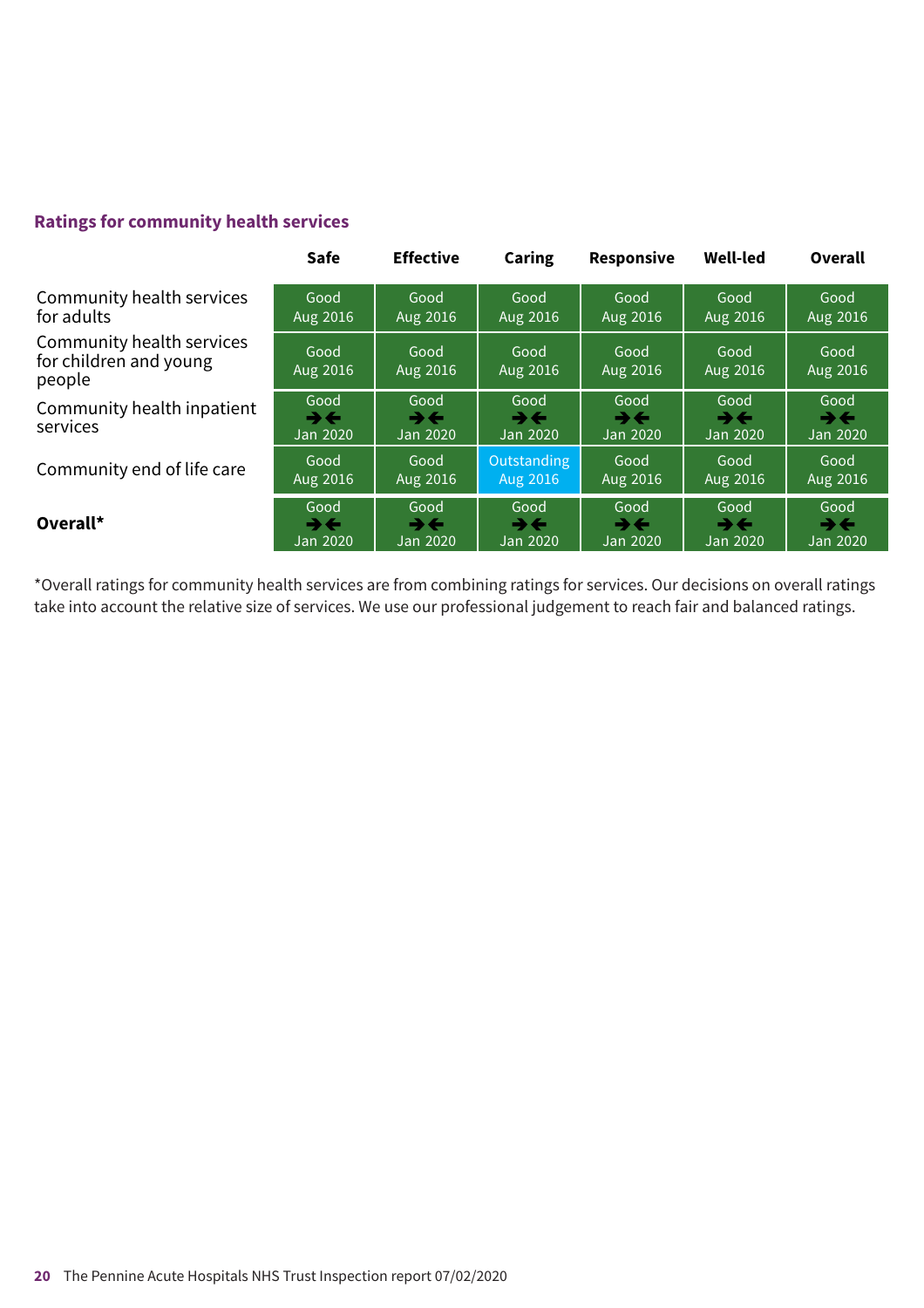### **Ratings for community health services**

|                                                               | <b>Safe</b>                                  | <b>Effective</b>                             | Caring                                       | <b>Responsive</b>                            | <b>Well-led</b>        | Overall                                      |
|---------------------------------------------------------------|----------------------------------------------|----------------------------------------------|----------------------------------------------|----------------------------------------------|------------------------|----------------------------------------------|
| Community health services                                     | Good                                         | Good                                         | Good                                         | Good                                         | Good                   | Good                                         |
| for adults                                                    | Aug 2016                                     | Aug 2016                                     | Aug 2016                                     | Aug 2016                                     | Aug 2016               | Aug 2016                                     |
| Community health services<br>for children and young<br>people | Good<br>Aug 2016                             | Good<br>Aug 2016                             | Good<br>Aug 2016                             | Good<br>Aug 2016                             | Good<br>Aug 2016       | Good<br>Aug 2016                             |
| Community health inpatient<br>services                        | Good<br>$\rightarrow \leftarrow$<br>Jan 2020 | Good<br>$\rightarrow \leftarrow$<br>Jan 2020 | Good<br>$\rightarrow \leftarrow$<br>Jan 2020 | Good<br>$\rightarrow \leftarrow$<br>Jan 2020 | Good<br>→←<br>Jan 2020 | Good<br>$\rightarrow \leftarrow$<br>Jan 2020 |
| Community end of life care                                    | Good                                         | Good                                         | Outstanding                                  | Good                                         | Good                   | Good                                         |
|                                                               | Aug 2016                                     | Aug 2016                                     | Aug 2016                                     | Aug 2016                                     | Aug 2016               | Aug 2016                                     |
| Overall*                                                      | Good                                         | Good                                         | Good                                         | Good                                         | Good                   | Good                                         |
|                                                               | $\rightarrow \leftarrow$                     | $\rightarrow$ $\leftarrow$                   | $\rightarrow \leftarrow$                     | →←                                           | →←                     | $\rightarrow \leftarrow$                     |
|                                                               | Jan 2020                                     | Jan 2020                                     | <b>Jan 2020</b>                              | Jan 2020                                     | Jan 2020               | Jan 2020                                     |

\*Overall ratings for community health services are from combining ratings for services. Our decisions on overall ratings take into account the relative size of services. We use our professional judgement to reach fair and balanced ratings.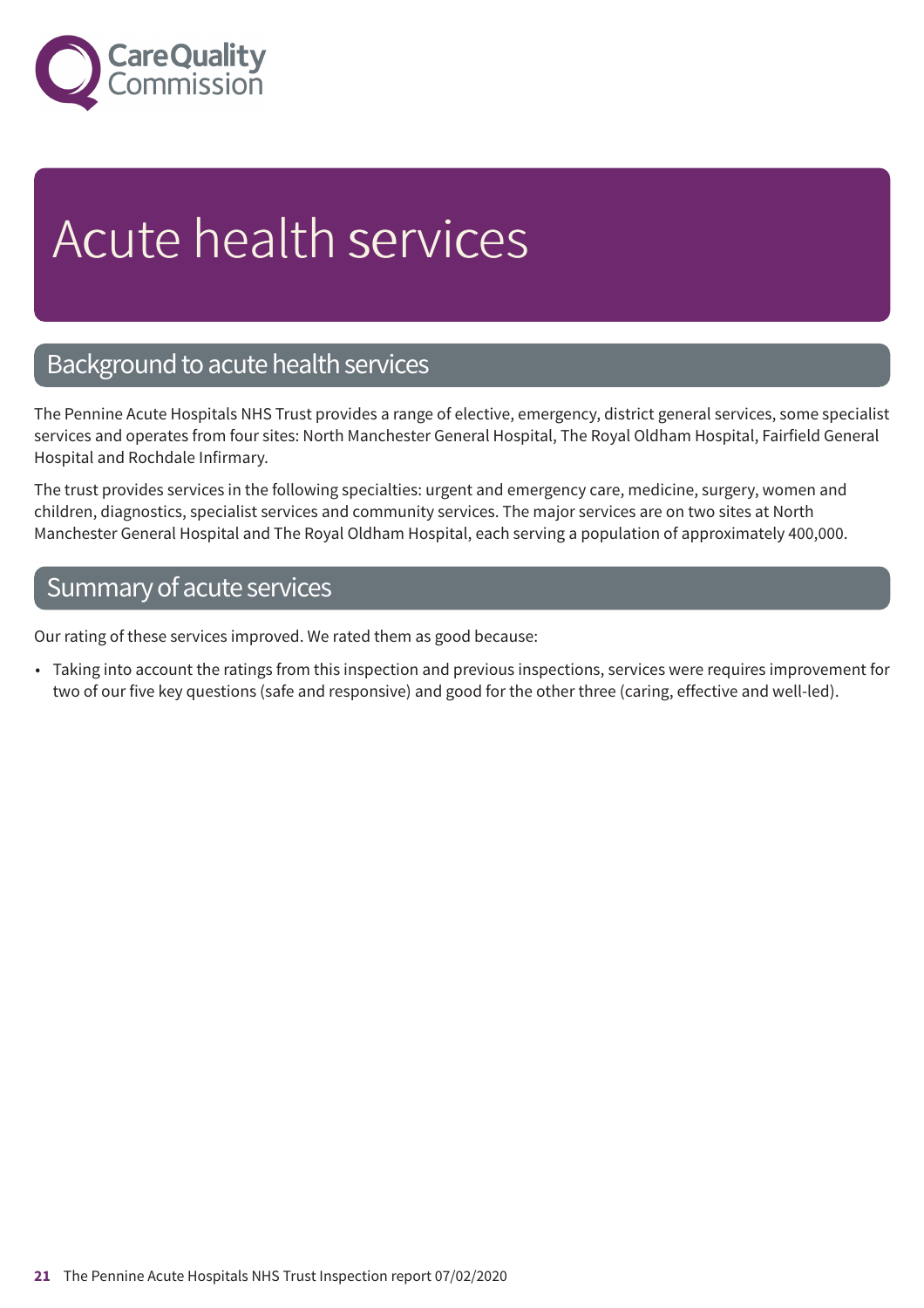

# Acute health services

### Background to acute health services

The Pennine Acute Hospitals NHS Trust provides a range of elective, emergency, district general services, some specialist services and operates from four sites: North Manchester General Hospital, The Royal Oldham Hospital, Fairfield General Hospital and Rochdale Infirmary.

The trust provides services in the following specialties: urgent and emergency care, medicine, surgery, women and children, diagnostics, specialist services and community services. The major services are on two sites at North Manchester General Hospital and The Royal Oldham Hospital, each serving a population of approximately 400,000.

### Summary of acute services

Our rating of these services improved. We rated them as good because:

• Taking into account the ratings from this inspection and previous inspections, services were requires improvement for two of our five key questions (safe and responsive) and good for the other three (caring, effective and well-led).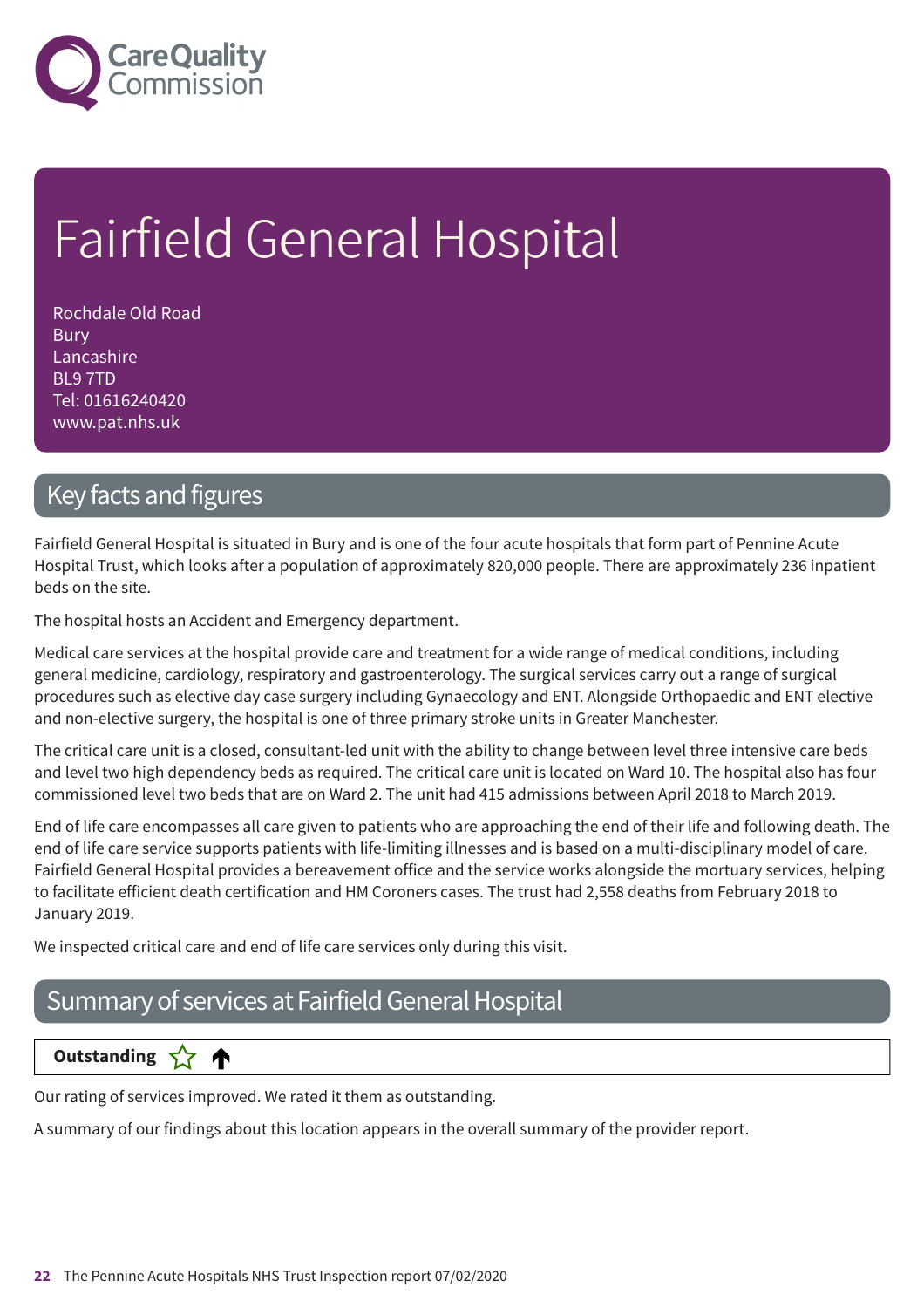

# Fairfield General Hospital

Rochdale Old Road Bury Lancashire BL9 7TD Tel: 01616240420 www.pat.nhs.uk

### Key facts and figures

Fairfield General Hospital is situated in Bury and is one of the four acute hospitals that form part of Pennine Acute Hospital Trust, which looks after a population of approximately 820,000 people. There are approximately 236 inpatient beds on the site.

The hospital hosts an Accident and Emergency department.

Medical care services at the hospital provide care and treatment for a wide range of medical conditions, including general medicine, cardiology, respiratory and gastroenterology. The surgical services carry out a range of surgical procedures such as elective day case surgery including Gynaecology and ENT. Alongside Orthopaedic and ENT elective and non-elective surgery, the hospital is one of three primary stroke units in Greater Manchester.

The critical care unit is a closed, consultant-led unit with the ability to change between level three intensive care beds and level two high dependency beds as required. The critical care unit is located on Ward 10. The hospital also has four commissioned level two beds that are on Ward 2. The unit had 415 admissions between April 2018 to March 2019.

End of life care encompasses all care given to patients who are approaching the end of their life and following death. The end of life care service supports patients with life-limiting illnesses and is based on a multi-disciplinary model of care. Fairfield General Hospital provides a bereavement office and the service works alongside the mortuary services, helping to facilitate efficient death certification and HM Coroners cases. The trust had 2,558 deaths from February 2018 to January 2019.

We inspected critical care and end of life care services only during this visit.

### Summary of services at Fairfield General Hospital

### **Dutstanding**

Our rating of services improved. We rated it them as outstanding.

A summary of our findings about this location appears in the overall summary of the provider report.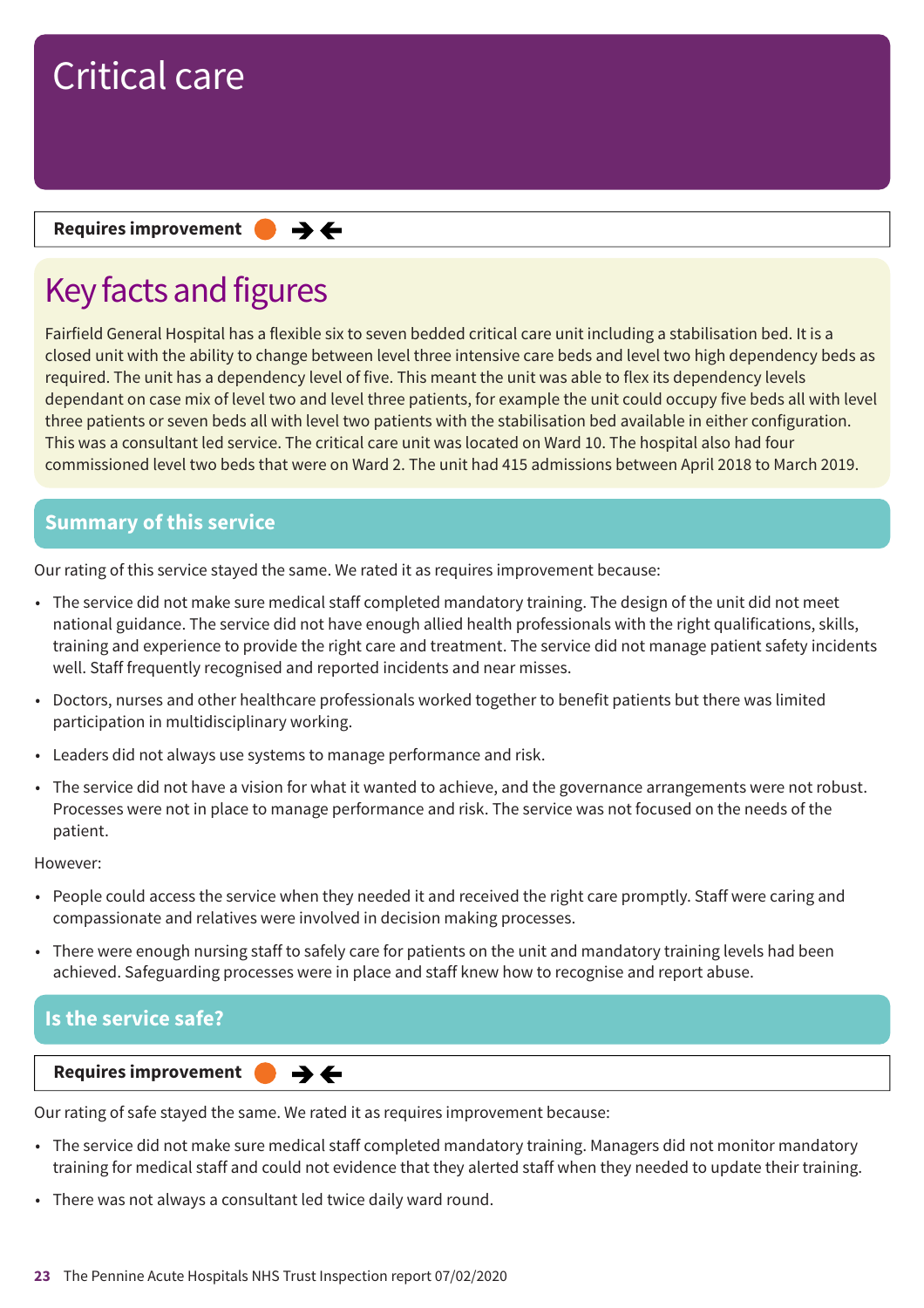#### **Requires improvement**  $\rightarrow$   $\leftarrow$

## Key facts and figures

Fairfield General Hospital has a flexible six to seven bedded critical care unit including a stabilisation bed. It is a closed unit with the ability to change between level three intensive care beds and level two high dependency beds as required. The unit has a dependency level of five. This meant the unit was able to flex its dependency levels dependant on case mix of level two and level three patients, for example the unit could occupy five beds all with level three patients or seven beds all with level two patients with the stabilisation bed available in either configuration. This was a consultant led service. The critical care unit was located on Ward 10. The hospital also had four commissioned level two beds that were on Ward 2. The unit had 415 admissions between April 2018 to March 2019.

### **Summary of this service**

Our rating of this service stayed the same. We rated it as requires improvement because:

- The service did not make sure medical staff completed mandatory training. The design of the unit did not meet national guidance. The service did not have enough allied health professionals with the right qualifications, skills, training and experience to provide the right care and treatment. The service did not manage patient safety incidents well. Staff frequently recognised and reported incidents and near misses.
- Doctors, nurses and other healthcare professionals worked together to benefit patients but there was limited participation in multidisciplinary working.
- Leaders did not always use systems to manage performance and risk.
- The service did not have a vision for what it wanted to achieve, and the governance arrangements were not robust. Processes were not in place to manage performance and risk. The service was not focused on the needs of the patient.

However:

- People could access the service when they needed it and received the right care promptly. Staff were caring and compassionate and relatives were involved in decision making processes.
- There were enough nursing staff to safely care for patients on the unit and mandatory training levels had been achieved. Safeguarding processes were in place and staff knew how to recognise and report abuse.

### **Is the service safe?**

#### **Requires improvement**

Our rating of safe stayed the same. We rated it as requires improvement because:

 $\rightarrow$   $\leftarrow$ 

- The service did not make sure medical staff completed mandatory training. Managers did not monitor mandatory training for medical staff and could not evidence that they alerted staff when they needed to update their training.
- There was not always a consultant led twice daily ward round.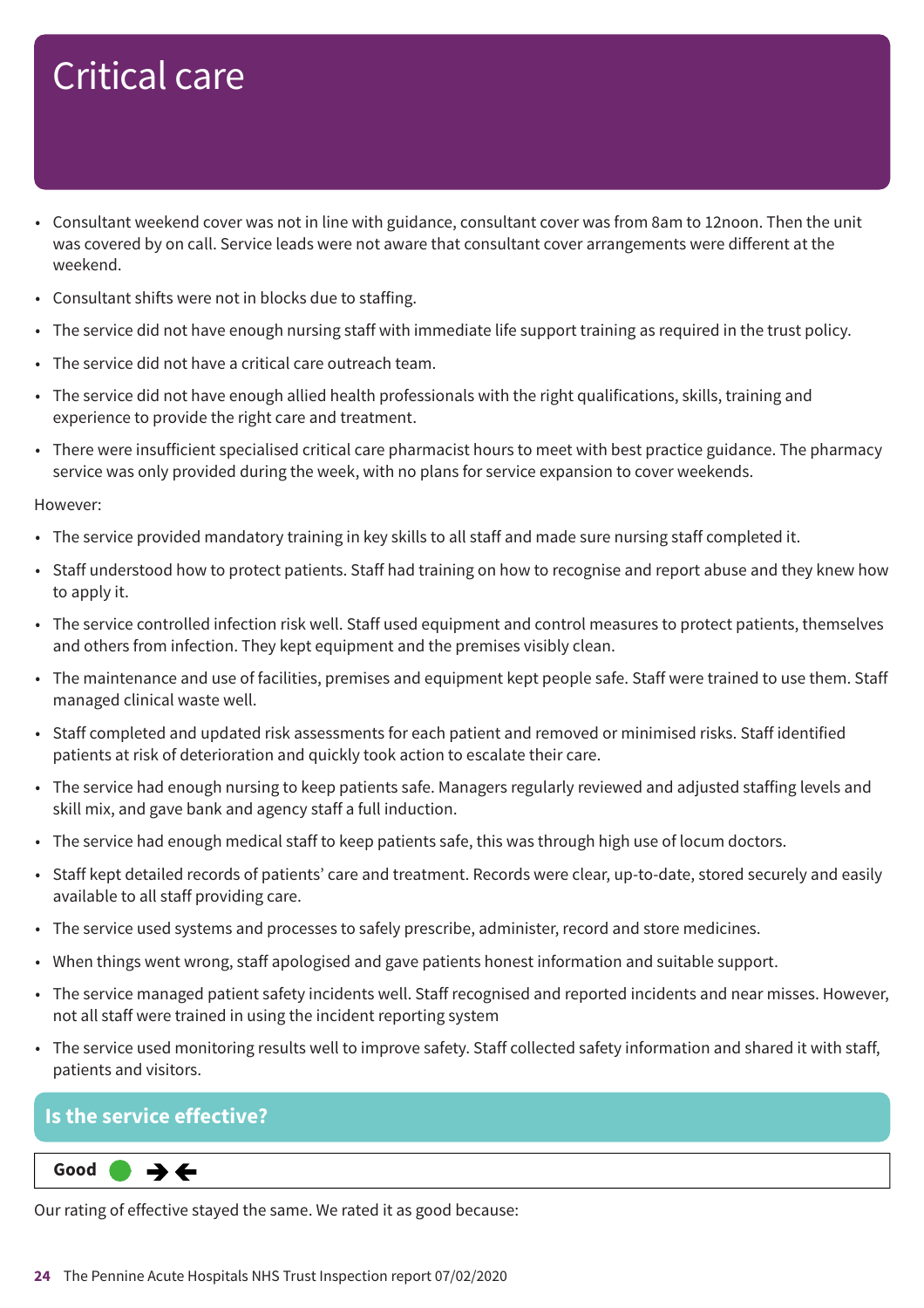- Consultant weekend cover was not in line with guidance, consultant cover was from 8am to 12noon. Then the unit was covered by on call. Service leads were not aware that consultant cover arrangements were different at the weekend.
- Consultant shifts were not in blocks due to staffing.
- The service did not have enough nursing staff with immediate life support training as required in the trust policy.
- The service did not have a critical care outreach team.
- The service did not have enough allied health professionals with the right qualifications, skills, training and experience to provide the right care and treatment.
- There were insufficient specialised critical care pharmacist hours to meet with best practice guidance. The pharmacy service was only provided during the week, with no plans for service expansion to cover weekends.

#### However:

- The service provided mandatory training in key skills to all staff and made sure nursing staff completed it.
- Staff understood how to protect patients. Staff had training on how to recognise and report abuse and they knew how to apply it.
- The service controlled infection risk well. Staff used equipment and control measures to protect patients, themselves and others from infection. They kept equipment and the premises visibly clean.
- The maintenance and use of facilities, premises and equipment kept people safe. Staff were trained to use them. Staff managed clinical waste well.
- Staff completed and updated risk assessments for each patient and removed or minimised risks. Staff identified patients at risk of deterioration and quickly took action to escalate their care.
- The service had enough nursing to keep patients safe. Managers regularly reviewed and adjusted staffing levels and skill mix, and gave bank and agency staff a full induction.
- The service had enough medical staff to keep patients safe, this was through high use of locum doctors.
- Staff kept detailed records of patients' care and treatment. Records were clear, up-to-date, stored securely and easily available to all staff providing care.
- The service used systems and processes to safely prescribe, administer, record and store medicines.
- When things went wrong, staff apologised and gave patients honest information and suitable support.
- The service managed patient safety incidents well. Staff recognised and reported incidents and near misses. However, not all staff were trained in using the incident reporting system
- The service used monitoring results well to improve safety. Staff collected safety information and shared it with staff, patients and visitors.

### **Is the service effective?**

#### **Same–––rating Good –––**  $\rightarrow$   $\leftarrow$

Our rating of effective stayed the same. We rated it as good because: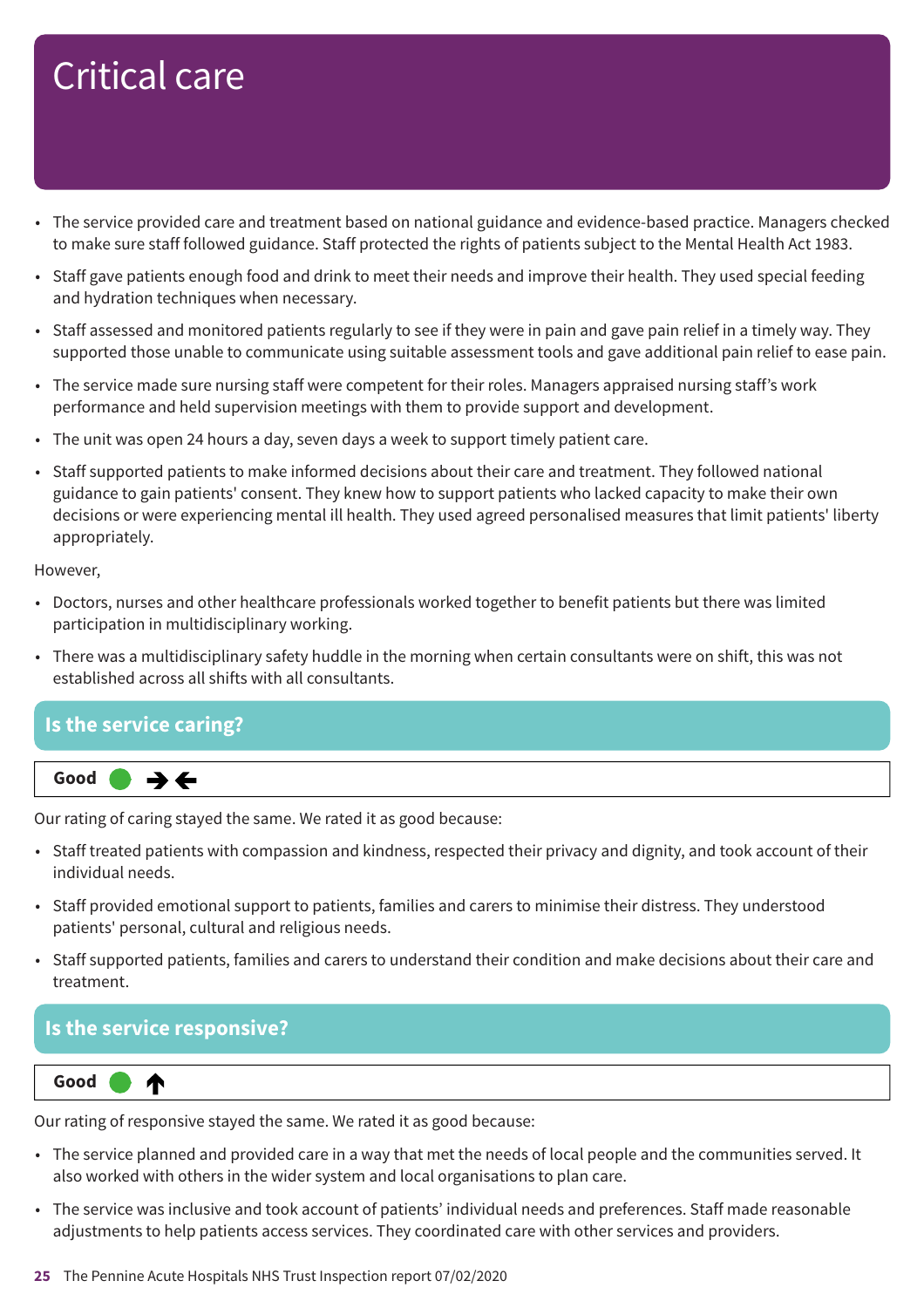- The service provided care and treatment based on national guidance and evidence-based practice. Managers checked to make sure staff followed guidance. Staff protected the rights of patients subject to the Mental Health Act 1983.
- Staff gave patients enough food and drink to meet their needs and improve their health. They used special feeding and hydration techniques when necessary.
- Staff assessed and monitored patients regularly to see if they were in pain and gave pain relief in a timely way. They supported those unable to communicate using suitable assessment tools and gave additional pain relief to ease pain.
- The service made sure nursing staff were competent for their roles. Managers appraised nursing staff's work performance and held supervision meetings with them to provide support and development.
- The unit was open 24 hours a day, seven days a week to support timely patient care.
- Staff supported patients to make informed decisions about their care and treatment. They followed national guidance to gain patients' consent. They knew how to support patients who lacked capacity to make their own decisions or were experiencing mental ill health. They used agreed personalised measures that limit patients' liberty appropriately.

However,

- Doctors, nurses and other healthcare professionals worked together to benefit patients but there was limited participation in multidisciplinary working.
- There was a multidisciplinary safety huddle in the morning when certain consultants were on shift, this was not established across all shifts with all consultants.

### **Is the service caring?**



Our rating of caring stayed the same. We rated it as good because:

- Staff treated patients with compassion and kindness, respected their privacy and dignity, and took account of their individual needs.
- Staff provided emotional support to patients, families and carers to minimise their distress. They understood patients' personal, cultural and religious needs.
- Staff supported patients, families and carers to understand their condition and make decisions about their care and treatment.

### **Is the service responsive?**



Our rating of responsive stayed the same. We rated it as good because:

- The service planned and provided care in a way that met the needs of local people and the communities served. It also worked with others in the wider system and local organisations to plan care.
- The service was inclusive and took account of patients' individual needs and preferences. Staff made reasonable adjustments to help patients access services. They coordinated care with other services and providers.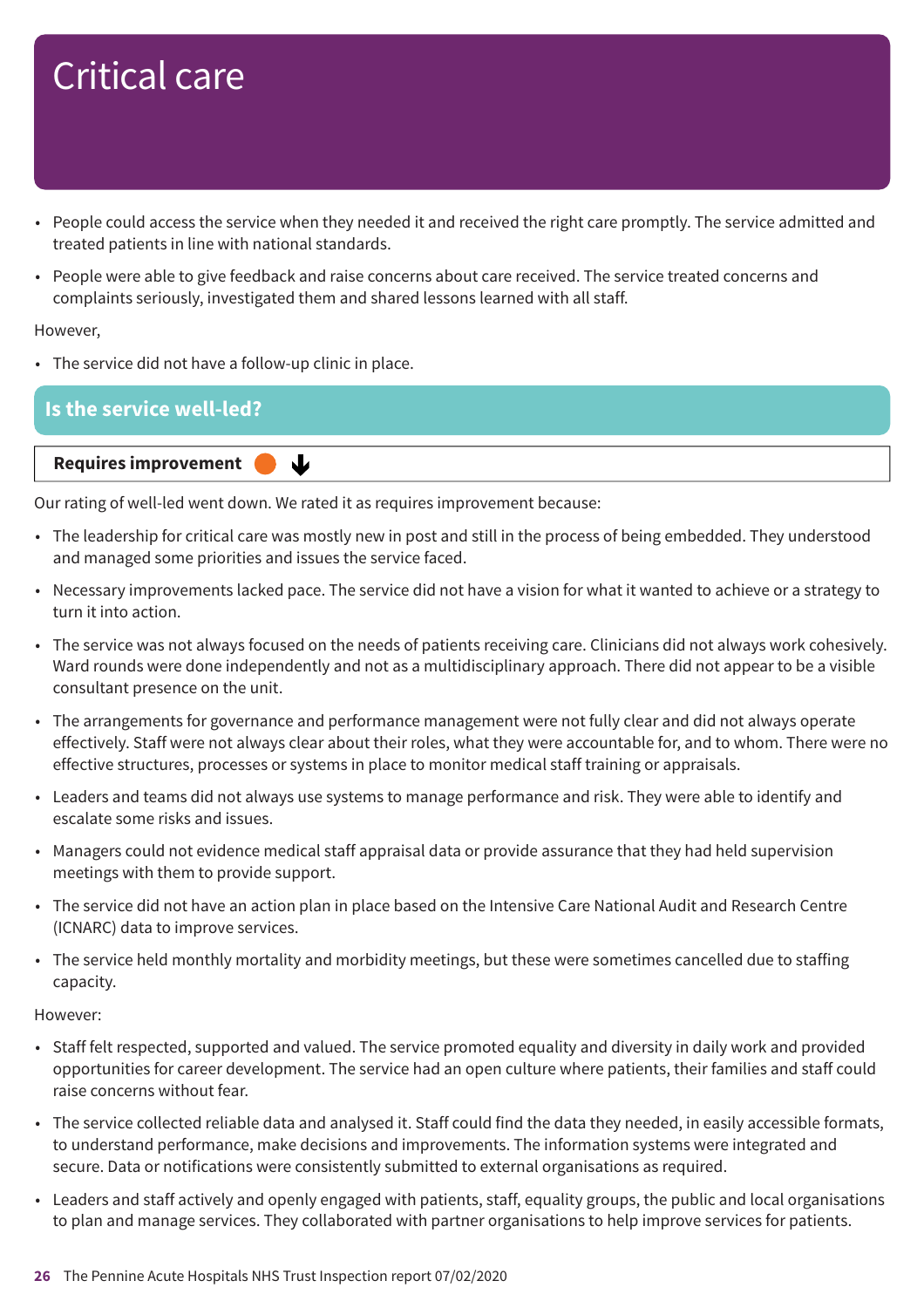- People could access the service when they needed it and received the right care promptly. The service admitted and treated patients in line with national standards.
- People were able to give feedback and raise concerns about care received. The service treated concerns and complaints seriously, investigated them and shared lessons learned with all staff.

#### However,

• The service did not have a follow-up clinic in place.

### **Is the service well-led?**



Our rating of well-led went down. We rated it as requires improvement because:

- The leadership for critical care was mostly new in post and still in the process of being embedded. They understood and managed some priorities and issues the service faced.
- Necessary improvements lacked pace. The service did not have a vision for what it wanted to achieve or a strategy to turn it into action.
- The service was not always focused on the needs of patients receiving care. Clinicians did not always work cohesively. Ward rounds were done independently and not as a multidisciplinary approach. There did not appear to be a visible consultant presence on the unit.
- The arrangements for governance and performance management were not fully clear and did not always operate effectively. Staff were not always clear about their roles, what they were accountable for, and to whom. There were no effective structures, processes or systems in place to monitor medical staff training or appraisals.
- Leaders and teams did not always use systems to manage performance and risk. They were able to identify and escalate some risks and issues.
- Managers could not evidence medical staff appraisal data or provide assurance that they had held supervision meetings with them to provide support.
- The service did not have an action plan in place based on the Intensive Care National Audit and Research Centre (ICNARC) data to improve services.
- The service held monthly mortality and morbidity meetings, but these were sometimes cancelled due to staffing capacity.

#### However:

- Staff felt respected, supported and valued. The service promoted equality and diversity in daily work and provided opportunities for career development. The service had an open culture where patients, their families and staff could raise concerns without fear.
- The service collected reliable data and analysed it. Staff could find the data they needed, in easily accessible formats, to understand performance, make decisions and improvements. The information systems were integrated and secure. Data or notifications were consistently submitted to external organisations as required.
- Leaders and staff actively and openly engaged with patients, staff, equality groups, the public and local organisations to plan and manage services. They collaborated with partner organisations to help improve services for patients.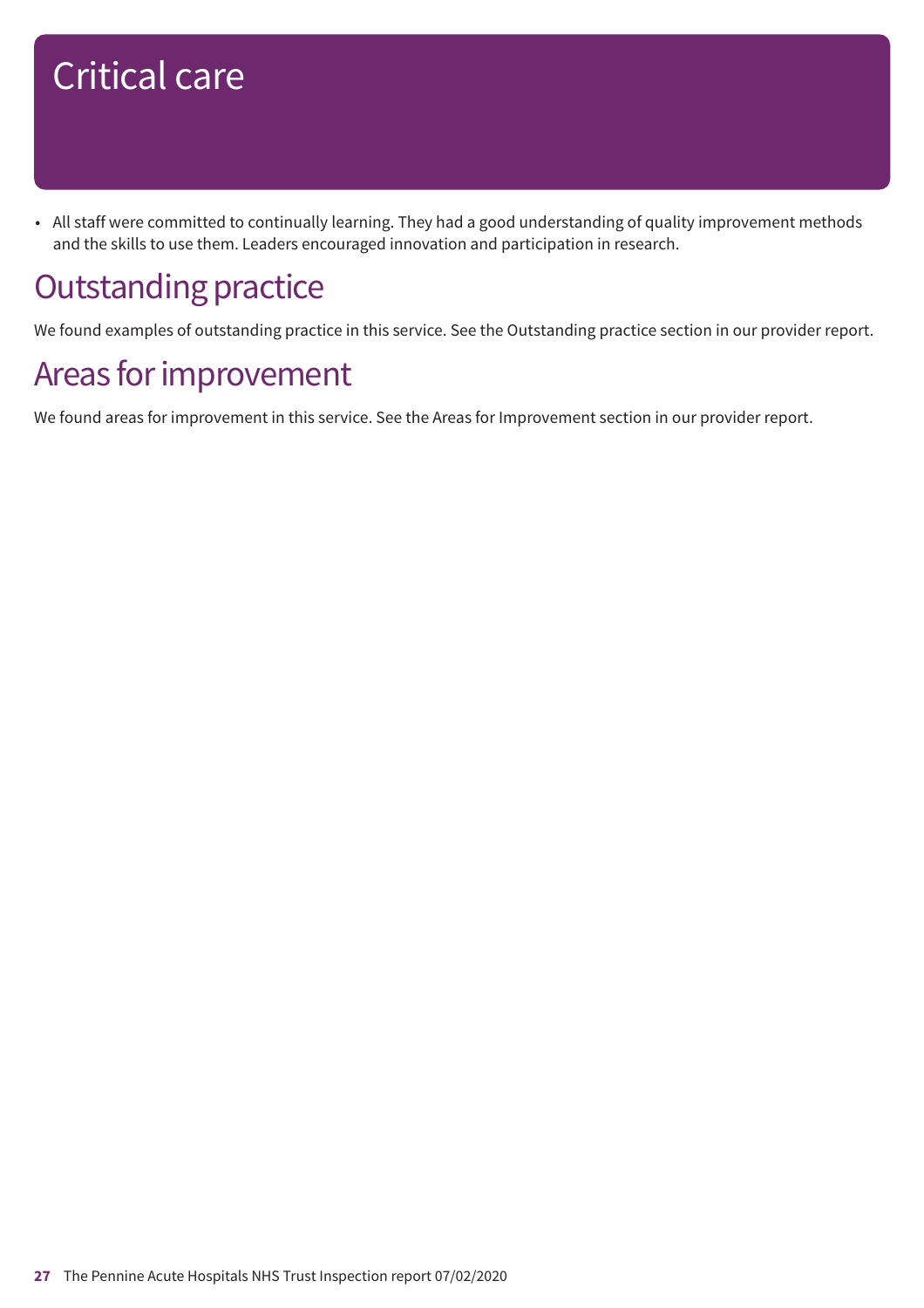• All staff were committed to continually learning. They had a good understanding of quality improvement methods and the skills to use them. Leaders encouraged innovation and participation in research.

## **Outstanding practice**

We found examples of outstanding practice in this service. See the Outstanding practice section in our provider report.

### Areas for improvement

We found areas for improvement in this service. See the Areas for Improvement section in our provider report.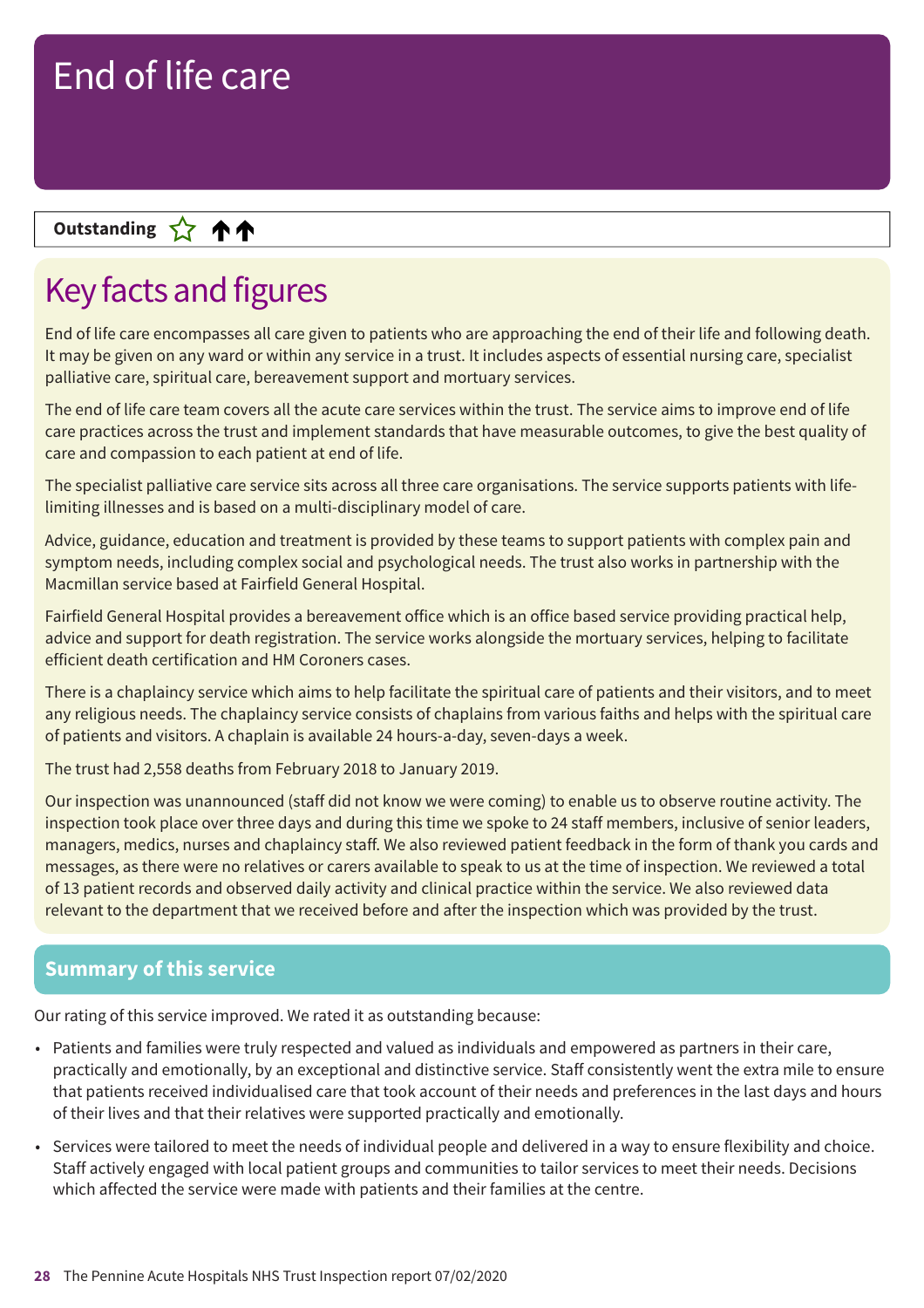### **Up––– two ratings Outstanding**

## Key facts and figures

End of life care encompasses all care given to patients who are approaching the end of their life and following death. It may be given on any ward or within any service in a trust. It includes aspects of essential nursing care, specialist palliative care, spiritual care, bereavement support and mortuary services.

The end of life care team covers all the acute care services within the trust. The service aims to improve end of life care practices across the trust and implement standards that have measurable outcomes, to give the best quality of care and compassion to each patient at end of life.

The specialist palliative care service sits across all three care organisations. The service supports patients with lifelimiting illnesses and is based on a multi-disciplinary model of care.

Advice, guidance, education and treatment is provided by these teams to support patients with complex pain and symptom needs, including complex social and psychological needs. The trust also works in partnership with the Macmillan service based at Fairfield General Hospital.

Fairfield General Hospital provides a bereavement office which is an office based service providing practical help, advice and support for death registration. The service works alongside the mortuary services, helping to facilitate efficient death certification and HM Coroners cases.

There is a chaplaincy service which aims to help facilitate the spiritual care of patients and their visitors, and to meet any religious needs. The chaplaincy service consists of chaplains from various faiths and helps with the spiritual care of patients and visitors. A chaplain is available 24 hours-a-day, seven-days a week.

The trust had 2,558 deaths from February 2018 to January 2019.

Our inspection was unannounced (staff did not know we were coming) to enable us to observe routine activity. The inspection took place over three days and during this time we spoke to 24 staff members, inclusive of senior leaders, managers, medics, nurses and chaplaincy staff. We also reviewed patient feedback in the form of thank you cards and messages, as there were no relatives or carers available to speak to us at the time of inspection. We reviewed a total of 13 patient records and observed daily activity and clinical practice within the service. We also reviewed data relevant to the department that we received before and after the inspection which was provided by the trust.

### **Summary of this service**

Our rating of this service improved. We rated it as outstanding because:

- Patients and families were truly respected and valued as individuals and empowered as partners in their care, practically and emotionally, by an exceptional and distinctive service. Staff consistently went the extra mile to ensure that patients received individualised care that took account of their needs and preferences in the last days and hours of their lives and that their relatives were supported practically and emotionally.
- Services were tailored to meet the needs of individual people and delivered in a way to ensure flexibility and choice. Staff actively engaged with local patient groups and communities to tailor services to meet their needs. Decisions which affected the service were made with patients and their families at the centre.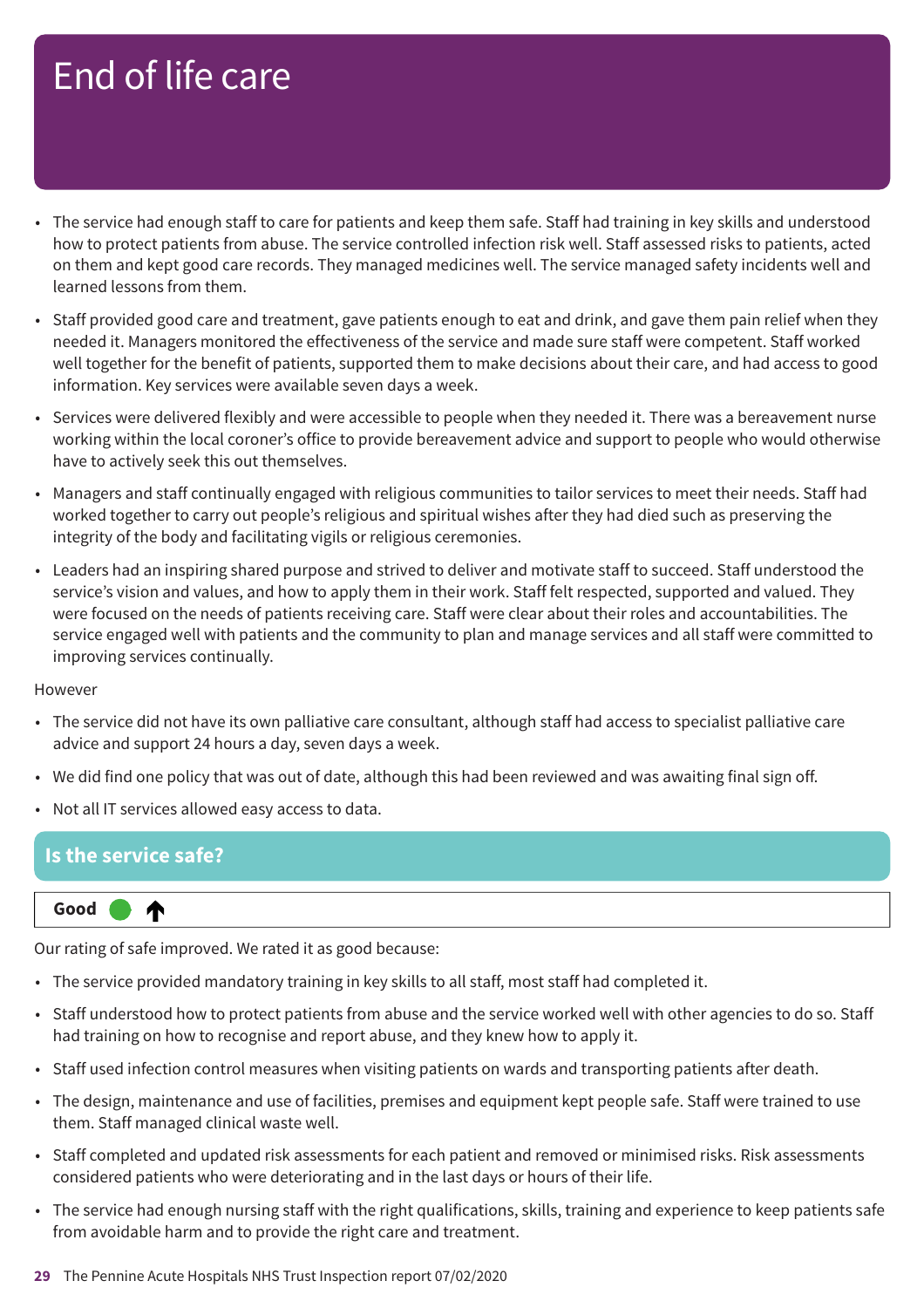- The service had enough staff to care for patients and keep them safe. Staff had training in key skills and understood how to protect patients from abuse. The service controlled infection risk well. Staff assessed risks to patients, acted on them and kept good care records. They managed medicines well. The service managed safety incidents well and learned lessons from them.
- Staff provided good care and treatment, gave patients enough to eat and drink, and gave them pain relief when they needed it. Managers monitored the effectiveness of the service and made sure staff were competent. Staff worked well together for the benefit of patients, supported them to make decisions about their care, and had access to good information. Key services were available seven days a week.
- Services were delivered flexibly and were accessible to people when they needed it. There was a bereavement nurse working within the local coroner's office to provide bereavement advice and support to people who would otherwise have to actively seek this out themselves.
- Managers and staff continually engaged with religious communities to tailor services to meet their needs. Staff had worked together to carry out people's religious and spiritual wishes after they had died such as preserving the integrity of the body and facilitating vigils or religious ceremonies.
- Leaders had an inspiring shared purpose and strived to deliver and motivate staff to succeed. Staff understood the service's vision and values, and how to apply them in their work. Staff felt respected, supported and valued. They were focused on the needs of patients receiving care. Staff were clear about their roles and accountabilities. The service engaged well with patients and the community to plan and manage services and all staff were committed to improving services continually.

#### However

- The service did not have its own palliative care consultant, although staff had access to specialist palliative care advice and support 24 hours a day, seven days a week.
- We did find one policy that was out of date, although this had been reviewed and was awaiting final sign off.
- Not all IT services allowed easy access to data.

### **Is the service safe?**

**Up one rating Good –––**

Our rating of safe improved. We rated it as good because:

- The service provided mandatory training in key skills to all staff, most staff had completed it.
- Staff understood how to protect patients from abuse and the service worked well with other agencies to do so. Staff had training on how to recognise and report abuse, and they knew how to apply it.
- Staff used infection control measures when visiting patients on wards and transporting patients after death.
- The design, maintenance and use of facilities, premises and equipment kept people safe. Staff were trained to use them. Staff managed clinical waste well.
- Staff completed and updated risk assessments for each patient and removed or minimised risks. Risk assessments considered patients who were deteriorating and in the last days or hours of their life.
- The service had enough nursing staff with the right qualifications, skills, training and experience to keep patients safe from avoidable harm and to provide the right care and treatment.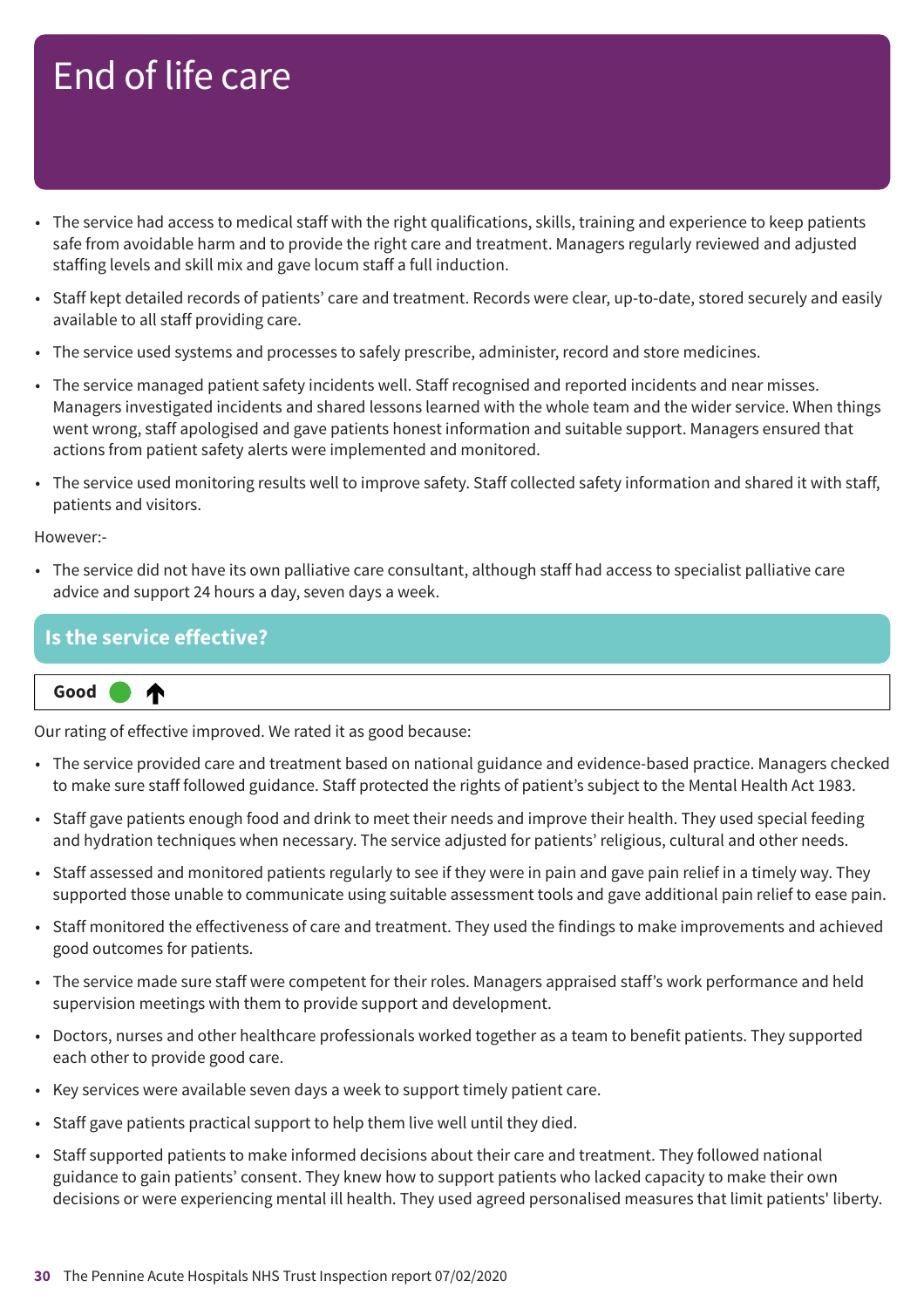- The service had access to medical staff with the right qualifications, skills, training and experience to keep patients safe from avoidable harm and to provide the right care and treatment. Managers regularly reviewed and adjusted staffing levels and skill mix and gave locum staff a full induction.
- Staff kept detailed records of patients' care and treatment. Records were clear, up-to-date, stored securely and easily available to all staff providing care.
- The service used systems and processes to safely prescribe, administer, record and store medicines.
- The service managed patient safety incidents well. Staff recognised and reported incidents and near misses. Managers investigated incidents and shared lessons learned with the whole team and the wider service. When things went wrong, staff apologised and gave patients honest information and suitable support. Managers ensured that actions from patient safety alerts were implemented and monitored.
- The service used monitoring results well to improve safety. Staff collected safety information and shared it with staff, patients and visitors.

However:-

• The service did not have its own palliative care consultant, although staff had access to specialist palliative care advice and support 24 hours a day, seven days a week.

| <b>Is the service effective?</b> |
|----------------------------------|
|----------------------------------|

**Up one rating Good –––**

⋔

Our rating of effective improved. We rated it as good because:

- The service provided care and treatment based on national guidance and evidence-based practice. Managers checked to make sure staff followed guidance. Staff protected the rights of patient's subject to the Mental Health Act 1983.
- Staff gave patients enough food and drink to meet their needs and improve their health. They used special feeding and hydration techniques when necessary. The service adjusted for patients' religious, cultural and other needs.
- Staff assessed and monitored patients regularly to see if they were in pain and gave pain relief in a timely way. They supported those unable to communicate using suitable assessment tools and gave additional pain relief to ease pain.
- Staff monitored the effectiveness of care and treatment. They used the findings to make improvements and achieved good outcomes for patients.
- The service made sure staff were competent for their roles. Managers appraised staff's work performance and held supervision meetings with them to provide support and development.
- Doctors, nurses and other healthcare professionals worked together as a team to benefit patients. They supported each other to provide good care.
- Key services were available seven days a week to support timely patient care.
- Staff gave patients practical support to help them live well until they died.
- Staff supported patients to make informed decisions about their care and treatment. They followed national guidance to gain patients' consent. They knew how to support patients who lacked capacity to make their own decisions or were experiencing mental ill health. They used agreed personalised measures that limit patients' liberty.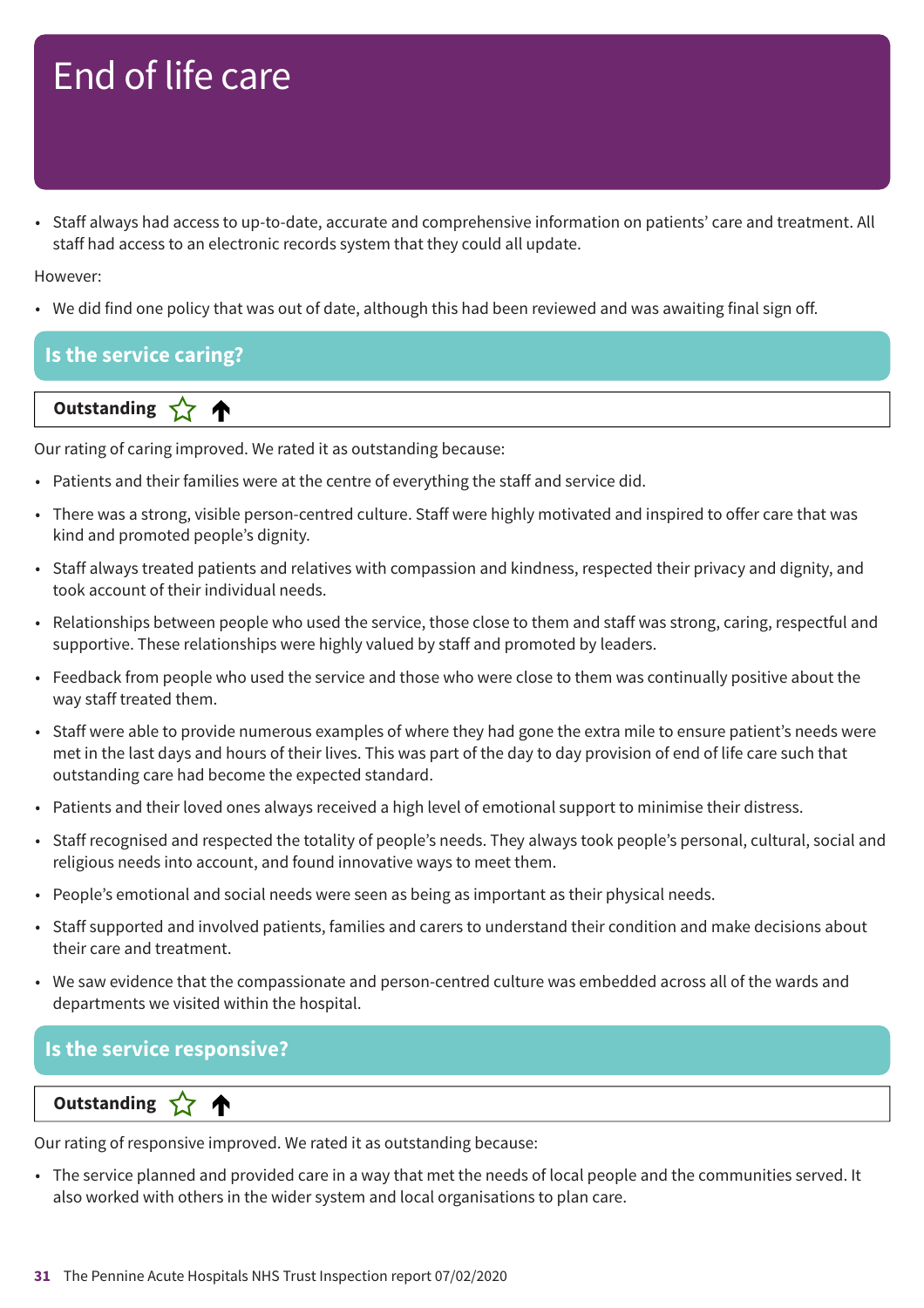• Staff always had access to up-to-date, accurate and comprehensive information on patients' care and treatment. All staff had access to an electronic records system that they could all update.

However:

• We did find one policy that was out of date, although this had been reviewed and was awaiting final sign off.

### **Is the service caring?**

**Dutstanding** 

Our rating of caring improved. We rated it as outstanding because:

- Patients and their families were at the centre of everything the staff and service did.
- There was a strong, visible person-centred culture. Staff were highly motivated and inspired to offer care that was kind and promoted people's dignity.
- Staff always treated patients and relatives with compassion and kindness, respected their privacy and dignity, and took account of their individual needs.
- Relationships between people who used the service, those close to them and staff was strong, caring, respectful and supportive. These relationships were highly valued by staff and promoted by leaders.
- Feedback from people who used the service and those who were close to them was continually positive about the way staff treated them.
- Staff were able to provide numerous examples of where they had gone the extra mile to ensure patient's needs were met in the last days and hours of their lives. This was part of the day to day provision of end of life care such that outstanding care had become the expected standard.
- Patients and their loved ones always received a high level of emotional support to minimise their distress.
- Staff recognised and respected the totality of people's needs. They always took people's personal, cultural, social and religious needs into account, and found innovative ways to meet them.
- People's emotional and social needs were seen as being as important as their physical needs.
- Staff supported and involved patients, families and carers to understand their condition and make decisions about their care and treatment.
- We saw evidence that the compassionate and person-centred culture was embedded across all of the wards and departments we visited within the hospital.

### **Is the service responsive?**

**Letter Cone Extending** 

Our rating of responsive improved. We rated it as outstanding because:

• The service planned and provided care in a way that met the needs of local people and the communities served. It also worked with others in the wider system and local organisations to plan care.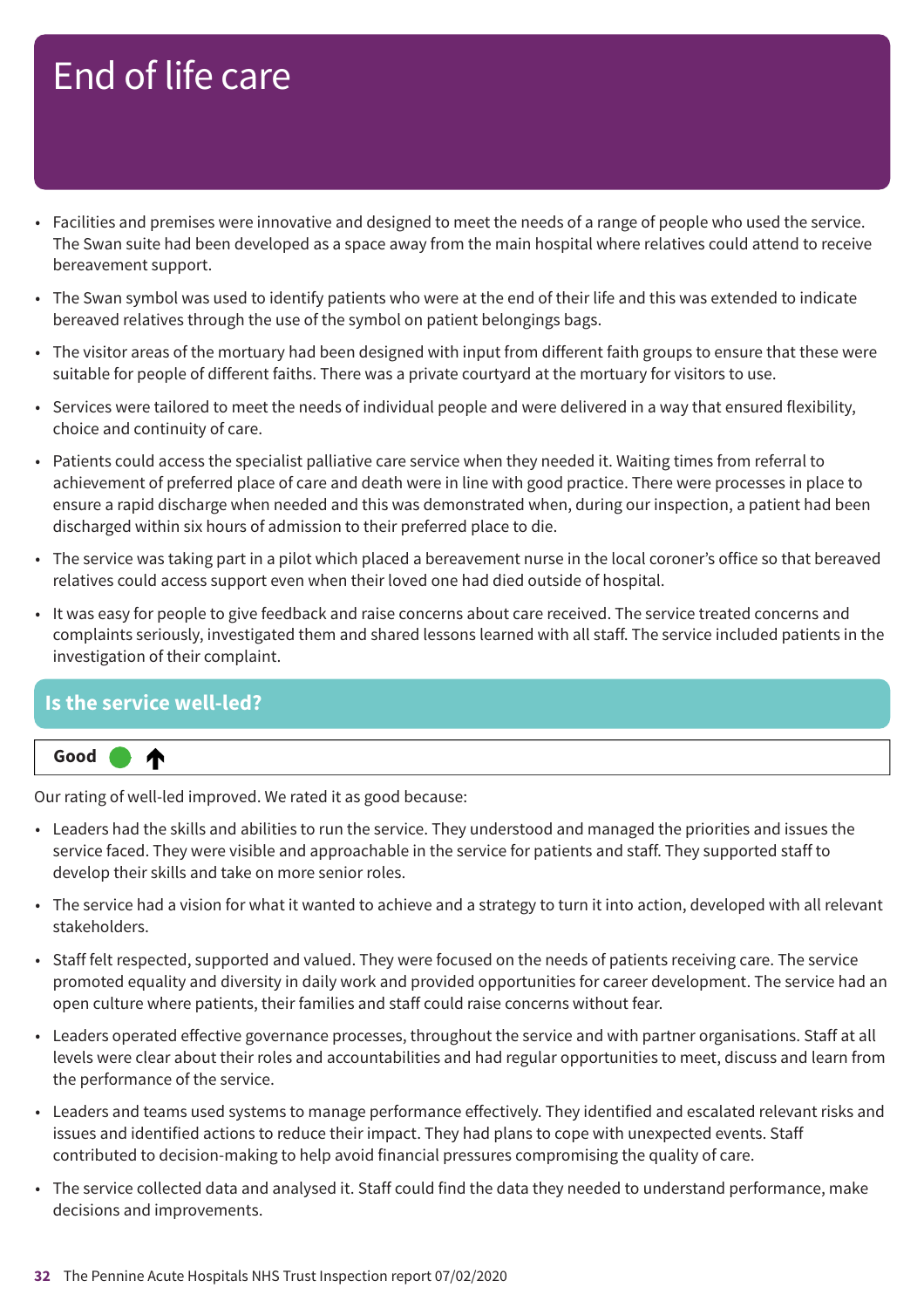- Facilities and premises were innovative and designed to meet the needs of a range of people who used the service. The Swan suite had been developed as a space away from the main hospital where relatives could attend to receive bereavement support.
- The Swan symbol was used to identify patients who were at the end of their life and this was extended to indicate bereaved relatives through the use of the symbol on patient belongings bags.
- The visitor areas of the mortuary had been designed with input from different faith groups to ensure that these were suitable for people of different faiths. There was a private courtyard at the mortuary for visitors to use.
- Services were tailored to meet the needs of individual people and were delivered in a way that ensured flexibility, choice and continuity of care.
- Patients could access the specialist palliative care service when they needed it. Waiting times from referral to achievement of preferred place of care and death were in line with good practice. There were processes in place to ensure a rapid discharge when needed and this was demonstrated when, during our inspection, a patient had been discharged within six hours of admission to their preferred place to die.
- The service was taking part in a pilot which placed a bereavement nurse in the local coroner's office so that bereaved relatives could access support even when their loved one had died outside of hospital.
- It was easy for people to give feedback and raise concerns about care received. The service treated concerns and complaints seriously, investigated them and shared lessons learned with all staff. The service included patients in the investigation of their complaint.

### **Is the service well-led?**



Our rating of well-led improved. We rated it as good because:

- Leaders had the skills and abilities to run the service. They understood and managed the priorities and issues the service faced. They were visible and approachable in the service for patients and staff. They supported staff to develop their skills and take on more senior roles.
- The service had a vision for what it wanted to achieve and a strategy to turn it into action, developed with all relevant stakeholders.
- Staff felt respected, supported and valued. They were focused on the needs of patients receiving care. The service promoted equality and diversity in daily work and provided opportunities for career development. The service had an open culture where patients, their families and staff could raise concerns without fear.
- Leaders operated effective governance processes, throughout the service and with partner organisations. Staff at all levels were clear about their roles and accountabilities and had regular opportunities to meet, discuss and learn from the performance of the service.
- Leaders and teams used systems to manage performance effectively. They identified and escalated relevant risks and issues and identified actions to reduce their impact. They had plans to cope with unexpected events. Staff contributed to decision-making to help avoid financial pressures compromising the quality of care.
- The service collected data and analysed it. Staff could find the data they needed to understand performance, make decisions and improvements.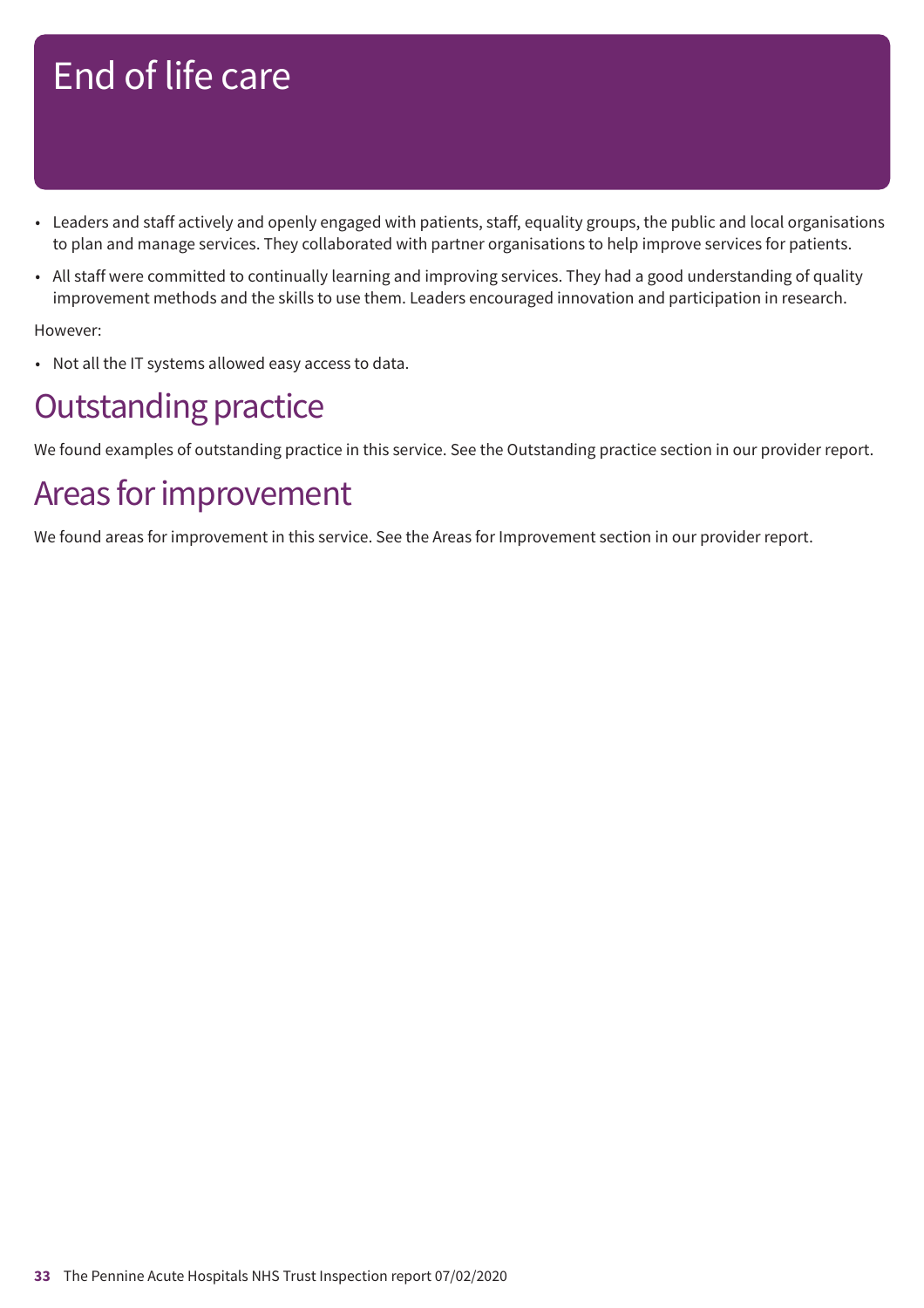- Leaders and staff actively and openly engaged with patients, staff, equality groups, the public and local organisations to plan and manage services. They collaborated with partner organisations to help improve services for patients.
- All staff were committed to continually learning and improving services. They had a good understanding of quality improvement methods and the skills to use them. Leaders encouraged innovation and participation in research.

However:

• Not all the IT systems allowed easy access to data.

### **Outstanding practice**

We found examples of outstanding practice in this service. See the Outstanding practice section in our provider report.

### Areas for improvement

We found areas for improvement in this service. See the Areas for Improvement section in our provider report.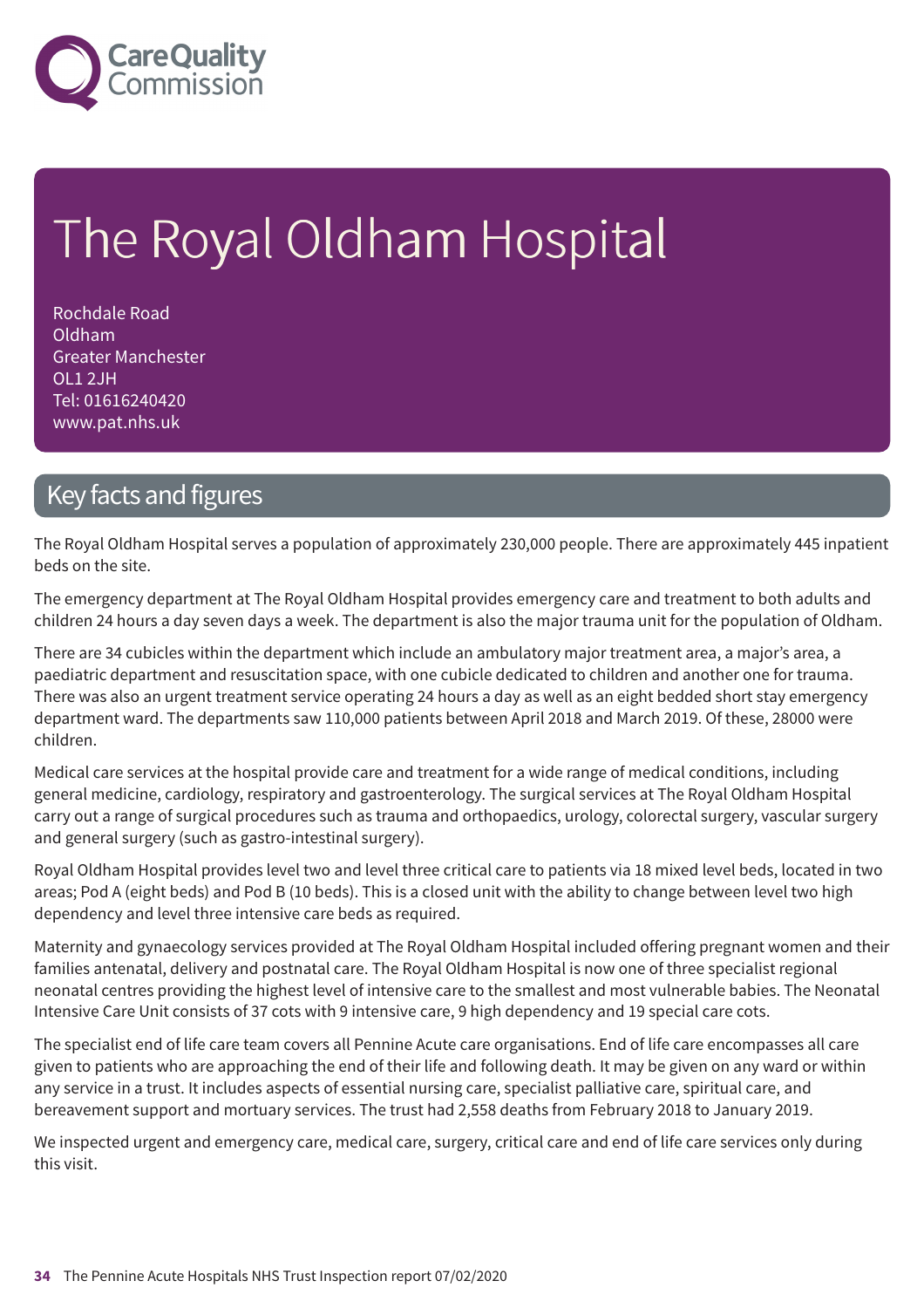

# The Royal Oldham Hospital

Rochdale Road Oldham Greater Manchester OL1 2JH Tel: 01616240420 www.pat.nhs.uk

### Key facts and figures

The Royal Oldham Hospital serves a population of approximately 230,000 people. There are approximately 445 inpatient beds on the site.

The emergency department at The Royal Oldham Hospital provides emergency care and treatment to both adults and children 24 hours a day seven days a week. The department is also the major trauma unit for the population of Oldham.

There are 34 cubicles within the department which include an ambulatory major treatment area, a major's area, a paediatric department and resuscitation space, with one cubicle dedicated to children and another one for trauma. There was also an urgent treatment service operating 24 hours a day as well as an eight bedded short stay emergency department ward. The departments saw 110,000 patients between April 2018 and March 2019. Of these, 28000 were children.

Medical care services at the hospital provide care and treatment for a wide range of medical conditions, including general medicine, cardiology, respiratory and gastroenterology. The surgical services at The Royal Oldham Hospital carry out a range of surgical procedures such as trauma and orthopaedics, urology, colorectal surgery, vascular surgery and general surgery (such as gastro-intestinal surgery).

Royal Oldham Hospital provides level two and level three critical care to patients via 18 mixed level beds, located in two areas; Pod A (eight beds) and Pod B (10 beds). This is a closed unit with the ability to change between level two high dependency and level three intensive care beds as required.

Maternity and gynaecology services provided at The Royal Oldham Hospital included offering pregnant women and their families antenatal, delivery and postnatal care. The Royal Oldham Hospital is now one of three specialist regional neonatal centres providing the highest level of intensive care to the smallest and most vulnerable babies. The Neonatal Intensive Care Unit consists of 37 cots with 9 intensive care, 9 high dependency and 19 special care cots.

The specialist end of life care team covers all Pennine Acute care organisations. End of life care encompasses all care given to patients who are approaching the end of their life and following death. It may be given on any ward or within any service in a trust. It includes aspects of essential nursing care, specialist palliative care, spiritual care, and bereavement support and mortuary services. The trust had 2,558 deaths from February 2018 to January 2019.

We inspected urgent and emergency care, medical care, surgery, critical care and end of life care services only during this visit.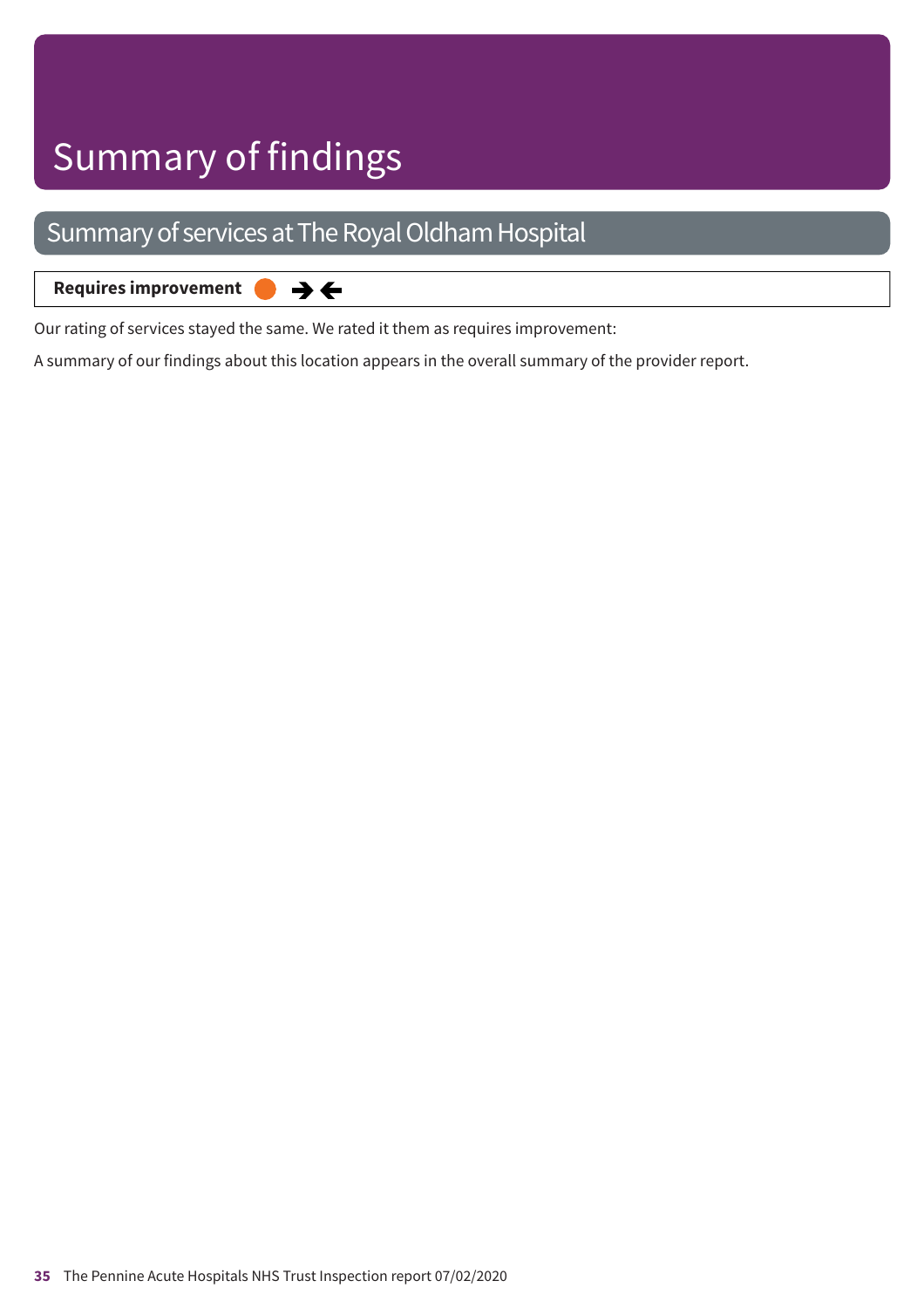### Summary of services at The Royal Oldham Hospital

**Requires improvement**  $\rightarrow$   $\leftarrow$ 

Our rating of services stayed the same. We rated it them as requires improvement:

A summary of our findings about this location appears in the overall summary of the provider report.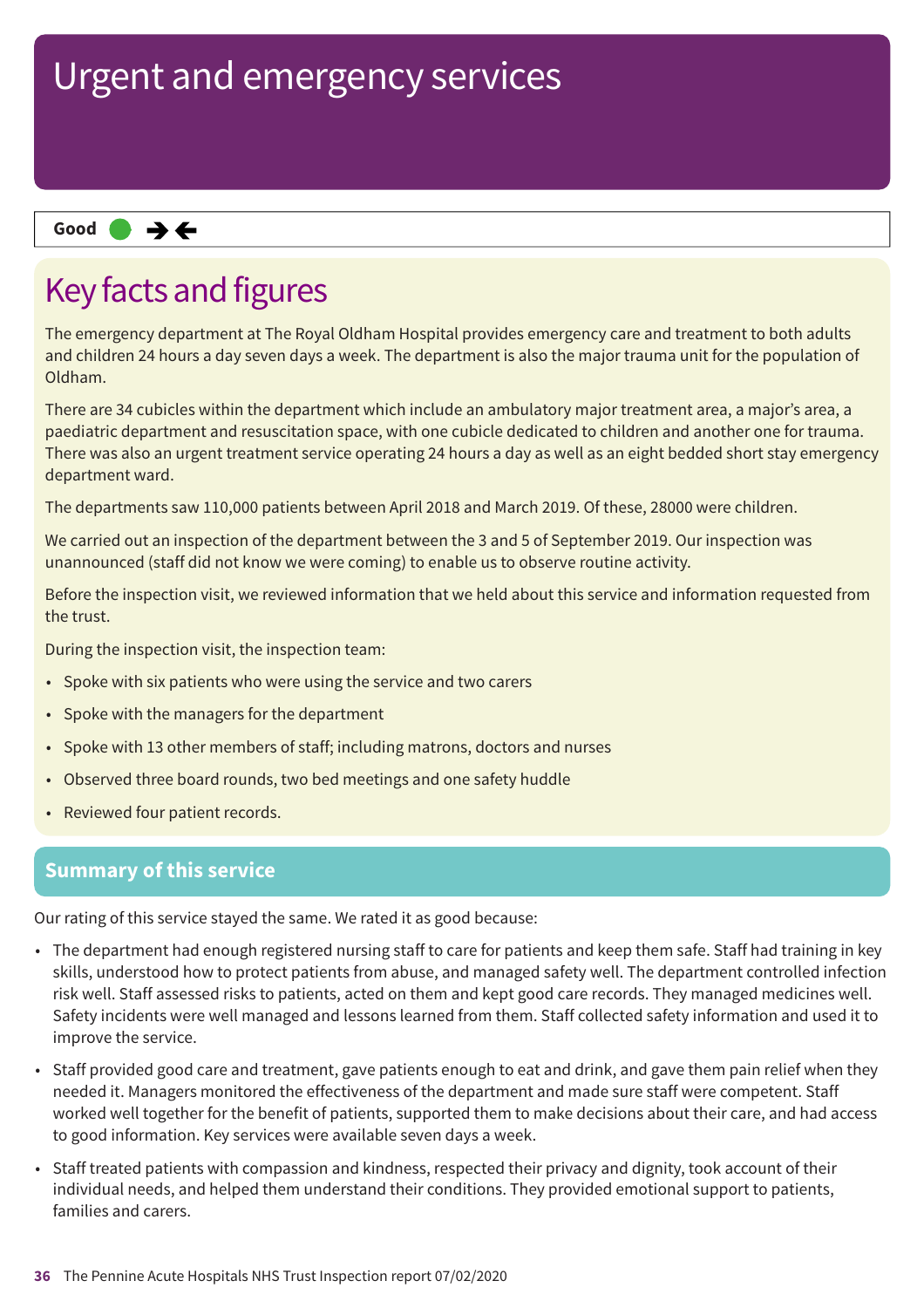## Urgent and emergency services

### **Same–––rating Good –––**

### Key facts and figures

The emergency department at The Royal Oldham Hospital provides emergency care and treatment to both adults and children 24 hours a day seven days a week. The department is also the major trauma unit for the population of Oldham.

There are 34 cubicles within the department which include an ambulatory major treatment area, a major's area, a paediatric department and resuscitation space, with one cubicle dedicated to children and another one for trauma. There was also an urgent treatment service operating 24 hours a day as well as an eight bedded short stay emergency department ward.

The departments saw 110,000 patients between April 2018 and March 2019. Of these, 28000 were children.

We carried out an inspection of the department between the 3 and 5 of September 2019. Our inspection was unannounced (staff did not know we were coming) to enable us to observe routine activity.

Before the inspection visit, we reviewed information that we held about this service and information requested from the trust.

During the inspection visit, the inspection team:

- Spoke with six patients who were using the service and two carers
- Spoke with the managers for the department
- Spoke with 13 other members of staff; including matrons, doctors and nurses
- Observed three board rounds, two bed meetings and one safety huddle
- Reviewed four patient records.

### **Summary of this service**

Our rating of this service stayed the same. We rated it as good because:

- The department had enough registered nursing staff to care for patients and keep them safe. Staff had training in key skills, understood how to protect patients from abuse, and managed safety well. The department controlled infection risk well. Staff assessed risks to patients, acted on them and kept good care records. They managed medicines well. Safety incidents were well managed and lessons learned from them. Staff collected safety information and used it to improve the service.
- Staff provided good care and treatment, gave patients enough to eat and drink, and gave them pain relief when they needed it. Managers monitored the effectiveness of the department and made sure staff were competent. Staff worked well together for the benefit of patients, supported them to make decisions about their care, and had access to good information. Key services were available seven days a week.
- Staff treated patients with compassion and kindness, respected their privacy and dignity, took account of their individual needs, and helped them understand their conditions. They provided emotional support to patients, families and carers.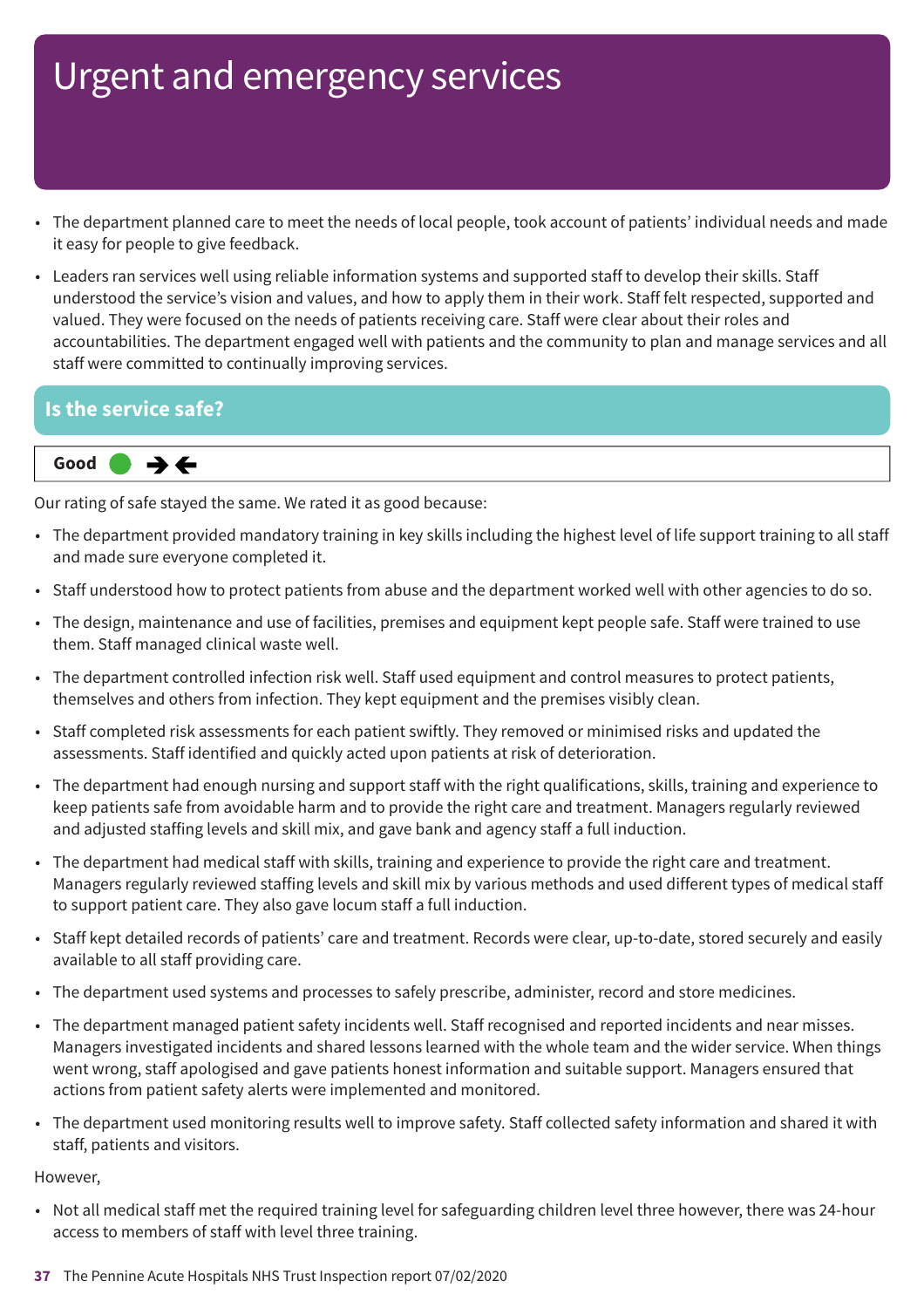- The department planned care to meet the needs of local people, took account of patients' individual needs and made it easy for people to give feedback.
- Leaders ran services well using reliable information systems and supported staff to develop their skills. Staff understood the service's vision and values, and how to apply them in their work. Staff felt respected, supported and valued. They were focused on the needs of patients receiving care. Staff were clear about their roles and accountabilities. The department engaged well with patients and the community to plan and manage services and all staff were committed to continually improving services.

#### **Is the service safe?**



Our rating of safe stayed the same. We rated it as good because:

- The department provided mandatory training in key skills including the highest level of life support training to all staff and made sure everyone completed it.
- Staff understood how to protect patients from abuse and the department worked well with other agencies to do so.
- The design, maintenance and use of facilities, premises and equipment kept people safe. Staff were trained to use them. Staff managed clinical waste well.
- The department controlled infection risk well. Staff used equipment and control measures to protect patients, themselves and others from infection. They kept equipment and the premises visibly clean.
- Staff completed risk assessments for each patient swiftly. They removed or minimised risks and updated the assessments. Staff identified and quickly acted upon patients at risk of deterioration.
- The department had enough nursing and support staff with the right qualifications, skills, training and experience to keep patients safe from avoidable harm and to provide the right care and treatment. Managers regularly reviewed and adjusted staffing levels and skill mix, and gave bank and agency staff a full induction.
- The department had medical staff with skills, training and experience to provide the right care and treatment. Managers regularly reviewed staffing levels and skill mix by various methods and used different types of medical staff to support patient care. They also gave locum staff a full induction.
- Staff kept detailed records of patients' care and treatment. Records were clear, up-to-date, stored securely and easily available to all staff providing care.
- The department used systems and processes to safely prescribe, administer, record and store medicines.
- The department managed patient safety incidents well. Staff recognised and reported incidents and near misses. Managers investigated incidents and shared lessons learned with the whole team and the wider service. When things went wrong, staff apologised and gave patients honest information and suitable support. Managers ensured that actions from patient safety alerts were implemented and monitored.
- The department used monitoring results well to improve safety. Staff collected safety information and shared it with staff, patients and visitors.

#### However,

• Not all medical staff met the required training level for safeguarding children level three however, there was 24-hour access to members of staff with level three training.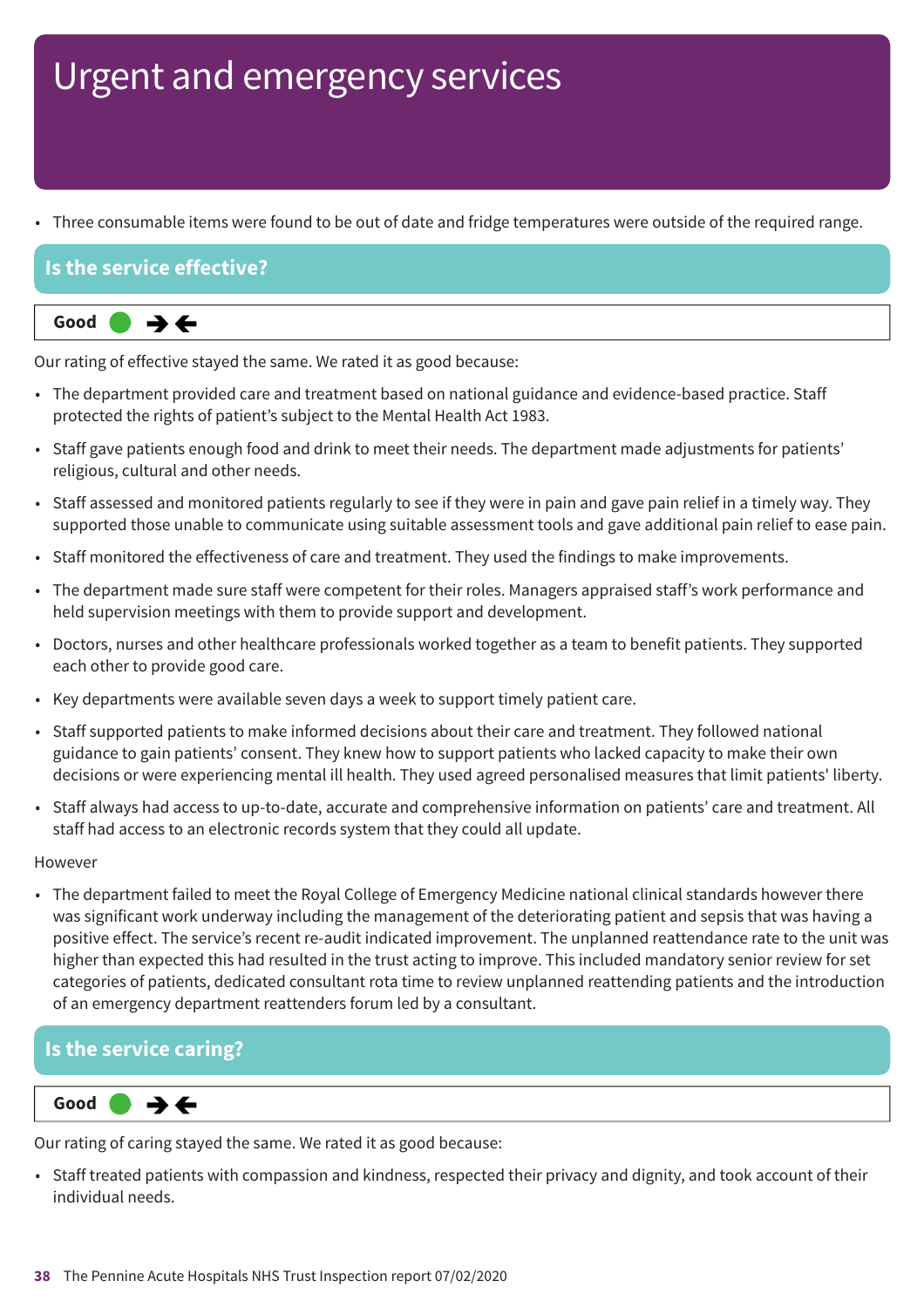• Three consumable items were found to be out of date and fridge temperatures were outside of the required range.

### **Is the service effective?**



Our rating of effective stayed the same. We rated it as good because:

- The department provided care and treatment based on national guidance and evidence-based practice. Staff protected the rights of patient's subject to the Mental Health Act 1983.
- Staff gave patients enough food and drink to meet their needs. The department made adjustments for patients' religious, cultural and other needs.
- Staff assessed and monitored patients regularly to see if they were in pain and gave pain relief in a timely way. They supported those unable to communicate using suitable assessment tools and gave additional pain relief to ease pain.
- Staff monitored the effectiveness of care and treatment. They used the findings to make improvements.
- The department made sure staff were competent for their roles. Managers appraised staff's work performance and held supervision meetings with them to provide support and development.
- Doctors, nurses and other healthcare professionals worked together as a team to benefit patients. They supported each other to provide good care.
- Key departments were available seven days a week to support timely patient care.
- Staff supported patients to make informed decisions about their care and treatment. They followed national guidance to gain patients' consent. They knew how to support patients who lacked capacity to make their own decisions or were experiencing mental ill health. They used agreed personalised measures that limit patients' liberty.
- Staff always had access to up-to-date, accurate and comprehensive information on patients' care and treatment. All staff had access to an electronic records system that they could all update.

#### However

• The department failed to meet the Royal College of Emergency Medicine national clinical standards however there was significant work underway including the management of the deteriorating patient and sepsis that was having a positive effect. The service's recent re-audit indicated improvement. The unplanned reattendance rate to the unit was higher than expected this had resulted in the trust acting to improve. This included mandatory senior review for set categories of patients, dedicated consultant rota time to review unplanned reattending patients and the introduction of an emergency department reattenders forum led by a consultant.

#### **Is the service caring?**

**Same–––rating Good –––** ⇛⇐

Our rating of caring stayed the same. We rated it as good because:

• Staff treated patients with compassion and kindness, respected their privacy and dignity, and took account of their individual needs.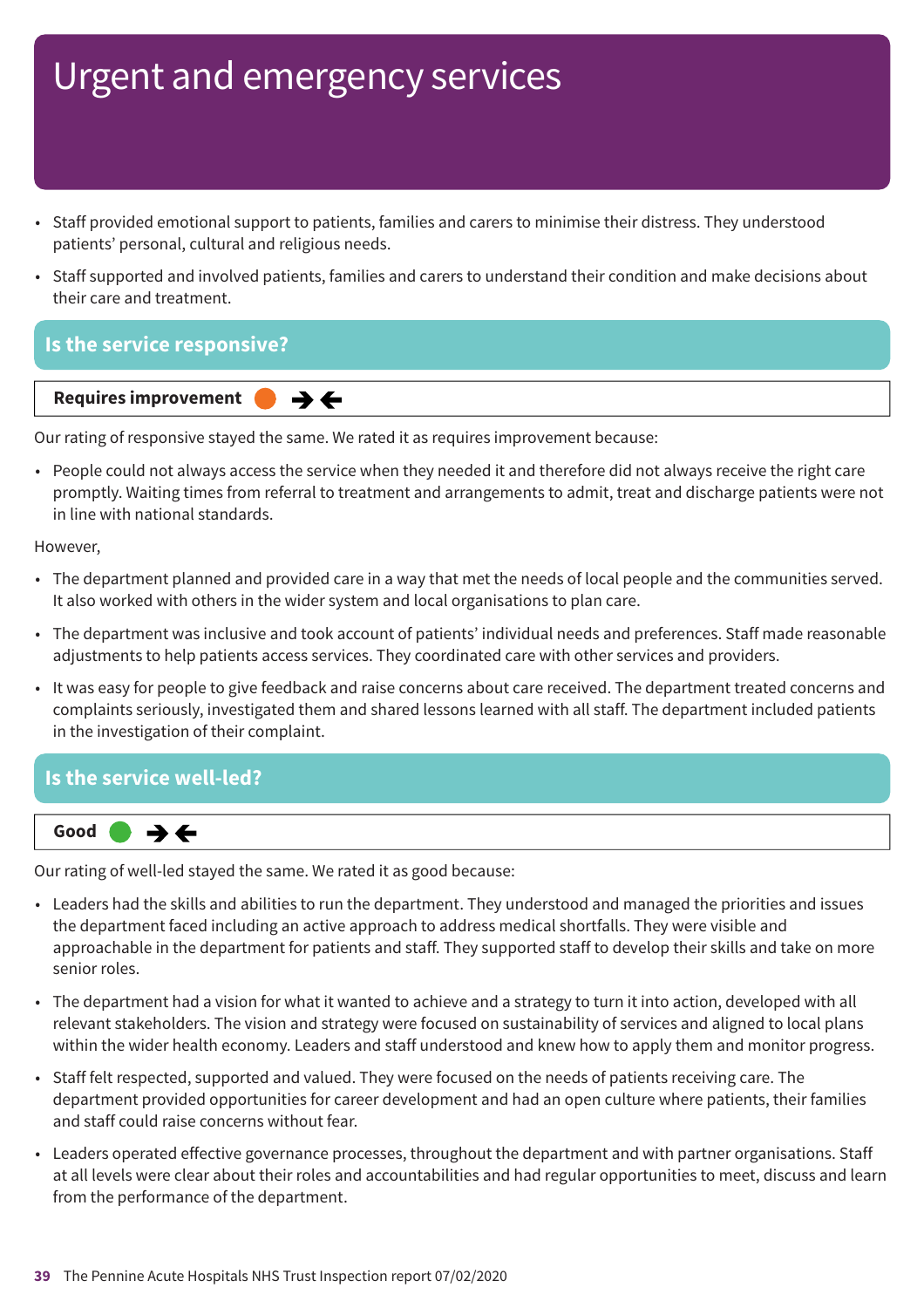- Staff provided emotional support to patients, families and carers to minimise their distress. They understood patients' personal, cultural and religious needs.
- Staff supported and involved patients, families and carers to understand their condition and make decisions about their care and treatment.

### **Is the service responsive?**



Our rating of responsive stayed the same. We rated it as requires improvement because:

• People could not always access the service when they needed it and therefore did not always receive the right care promptly. Waiting times from referral to treatment and arrangements to admit, treat and discharge patients were not in line with national standards.

#### However,

- The department planned and provided care in a way that met the needs of local people and the communities served. It also worked with others in the wider system and local organisations to plan care.
- The department was inclusive and took account of patients' individual needs and preferences. Staff made reasonable adjustments to help patients access services. They coordinated care with other services and providers.
- It was easy for people to give feedback and raise concerns about care received. The department treated concerns and complaints seriously, investigated them and shared lessons learned with all staff. The department included patients in the investigation of their complaint.

#### **Is the service well-led?**



Our rating of well-led stayed the same. We rated it as good because:

- Leaders had the skills and abilities to run the department. They understood and managed the priorities and issues the department faced including an active approach to address medical shortfalls. They were visible and approachable in the department for patients and staff. They supported staff to develop their skills and take on more senior roles.
- The department had a vision for what it wanted to achieve and a strategy to turn it into action, developed with all relevant stakeholders. The vision and strategy were focused on sustainability of services and aligned to local plans within the wider health economy. Leaders and staff understood and knew how to apply them and monitor progress.
- Staff felt respected, supported and valued. They were focused on the needs of patients receiving care. The department provided opportunities for career development and had an open culture where patients, their families and staff could raise concerns without fear.
- Leaders operated effective governance processes, throughout the department and with partner organisations. Staff at all levels were clear about their roles and accountabilities and had regular opportunities to meet, discuss and learn from the performance of the department.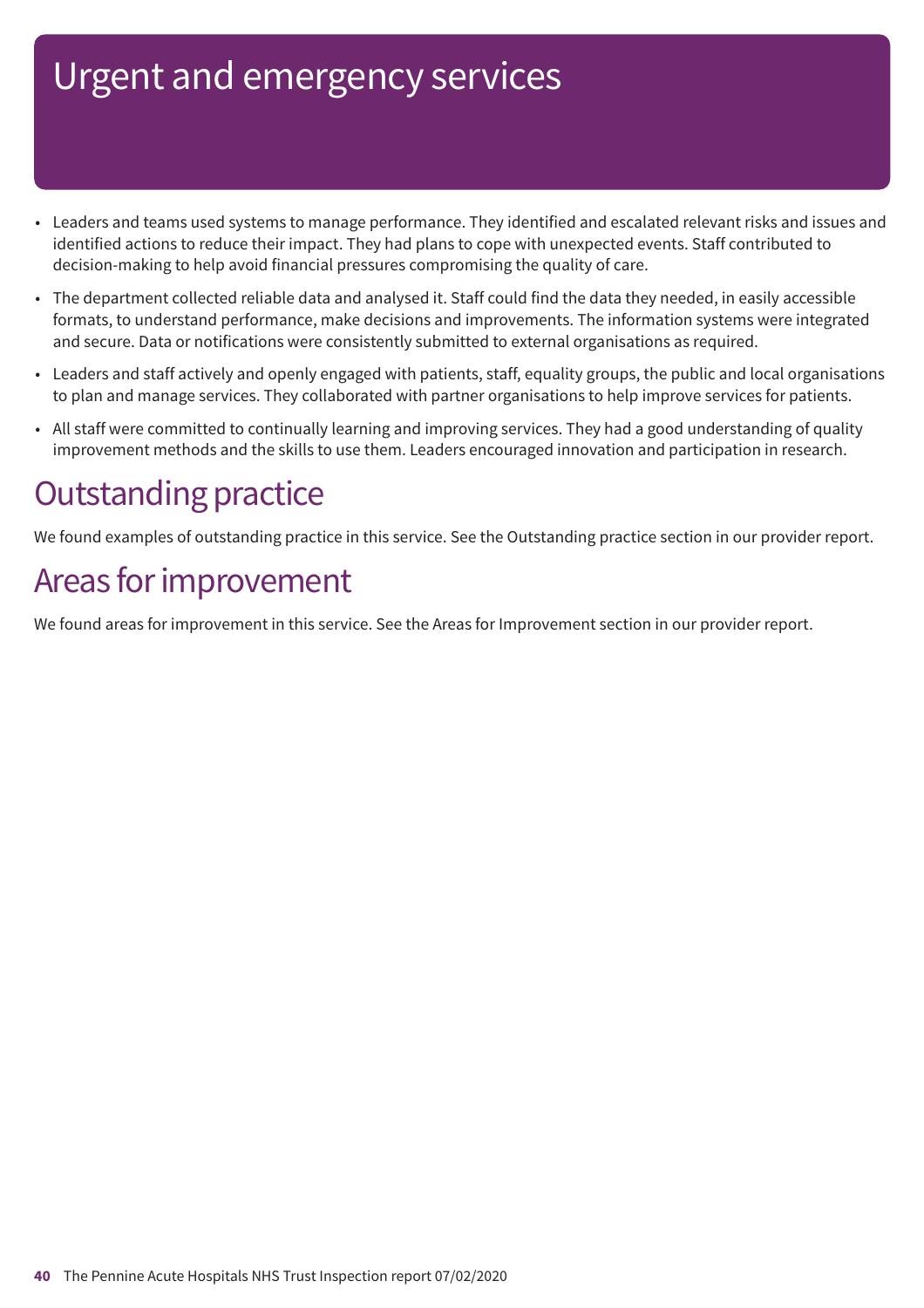- Leaders and teams used systems to manage performance. They identified and escalated relevant risks and issues and identified actions to reduce their impact. They had plans to cope with unexpected events. Staff contributed to decision-making to help avoid financial pressures compromising the quality of care.
- The department collected reliable data and analysed it. Staff could find the data they needed, in easily accessible formats, to understand performance, make decisions and improvements. The information systems were integrated and secure. Data or notifications were consistently submitted to external organisations as required.
- Leaders and staff actively and openly engaged with patients, staff, equality groups, the public and local organisations to plan and manage services. They collaborated with partner organisations to help improve services for patients.
- All staff were committed to continually learning and improving services. They had a good understanding of quality improvement methods and the skills to use them. Leaders encouraged innovation and participation in research.

## **Outstanding practice**

We found examples of outstanding practice in this service. See the Outstanding practice section in our provider report.

## Areas for improvement

We found areas for improvement in this service. See the Areas for Improvement section in our provider report.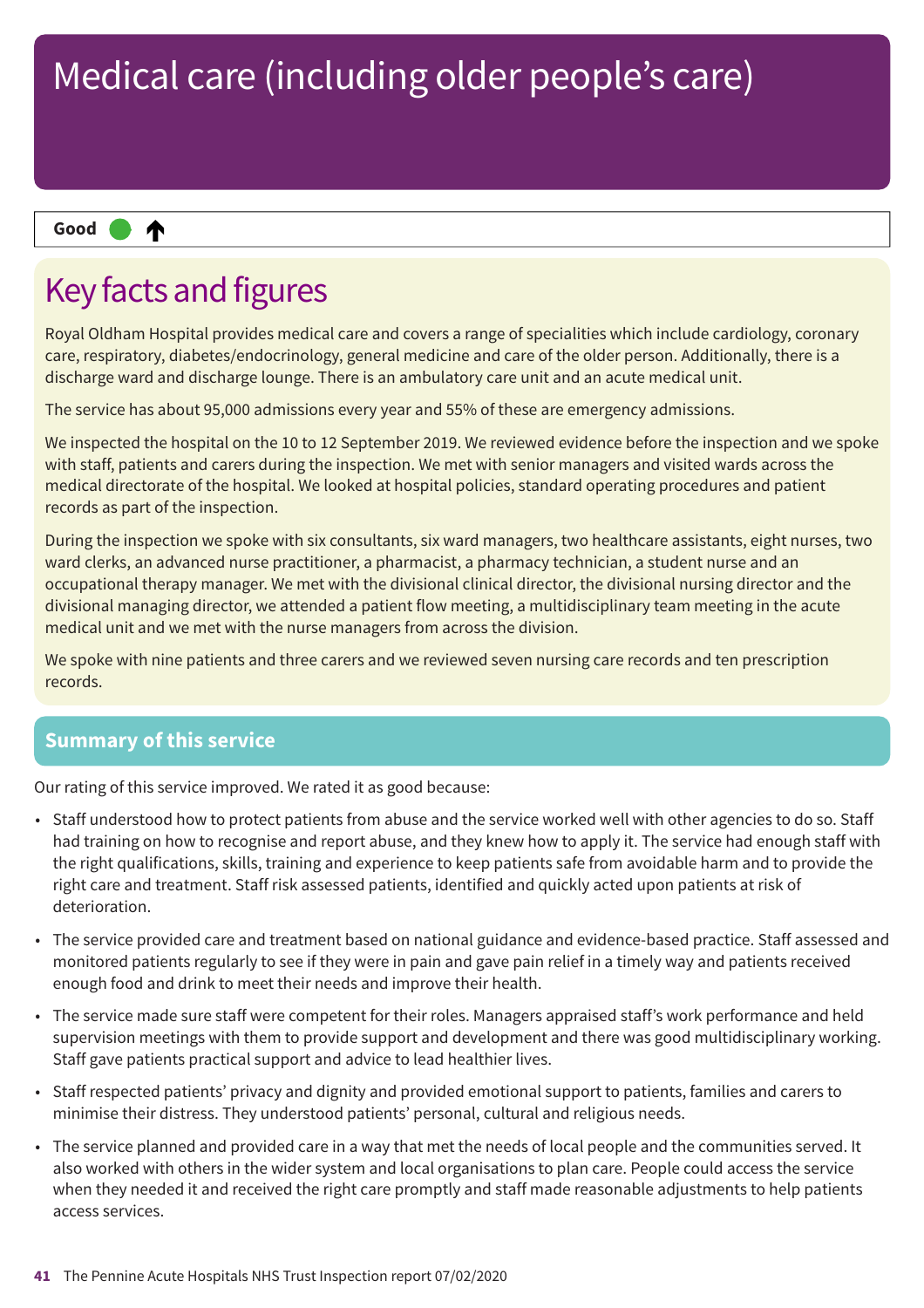#### ₳ **Up one rating Good –––**

## Key facts and figures

Royal Oldham Hospital provides medical care and covers a range of specialities which include cardiology, coronary care, respiratory, diabetes/endocrinology, general medicine and care of the older person. Additionally, there is a discharge ward and discharge lounge. There is an ambulatory care unit and an acute medical unit.

The service has about 95,000 admissions every year and 55% of these are emergency admissions.

We inspected the hospital on the 10 to 12 September 2019. We reviewed evidence before the inspection and we spoke with staff, patients and carers during the inspection. We met with senior managers and visited wards across the medical directorate of the hospital. We looked at hospital policies, standard operating procedures and patient records as part of the inspection.

During the inspection we spoke with six consultants, six ward managers, two healthcare assistants, eight nurses, two ward clerks, an advanced nurse practitioner, a pharmacist, a pharmacy technician, a student nurse and an occupational therapy manager. We met with the divisional clinical director, the divisional nursing director and the divisional managing director, we attended a patient flow meeting, a multidisciplinary team meeting in the acute medical unit and we met with the nurse managers from across the division.

We spoke with nine patients and three carers and we reviewed seven nursing care records and ten prescription records.

### **Summary of this service**

Our rating of this service improved. We rated it as good because:

- Staff understood how to protect patients from abuse and the service worked well with other agencies to do so. Staff had training on how to recognise and report abuse, and they knew how to apply it. The service had enough staff with the right qualifications, skills, training and experience to keep patients safe from avoidable harm and to provide the right care and treatment. Staff risk assessed patients, identified and quickly acted upon patients at risk of deterioration.
- The service provided care and treatment based on national guidance and evidence-based practice. Staff assessed and monitored patients regularly to see if they were in pain and gave pain relief in a timely way and patients received enough food and drink to meet their needs and improve their health.
- The service made sure staff were competent for their roles. Managers appraised staff's work performance and held supervision meetings with them to provide support and development and there was good multidisciplinary working. Staff gave patients practical support and advice to lead healthier lives.
- Staff respected patients' privacy and dignity and provided emotional support to patients, families and carers to minimise their distress. They understood patients' personal, cultural and religious needs.
- The service planned and provided care in a way that met the needs of local people and the communities served. It also worked with others in the wider system and local organisations to plan care. People could access the service when they needed it and received the right care promptly and staff made reasonable adjustments to help patients access services.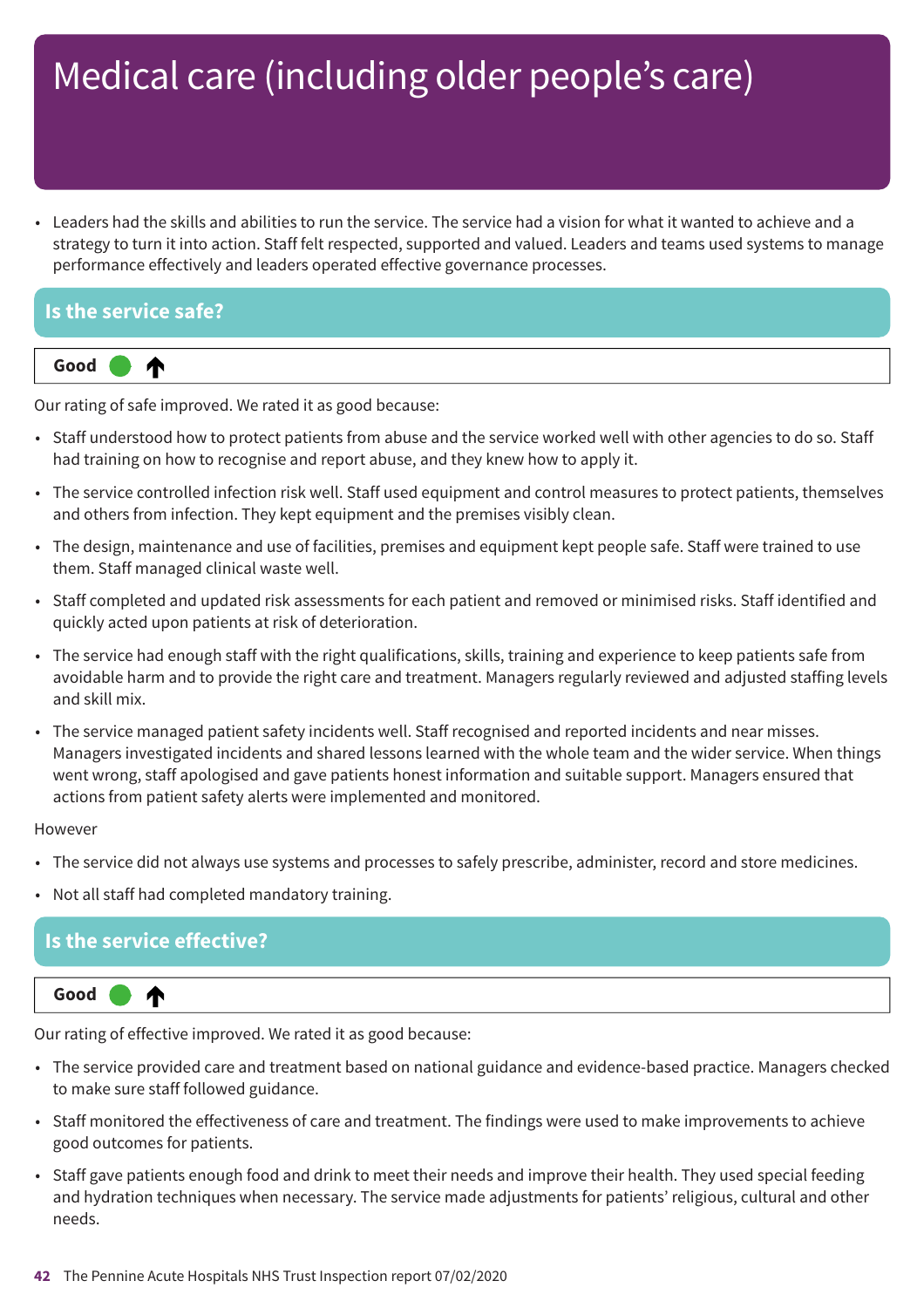• Leaders had the skills and abilities to run the service. The service had a vision for what it wanted to achieve and a strategy to turn it into action. Staff felt respected, supported and valued. Leaders and teams used systems to manage performance effectively and leaders operated effective governance processes.

# **Is the service safe?**



Our rating of safe improved. We rated it as good because:

- Staff understood how to protect patients from abuse and the service worked well with other agencies to do so. Staff had training on how to recognise and report abuse, and they knew how to apply it.
- The service controlled infection risk well. Staff used equipment and control measures to protect patients, themselves and others from infection. They kept equipment and the premises visibly clean.
- The design, maintenance and use of facilities, premises and equipment kept people safe. Staff were trained to use them. Staff managed clinical waste well.
- Staff completed and updated risk assessments for each patient and removed or minimised risks. Staff identified and quickly acted upon patients at risk of deterioration.
- The service had enough staff with the right qualifications, skills, training and experience to keep patients safe from avoidable harm and to provide the right care and treatment. Managers regularly reviewed and adjusted staffing levels and skill mix.
- The service managed patient safety incidents well. Staff recognised and reported incidents and near misses. Managers investigated incidents and shared lessons learned with the whole team and the wider service. When things went wrong, staff apologised and gave patients honest information and suitable support. Managers ensured that actions from patient safety alerts were implemented and monitored.

#### However

- The service did not always use systems and processes to safely prescribe, administer, record and store medicines.
- Not all staff had completed mandatory training.

### **Is the service effective?**



Our rating of effective improved. We rated it as good because:

- The service provided care and treatment based on national guidance and evidence-based practice. Managers checked to make sure staff followed guidance.
- Staff monitored the effectiveness of care and treatment. The findings were used to make improvements to achieve good outcomes for patients.
- Staff gave patients enough food and drink to meet their needs and improve their health. They used special feeding and hydration techniques when necessary. The service made adjustments for patients' religious, cultural and other needs.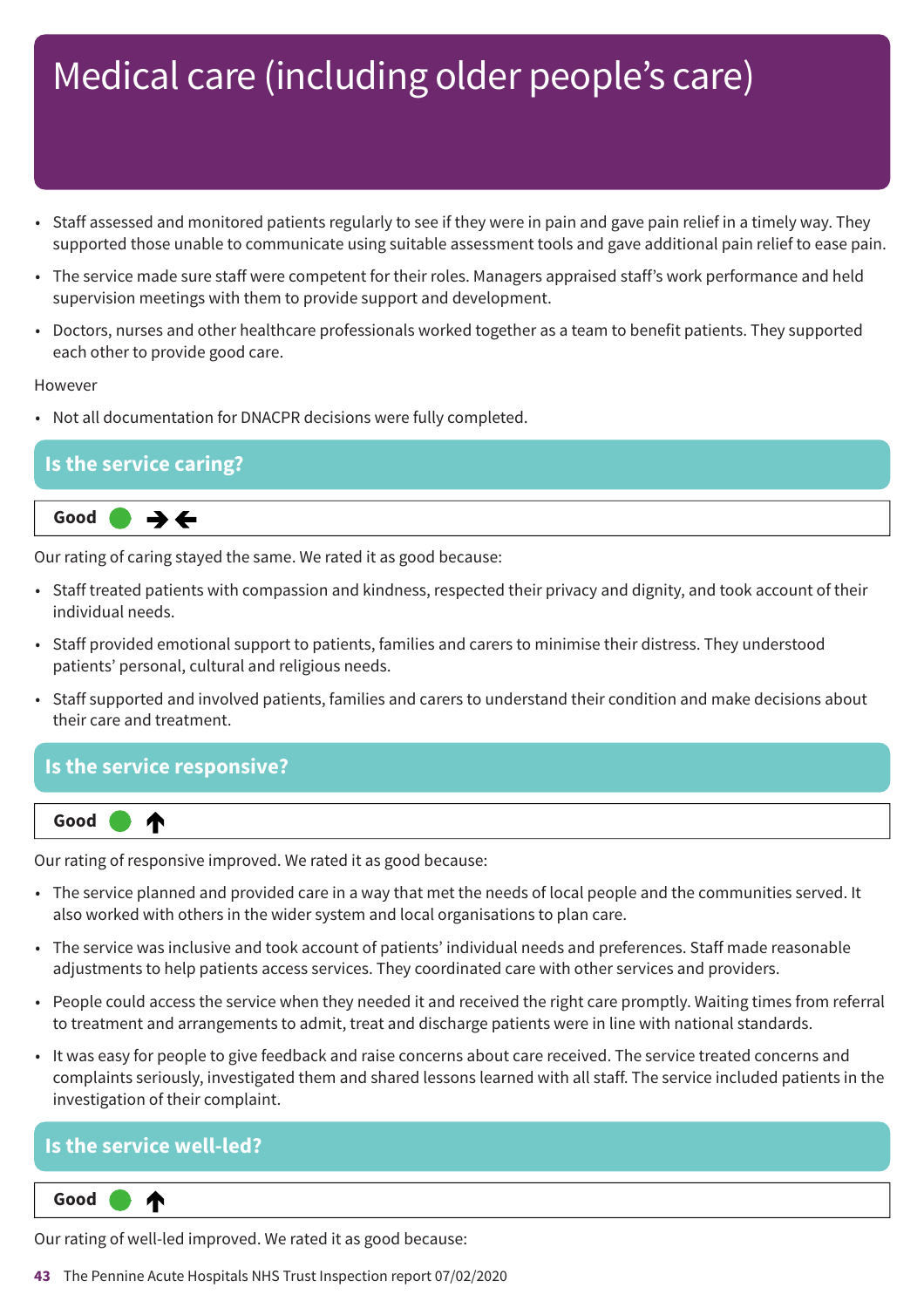- Staff assessed and monitored patients regularly to see if they were in pain and gave pain relief in a timely way. They supported those unable to communicate using suitable assessment tools and gave additional pain relief to ease pain.
- The service made sure staff were competent for their roles. Managers appraised staff's work performance and held supervision meetings with them to provide support and development.
- Doctors, nurses and other healthcare professionals worked together as a team to benefit patients. They supported each other to provide good care.

#### However

• Not all documentation for DNACPR decisions were fully completed.

### **Is the service caring?**



Our rating of caring stayed the same. We rated it as good because:

- Staff treated patients with compassion and kindness, respected their privacy and dignity, and took account of their individual needs.
- Staff provided emotional support to patients, families and carers to minimise their distress. They understood patients' personal, cultural and religious needs.
- Staff supported and involved patients, families and carers to understand their condition and make decisions about their care and treatment.

#### **Is the service responsive?**



Our rating of responsive improved. We rated it as good because:

- The service planned and provided care in a way that met the needs of local people and the communities served. It also worked with others in the wider system and local organisations to plan care.
- The service was inclusive and took account of patients' individual needs and preferences. Staff made reasonable adjustments to help patients access services. They coordinated care with other services and providers.
- People could access the service when they needed it and received the right care promptly. Waiting times from referral to treatment and arrangements to admit, treat and discharge patients were in line with national standards.
- It was easy for people to give feedback and raise concerns about care received. The service treated concerns and complaints seriously, investigated them and shared lessons learned with all staff. The service included patients in the investigation of their complaint.

#### **Is the service well-led?**

**Up one rating Good –––** ₳

Our rating of well-led improved. We rated it as good because:

**43** The Pennine Acute Hospitals NHS Trust Inspection report 07/02/2020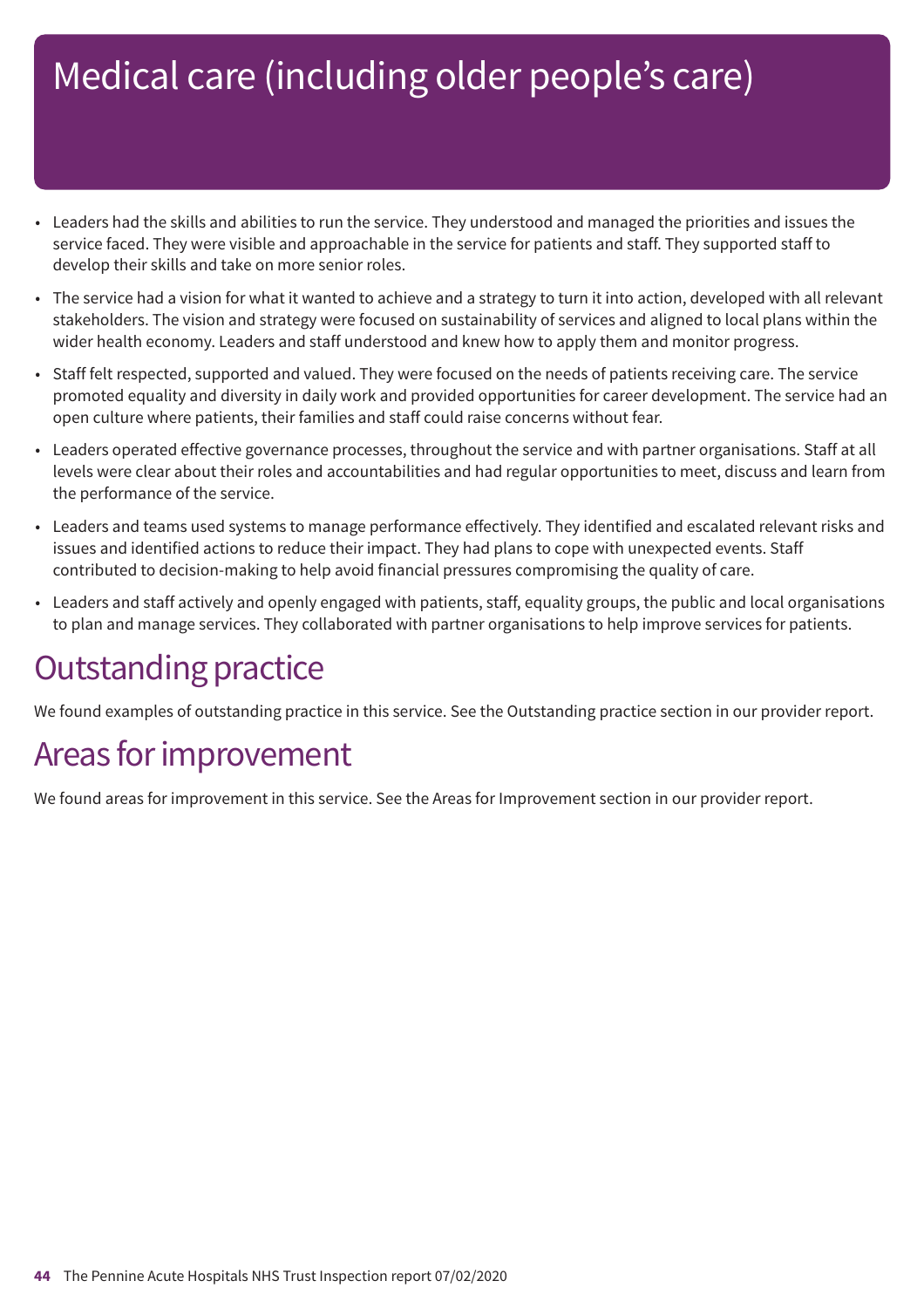- Leaders had the skills and abilities to run the service. They understood and managed the priorities and issues the service faced. They were visible and approachable in the service for patients and staff. They supported staff to develop their skills and take on more senior roles.
- The service had a vision for what it wanted to achieve and a strategy to turn it into action, developed with all relevant stakeholders. The vision and strategy were focused on sustainability of services and aligned to local plans within the wider health economy. Leaders and staff understood and knew how to apply them and monitor progress.
- Staff felt respected, supported and valued. They were focused on the needs of patients receiving care. The service promoted equality and diversity in daily work and provided opportunities for career development. The service had an open culture where patients, their families and staff could raise concerns without fear.
- Leaders operated effective governance processes, throughout the service and with partner organisations. Staff at all levels were clear about their roles and accountabilities and had regular opportunities to meet, discuss and learn from the performance of the service.
- Leaders and teams used systems to manage performance effectively. They identified and escalated relevant risks and issues and identified actions to reduce their impact. They had plans to cope with unexpected events. Staff contributed to decision-making to help avoid financial pressures compromising the quality of care.
- Leaders and staff actively and openly engaged with patients, staff, equality groups, the public and local organisations to plan and manage services. They collaborated with partner organisations to help improve services for patients.

### **Outstanding practice**

We found examples of outstanding practice in this service. See the Outstanding practice section in our provider report.

## Areas for improvement

We found areas for improvement in this service. See the Areas for Improvement section in our provider report.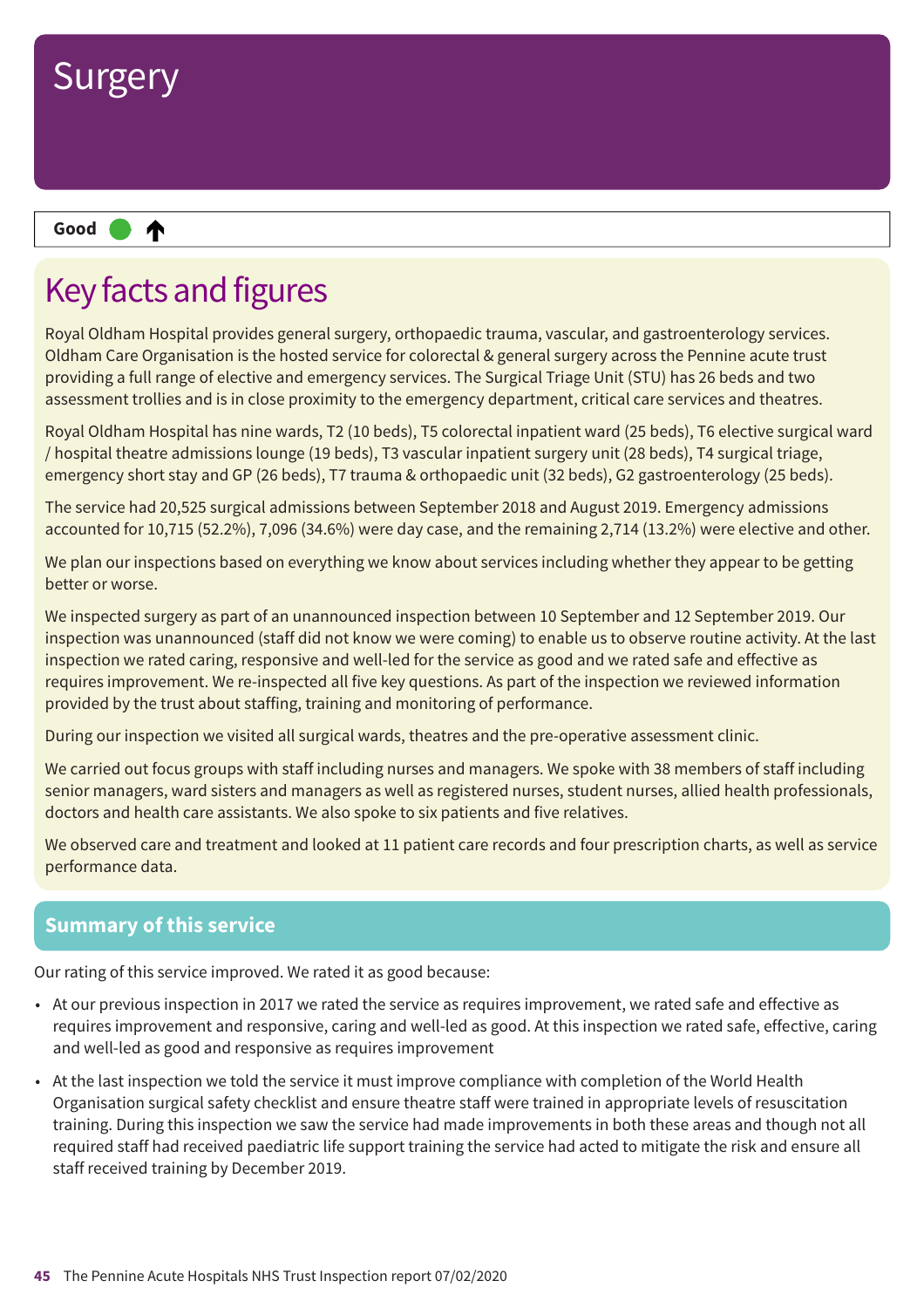

## Key facts and figures

Royal Oldham Hospital provides general surgery, orthopaedic trauma, vascular, and gastroenterology services. Oldham Care Organisation is the hosted service for colorectal & general surgery across the Pennine acute trust providing a full range of elective and emergency services. The Surgical Triage Unit (STU) has 26 beds and two assessment trollies and is in close proximity to the emergency department, critical care services and theatres.

Royal Oldham Hospital has nine wards, T2 (10 beds), T5 colorectal inpatient ward (25 beds), T6 elective surgical ward / hospital theatre admissions lounge (19 beds), T3 vascular inpatient surgery unit (28 beds), T4 surgical triage, emergency short stay and GP (26 beds), T7 trauma & orthopaedic unit (32 beds), G2 gastroenterology (25 beds).

The service had 20,525 surgical admissions between September 2018 and August 2019. Emergency admissions accounted for 10,715 (52.2%), 7,096 (34.6%) were day case, and the remaining 2,714 (13.2%) were elective and other.

We plan our inspections based on everything we know about services including whether they appear to be getting better or worse.

We inspected surgery as part of an unannounced inspection between 10 September and 12 September 2019. Our inspection was unannounced (staff did not know we were coming) to enable us to observe routine activity. At the last inspection we rated caring, responsive and well-led for the service as good and we rated safe and effective as requires improvement. We re-inspected all five key questions. As part of the inspection we reviewed information provided by the trust about staffing, training and monitoring of performance.

During our inspection we visited all surgical wards, theatres and the pre-operative assessment clinic.

We carried out focus groups with staff including nurses and managers. We spoke with 38 members of staff including senior managers, ward sisters and managers as well as registered nurses, student nurses, allied health professionals, doctors and health care assistants. We also spoke to six patients and five relatives.

We observed care and treatment and looked at 11 patient care records and four prescription charts, as well as service performance data.

### **Summary of this service**

Our rating of this service improved. We rated it as good because:

- At our previous inspection in 2017 we rated the service as requires improvement, we rated safe and effective as requires improvement and responsive, caring and well-led as good. At this inspection we rated safe, effective, caring and well-led as good and responsive as requires improvement
- At the last inspection we told the service it must improve compliance with completion of the World Health Organisation surgical safety checklist and ensure theatre staff were trained in appropriate levels of resuscitation training. During this inspection we saw the service had made improvements in both these areas and though not all required staff had received paediatric life support training the service had acted to mitigate the risk and ensure all staff received training by December 2019.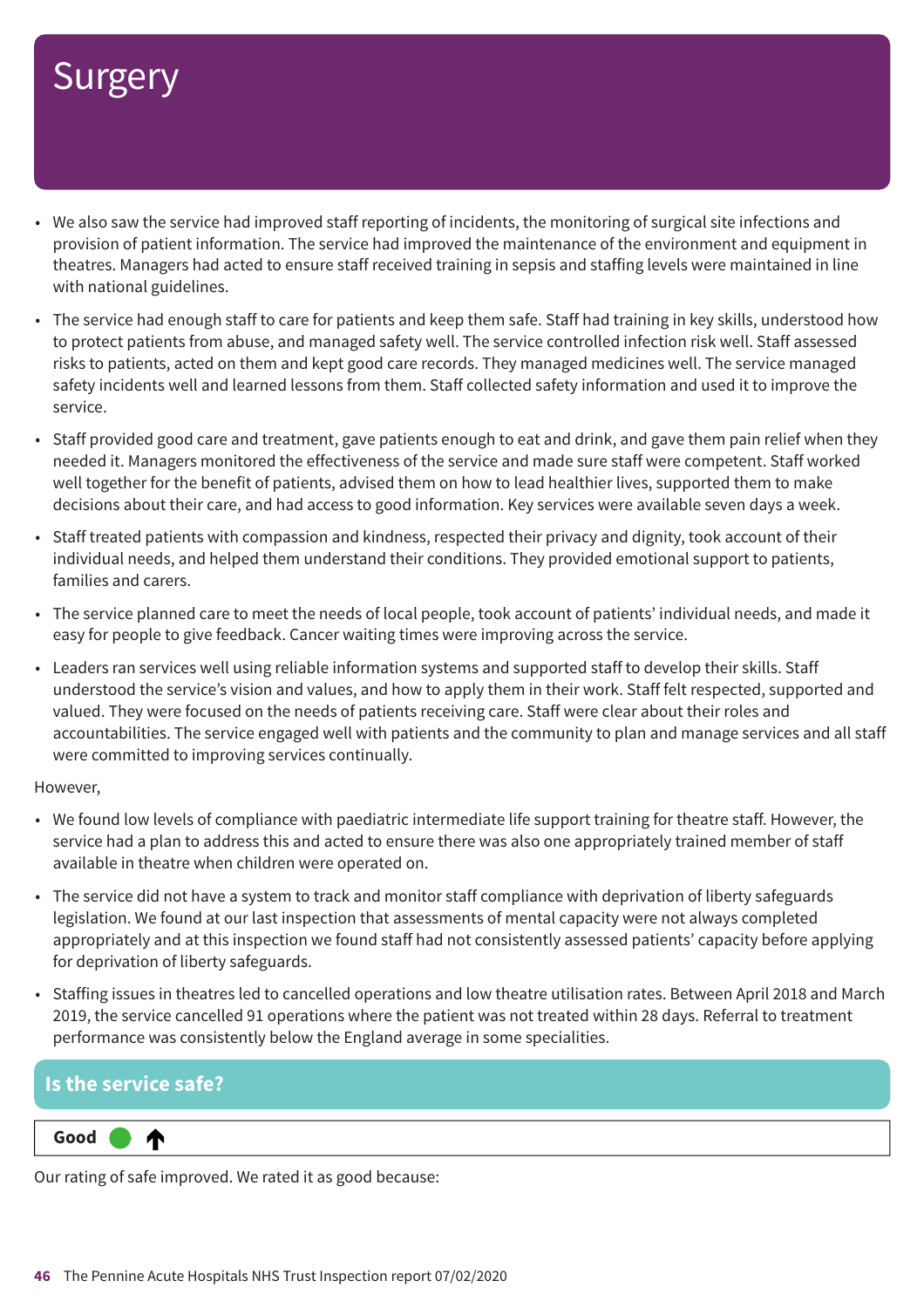- We also saw the service had improved staff reporting of incidents, the monitoring of surgical site infections and provision of patient information. The service had improved the maintenance of the environment and equipment in theatres. Managers had acted to ensure staff received training in sepsis and staffing levels were maintained in line with national guidelines.
- The service had enough staff to care for patients and keep them safe. Staff had training in key skills, understood how to protect patients from abuse, and managed safety well. The service controlled infection risk well. Staff assessed risks to patients, acted on them and kept good care records. They managed medicines well. The service managed safety incidents well and learned lessons from them. Staff collected safety information and used it to improve the service.
- Staff provided good care and treatment, gave patients enough to eat and drink, and gave them pain relief when they needed it. Managers monitored the effectiveness of the service and made sure staff were competent. Staff worked well together for the benefit of patients, advised them on how to lead healthier lives, supported them to make decisions about their care, and had access to good information. Key services were available seven days a week.
- Staff treated patients with compassion and kindness, respected their privacy and dignity, took account of their individual needs, and helped them understand their conditions. They provided emotional support to patients, families and carers.
- The service planned care to meet the needs of local people, took account of patients' individual needs, and made it easy for people to give feedback. Cancer waiting times were improving across the service.
- Leaders ran services well using reliable information systems and supported staff to develop their skills. Staff understood the service's vision and values, and how to apply them in their work. Staff felt respected, supported and valued. They were focused on the needs of patients receiving care. Staff were clear about their roles and accountabilities. The service engaged well with patients and the community to plan and manage services and all staff were committed to improving services continually.

#### However,

- We found low levels of compliance with paediatric intermediate life support training for theatre staff. However, the service had a plan to address this and acted to ensure there was also one appropriately trained member of staff available in theatre when children were operated on.
- The service did not have a system to track and monitor staff compliance with deprivation of liberty safeguards legislation. We found at our last inspection that assessments of mental capacity were not always completed appropriately and at this inspection we found staff had not consistently assessed patients' capacity before applying for deprivation of liberty safeguards.
- Staffing issues in theatres led to cancelled operations and low theatre utilisation rates. Between April 2018 and March 2019, the service cancelled 91 operations where the patient was not treated within 28 days. Referral to treatment performance was consistently below the England average in some specialities.

### **Is the service safe? Up one rating Good –––** ⋔

Our rating of safe improved. We rated it as good because: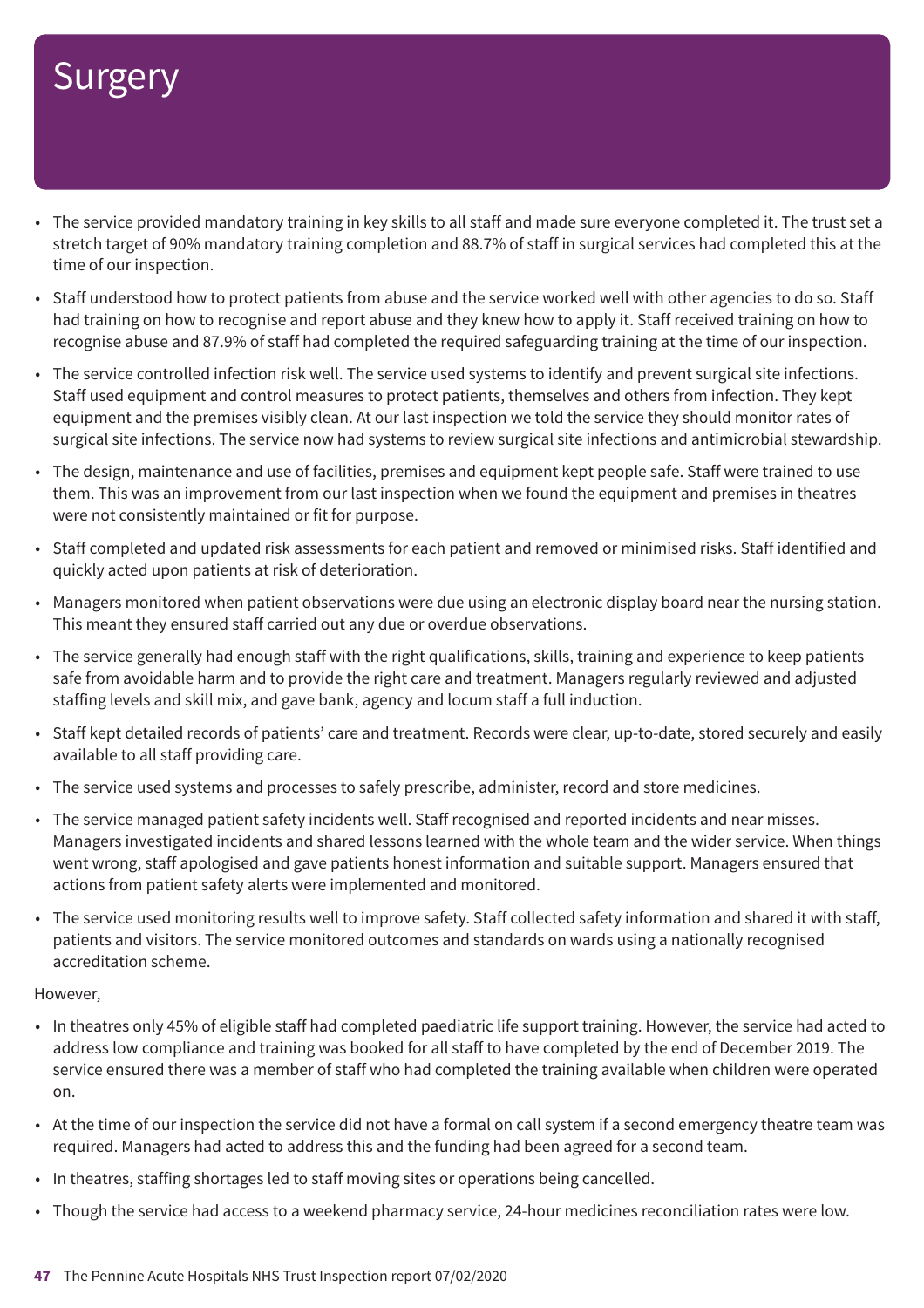- The service provided mandatory training in key skills to all staff and made sure everyone completed it. The trust set a stretch target of 90% mandatory training completion and 88.7% of staff in surgical services had completed this at the time of our inspection.
- Staff understood how to protect patients from abuse and the service worked well with other agencies to do so. Staff had training on how to recognise and report abuse and they knew how to apply it. Staff received training on how to recognise abuse and 87.9% of staff had completed the required safeguarding training at the time of our inspection.
- The service controlled infection risk well. The service used systems to identify and prevent surgical site infections. Staff used equipment and control measures to protect patients, themselves and others from infection. They kept equipment and the premises visibly clean. At our last inspection we told the service they should monitor rates of surgical site infections. The service now had systems to review surgical site infections and antimicrobial stewardship.
- The design, maintenance and use of facilities, premises and equipment kept people safe. Staff were trained to use them. This was an improvement from our last inspection when we found the equipment and premises in theatres were not consistently maintained or fit for purpose.
- Staff completed and updated risk assessments for each patient and removed or minimised risks. Staff identified and quickly acted upon patients at risk of deterioration.
- Managers monitored when patient observations were due using an electronic display board near the nursing station. This meant they ensured staff carried out any due or overdue observations.
- The service generally had enough staff with the right qualifications, skills, training and experience to keep patients safe from avoidable harm and to provide the right care and treatment. Managers regularly reviewed and adjusted staffing levels and skill mix, and gave bank, agency and locum staff a full induction.
- Staff kept detailed records of patients' care and treatment. Records were clear, up-to-date, stored securely and easily available to all staff providing care.
- The service used systems and processes to safely prescribe, administer, record and store medicines.
- The service managed patient safety incidents well. Staff recognised and reported incidents and near misses. Managers investigated incidents and shared lessons learned with the whole team and the wider service. When things went wrong, staff apologised and gave patients honest information and suitable support. Managers ensured that actions from patient safety alerts were implemented and monitored.
- The service used monitoring results well to improve safety. Staff collected safety information and shared it with staff, patients and visitors. The service monitored outcomes and standards on wards using a nationally recognised accreditation scheme.

- In theatres only 45% of eligible staff had completed paediatric life support training. However, the service had acted to address low compliance and training was booked for all staff to have completed by the end of December 2019. The service ensured there was a member of staff who had completed the training available when children were operated on.
- At the time of our inspection the service did not have a formal on call system if a second emergency theatre team was required. Managers had acted to address this and the funding had been agreed for a second team.
- In theatres, staffing shortages led to staff moving sites or operations being cancelled.
- Though the service had access to a weekend pharmacy service, 24-hour medicines reconciliation rates were low.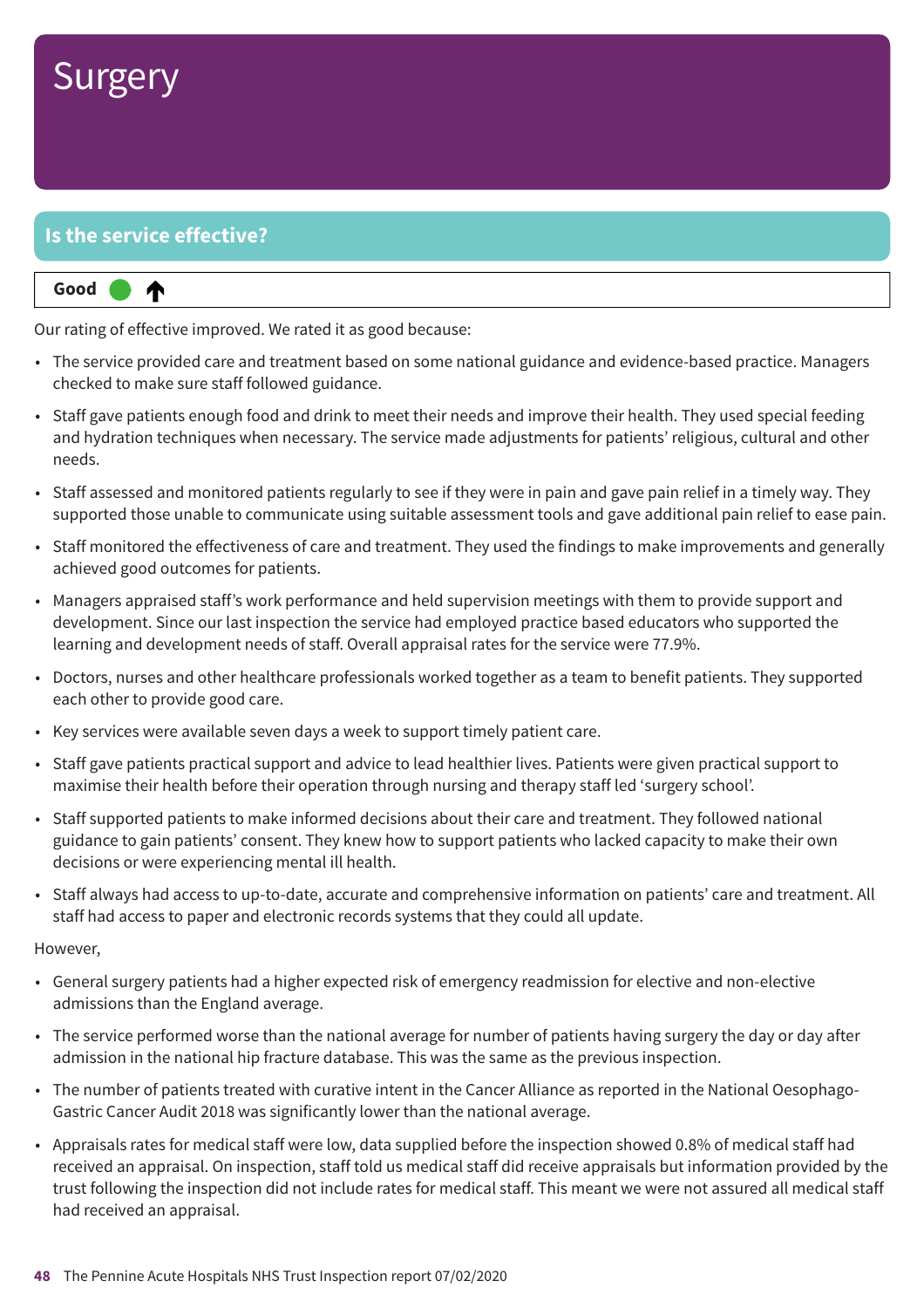### **Is the service effective?**

#### **Up one rating Good –––** ⋔

Our rating of effective improved. We rated it as good because:

- The service provided care and treatment based on some national guidance and evidence-based practice. Managers checked to make sure staff followed guidance.
- Staff gave patients enough food and drink to meet their needs and improve their health. They used special feeding and hydration techniques when necessary. The service made adjustments for patients' religious, cultural and other needs.
- Staff assessed and monitored patients regularly to see if they were in pain and gave pain relief in a timely way. They supported those unable to communicate using suitable assessment tools and gave additional pain relief to ease pain.
- Staff monitored the effectiveness of care and treatment. They used the findings to make improvements and generally achieved good outcomes for patients.
- Managers appraised staff's work performance and held supervision meetings with them to provide support and development. Since our last inspection the service had employed practice based educators who supported the learning and development needs of staff. Overall appraisal rates for the service were 77.9%.
- Doctors, nurses and other healthcare professionals worked together as a team to benefit patients. They supported each other to provide good care.
- Key services were available seven days a week to support timely patient care.
- Staff gave patients practical support and advice to lead healthier lives. Patients were given practical support to maximise their health before their operation through nursing and therapy staff led 'surgery school'.
- Staff supported patients to make informed decisions about their care and treatment. They followed national guidance to gain patients' consent. They knew how to support patients who lacked capacity to make their own decisions or were experiencing mental ill health.
- Staff always had access to up-to-date, accurate and comprehensive information on patients' care and treatment. All staff had access to paper and electronic records systems that they could all update.

- General surgery patients had a higher expected risk of emergency readmission for elective and non-elective admissions than the England average.
- The service performed worse than the national average for number of patients having surgery the day or day after admission in the national hip fracture database. This was the same as the previous inspection.
- The number of patients treated with curative intent in the Cancer Alliance as reported in the National Oesophago-Gastric Cancer Audit 2018 was significantly lower than the national average.
- Appraisals rates for medical staff were low, data supplied before the inspection showed 0.8% of medical staff had received an appraisal. On inspection, staff told us medical staff did receive appraisals but information provided by the trust following the inspection did not include rates for medical staff. This meant we were not assured all medical staff had received an appraisal.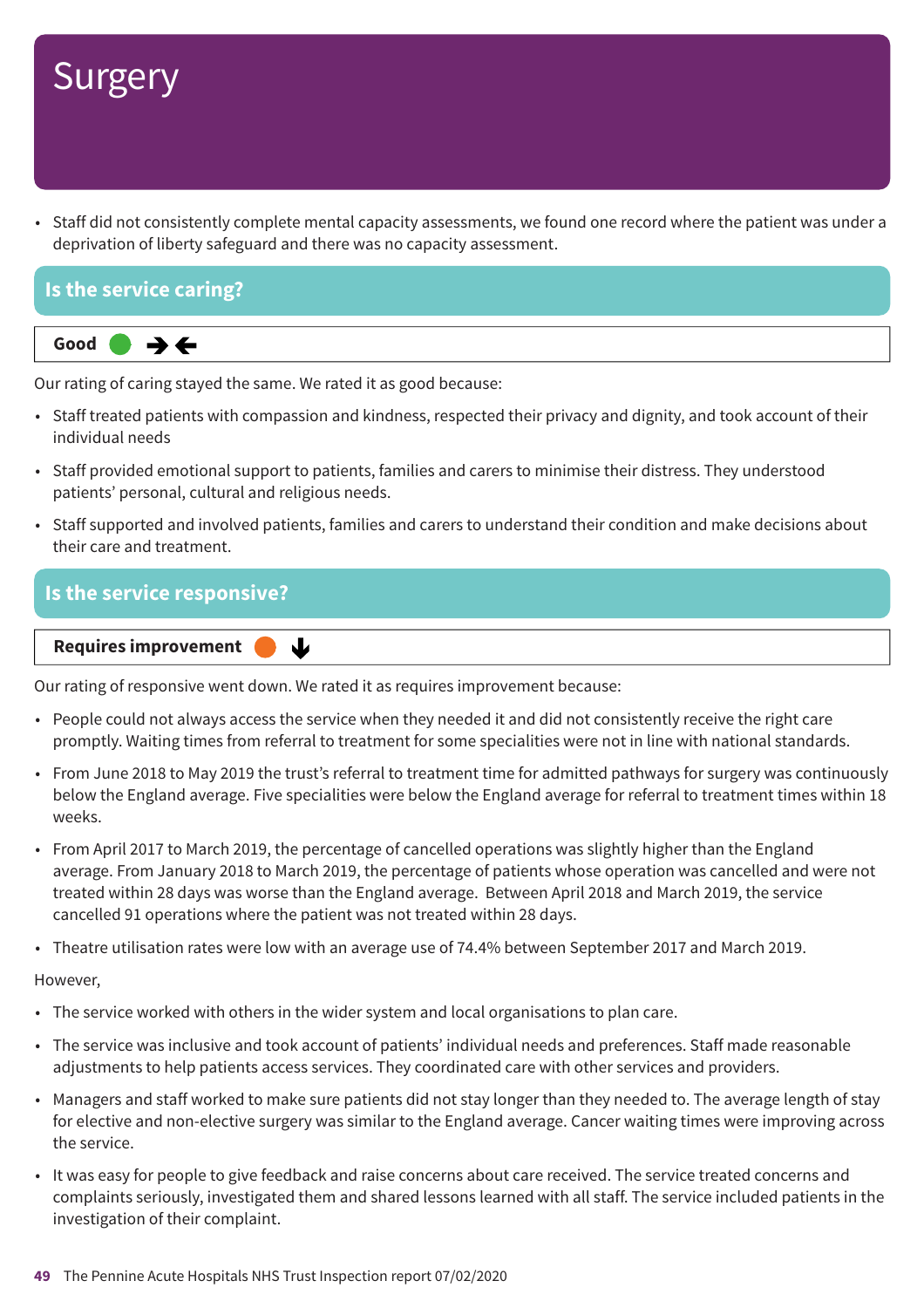• Staff did not consistently complete mental capacity assessments, we found one record where the patient was under a deprivation of liberty safeguard and there was no capacity assessment.

### **Is the service caring?**



Our rating of caring stayed the same. We rated it as good because:

- Staff treated patients with compassion and kindness, respected their privacy and dignity, and took account of their individual needs
- Staff provided emotional support to patients, families and carers to minimise their distress. They understood patients' personal, cultural and religious needs.
- Staff supported and involved patients, families and carers to understand their condition and make decisions about their care and treatment.

### **Is the service responsive?**

**Requires improvement** 业

Our rating of responsive went down. We rated it as requires improvement because:

- People could not always access the service when they needed it and did not consistently receive the right care promptly. Waiting times from referral to treatment for some specialities were not in line with national standards.
- From June 2018 to May 2019 the trust's referral to treatment time for admitted pathways for surgery was continuously below the England average. Five specialities were below the England average for referral to treatment times within 18 weeks.
- From April 2017 to March 2019, the percentage of cancelled operations was slightly higher than the England average. From January 2018 to March 2019, the percentage of patients whose operation was cancelled and were not treated within 28 days was worse than the England average. Between April 2018 and March 2019, the service cancelled 91 operations where the patient was not treated within 28 days.
- Theatre utilisation rates were low with an average use of 74.4% between September 2017 and March 2019.

- The service worked with others in the wider system and local organisations to plan care.
- The service was inclusive and took account of patients' individual needs and preferences. Staff made reasonable adjustments to help patients access services. They coordinated care with other services and providers.
- Managers and staff worked to make sure patients did not stay longer than they needed to. The average length of stay for elective and non-elective surgery was similar to the England average. Cancer waiting times were improving across the service.
- It was easy for people to give feedback and raise concerns about care received. The service treated concerns and complaints seriously, investigated them and shared lessons learned with all staff. The service included patients in the investigation of their complaint.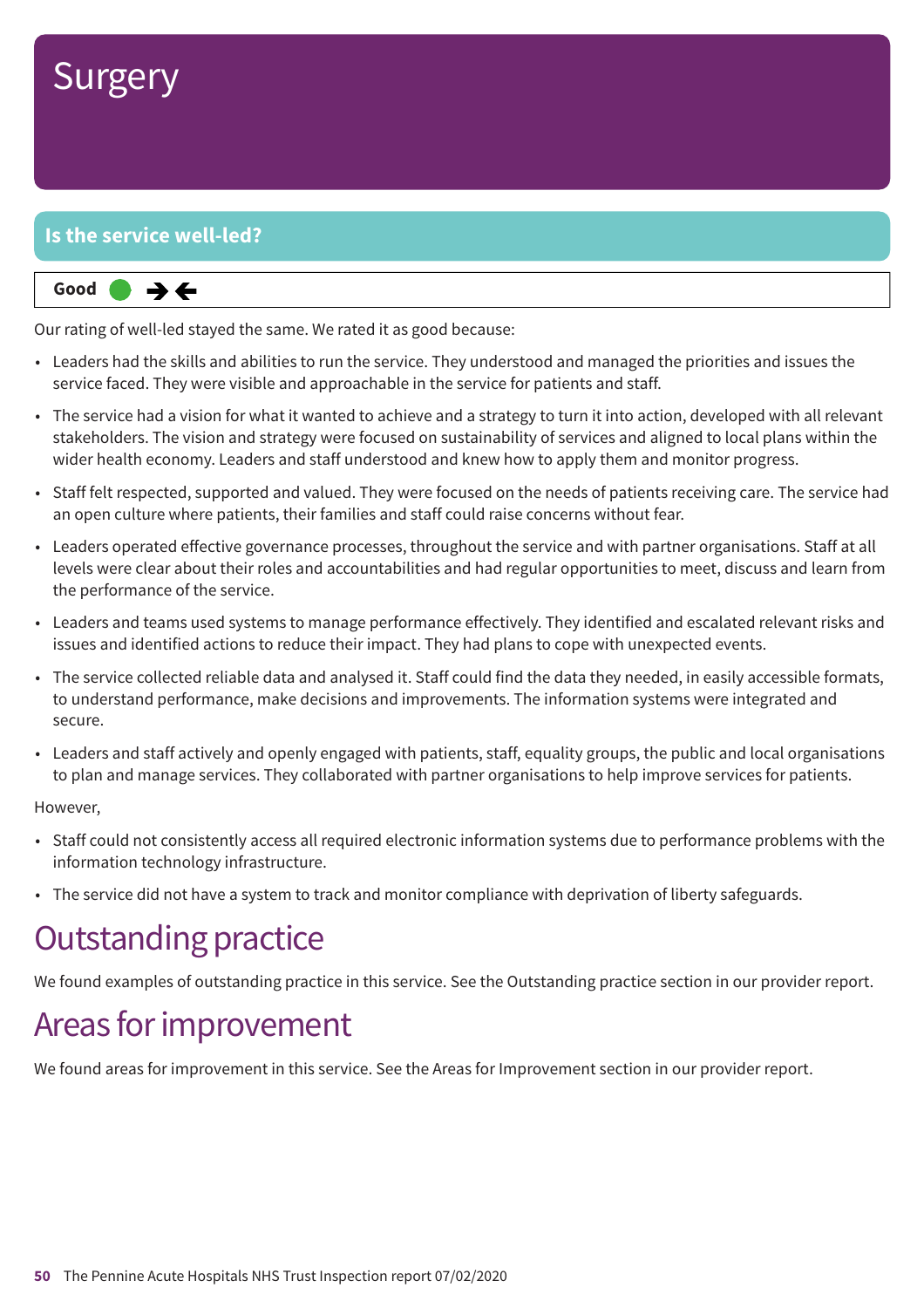

### **Is the service well-led?**



Our rating of well-led stayed the same. We rated it as good because:

- Leaders had the skills and abilities to run the service. They understood and managed the priorities and issues the service faced. They were visible and approachable in the service for patients and staff.
- The service had a vision for what it wanted to achieve and a strategy to turn it into action, developed with all relevant stakeholders. The vision and strategy were focused on sustainability of services and aligned to local plans within the wider health economy. Leaders and staff understood and knew how to apply them and monitor progress.
- Staff felt respected, supported and valued. They were focused on the needs of patients receiving care. The service had an open culture where patients, their families and staff could raise concerns without fear.
- Leaders operated effective governance processes, throughout the service and with partner organisations. Staff at all levels were clear about their roles and accountabilities and had regular opportunities to meet, discuss and learn from the performance of the service.
- Leaders and teams used systems to manage performance effectively. They identified and escalated relevant risks and issues and identified actions to reduce their impact. They had plans to cope with unexpected events.
- The service collected reliable data and analysed it. Staff could find the data they needed, in easily accessible formats, to understand performance, make decisions and improvements. The information systems were integrated and secure.
- Leaders and staff actively and openly engaged with patients, staff, equality groups, the public and local organisations to plan and manage services. They collaborated with partner organisations to help improve services for patients.

#### However,

- Staff could not consistently access all required electronic information systems due to performance problems with the information technology infrastructure.
- The service did not have a system to track and monitor compliance with deprivation of liberty safeguards.

### **Outstanding practice**

We found examples of outstanding practice in this service. See the Outstanding practice section in our provider report.

### Areas for improvement

We found areas for improvement in this service. See the Areas for Improvement section in our provider report.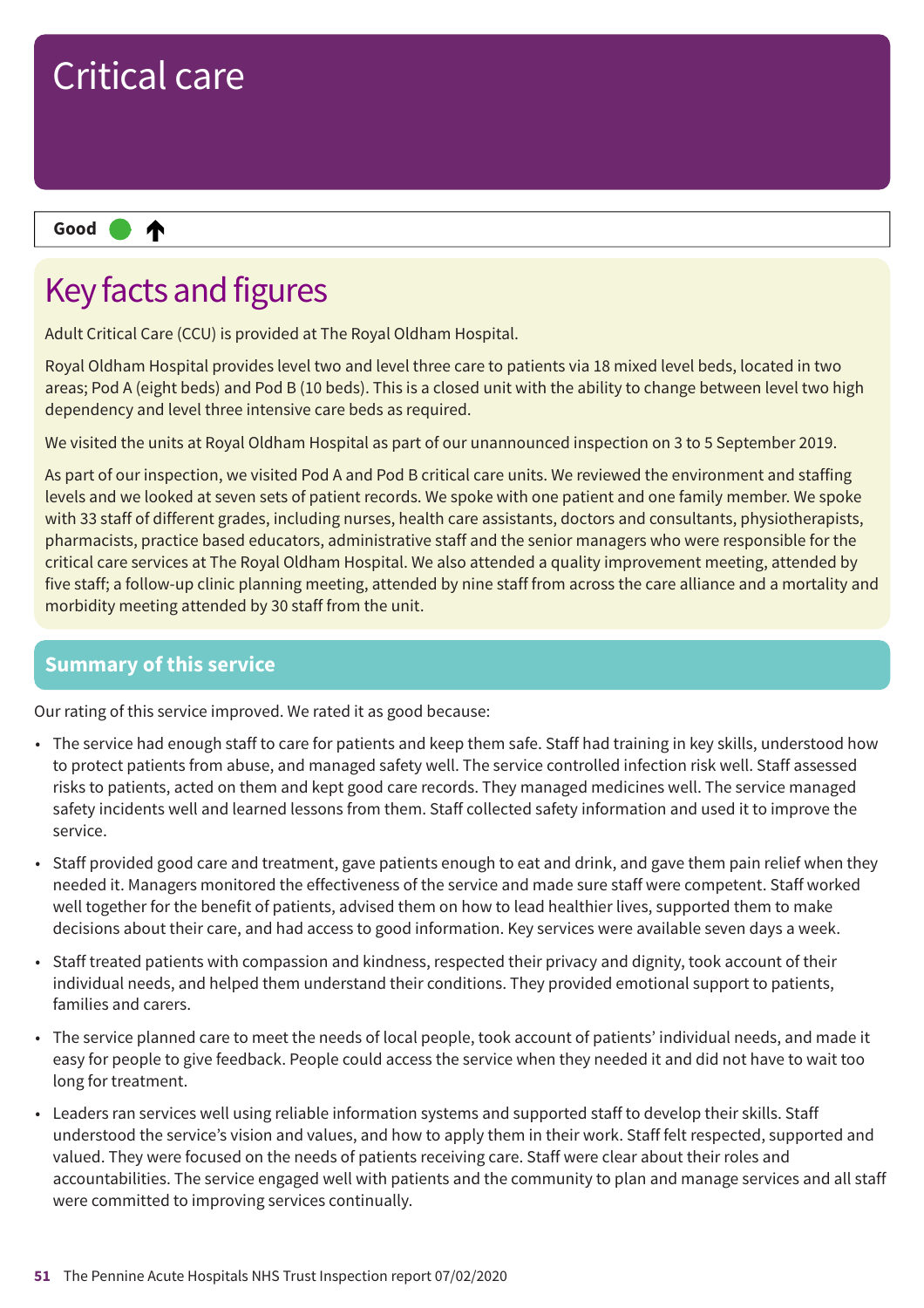

## Key facts and figures

Adult Critical Care (CCU) is provided at The Royal Oldham Hospital.

Royal Oldham Hospital provides level two and level three care to patients via 18 mixed level beds, located in two areas; Pod A (eight beds) and Pod B (10 beds). This is a closed unit with the ability to change between level two high dependency and level three intensive care beds as required.

We visited the units at Royal Oldham Hospital as part of our unannounced inspection on 3 to 5 September 2019.

As part of our inspection, we visited Pod A and Pod B critical care units. We reviewed the environment and staffing levels and we looked at seven sets of patient records. We spoke with one patient and one family member. We spoke with 33 staff of different grades, including nurses, health care assistants, doctors and consultants, physiotherapists, pharmacists, practice based educators, administrative staff and the senior managers who were responsible for the critical care services at The Royal Oldham Hospital. We also attended a quality improvement meeting, attended by five staff; a follow-up clinic planning meeting, attended by nine staff from across the care alliance and a mortality and morbidity meeting attended by 30 staff from the unit.

### **Summary of this service**

Our rating of this service improved. We rated it as good because:

- The service had enough staff to care for patients and keep them safe. Staff had training in key skills, understood how to protect patients from abuse, and managed safety well. The service controlled infection risk well. Staff assessed risks to patients, acted on them and kept good care records. They managed medicines well. The service managed safety incidents well and learned lessons from them. Staff collected safety information and used it to improve the service.
- Staff provided good care and treatment, gave patients enough to eat and drink, and gave them pain relief when they needed it. Managers monitored the effectiveness of the service and made sure staff were competent. Staff worked well together for the benefit of patients, advised them on how to lead healthier lives, supported them to make decisions about their care, and had access to good information. Key services were available seven days a week.
- Staff treated patients with compassion and kindness, respected their privacy and dignity, took account of their individual needs, and helped them understand their conditions. They provided emotional support to patients, families and carers.
- The service planned care to meet the needs of local people, took account of patients' individual needs, and made it easy for people to give feedback. People could access the service when they needed it and did not have to wait too long for treatment.
- Leaders ran services well using reliable information systems and supported staff to develop their skills. Staff understood the service's vision and values, and how to apply them in their work. Staff felt respected, supported and valued. They were focused on the needs of patients receiving care. Staff were clear about their roles and accountabilities. The service engaged well with patients and the community to plan and manage services and all staff were committed to improving services continually.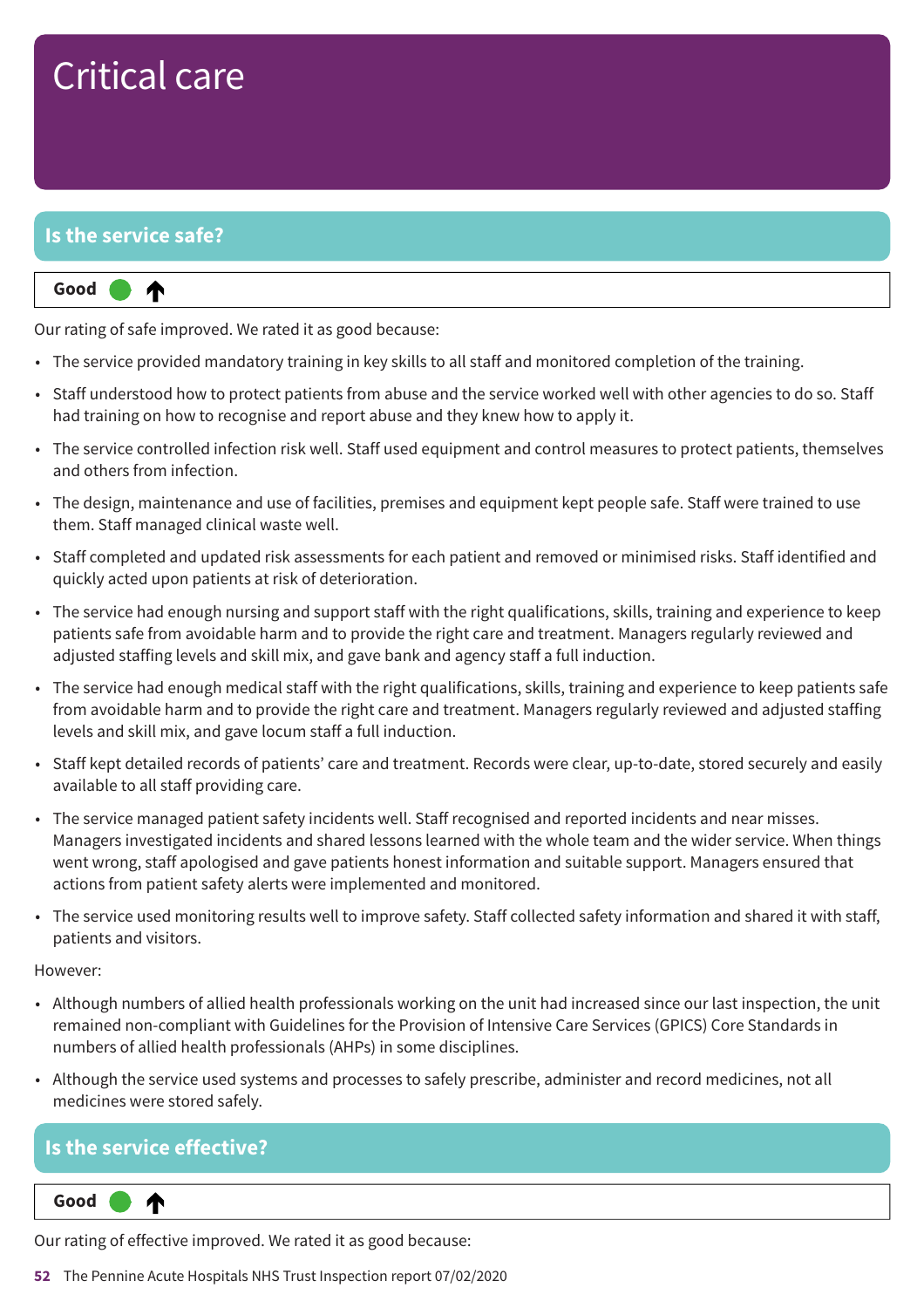# Critical care

### **Is the service safe?**

⋔

#### **Up one rating Good –––**

Our rating of safe improved. We rated it as good because:

- The service provided mandatory training in key skills to all staff and monitored completion of the training.
- Staff understood how to protect patients from abuse and the service worked well with other agencies to do so. Staff had training on how to recognise and report abuse and they knew how to apply it.
- The service controlled infection risk well. Staff used equipment and control measures to protect patients, themselves and others from infection.
- The design, maintenance and use of facilities, premises and equipment kept people safe. Staff were trained to use them. Staff managed clinical waste well.
- Staff completed and updated risk assessments for each patient and removed or minimised risks. Staff identified and quickly acted upon patients at risk of deterioration.
- The service had enough nursing and support staff with the right qualifications, skills, training and experience to keep patients safe from avoidable harm and to provide the right care and treatment. Managers regularly reviewed and adjusted staffing levels and skill mix, and gave bank and agency staff a full induction.
- The service had enough medical staff with the right qualifications, skills, training and experience to keep patients safe from avoidable harm and to provide the right care and treatment. Managers regularly reviewed and adjusted staffing levels and skill mix, and gave locum staff a full induction.
- Staff kept detailed records of patients' care and treatment. Records were clear, up-to-date, stored securely and easily available to all staff providing care.
- The service managed patient safety incidents well. Staff recognised and reported incidents and near misses. Managers investigated incidents and shared lessons learned with the whole team and the wider service. When things went wrong, staff apologised and gave patients honest information and suitable support. Managers ensured that actions from patient safety alerts were implemented and monitored.
- The service used monitoring results well to improve safety. Staff collected safety information and shared it with staff, patients and visitors.

#### However:

- Although numbers of allied health professionals working on the unit had increased since our last inspection, the unit remained non-compliant with Guidelines for the Provision of Intensive Care Services (GPICS) Core Standards in numbers of allied health professionals (AHPs) in some disciplines.
- Although the service used systems and processes to safely prescribe, administer and record medicines, not all medicines were stored safely.

### **Is the service effective?**

**Up one rating Good –––** ⋔

Our rating of effective improved. We rated it as good because:

**52** The Pennine Acute Hospitals NHS Trust Inspection report 07/02/2020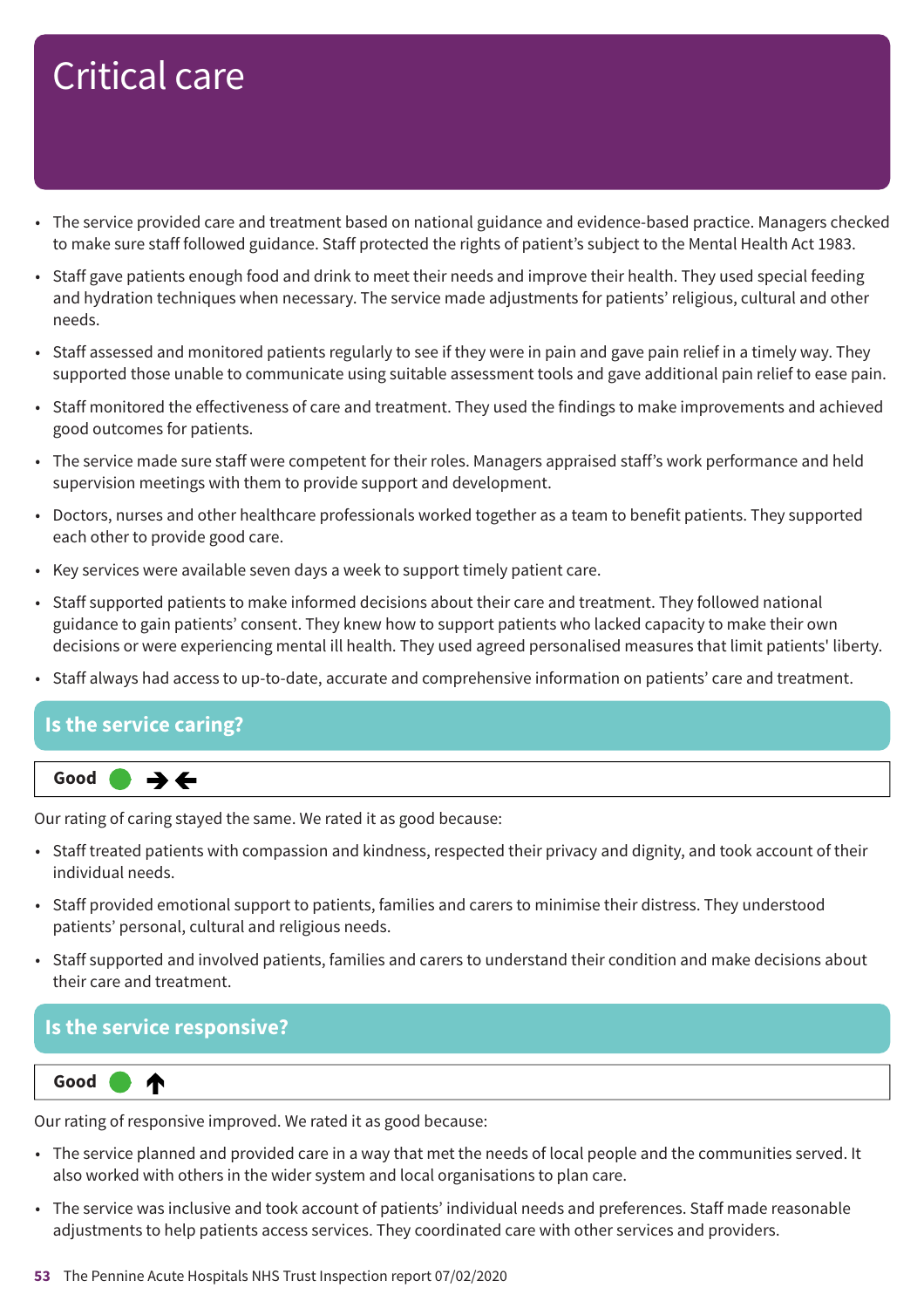# Critical care

- The service provided care and treatment based on national guidance and evidence-based practice. Managers checked to make sure staff followed guidance. Staff protected the rights of patient's subject to the Mental Health Act 1983.
- Staff gave patients enough food and drink to meet their needs and improve their health. They used special feeding and hydration techniques when necessary. The service made adjustments for patients' religious, cultural and other needs.
- Staff assessed and monitored patients regularly to see if they were in pain and gave pain relief in a timely way. They supported those unable to communicate using suitable assessment tools and gave additional pain relief to ease pain.
- Staff monitored the effectiveness of care and treatment. They used the findings to make improvements and achieved good outcomes for patients.
- The service made sure staff were competent for their roles. Managers appraised staff's work performance and held supervision meetings with them to provide support and development.
- Doctors, nurses and other healthcare professionals worked together as a team to benefit patients. They supported each other to provide good care.
- Key services were available seven days a week to support timely patient care.
- Staff supported patients to make informed decisions about their care and treatment. They followed national guidance to gain patients' consent. They knew how to support patients who lacked capacity to make their own decisions or were experiencing mental ill health. They used agreed personalised measures that limit patients' liberty.
- Staff always had access to up-to-date, accurate and comprehensive information on patients' care and treatment.

### **Is the service caring?**



Our rating of caring stayed the same. We rated it as good because:

- Staff treated patients with compassion and kindness, respected their privacy and dignity, and took account of their individual needs.
- Staff provided emotional support to patients, families and carers to minimise their distress. They understood patients' personal, cultural and religious needs.
- Staff supported and involved patients, families and carers to understand their condition and make decisions about their care and treatment.

### **Is the service responsive?**



Our rating of responsive improved. We rated it as good because:

- The service planned and provided care in a way that met the needs of local people and the communities served. It also worked with others in the wider system and local organisations to plan care.
- The service was inclusive and took account of patients' individual needs and preferences. Staff made reasonable adjustments to help patients access services. They coordinated care with other services and providers.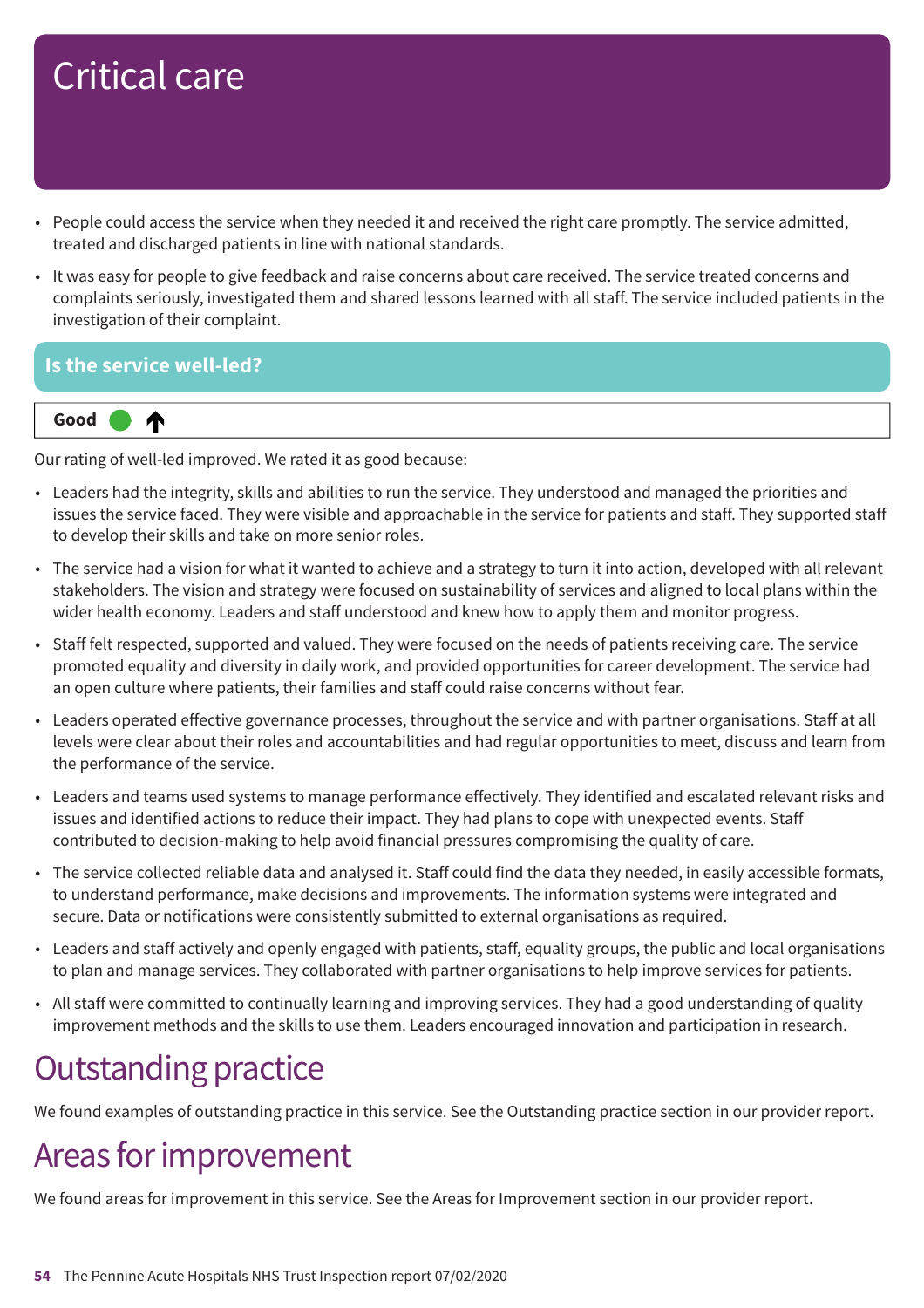# Critical care

- People could access the service when they needed it and received the right care promptly. The service admitted, treated and discharged patients in line with national standards.
- It was easy for people to give feedback and raise concerns about care received. The service treated concerns and complaints seriously, investigated them and shared lessons learned with all staff. The service included patients in the investigation of their complaint.

### **Is the service well-led?**



Our rating of well-led improved. We rated it as good because:

- Leaders had the integrity, skills and abilities to run the service. They understood and managed the priorities and issues the service faced. They were visible and approachable in the service for patients and staff. They supported staff to develop their skills and take on more senior roles.
- The service had a vision for what it wanted to achieve and a strategy to turn it into action, developed with all relevant stakeholders. The vision and strategy were focused on sustainability of services and aligned to local plans within the wider health economy. Leaders and staff understood and knew how to apply them and monitor progress.
- Staff felt respected, supported and valued. They were focused on the needs of patients receiving care. The service promoted equality and diversity in daily work, and provided opportunities for career development. The service had an open culture where patients, their families and staff could raise concerns without fear.
- Leaders operated effective governance processes, throughout the service and with partner organisations. Staff at all levels were clear about their roles and accountabilities and had regular opportunities to meet, discuss and learn from the performance of the service.
- Leaders and teams used systems to manage performance effectively. They identified and escalated relevant risks and issues and identified actions to reduce their impact. They had plans to cope with unexpected events. Staff contributed to decision-making to help avoid financial pressures compromising the quality of care.
- The service collected reliable data and analysed it. Staff could find the data they needed, in easily accessible formats, to understand performance, make decisions and improvements. The information systems were integrated and secure. Data or notifications were consistently submitted to external organisations as required.
- Leaders and staff actively and openly engaged with patients, staff, equality groups, the public and local organisations to plan and manage services. They collaborated with partner organisations to help improve services for patients.
- All staff were committed to continually learning and improving services. They had a good understanding of quality improvement methods and the skills to use them. Leaders encouraged innovation and participation in research.

## **Outstanding practice**

We found examples of outstanding practice in this service. See the Outstanding practice section in our provider report.

### Areas for improvement

We found areas for improvement in this service. See the Areas for Improvement section in our provider report.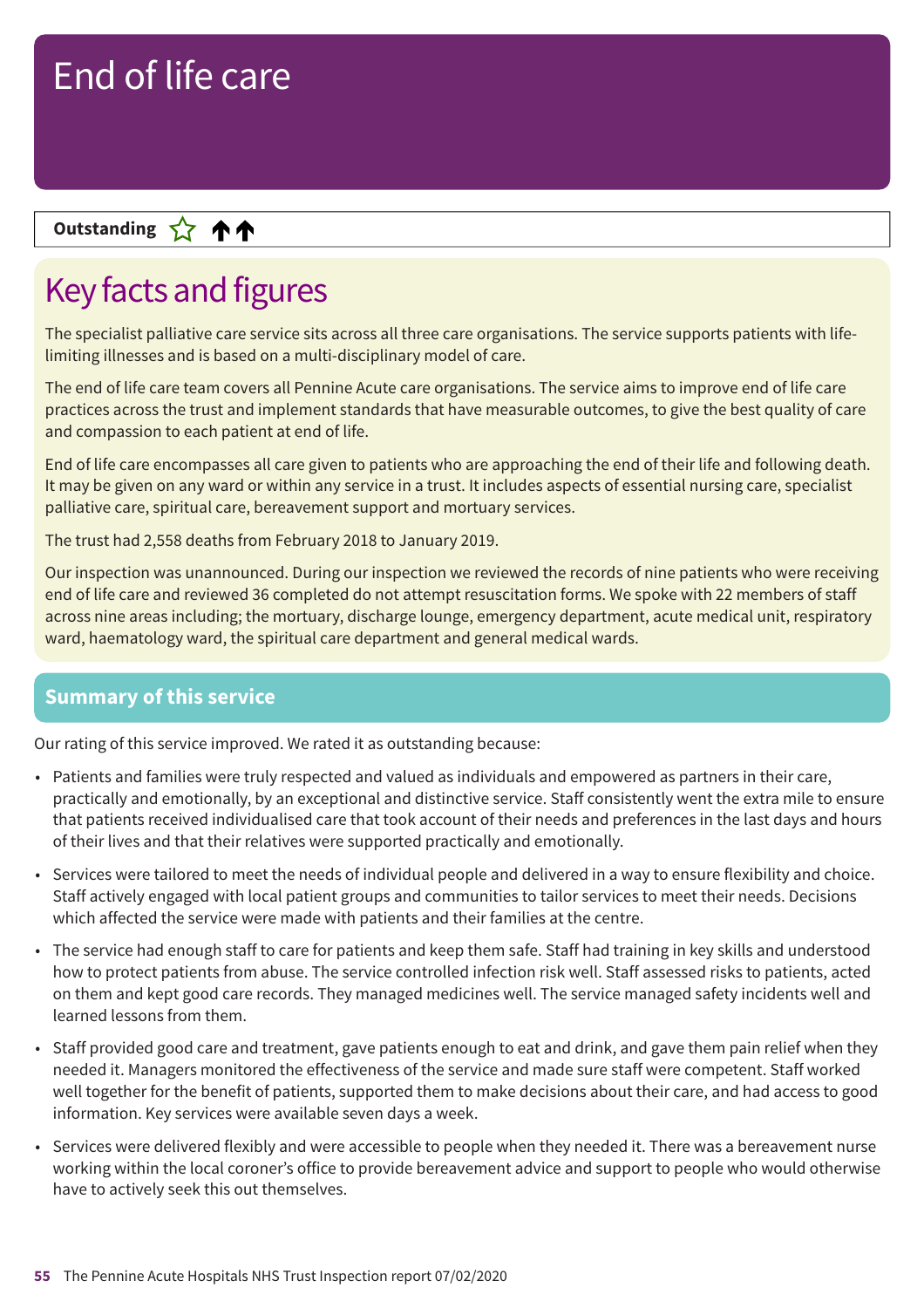### **Up––– two ratings Outstanding**

## Key facts and figures

The specialist palliative care service sits across all three care organisations. The service supports patients with lifelimiting illnesses and is based on a multi-disciplinary model of care.

The end of life care team covers all Pennine Acute care organisations. The service aims to improve end of life care practices across the trust and implement standards that have measurable outcomes, to give the best quality of care and compassion to each patient at end of life.

End of life care encompasses all care given to patients who are approaching the end of their life and following death. It may be given on any ward or within any service in a trust. It includes aspects of essential nursing care, specialist palliative care, spiritual care, bereavement support and mortuary services.

The trust had 2,558 deaths from February 2018 to January 2019.

Our inspection was unannounced. During our inspection we reviewed the records of nine patients who were receiving end of life care and reviewed 36 completed do not attempt resuscitation forms. We spoke with 22 members of staff across nine areas including; the mortuary, discharge lounge, emergency department, acute medical unit, respiratory ward, haematology ward, the spiritual care department and general medical wards.

### **Summary of this service**

Our rating of this service improved. We rated it as outstanding because:

- Patients and families were truly respected and valued as individuals and empowered as partners in their care, practically and emotionally, by an exceptional and distinctive service. Staff consistently went the extra mile to ensure that patients received individualised care that took account of their needs and preferences in the last days and hours of their lives and that their relatives were supported practically and emotionally.
- Services were tailored to meet the needs of individual people and delivered in a way to ensure flexibility and choice. Staff actively engaged with local patient groups and communities to tailor services to meet their needs. Decisions which affected the service were made with patients and their families at the centre.
- The service had enough staff to care for patients and keep them safe. Staff had training in key skills and understood how to protect patients from abuse. The service controlled infection risk well. Staff assessed risks to patients, acted on them and kept good care records. They managed medicines well. The service managed safety incidents well and learned lessons from them.
- Staff provided good care and treatment, gave patients enough to eat and drink, and gave them pain relief when they needed it. Managers monitored the effectiveness of the service and made sure staff were competent. Staff worked well together for the benefit of patients, supported them to make decisions about their care, and had access to good information. Key services were available seven days a week.
- Services were delivered flexibly and were accessible to people when they needed it. There was a bereavement nurse working within the local coroner's office to provide bereavement advice and support to people who would otherwise have to actively seek this out themselves.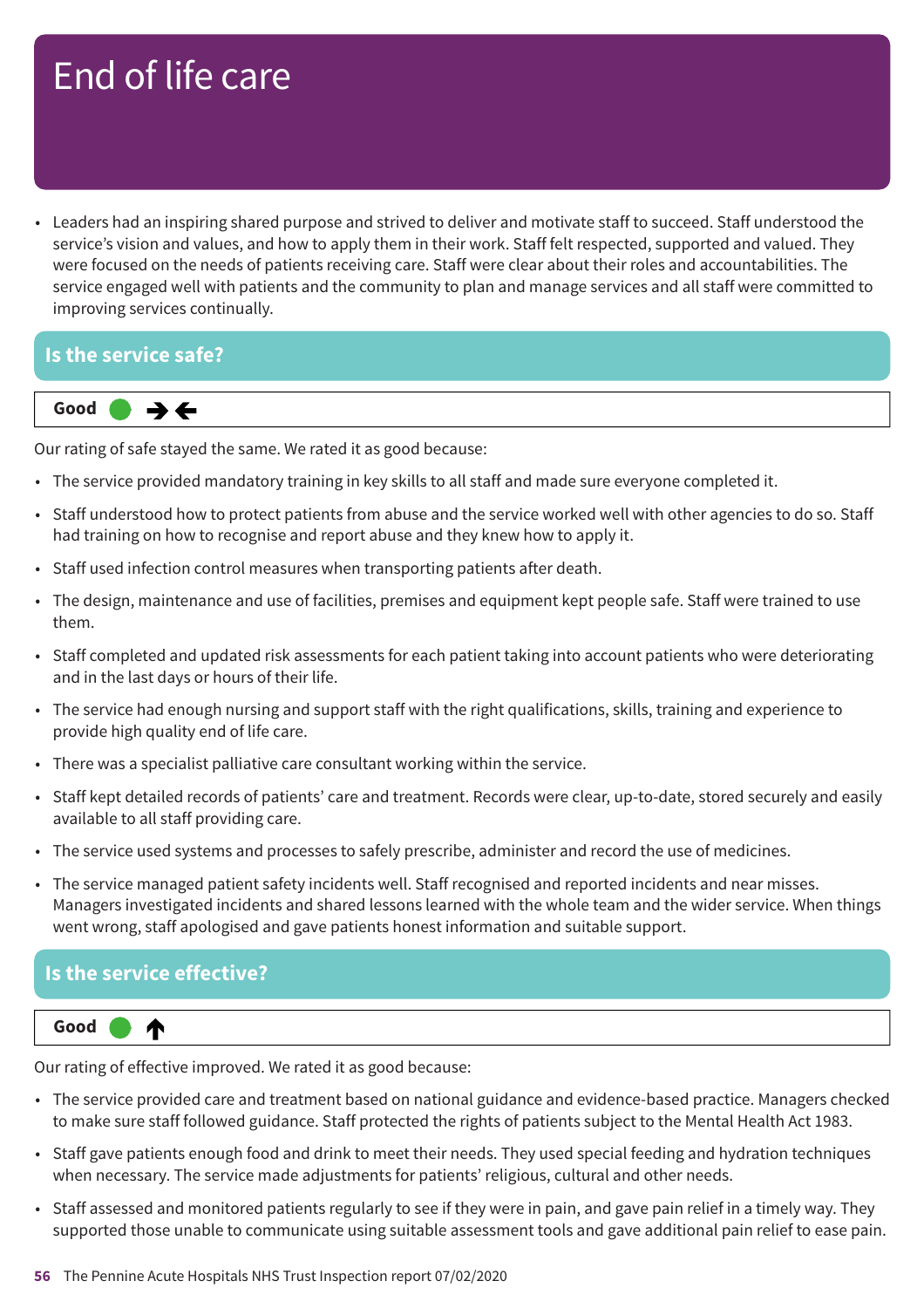• Leaders had an inspiring shared purpose and strived to deliver and motivate staff to succeed. Staff understood the service's vision and values, and how to apply them in their work. Staff felt respected, supported and valued. They were focused on the needs of patients receiving care. Staff were clear about their roles and accountabilities. The service engaged well with patients and the community to plan and manage services and all staff were committed to improving services continually.

#### **Is the service safe?**



Our rating of safe stayed the same. We rated it as good because:

- The service provided mandatory training in key skills to all staff and made sure everyone completed it.
- Staff understood how to protect patients from abuse and the service worked well with other agencies to do so. Staff had training on how to recognise and report abuse and they knew how to apply it.
- Staff used infection control measures when transporting patients after death.
- The design, maintenance and use of facilities, premises and equipment kept people safe. Staff were trained to use them.
- Staff completed and updated risk assessments for each patient taking into account patients who were deteriorating and in the last days or hours of their life.
- The service had enough nursing and support staff with the right qualifications, skills, training and experience to provide high quality end of life care.
- There was a specialist palliative care consultant working within the service.
- Staff kept detailed records of patients' care and treatment. Records were clear, up-to-date, stored securely and easily available to all staff providing care.
- The service used systems and processes to safely prescribe, administer and record the use of medicines.
- The service managed patient safety incidents well. Staff recognised and reported incidents and near misses. Managers investigated incidents and shared lessons learned with the whole team and the wider service. When things went wrong, staff apologised and gave patients honest information and suitable support.

### **Is the service effective?**



Our rating of effective improved. We rated it as good because:

- The service provided care and treatment based on national guidance and evidence-based practice. Managers checked to make sure staff followed guidance. Staff protected the rights of patients subject to the Mental Health Act 1983.
- Staff gave patients enough food and drink to meet their needs. They used special feeding and hydration techniques when necessary. The service made adjustments for patients' religious, cultural and other needs.
- Staff assessed and monitored patients regularly to see if they were in pain, and gave pain relief in a timely way. They supported those unable to communicate using suitable assessment tools and gave additional pain relief to ease pain.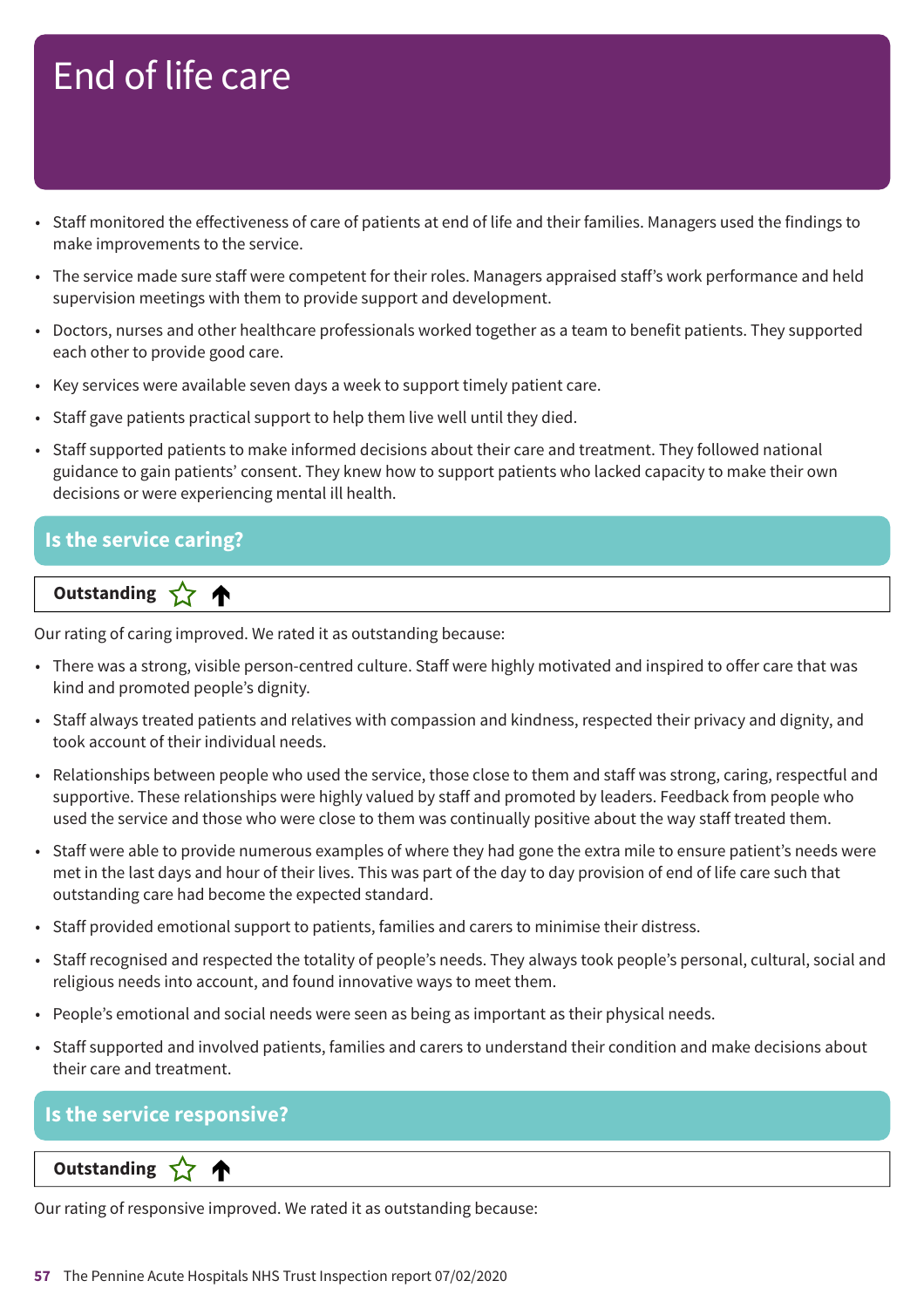- Staff monitored the effectiveness of care of patients at end of life and their families. Managers used the findings to make improvements to the service.
- The service made sure staff were competent for their roles. Managers appraised staff's work performance and held supervision meetings with them to provide support and development.
- Doctors, nurses and other healthcare professionals worked together as a team to benefit patients. They supported each other to provide good care.
- Key services were available seven days a week to support timely patient care.
- Staff gave patients practical support to help them live well until they died.
- Staff supported patients to make informed decisions about their care and treatment. They followed national guidance to gain patients' consent. They knew how to support patients who lacked capacity to make their own decisions or were experiencing mental ill health.

#### **Is the service caring?**

### **Letter Cone Extending**

Our rating of caring improved. We rated it as outstanding because:

- There was a strong, visible person-centred culture. Staff were highly motivated and inspired to offer care that was kind and promoted people's dignity.
- Staff always treated patients and relatives with compassion and kindness, respected their privacy and dignity, and took account of their individual needs.
- Relationships between people who used the service, those close to them and staff was strong, caring, respectful and supportive. These relationships were highly valued by staff and promoted by leaders. Feedback from people who used the service and those who were close to them was continually positive about the way staff treated them.
- Staff were able to provide numerous examples of where they had gone the extra mile to ensure patient's needs were met in the last days and hour of their lives. This was part of the day to day provision of end of life care such that outstanding care had become the expected standard.
- Staff provided emotional support to patients, families and carers to minimise their distress.
- Staff recognised and respected the totality of people's needs. They always took people's personal, cultural, social and religious needs into account, and found innovative ways to meet them.
- People's emotional and social needs were seen as being as important as their physical needs.
- Staff supported and involved patients, families and carers to understand their condition and make decisions about their care and treatment.

### **Is the service responsive?**

**Letter Cone Extending** 

Our rating of responsive improved. We rated it as outstanding because: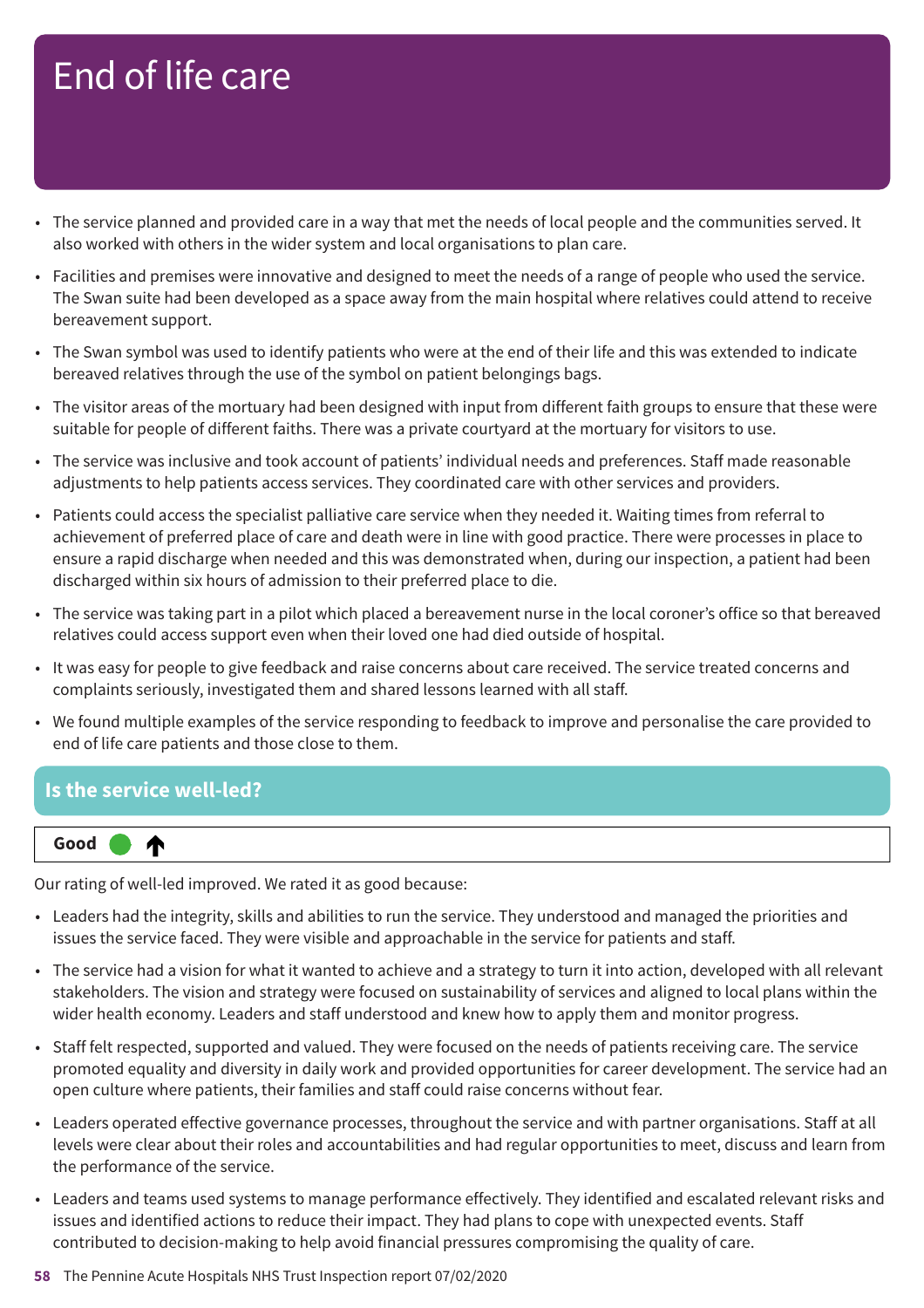- The service planned and provided care in a way that met the needs of local people and the communities served. It also worked with others in the wider system and local organisations to plan care.
- Facilities and premises were innovative and designed to meet the needs of a range of people who used the service. The Swan suite had been developed as a space away from the main hospital where relatives could attend to receive bereavement support.
- The Swan symbol was used to identify patients who were at the end of their life and this was extended to indicate bereaved relatives through the use of the symbol on patient belongings bags.
- The visitor areas of the mortuary had been designed with input from different faith groups to ensure that these were suitable for people of different faiths. There was a private courtyard at the mortuary for visitors to use.
- The service was inclusive and took account of patients' individual needs and preferences. Staff made reasonable adjustments to help patients access services. They coordinated care with other services and providers.
- Patients could access the specialist palliative care service when they needed it. Waiting times from referral to achievement of preferred place of care and death were in line with good practice. There were processes in place to ensure a rapid discharge when needed and this was demonstrated when, during our inspection, a patient had been discharged within six hours of admission to their preferred place to die.
- The service was taking part in a pilot which placed a bereavement nurse in the local coroner's office so that bereaved relatives could access support even when their loved one had died outside of hospital.
- It was easy for people to give feedback and raise concerns about care received. The service treated concerns and complaints seriously, investigated them and shared lessons learned with all staff.
- We found multiple examples of the service responding to feedback to improve and personalise the care provided to end of life care patients and those close to them.

### **Is the service well-led?**



Our rating of well-led improved. We rated it as good because:

- Leaders had the integrity, skills and abilities to run the service. They understood and managed the priorities and issues the service faced. They were visible and approachable in the service for patients and staff.
- The service had a vision for what it wanted to achieve and a strategy to turn it into action, developed with all relevant stakeholders. The vision and strategy were focused on sustainability of services and aligned to local plans within the wider health economy. Leaders and staff understood and knew how to apply them and monitor progress.
- Staff felt respected, supported and valued. They were focused on the needs of patients receiving care. The service promoted equality and diversity in daily work and provided opportunities for career development. The service had an open culture where patients, their families and staff could raise concerns without fear.
- Leaders operated effective governance processes, throughout the service and with partner organisations. Staff at all levels were clear about their roles and accountabilities and had regular opportunities to meet, discuss and learn from the performance of the service.
- Leaders and teams used systems to manage performance effectively. They identified and escalated relevant risks and issues and identified actions to reduce their impact. They had plans to cope with unexpected events. Staff contributed to decision-making to help avoid financial pressures compromising the quality of care.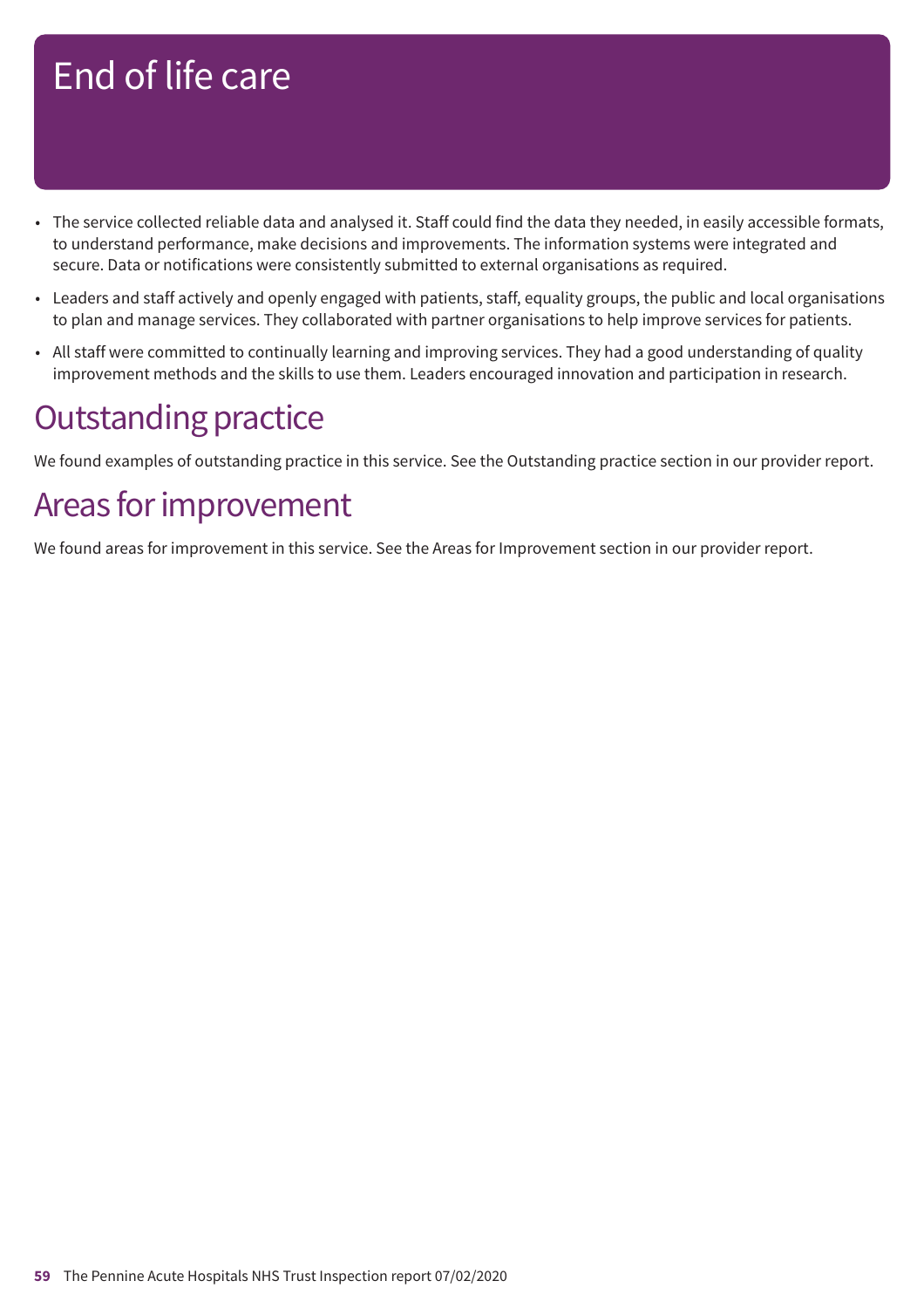- The service collected reliable data and analysed it. Staff could find the data they needed, in easily accessible formats, to understand performance, make decisions and improvements. The information systems were integrated and secure. Data or notifications were consistently submitted to external organisations as required.
- Leaders and staff actively and openly engaged with patients, staff, equality groups, the public and local organisations to plan and manage services. They collaborated with partner organisations to help improve services for patients.
- All staff were committed to continually learning and improving services. They had a good understanding of quality improvement methods and the skills to use them. Leaders encouraged innovation and participation in research.

### **Outstanding practice**

We found examples of outstanding practice in this service. See the Outstanding practice section in our provider report.

### Areas for improvement

We found areas for improvement in this service. See the Areas for Improvement section in our provider report.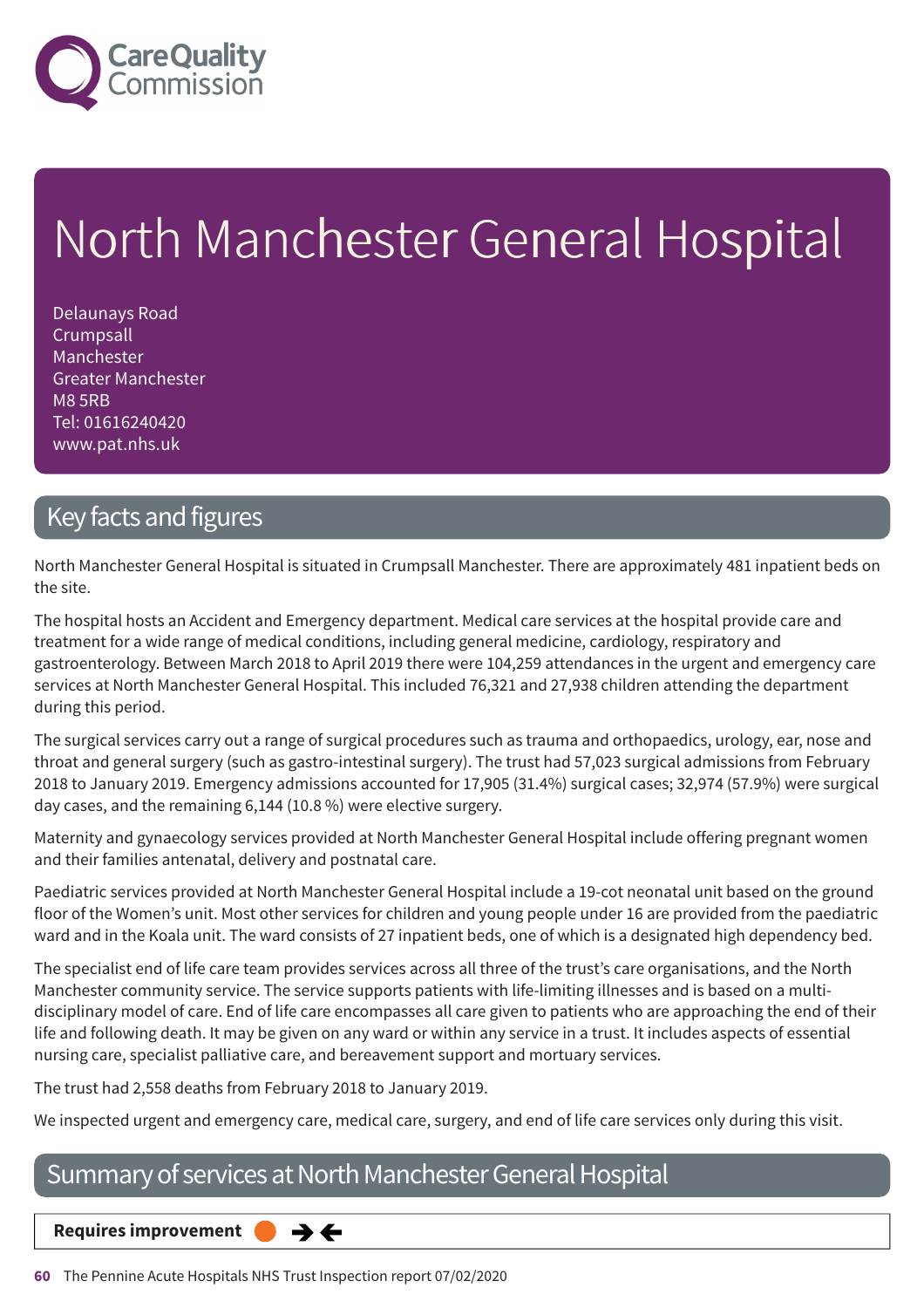

# North Manchester General Hospital

Delaunays Road **Crumpsall** Manchester Greater Manchester M8 5RB Tel: 01616240420 www.pat.nhs.uk

### Key facts and figures

North Manchester General Hospital is situated in Crumpsall Manchester. There are approximately 481 inpatient beds on the site.

The hospital hosts an Accident and Emergency department. Medical care services at the hospital provide care and treatment for a wide range of medical conditions, including general medicine, cardiology, respiratory and gastroenterology. Between March 2018 to April 2019 there were 104,259 attendances in the urgent and emergency care services at North Manchester General Hospital. This included 76,321 and 27,938 children attending the department during this period.

The surgical services carry out a range of surgical procedures such as trauma and orthopaedics, urology, ear, nose and throat and general surgery (such as gastro-intestinal surgery). The trust had 57,023 surgical admissions from February 2018 to January 2019. Emergency admissions accounted for 17,905 (31.4%) surgical cases; 32,974 (57.9%) were surgical day cases, and the remaining 6,144 (10.8 %) were elective surgery.

Maternity and gynaecology services provided at North Manchester General Hospital include offering pregnant women and their families antenatal, delivery and postnatal care.

Paediatric services provided at North Manchester General Hospital include a 19-cot neonatal unit based on the ground floor of the Women's unit. Most other services for children and young people under 16 are provided from the paediatric ward and in the Koala unit. The ward consists of 27 inpatient beds, one of which is a designated high dependency bed.

The specialist end of life care team provides services across all three of the trust's care organisations, and the North Manchester community service. The service supports patients with life-limiting illnesses and is based on a multidisciplinary model of care. End of life care encompasses all care given to patients who are approaching the end of their life and following death. It may be given on any ward or within any service in a trust. It includes aspects of essential nursing care, specialist palliative care, and bereavement support and mortuary services.

The trust had 2,558 deaths from February 2018 to January 2019.

We inspected urgent and emergency care, medical care, surgery, and end of life care services only during this visit.

### Summary of services at North Manchester General Hospital

**Requires improvement**  $\rightarrow$   $\leftarrow$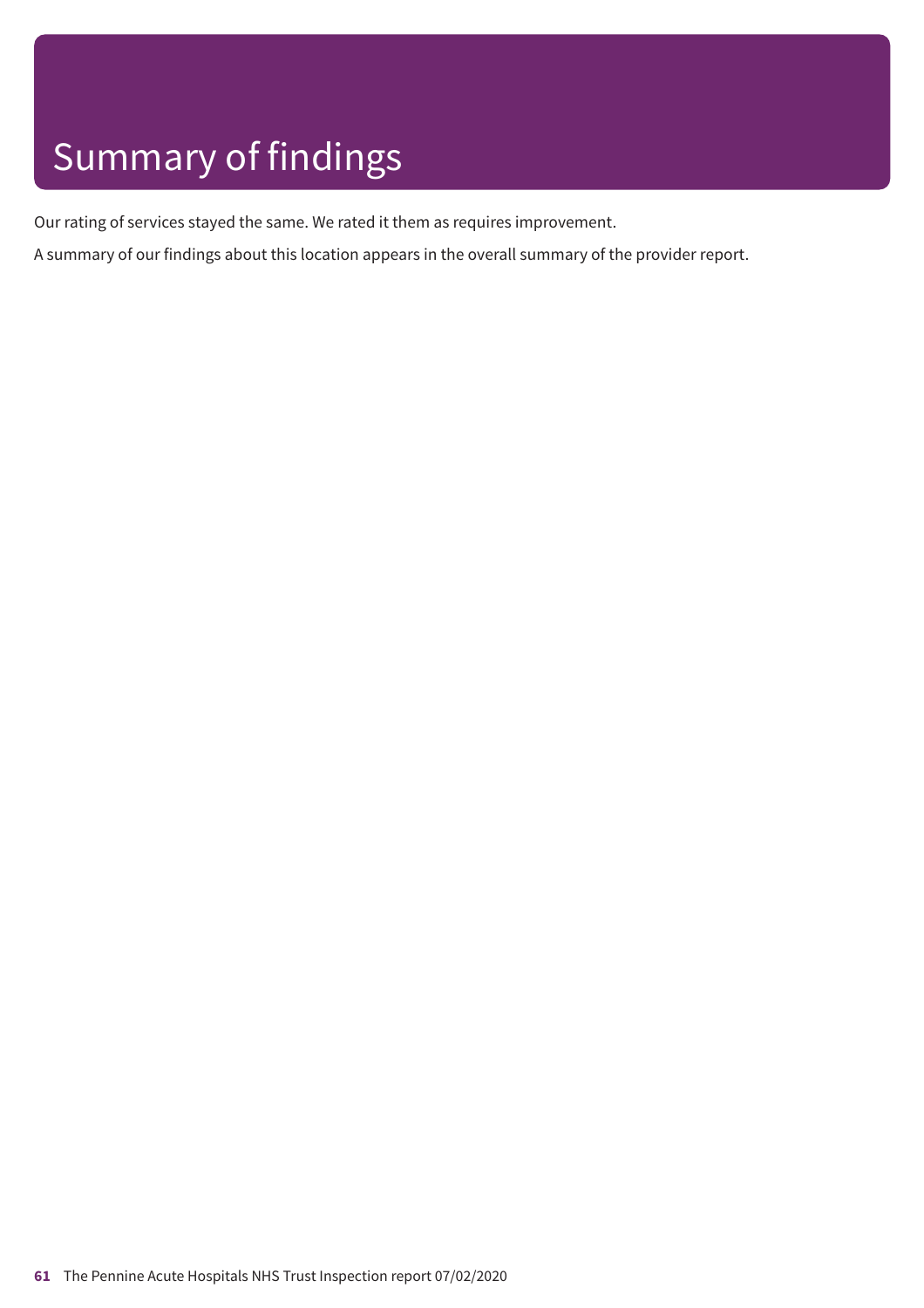# Summary of findings

Our rating of services stayed the same. We rated it them as requires improvement.

A summary of our findings about this location appears in the overall summary of the provider report.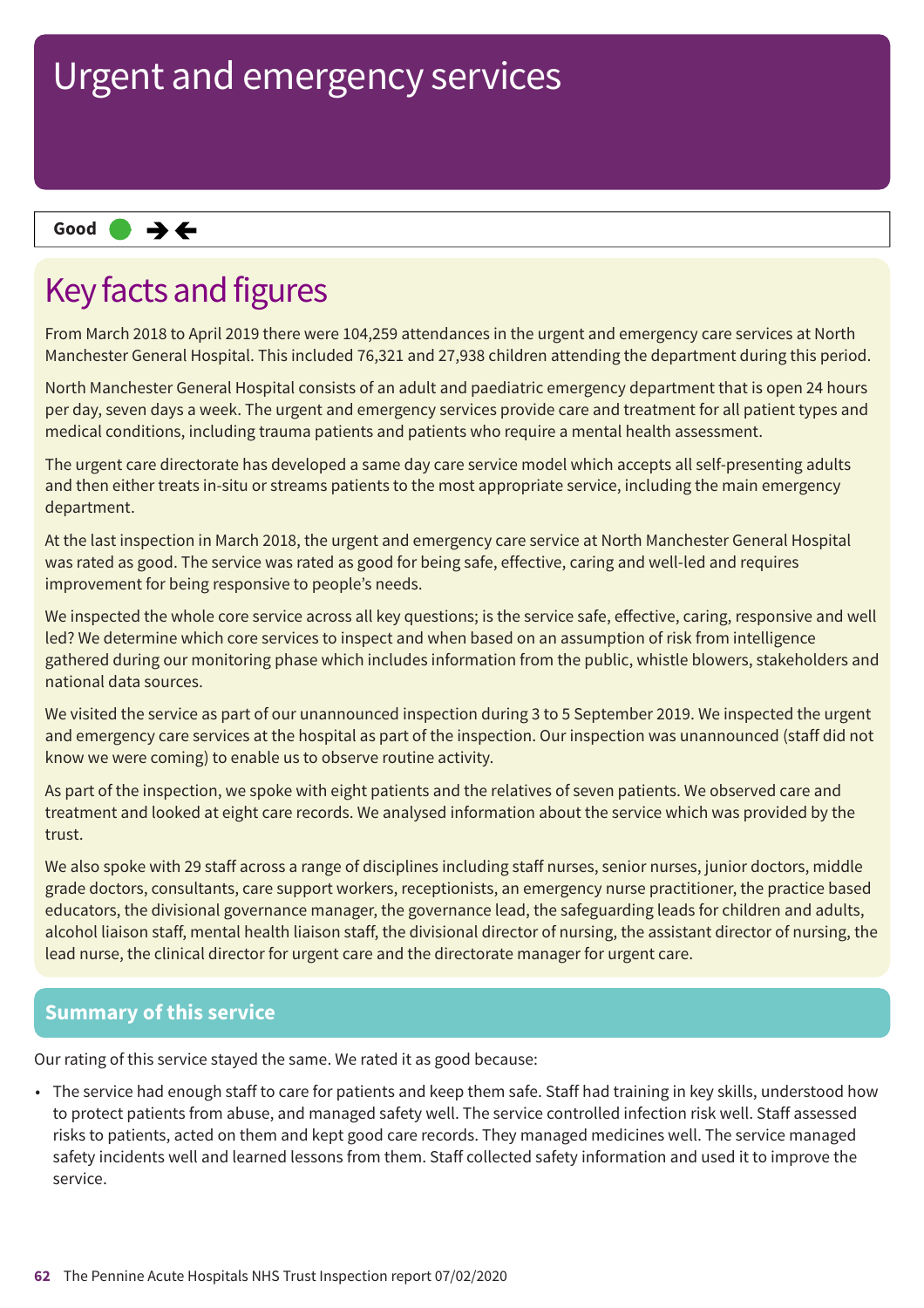#### **Same–––rating Good –––**

### Key facts and figures

From March 2018 to April 2019 there were 104,259 attendances in the urgent and emergency care services at North Manchester General Hospital. This included 76,321 and 27,938 children attending the department during this period.

North Manchester General Hospital consists of an adult and paediatric emergency department that is open 24 hours per day, seven days a week. The urgent and emergency services provide care and treatment for all patient types and medical conditions, including trauma patients and patients who require a mental health assessment.

The urgent care directorate has developed a same day care service model which accepts all self-presenting adults and then either treats in-situ or streams patients to the most appropriate service, including the main emergency department.

At the last inspection in March 2018, the urgent and emergency care service at North Manchester General Hospital was rated as good. The service was rated as good for being safe, effective, caring and well-led and requires improvement for being responsive to people's needs.

We inspected the whole core service across all key questions; is the service safe, effective, caring, responsive and well led? We determine which core services to inspect and when based on an assumption of risk from intelligence gathered during our monitoring phase which includes information from the public, whistle blowers, stakeholders and national data sources.

We visited the service as part of our unannounced inspection during 3 to 5 September 2019. We inspected the urgent and emergency care services at the hospital as part of the inspection. Our inspection was unannounced (staff did not know we were coming) to enable us to observe routine activity.

As part of the inspection, we spoke with eight patients and the relatives of seven patients. We observed care and treatment and looked at eight care records. We analysed information about the service which was provided by the trust.

We also spoke with 29 staff across a range of disciplines including staff nurses, senior nurses, junior doctors, middle grade doctors, consultants, care support workers, receptionists, an emergency nurse practitioner, the practice based educators, the divisional governance manager, the governance lead, the safeguarding leads for children and adults, alcohol liaison staff, mental health liaison staff, the divisional director of nursing, the assistant director of nursing, the lead nurse, the clinical director for urgent care and the directorate manager for urgent care.

### **Summary of this service**

Our rating of this service stayed the same. We rated it as good because:

• The service had enough staff to care for patients and keep them safe. Staff had training in key skills, understood how to protect patients from abuse, and managed safety well. The service controlled infection risk well. Staff assessed risks to patients, acted on them and kept good care records. They managed medicines well. The service managed safety incidents well and learned lessons from them. Staff collected safety information and used it to improve the service.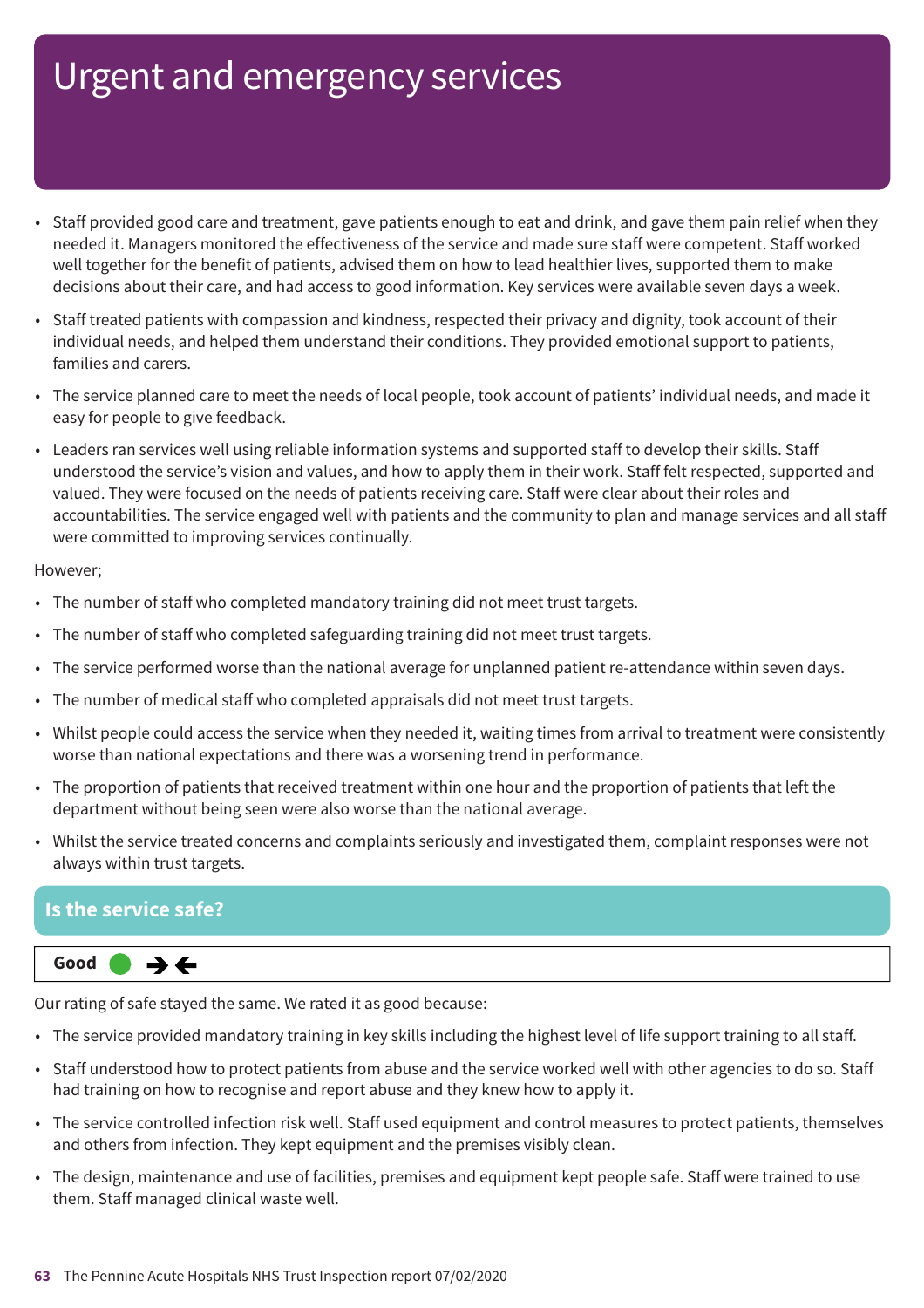- Staff provided good care and treatment, gave patients enough to eat and drink, and gave them pain relief when they needed it. Managers monitored the effectiveness of the service and made sure staff were competent. Staff worked well together for the benefit of patients, advised them on how to lead healthier lives, supported them to make decisions about their care, and had access to good information. Key services were available seven days a week.
- Staff treated patients with compassion and kindness, respected their privacy and dignity, took account of their individual needs, and helped them understand their conditions. They provided emotional support to patients, families and carers.
- The service planned care to meet the needs of local people, took account of patients' individual needs, and made it easy for people to give feedback.
- Leaders ran services well using reliable information systems and supported staff to develop their skills. Staff understood the service's vision and values, and how to apply them in their work. Staff felt respected, supported and valued. They were focused on the needs of patients receiving care. Staff were clear about their roles and accountabilities. The service engaged well with patients and the community to plan and manage services and all staff were committed to improving services continually.

#### However;

- The number of staff who completed mandatory training did not meet trust targets.
- The number of staff who completed safeguarding training did not meet trust targets.
- The service performed worse than the national average for unplanned patient re-attendance within seven days.
- The number of medical staff who completed appraisals did not meet trust targets.
- Whilst people could access the service when they needed it, waiting times from arrival to treatment were consistently worse than national expectations and there was a worsening trend in performance.
- The proportion of patients that received treatment within one hour and the proportion of patients that left the department without being seen were also worse than the national average.
- Whilst the service treated concerns and complaints seriously and investigated them, complaint responses were not always within trust targets.

### **Is the service safe?**



Our rating of safe stayed the same. We rated it as good because:

- The service provided mandatory training in key skills including the highest level of life support training to all staff.
- Staff understood how to protect patients from abuse and the service worked well with other agencies to do so. Staff had training on how to recognise and report abuse and they knew how to apply it.
- The service controlled infection risk well. Staff used equipment and control measures to protect patients, themselves and others from infection. They kept equipment and the premises visibly clean.
- The design, maintenance and use of facilities, premises and equipment kept people safe. Staff were trained to use them. Staff managed clinical waste well.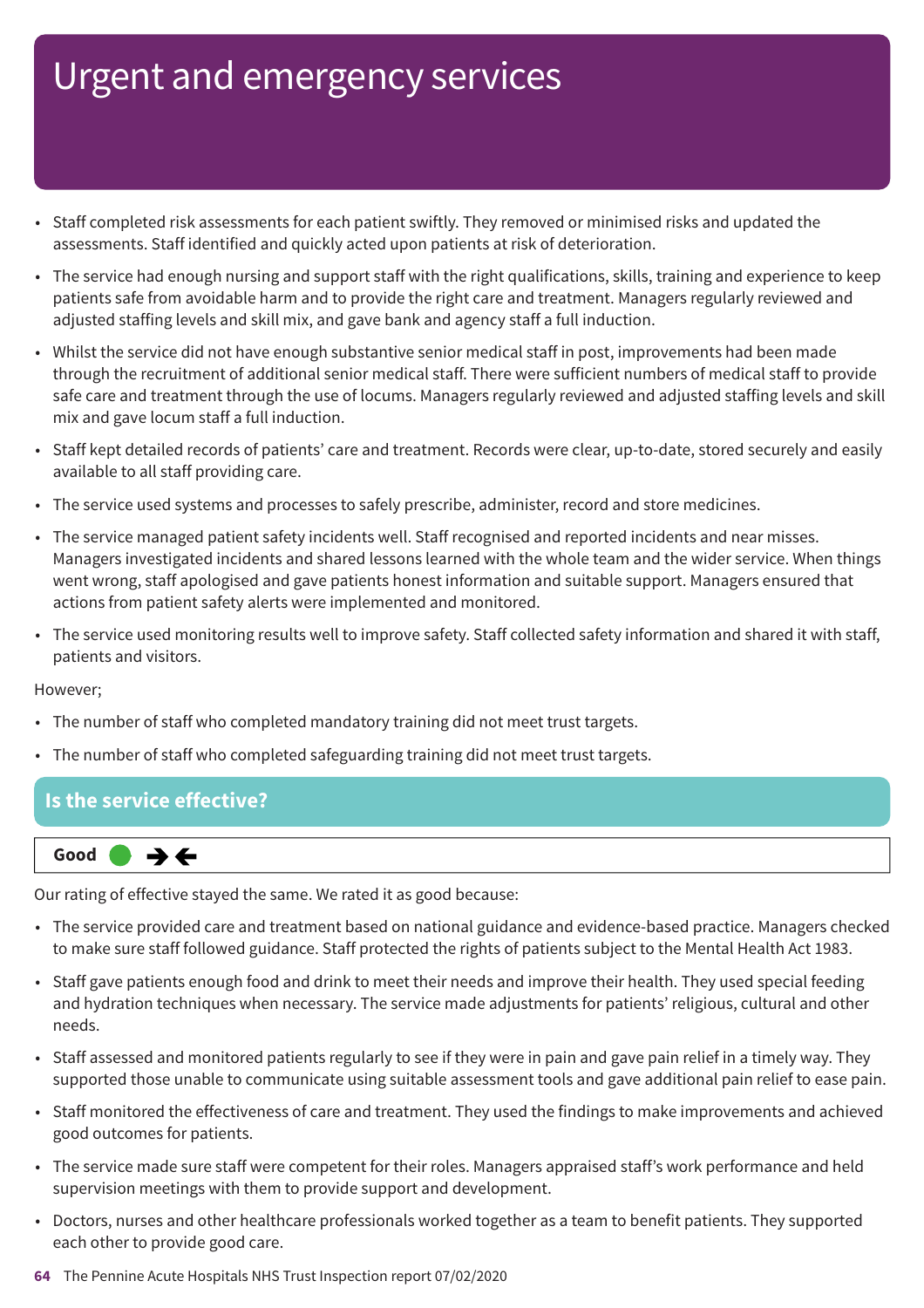- Staff completed risk assessments for each patient swiftly. They removed or minimised risks and updated the assessments. Staff identified and quickly acted upon patients at risk of deterioration.
- The service had enough nursing and support staff with the right qualifications, skills, training and experience to keep patients safe from avoidable harm and to provide the right care and treatment. Managers regularly reviewed and adjusted staffing levels and skill mix, and gave bank and agency staff a full induction.
- Whilst the service did not have enough substantive senior medical staff in post, improvements had been made through the recruitment of additional senior medical staff. There were sufficient numbers of medical staff to provide safe care and treatment through the use of locums. Managers regularly reviewed and adjusted staffing levels and skill mix and gave locum staff a full induction.
- Staff kept detailed records of patients' care and treatment. Records were clear, up-to-date, stored securely and easily available to all staff providing care.
- The service used systems and processes to safely prescribe, administer, record and store medicines.
- The service managed patient safety incidents well. Staff recognised and reported incidents and near misses. Managers investigated incidents and shared lessons learned with the whole team and the wider service. When things went wrong, staff apologised and gave patients honest information and suitable support. Managers ensured that actions from patient safety alerts were implemented and monitored.
- The service used monitoring results well to improve safety. Staff collected safety information and shared it with staff, patients and visitors.

However;

- The number of staff who completed mandatory training did not meet trust targets.
- The number of staff who completed safeguarding training did not meet trust targets.

### **Is the service effective?**



Our rating of effective stayed the same. We rated it as good because:

- The service provided care and treatment based on national guidance and evidence-based practice. Managers checked to make sure staff followed guidance. Staff protected the rights of patients subject to the Mental Health Act 1983.
- Staff gave patients enough food and drink to meet their needs and improve their health. They used special feeding and hydration techniques when necessary. The service made adjustments for patients' religious, cultural and other needs.
- Staff assessed and monitored patients regularly to see if they were in pain and gave pain relief in a timely way. They supported those unable to communicate using suitable assessment tools and gave additional pain relief to ease pain.
- Staff monitored the effectiveness of care and treatment. They used the findings to make improvements and achieved good outcomes for patients.
- The service made sure staff were competent for their roles. Managers appraised staff's work performance and held supervision meetings with them to provide support and development.
- Doctors, nurses and other healthcare professionals worked together as a team to benefit patients. They supported each other to provide good care.
- **64** The Pennine Acute Hospitals NHS Trust Inspection report 07/02/2020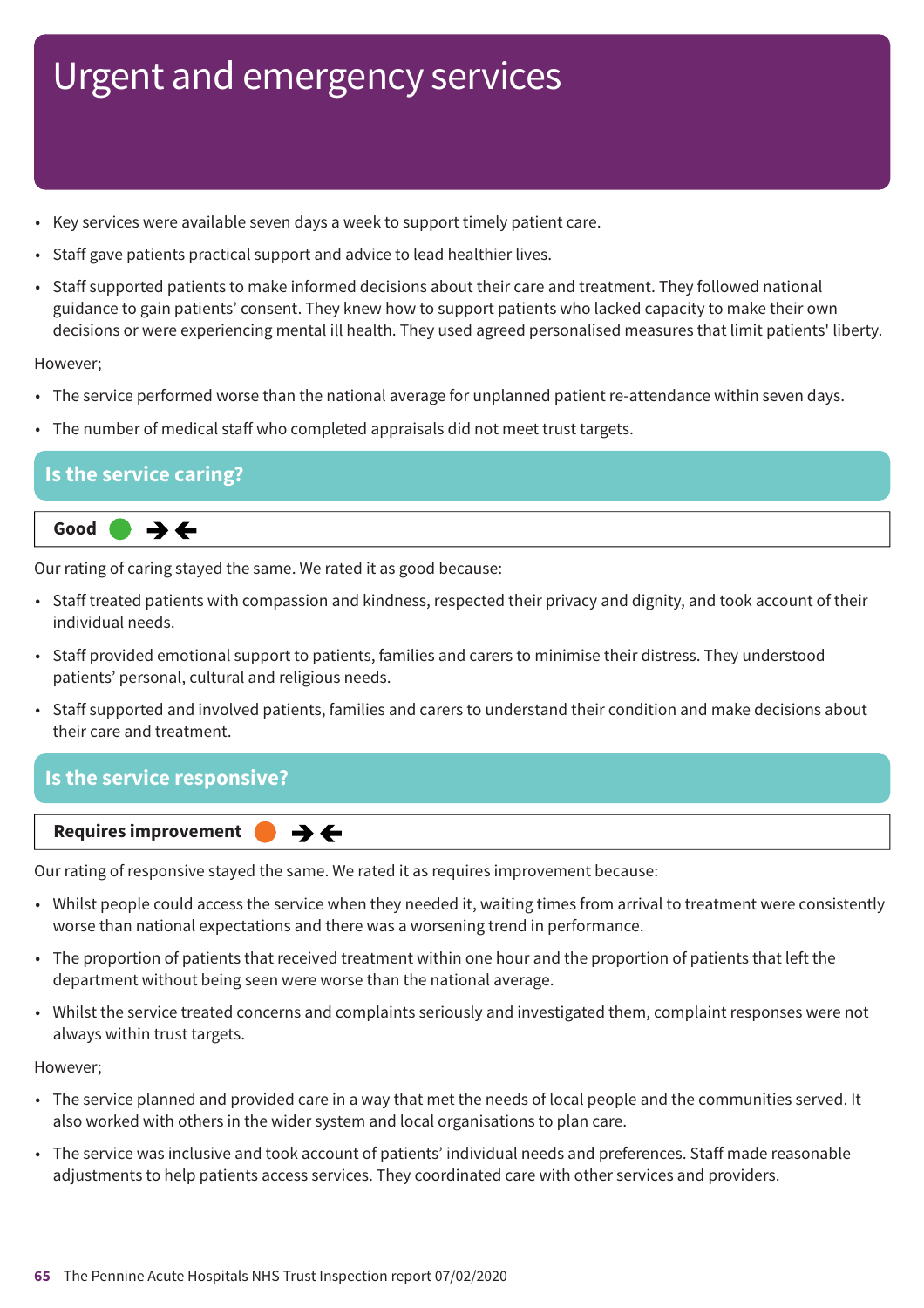- Key services were available seven days a week to support timely patient care.
- Staff gave patients practical support and advice to lead healthier lives.
- Staff supported patients to make informed decisions about their care and treatment. They followed national guidance to gain patients' consent. They knew how to support patients who lacked capacity to make their own decisions or were experiencing mental ill health. They used agreed personalised measures that limit patients' liberty.

#### However;

- The service performed worse than the national average for unplanned patient re-attendance within seven days.
- The number of medical staff who completed appraisals did not meet trust targets.

### **Is the service caring?**



Our rating of caring stayed the same. We rated it as good because:

- Staff treated patients with compassion and kindness, respected their privacy and dignity, and took account of their individual needs.
- Staff provided emotional support to patients, families and carers to minimise their distress. They understood patients' personal, cultural and religious needs.
- Staff supported and involved patients, families and carers to understand their condition and make decisions about their care and treatment.

### **Is the service responsive?**



Our rating of responsive stayed the same. We rated it as requires improvement because:

 $\rightarrow$   $\leftarrow$ 

- Whilst people could access the service when they needed it, waiting times from arrival to treatment were consistently worse than national expectations and there was a worsening trend in performance.
- The proportion of patients that received treatment within one hour and the proportion of patients that left the department without being seen were worse than the national average.
- Whilst the service treated concerns and complaints seriously and investigated them, complaint responses were not always within trust targets.

#### However;

- The service planned and provided care in a way that met the needs of local people and the communities served. It also worked with others in the wider system and local organisations to plan care.
- The service was inclusive and took account of patients' individual needs and preferences. Staff made reasonable adjustments to help patients access services. They coordinated care with other services and providers.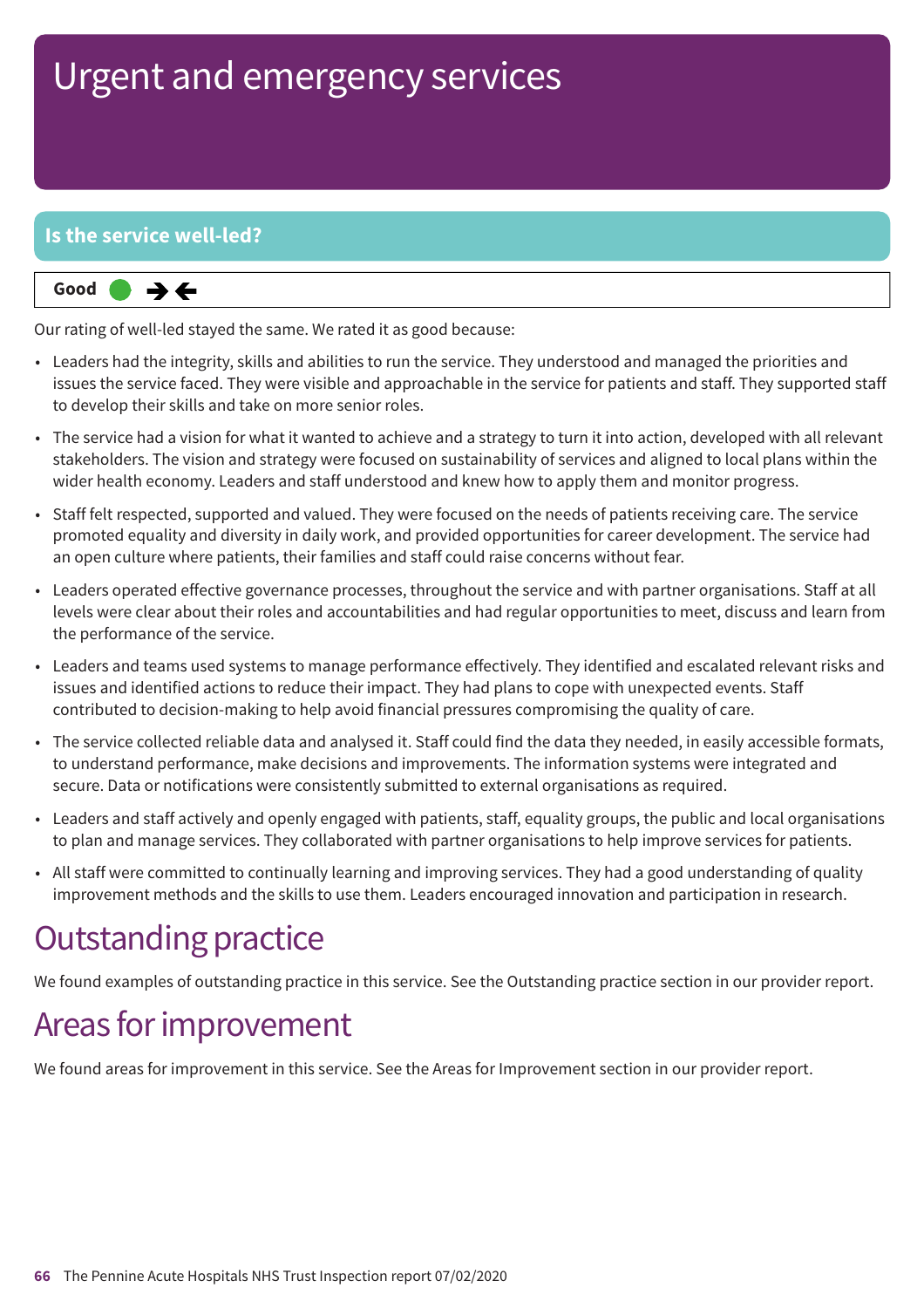### **Is the service well-led?**



Our rating of well-led stayed the same. We rated it as good because:

- Leaders had the integrity, skills and abilities to run the service. They understood and managed the priorities and issues the service faced. They were visible and approachable in the service for patients and staff. They supported staff to develop their skills and take on more senior roles.
- The service had a vision for what it wanted to achieve and a strategy to turn it into action, developed with all relevant stakeholders. The vision and strategy were focused on sustainability of services and aligned to local plans within the wider health economy. Leaders and staff understood and knew how to apply them and monitor progress.
- Staff felt respected, supported and valued. They were focused on the needs of patients receiving care. The service promoted equality and diversity in daily work, and provided opportunities for career development. The service had an open culture where patients, their families and staff could raise concerns without fear.
- Leaders operated effective governance processes, throughout the service and with partner organisations. Staff at all levels were clear about their roles and accountabilities and had regular opportunities to meet, discuss and learn from the performance of the service.
- Leaders and teams used systems to manage performance effectively. They identified and escalated relevant risks and issues and identified actions to reduce their impact. They had plans to cope with unexpected events. Staff contributed to decision-making to help avoid financial pressures compromising the quality of care.
- The service collected reliable data and analysed it. Staff could find the data they needed, in easily accessible formats, to understand performance, make decisions and improvements. The information systems were integrated and secure. Data or notifications were consistently submitted to external organisations as required.
- Leaders and staff actively and openly engaged with patients, staff, equality groups, the public and local organisations to plan and manage services. They collaborated with partner organisations to help improve services for patients.
- All staff were committed to continually learning and improving services. They had a good understanding of quality improvement methods and the skills to use them. Leaders encouraged innovation and participation in research.

### **Outstanding practice**

We found examples of outstanding practice in this service. See the Outstanding practice section in our provider report.

### Areas for improvement

We found areas for improvement in this service. See the Areas for Improvement section in our provider report.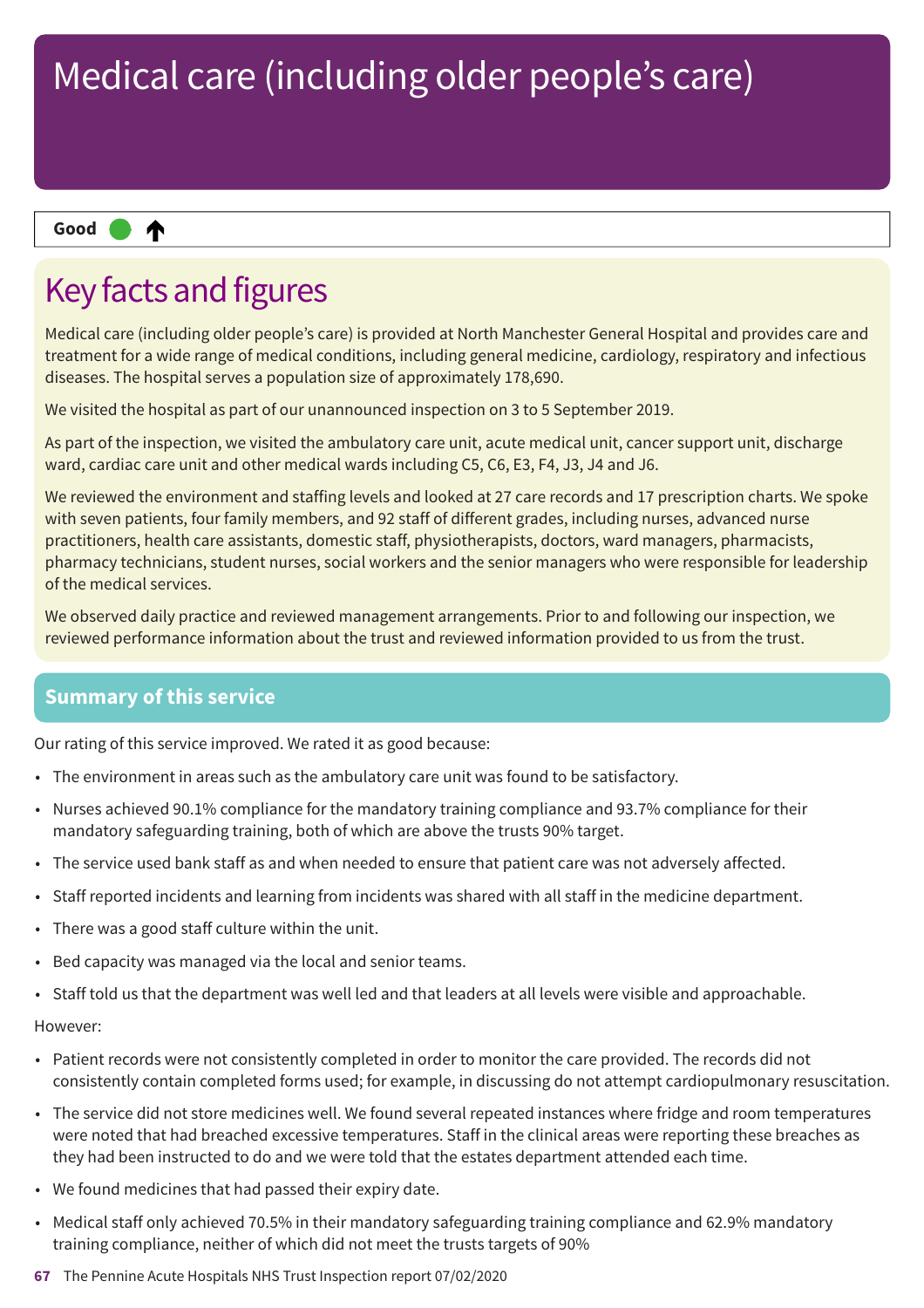#### ₼ **Up one rating Good –––**

## Key facts and figures

Medical care (including older people's care) is provided at North Manchester General Hospital and provides care and treatment for a wide range of medical conditions, including general medicine, cardiology, respiratory and infectious diseases. The hospital serves a population size of approximately 178,690.

We visited the hospital as part of our unannounced inspection on 3 to 5 September 2019.

As part of the inspection, we visited the ambulatory care unit, acute medical unit, cancer support unit, discharge ward, cardiac care unit and other medical wards including C5, C6, E3, F4, J3, J4 and J6.

We reviewed the environment and staffing levels and looked at 27 care records and 17 prescription charts. We spoke with seven patients, four family members, and 92 staff of different grades, including nurses, advanced nurse practitioners, health care assistants, domestic staff, physiotherapists, doctors, ward managers, pharmacists, pharmacy technicians, student nurses, social workers and the senior managers who were responsible for leadership of the medical services.

We observed daily practice and reviewed management arrangements. Prior to and following our inspection, we reviewed performance information about the trust and reviewed information provided to us from the trust.

### **Summary of this service**

Our rating of this service improved. We rated it as good because:

- The environment in areas such as the ambulatory care unit was found to be satisfactory.
- Nurses achieved 90.1% compliance for the mandatory training compliance and 93.7% compliance for their mandatory safeguarding training, both of which are above the trusts 90% target.
- The service used bank staff as and when needed to ensure that patient care was not adversely affected.
- Staff reported incidents and learning from incidents was shared with all staff in the medicine department.
- There was a good staff culture within the unit.
- Bed capacity was managed via the local and senior teams.
- Staff told us that the department was well led and that leaders at all levels were visible and approachable.

#### However:

- Patient records were not consistently completed in order to monitor the care provided. The records did not consistently contain completed forms used; for example, in discussing do not attempt cardiopulmonary resuscitation.
- The service did not store medicines well. We found several repeated instances where fridge and room temperatures were noted that had breached excessive temperatures. Staff in the clinical areas were reporting these breaches as they had been instructed to do and we were told that the estates department attended each time.
- We found medicines that had passed their expiry date.
- Medical staff only achieved 70.5% in their mandatory safeguarding training compliance and 62.9% mandatory training compliance, neither of which did not meet the trusts targets of 90%
- **67** The Pennine Acute Hospitals NHS Trust Inspection report 07/02/2020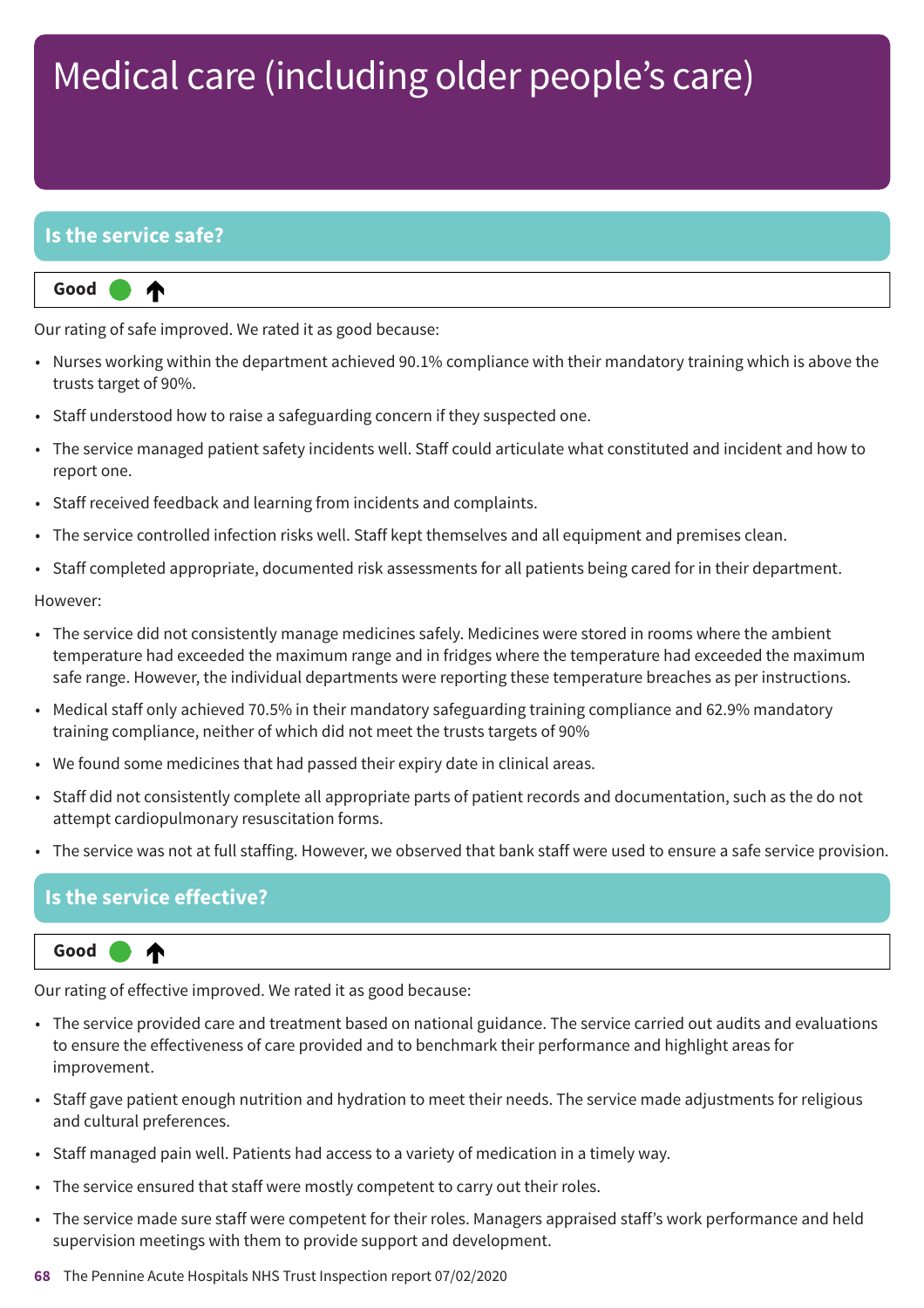### **Is the service safe?**

⋔

**Up one rating Good –––**

Our rating of safe improved. We rated it as good because:

- Nurses working within the department achieved 90.1% compliance with their mandatory training which is above the trusts target of 90%.
- Staff understood how to raise a safeguarding concern if they suspected one.
- The service managed patient safety incidents well. Staff could articulate what constituted and incident and how to report one.
- Staff received feedback and learning from incidents and complaints.
- The service controlled infection risks well. Staff kept themselves and all equipment and premises clean.
- Staff completed appropriate, documented risk assessments for all patients being cared for in their department.

#### However:

- The service did not consistently manage medicines safely. Medicines were stored in rooms where the ambient temperature had exceeded the maximum range and in fridges where the temperature had exceeded the maximum safe range. However, the individual departments were reporting these temperature breaches as per instructions.
- Medical staff only achieved 70.5% in their mandatory safeguarding training compliance and 62.9% mandatory training compliance, neither of which did not meet the trusts targets of 90%
- We found some medicines that had passed their expiry date in clinical areas.
- Staff did not consistently complete all appropriate parts of patient records and documentation, such as the do not attempt cardiopulmonary resuscitation forms.
- The service was not at full staffing. However, we observed that bank staff were used to ensure a safe service provision.

### **Is the service effective?**

⋔

#### **Up one rating Good –––**

Our rating of effective improved. We rated it as good because:

- The service provided care and treatment based on national guidance. The service carried out audits and evaluations to ensure the effectiveness of care provided and to benchmark their performance and highlight areas for improvement.
- Staff gave patient enough nutrition and hydration to meet their needs. The service made adjustments for religious and cultural preferences.
- Staff managed pain well. Patients had access to a variety of medication in a timely way.
- The service ensured that staff were mostly competent to carry out their roles.
- The service made sure staff were competent for their roles. Managers appraised staff's work performance and held supervision meetings with them to provide support and development.
- **68** The Pennine Acute Hospitals NHS Trust Inspection report 07/02/2020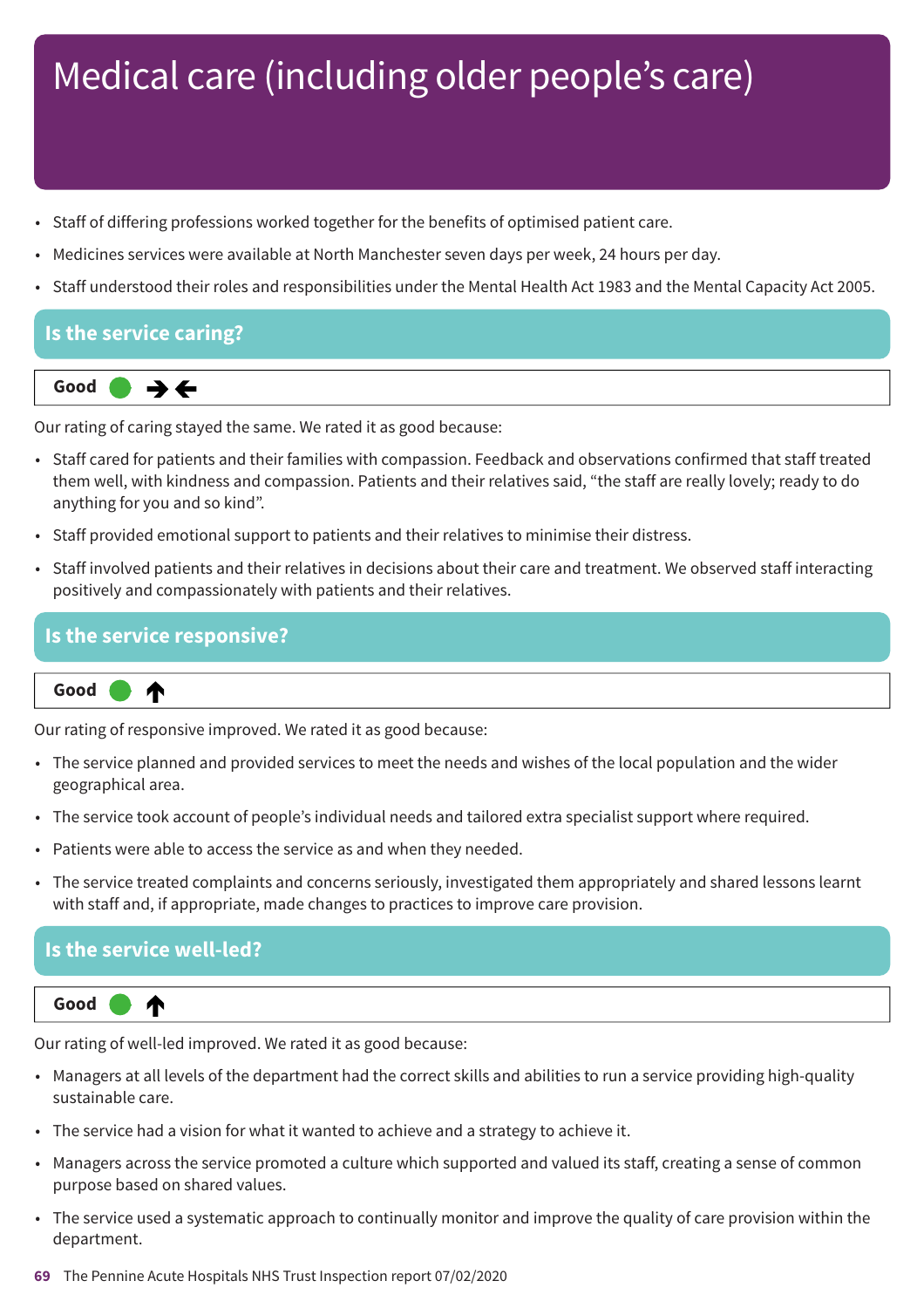- Staff of differing professions worked together for the benefits of optimised patient care.
- Medicines services were available at North Manchester seven days per week, 24 hours per day.
- Staff understood their roles and responsibilities under the Mental Health Act 1983 and the Mental Capacity Act 2005.

### **Is the service caring?**



Our rating of caring stayed the same. We rated it as good because:

- Staff cared for patients and their families with compassion. Feedback and observations confirmed that staff treated them well, with kindness and compassion. Patients and their relatives said, "the staff are really lovely; ready to do anything for you and so kind".
- Staff provided emotional support to patients and their relatives to minimise their distress.
- Staff involved patients and their relatives in decisions about their care and treatment. We observed staff interacting positively and compassionately with patients and their relatives.

#### **Is the service responsive?**

₳ **Up one rating Good –––**

Our rating of responsive improved. We rated it as good because:

- The service planned and provided services to meet the needs and wishes of the local population and the wider geographical area.
- The service took account of people's individual needs and tailored extra specialist support where required.
- Patients were able to access the service as and when they needed.
- The service treated complaints and concerns seriously, investigated them appropriately and shared lessons learnt with staff and, if appropriate, made changes to practices to improve care provision.

### **Is the service well-led?**



Our rating of well-led improved. We rated it as good because:

- Managers at all levels of the department had the correct skills and abilities to run a service providing high-quality sustainable care.
- The service had a vision for what it wanted to achieve and a strategy to achieve it.
- Managers across the service promoted a culture which supported and valued its staff, creating a sense of common purpose based on shared values.
- The service used a systematic approach to continually monitor and improve the quality of care provision within the department.
- **69** The Pennine Acute Hospitals NHS Trust Inspection report 07/02/2020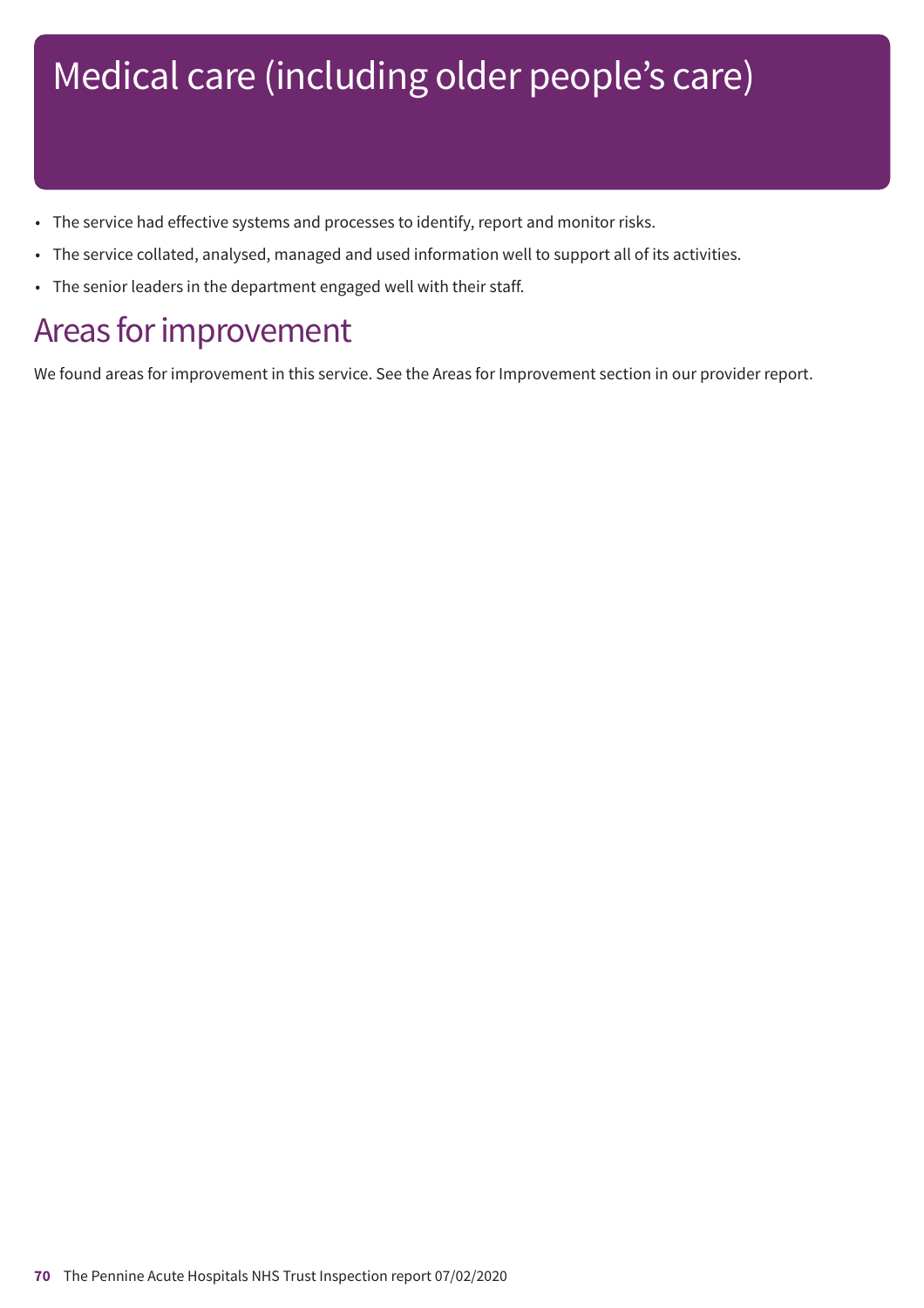- The service had effective systems and processes to identify, report and monitor risks.
- The service collated, analysed, managed and used information well to support all of its activities.
- The senior leaders in the department engaged well with their staff.

### Areas for improvement

We found areas for improvement in this service. See the Areas for Improvement section in our provider report.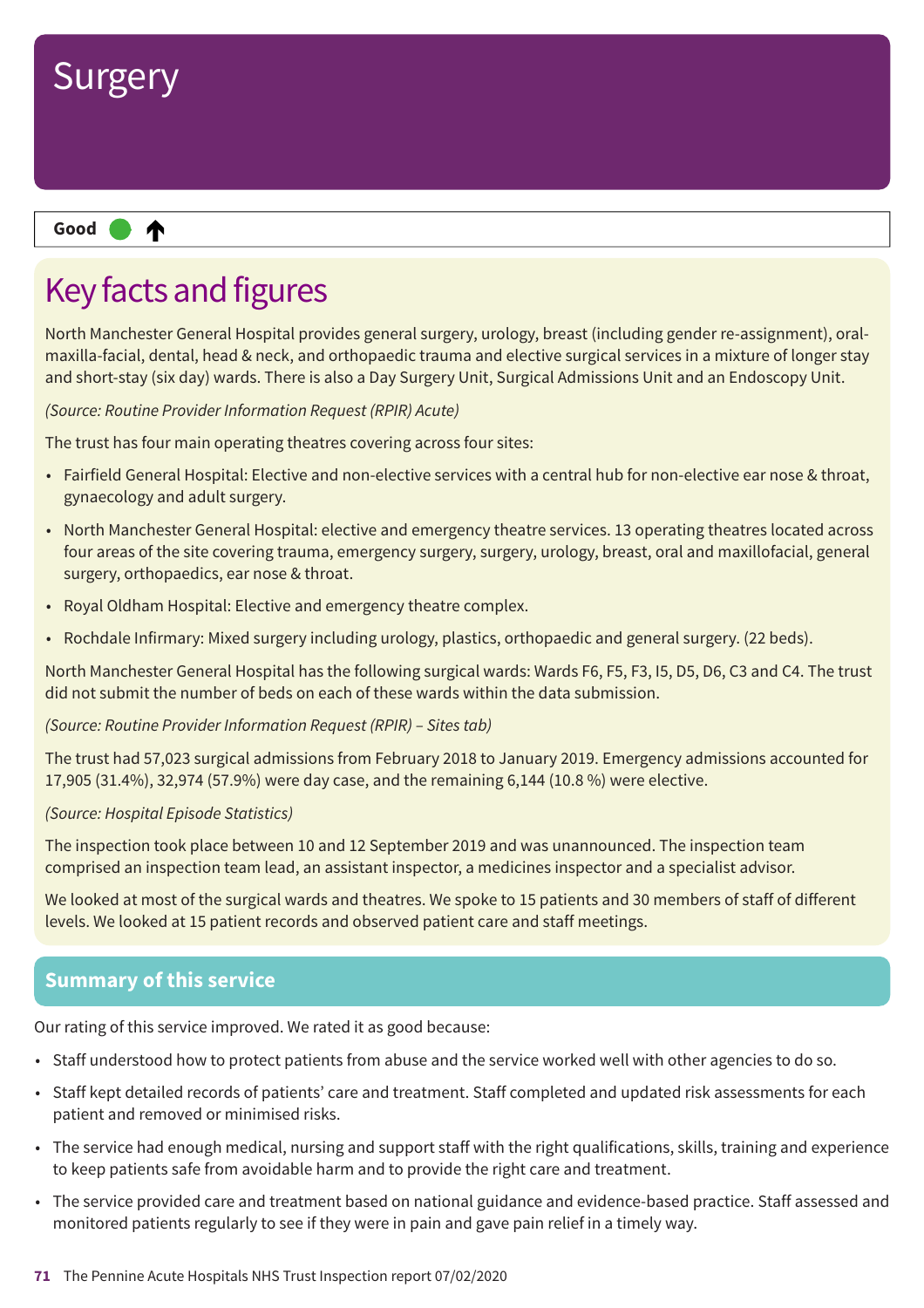

## Key facts and figures

North Manchester General Hospital provides general surgery, urology, breast (including gender re-assignment), oralmaxilla-facial, dental, head & neck, and orthopaedic trauma and elective surgical services in a mixture of longer stay and short-stay (six day) wards. There is also a Day Surgery Unit, Surgical Admissions Unit and an Endoscopy Unit.

*(Source: Routine Provider Information Request (RPIR) Acute)*

The trust has four main operating theatres covering across four sites:

- Fairfield General Hospital: Elective and non-elective services with a central hub for non-elective ear nose & throat, gynaecology and adult surgery.
- North Manchester General Hospital: elective and emergency theatre services. 13 operating theatres located across four areas of the site covering trauma, emergency surgery, surgery, urology, breast, oral and maxillofacial, general surgery, orthopaedics, ear nose & throat.
- Royal Oldham Hospital: Elective and emergency theatre complex.
- Rochdale Infirmary: Mixed surgery including urology, plastics, orthopaedic and general surgery. (22 beds).

North Manchester General Hospital has the following surgical wards: Wards F6, F5, F3, I5, D5, D6, C3 and C4. The trust did not submit the number of beds on each of these wards within the data submission.

*(Source: Routine Provider Information Request (RPIR) – Sites tab)*

The trust had 57,023 surgical admissions from February 2018 to January 2019. Emergency admissions accounted for 17,905 (31.4%), 32,974 (57.9%) were day case, and the remaining 6,144 (10.8 %) were elective.

#### *(Source: Hospital Episode Statistics)*

The inspection took place between 10 and 12 September 2019 and was unannounced. The inspection team comprised an inspection team lead, an assistant inspector, a medicines inspector and a specialist advisor.

We looked at most of the surgical wards and theatres. We spoke to 15 patients and 30 members of staff of different levels. We looked at 15 patient records and observed patient care and staff meetings.

### **Summary of this service**

Our rating of this service improved. We rated it as good because:

- Staff understood how to protect patients from abuse and the service worked well with other agencies to do so.
- Staff kept detailed records of patients' care and treatment. Staff completed and updated risk assessments for each patient and removed or minimised risks.
- The service had enough medical, nursing and support staff with the right qualifications, skills, training and experience to keep patients safe from avoidable harm and to provide the right care and treatment.
- The service provided care and treatment based on national guidance and evidence-based practice. Staff assessed and monitored patients regularly to see if they were in pain and gave pain relief in a timely way.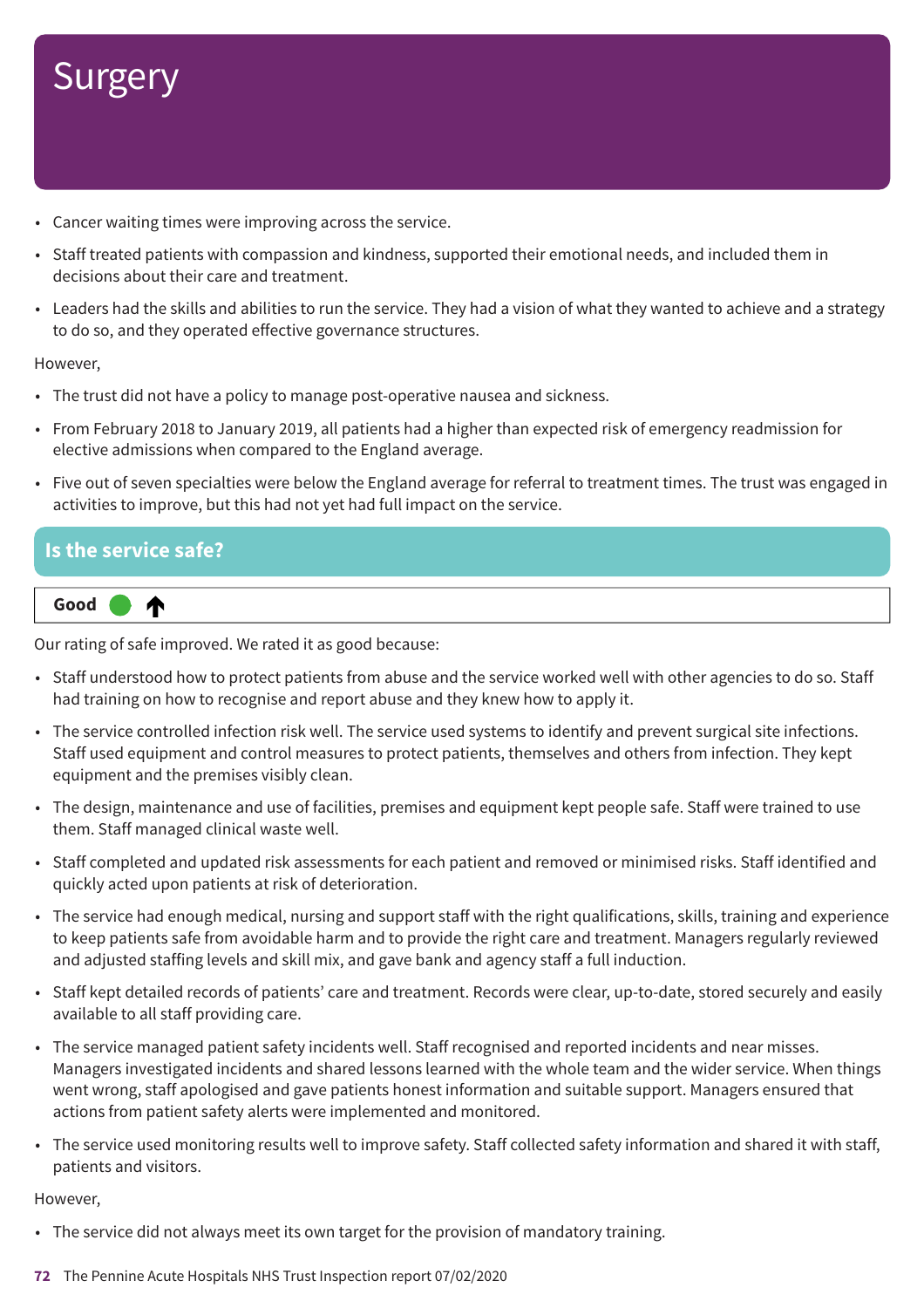- Cancer waiting times were improving across the service.
- Staff treated patients with compassion and kindness, supported their emotional needs, and included them in decisions about their care and treatment.
- Leaders had the skills and abilities to run the service. They had a vision of what they wanted to achieve and a strategy to do so, and they operated effective governance structures.

However,

- The trust did not have a policy to manage post-operative nausea and sickness.
- From February 2018 to January 2019, all patients had a higher than expected risk of emergency readmission for elective admissions when compared to the England average.
- Five out of seven specialties were below the England average for referral to treatment times. The trust was engaged in activities to improve, but this had not yet had full impact on the service.

### **Is the service safe?**



Our rating of safe improved. We rated it as good because:

- Staff understood how to protect patients from abuse and the service worked well with other agencies to do so. Staff had training on how to recognise and report abuse and they knew how to apply it.
- The service controlled infection risk well. The service used systems to identify and prevent surgical site infections. Staff used equipment and control measures to protect patients, themselves and others from infection. They kept equipment and the premises visibly clean.
- The design, maintenance and use of facilities, premises and equipment kept people safe. Staff were trained to use them. Staff managed clinical waste well.
- Staff completed and updated risk assessments for each patient and removed or minimised risks. Staff identified and quickly acted upon patients at risk of deterioration.
- The service had enough medical, nursing and support staff with the right qualifications, skills, training and experience to keep patients safe from avoidable harm and to provide the right care and treatment. Managers regularly reviewed and adjusted staffing levels and skill mix, and gave bank and agency staff a full induction.
- Staff kept detailed records of patients' care and treatment. Records were clear, up-to-date, stored securely and easily available to all staff providing care.
- The service managed patient safety incidents well. Staff recognised and reported incidents and near misses. Managers investigated incidents and shared lessons learned with the whole team and the wider service. When things went wrong, staff apologised and gave patients honest information and suitable support. Managers ensured that actions from patient safety alerts were implemented and monitored.
- The service used monitoring results well to improve safety. Staff collected safety information and shared it with staff, patients and visitors.

- The service did not always meet its own target for the provision of mandatory training.
- **72** The Pennine Acute Hospitals NHS Trust Inspection report 07/02/2020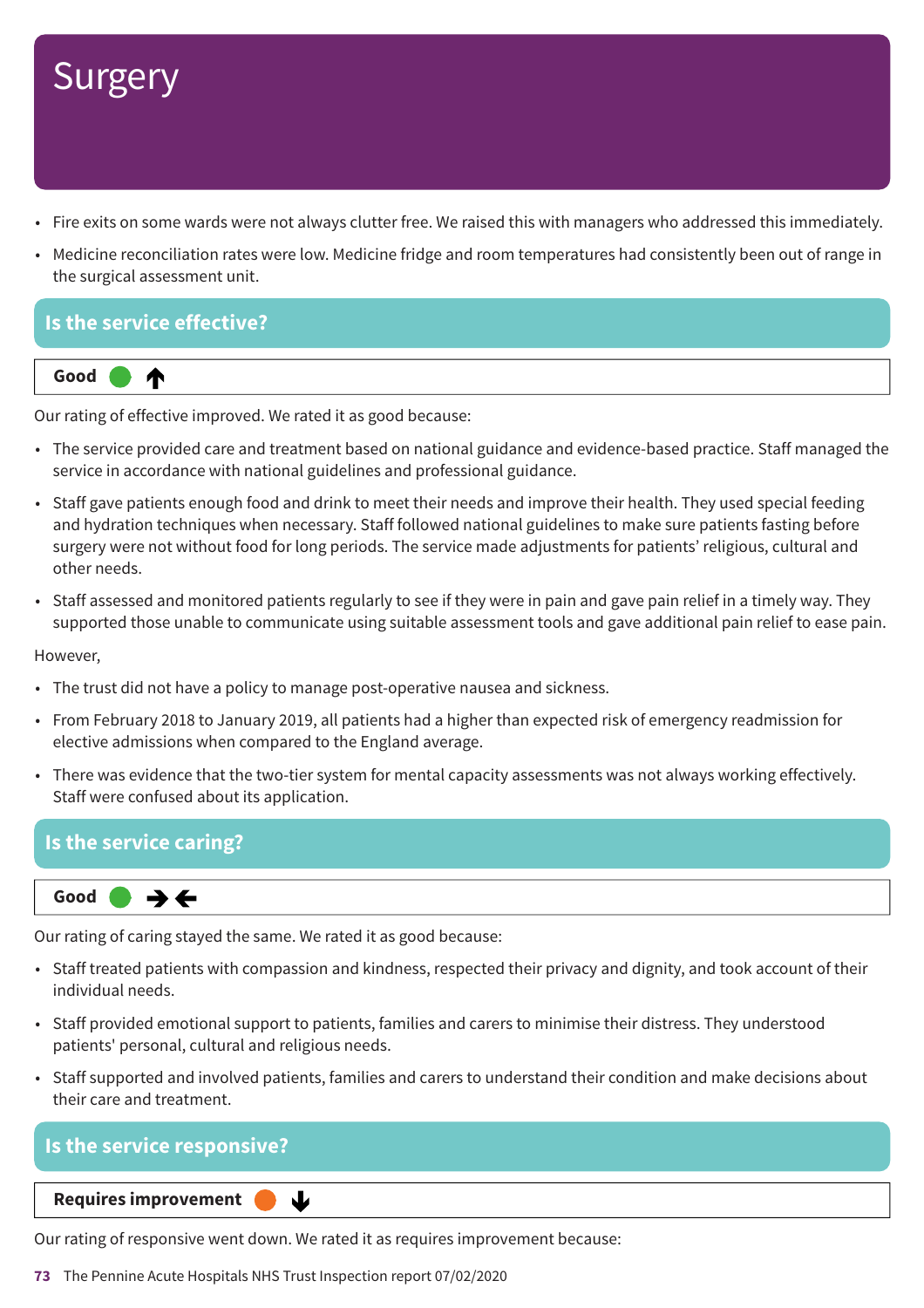## **Surgery**

- Fire exits on some wards were not always clutter free. We raised this with managers who addressed this immediately.
- Medicine reconciliation rates were low. Medicine fridge and room temperatures had consistently been out of range in the surgical assessment unit.

#### **Is the service effective?**

⋔



Our rating of effective improved. We rated it as good because:

- The service provided care and treatment based on national guidance and evidence-based practice. Staff managed the service in accordance with national guidelines and professional guidance.
- Staff gave patients enough food and drink to meet their needs and improve their health. They used special feeding and hydration techniques when necessary. Staff followed national guidelines to make sure patients fasting before surgery were not without food for long periods. The service made adjustments for patients' religious, cultural and other needs.
- Staff assessed and monitored patients regularly to see if they were in pain and gave pain relief in a timely way. They supported those unable to communicate using suitable assessment tools and gave additional pain relief to ease pain.

However,

- The trust did not have a policy to manage post-operative nausea and sickness.
- From February 2018 to January 2019, all patients had a higher than expected risk of emergency readmission for elective admissions when compared to the England average.
- There was evidence that the two-tier system for mental capacity assessments was not always working effectively. Staff were confused about its application.

#### **Is the service caring?**



Our rating of caring stayed the same. We rated it as good because:

- Staff treated patients with compassion and kindness, respected their privacy and dignity, and took account of their individual needs.
- Staff provided emotional support to patients, families and carers to minimise their distress. They understood patients' personal, cultural and religious needs.
- Staff supported and involved patients, families and carers to understand their condition and make decisions about their care and treatment.

#### **Is the service responsive?**

**Downloaf Bouldings Requires improvement** 

Our rating of responsive went down. We rated it as requires improvement because:

 $\mathbf{L}$ 

**73** The Pennine Acute Hospitals NHS Trust Inspection report 07/02/2020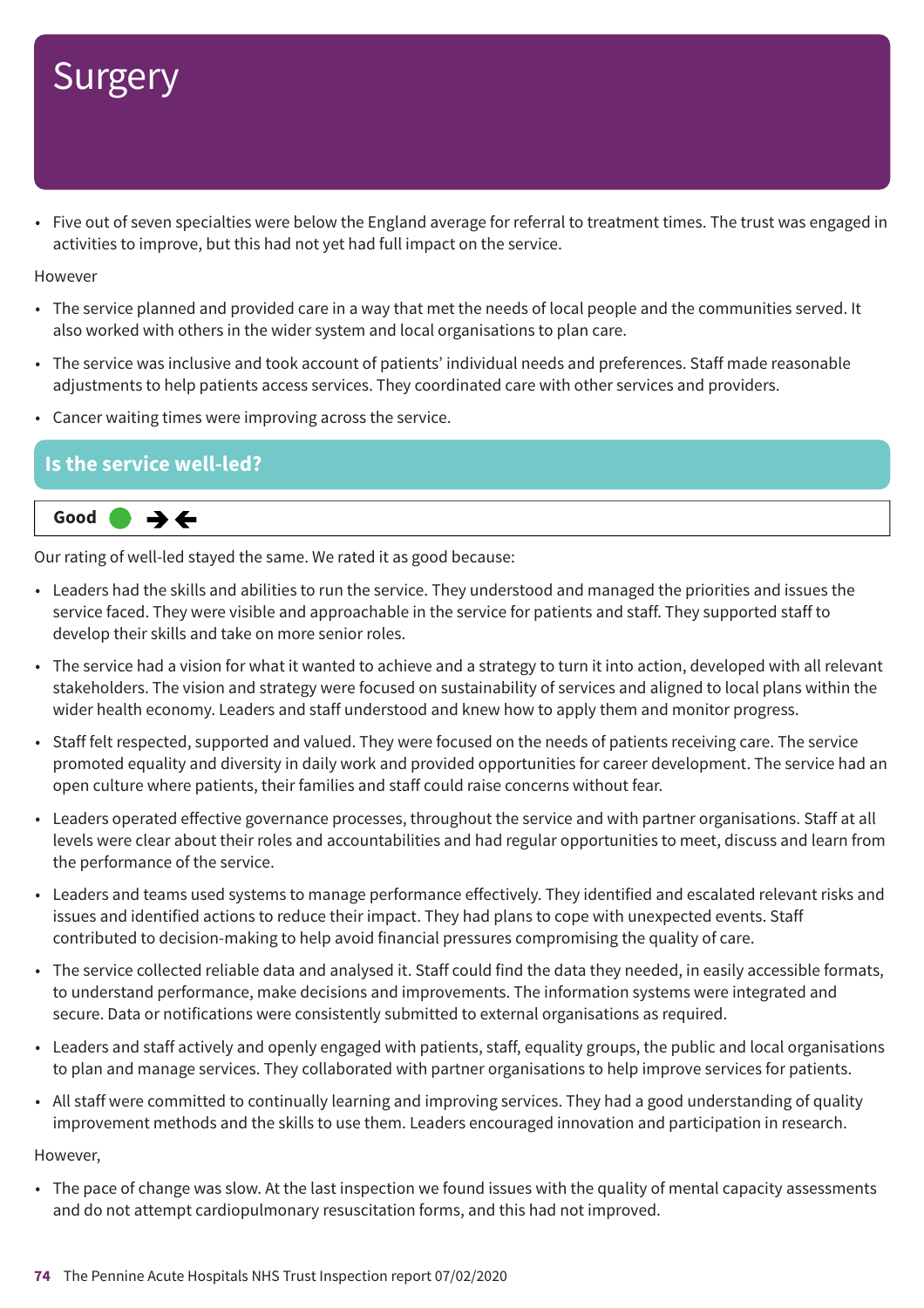## Surgery

• Five out of seven specialties were below the England average for referral to treatment times. The trust was engaged in activities to improve, but this had not yet had full impact on the service.

**However** 

- The service planned and provided care in a way that met the needs of local people and the communities served. It also worked with others in the wider system and local organisations to plan care.
- The service was inclusive and took account of patients' individual needs and preferences. Staff made reasonable adjustments to help patients access services. They coordinated care with other services and providers.
- Cancer waiting times were improving across the service.

#### **Is the service well-led?**



Our rating of well-led stayed the same. We rated it as good because:

- Leaders had the skills and abilities to run the service. They understood and managed the priorities and issues the service faced. They were visible and approachable in the service for patients and staff. They supported staff to develop their skills and take on more senior roles.
- The service had a vision for what it wanted to achieve and a strategy to turn it into action, developed with all relevant stakeholders. The vision and strategy were focused on sustainability of services and aligned to local plans within the wider health economy. Leaders and staff understood and knew how to apply them and monitor progress.
- Staff felt respected, supported and valued. They were focused on the needs of patients receiving care. The service promoted equality and diversity in daily work and provided opportunities for career development. The service had an open culture where patients, their families and staff could raise concerns without fear.
- Leaders operated effective governance processes, throughout the service and with partner organisations. Staff at all levels were clear about their roles and accountabilities and had regular opportunities to meet, discuss and learn from the performance of the service.
- Leaders and teams used systems to manage performance effectively. They identified and escalated relevant risks and issues and identified actions to reduce their impact. They had plans to cope with unexpected events. Staff contributed to decision-making to help avoid financial pressures compromising the quality of care.
- The service collected reliable data and analysed it. Staff could find the data they needed, in easily accessible formats, to understand performance, make decisions and improvements. The information systems were integrated and secure. Data or notifications were consistently submitted to external organisations as required.
- Leaders and staff actively and openly engaged with patients, staff, equality groups, the public and local organisations to plan and manage services. They collaborated with partner organisations to help improve services for patients.
- All staff were committed to continually learning and improving services. They had a good understanding of quality improvement methods and the skills to use them. Leaders encouraged innovation and participation in research.

#### However,

• The pace of change was slow. At the last inspection we found issues with the quality of mental capacity assessments and do not attempt cardiopulmonary resuscitation forms, and this had not improved.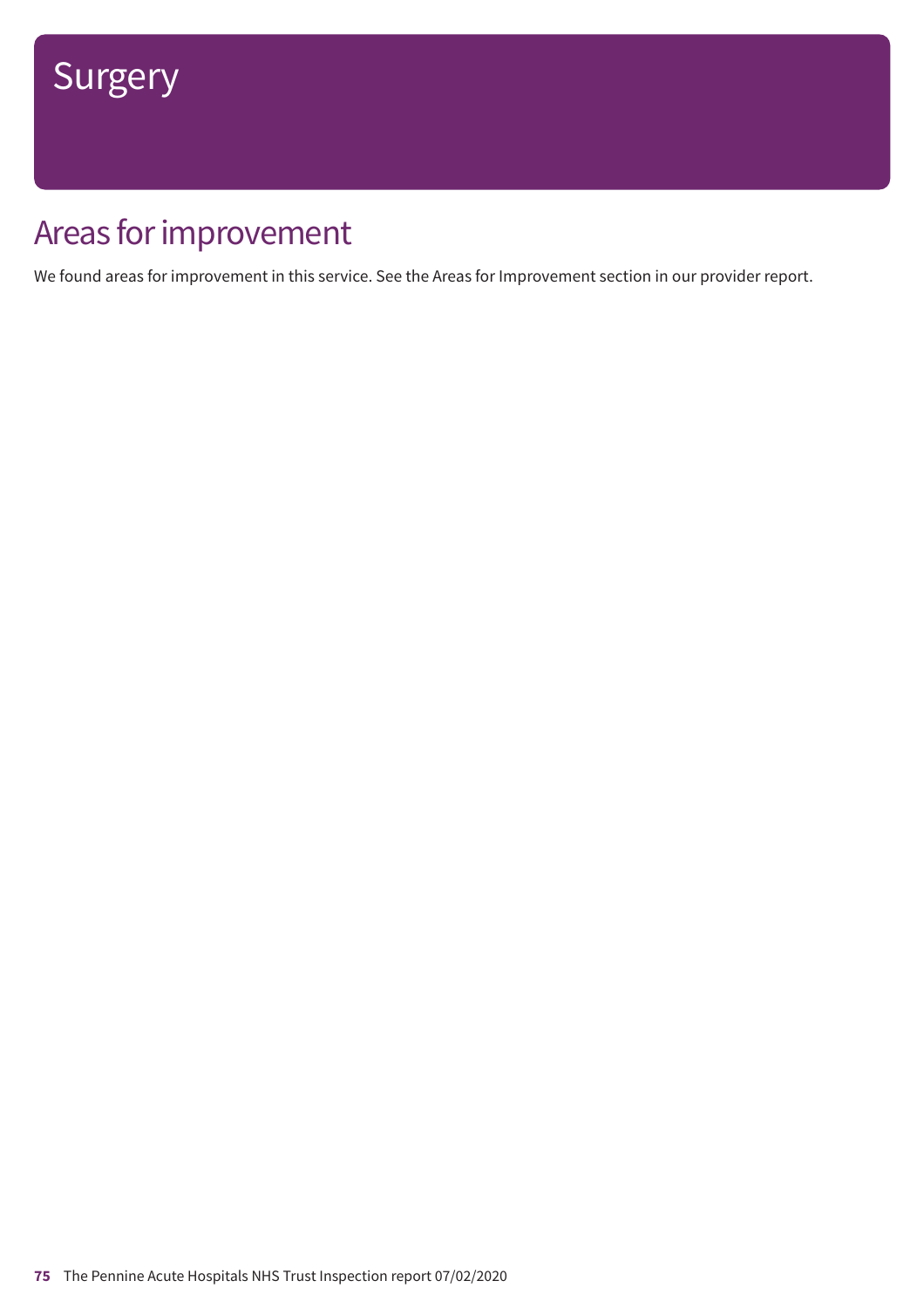### Areas for improvement

We found areas for improvement in this service. See the Areas for Improvement section in our provider report.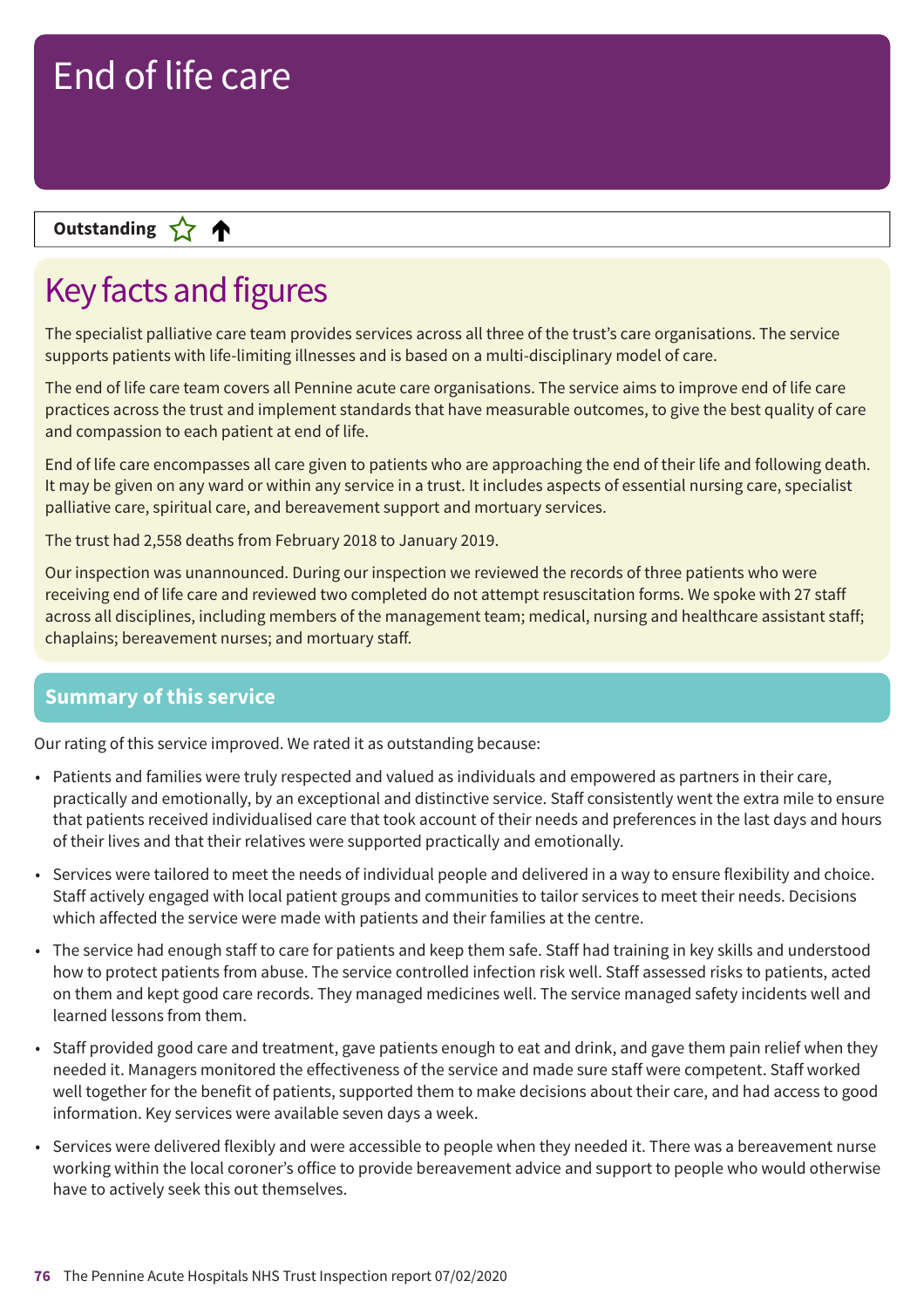### **Letter Cone Extending**

### Key facts and figures

The specialist palliative care team provides services across all three of the trust's care organisations. The service supports patients with life-limiting illnesses and is based on a multi-disciplinary model of care.

The end of life care team covers all Pennine acute care organisations. The service aims to improve end of life care practices across the trust and implement standards that have measurable outcomes, to give the best quality of care and compassion to each patient at end of life.

End of life care encompasses all care given to patients who are approaching the end of their life and following death. It may be given on any ward or within any service in a trust. It includes aspects of essential nursing care, specialist palliative care, spiritual care, and bereavement support and mortuary services.

The trust had 2,558 deaths from February 2018 to January 2019.

Our inspection was unannounced. During our inspection we reviewed the records of three patients who were receiving end of life care and reviewed two completed do not attempt resuscitation forms. We spoke with 27 staff across all disciplines, including members of the management team; medical, nursing and healthcare assistant staff; chaplains; bereavement nurses; and mortuary staff.

#### **Summary of this service**

Our rating of this service improved. We rated it as outstanding because:

- Patients and families were truly respected and valued as individuals and empowered as partners in their care, practically and emotionally, by an exceptional and distinctive service. Staff consistently went the extra mile to ensure that patients received individualised care that took account of their needs and preferences in the last days and hours of their lives and that their relatives were supported practically and emotionally.
- Services were tailored to meet the needs of individual people and delivered in a way to ensure flexibility and choice. Staff actively engaged with local patient groups and communities to tailor services to meet their needs. Decisions which affected the service were made with patients and their families at the centre.
- The service had enough staff to care for patients and keep them safe. Staff had training in key skills and understood how to protect patients from abuse. The service controlled infection risk well. Staff assessed risks to patients, acted on them and kept good care records. They managed medicines well. The service managed safety incidents well and learned lessons from them.
- Staff provided good care and treatment, gave patients enough to eat and drink, and gave them pain relief when they needed it. Managers monitored the effectiveness of the service and made sure staff were competent. Staff worked well together for the benefit of patients, supported them to make decisions about their care, and had access to good information. Key services were available seven days a week.
- Services were delivered flexibly and were accessible to people when they needed it. There was a bereavement nurse working within the local coroner's office to provide bereavement advice and support to people who would otherwise have to actively seek this out themselves.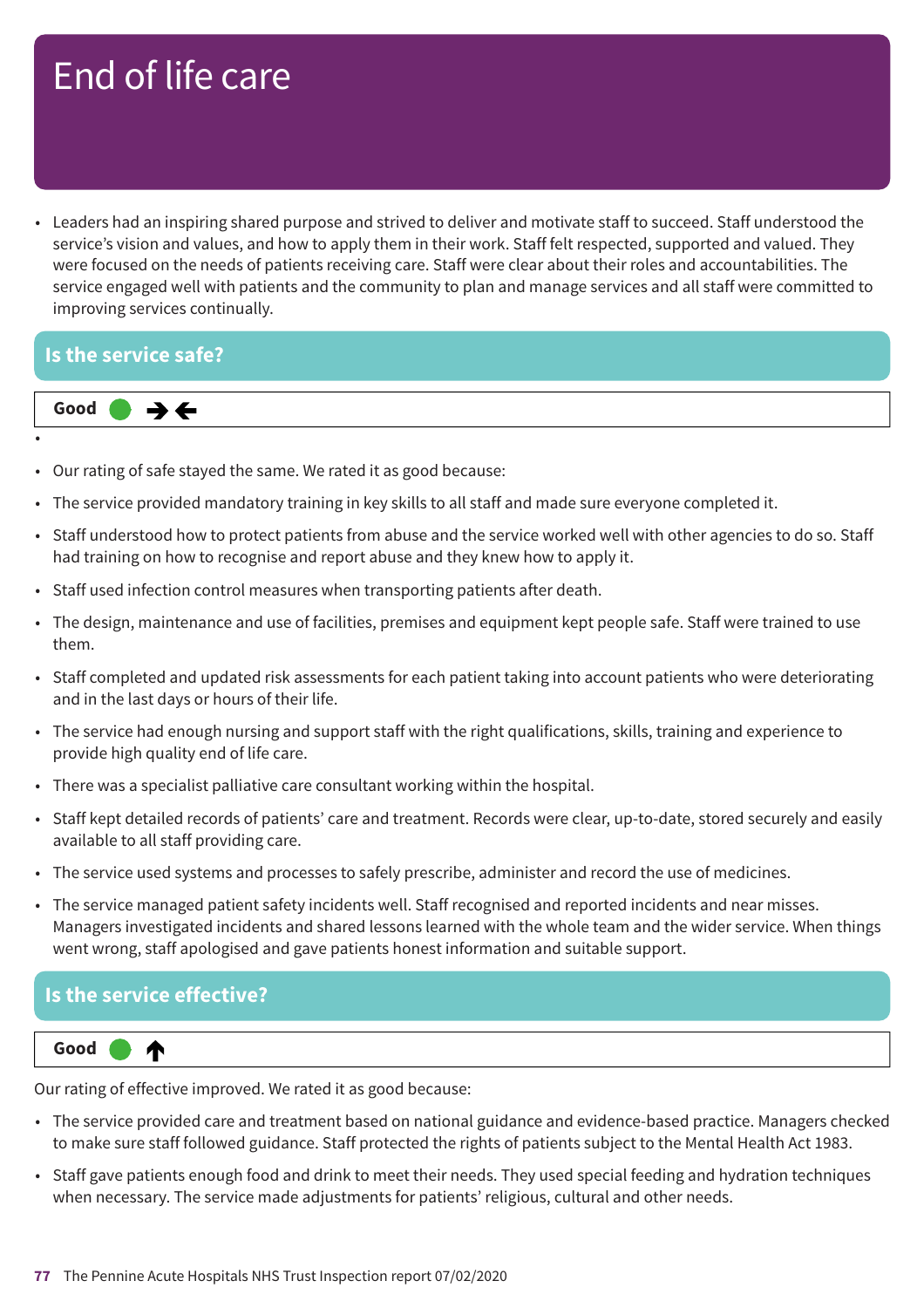• Leaders had an inspiring shared purpose and strived to deliver and motivate staff to succeed. Staff understood the service's vision and values, and how to apply them in their work. Staff felt respected, supported and valued. They were focused on the needs of patients receiving care. Staff were clear about their roles and accountabilities. The service engaged well with patients and the community to plan and manage services and all staff were committed to improving services continually.

#### **Is the service safe?**



- •
- Our rating of safe stayed the same. We rated it as good because:
- The service provided mandatory training in key skills to all staff and made sure everyone completed it.
- Staff understood how to protect patients from abuse and the service worked well with other agencies to do so. Staff had training on how to recognise and report abuse and they knew how to apply it.
- Staff used infection control measures when transporting patients after death.
- The design, maintenance and use of facilities, premises and equipment kept people safe. Staff were trained to use them.
- Staff completed and updated risk assessments for each patient taking into account patients who were deteriorating and in the last days or hours of their life.
- The service had enough nursing and support staff with the right qualifications, skills, training and experience to provide high quality end of life care.
- There was a specialist palliative care consultant working within the hospital.
- Staff kept detailed records of patients' care and treatment. Records were clear, up-to-date, stored securely and easily available to all staff providing care.
- The service used systems and processes to safely prescribe, administer and record the use of medicines.
- The service managed patient safety incidents well. Staff recognised and reported incidents and near misses. Managers investigated incidents and shared lessons learned with the whole team and the wider service. When things went wrong, staff apologised and gave patients honest information and suitable support.

#### **Is the service effective?**



Our rating of effective improved. We rated it as good because:

- The service provided care and treatment based on national guidance and evidence-based practice. Managers checked to make sure staff followed guidance. Staff protected the rights of patients subject to the Mental Health Act 1983.
- Staff gave patients enough food and drink to meet their needs. They used special feeding and hydration techniques when necessary. The service made adjustments for patients' religious, cultural and other needs.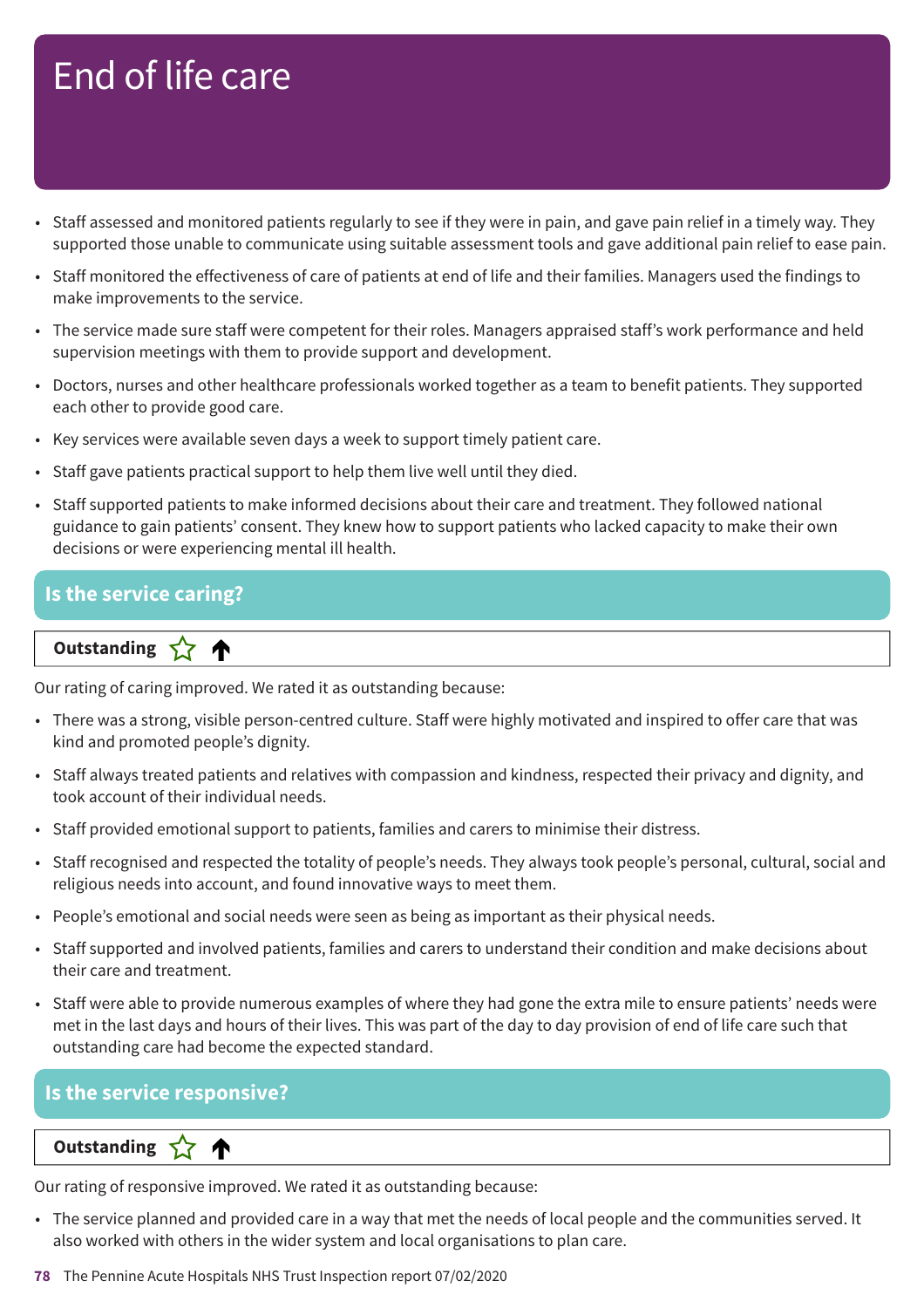- Staff assessed and monitored patients regularly to see if they were in pain, and gave pain relief in a timely way. They supported those unable to communicate using suitable assessment tools and gave additional pain relief to ease pain.
- Staff monitored the effectiveness of care of patients at end of life and their families. Managers used the findings to make improvements to the service.
- The service made sure staff were competent for their roles. Managers appraised staff's work performance and held supervision meetings with them to provide support and development.
- Doctors, nurses and other healthcare professionals worked together as a team to benefit patients. They supported each other to provide good care.
- Key services were available seven days a week to support timely patient care.
- Staff gave patients practical support to help them live well until they died.
- Staff supported patients to make informed decisions about their care and treatment. They followed national guidance to gain patients' consent. They knew how to support patients who lacked capacity to make their own decisions or were experiencing mental ill health.

#### **Is the service caring?**

**Letter Cone Extending** 

Our rating of caring improved. We rated it as outstanding because:

- There was a strong, visible person-centred culture. Staff were highly motivated and inspired to offer care that was kind and promoted people's dignity.
- Staff always treated patients and relatives with compassion and kindness, respected their privacy and dignity, and took account of their individual needs.
- Staff provided emotional support to patients, families and carers to minimise their distress.
- Staff recognised and respected the totality of people's needs. They always took people's personal, cultural, social and religious needs into account, and found innovative ways to meet them.
- People's emotional and social needs were seen as being as important as their physical needs.
- Staff supported and involved patients, families and carers to understand their condition and make decisions about their care and treatment.
- Staff were able to provide numerous examples of where they had gone the extra mile to ensure patients' needs were met in the last days and hours of their lives. This was part of the day to day provision of end of life care such that outstanding care had become the expected standard.

#### **Is the service responsive?**

**Dutstanding** 

Our rating of responsive improved. We rated it as outstanding because:

- The service planned and provided care in a way that met the needs of local people and the communities served. It also worked with others in the wider system and local organisations to plan care.
- **78** The Pennine Acute Hospitals NHS Trust Inspection report 07/02/2020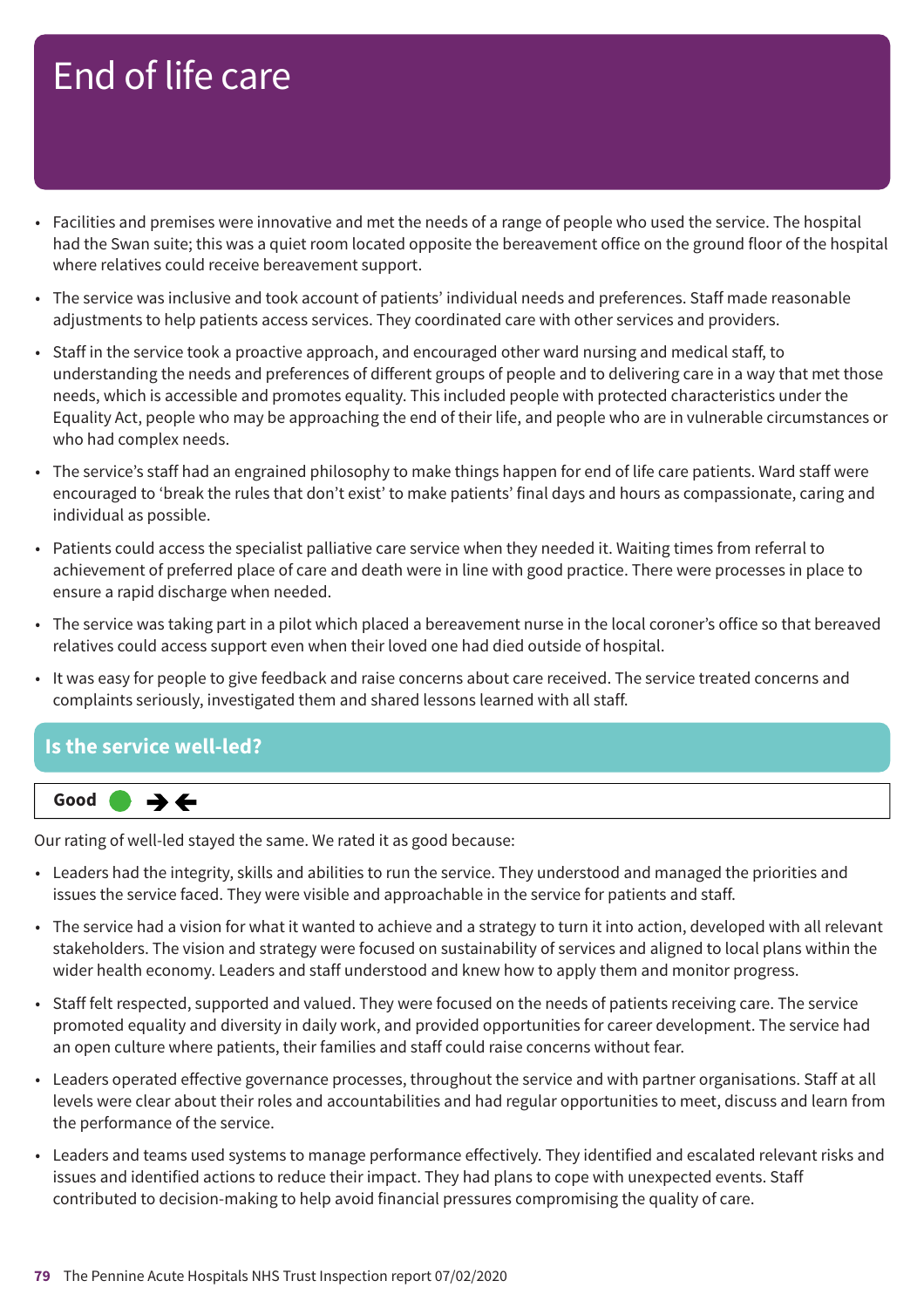- Facilities and premises were innovative and met the needs of a range of people who used the service. The hospital had the Swan suite; this was a quiet room located opposite the bereavement office on the ground floor of the hospital where relatives could receive bereavement support.
- The service was inclusive and took account of patients' individual needs and preferences. Staff made reasonable adjustments to help patients access services. They coordinated care with other services and providers.
- Staff in the service took a proactive approach, and encouraged other ward nursing and medical staff, to understanding the needs and preferences of different groups of people and to delivering care in a way that met those needs, which is accessible and promotes equality. This included people with protected characteristics under the Equality Act, people who may be approaching the end of their life, and people who are in vulnerable circumstances or who had complex needs.
- The service's staff had an engrained philosophy to make things happen for end of life care patients. Ward staff were encouraged to 'break the rules that don't exist' to make patients' final days and hours as compassionate, caring and individual as possible.
- Patients could access the specialist palliative care service when they needed it. Waiting times from referral to achievement of preferred place of care and death were in line with good practice. There were processes in place to ensure a rapid discharge when needed.
- The service was taking part in a pilot which placed a bereavement nurse in the local coroner's office so that bereaved relatives could access support even when their loved one had died outside of hospital.
- It was easy for people to give feedback and raise concerns about care received. The service treated concerns and complaints seriously, investigated them and shared lessons learned with all staff.

#### **Is the service well-led?**



Our rating of well-led stayed the same. We rated it as good because:

- Leaders had the integrity, skills and abilities to run the service. They understood and managed the priorities and issues the service faced. They were visible and approachable in the service for patients and staff.
- The service had a vision for what it wanted to achieve and a strategy to turn it into action, developed with all relevant stakeholders. The vision and strategy were focused on sustainability of services and aligned to local plans within the wider health economy. Leaders and staff understood and knew how to apply them and monitor progress.
- Staff felt respected, supported and valued. They were focused on the needs of patients receiving care. The service promoted equality and diversity in daily work, and provided opportunities for career development. The service had an open culture where patients, their families and staff could raise concerns without fear.
- Leaders operated effective governance processes, throughout the service and with partner organisations. Staff at all levels were clear about their roles and accountabilities and had regular opportunities to meet, discuss and learn from the performance of the service.
- Leaders and teams used systems to manage performance effectively. They identified and escalated relevant risks and issues and identified actions to reduce their impact. They had plans to cope with unexpected events. Staff contributed to decision-making to help avoid financial pressures compromising the quality of care.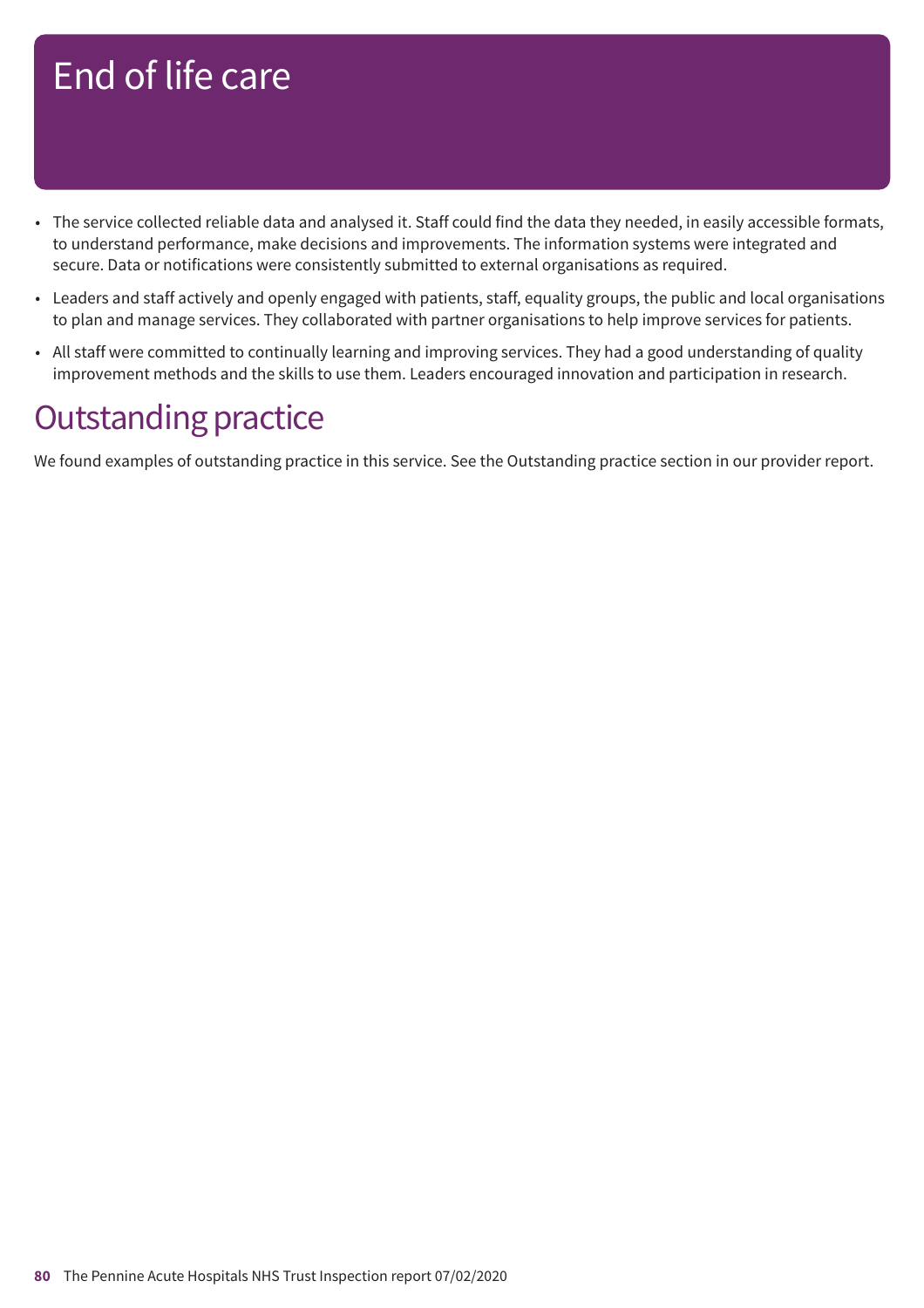- The service collected reliable data and analysed it. Staff could find the data they needed, in easily accessible formats, to understand performance, make decisions and improvements. The information systems were integrated and secure. Data or notifications were consistently submitted to external organisations as required.
- Leaders and staff actively and openly engaged with patients, staff, equality groups, the public and local organisations to plan and manage services. They collaborated with partner organisations to help improve services for patients.
- All staff were committed to continually learning and improving services. They had a good understanding of quality improvement methods and the skills to use them. Leaders encouraged innovation and participation in research.

### **Outstanding practice**

We found examples of outstanding practice in this service. See the Outstanding practice section in our provider report.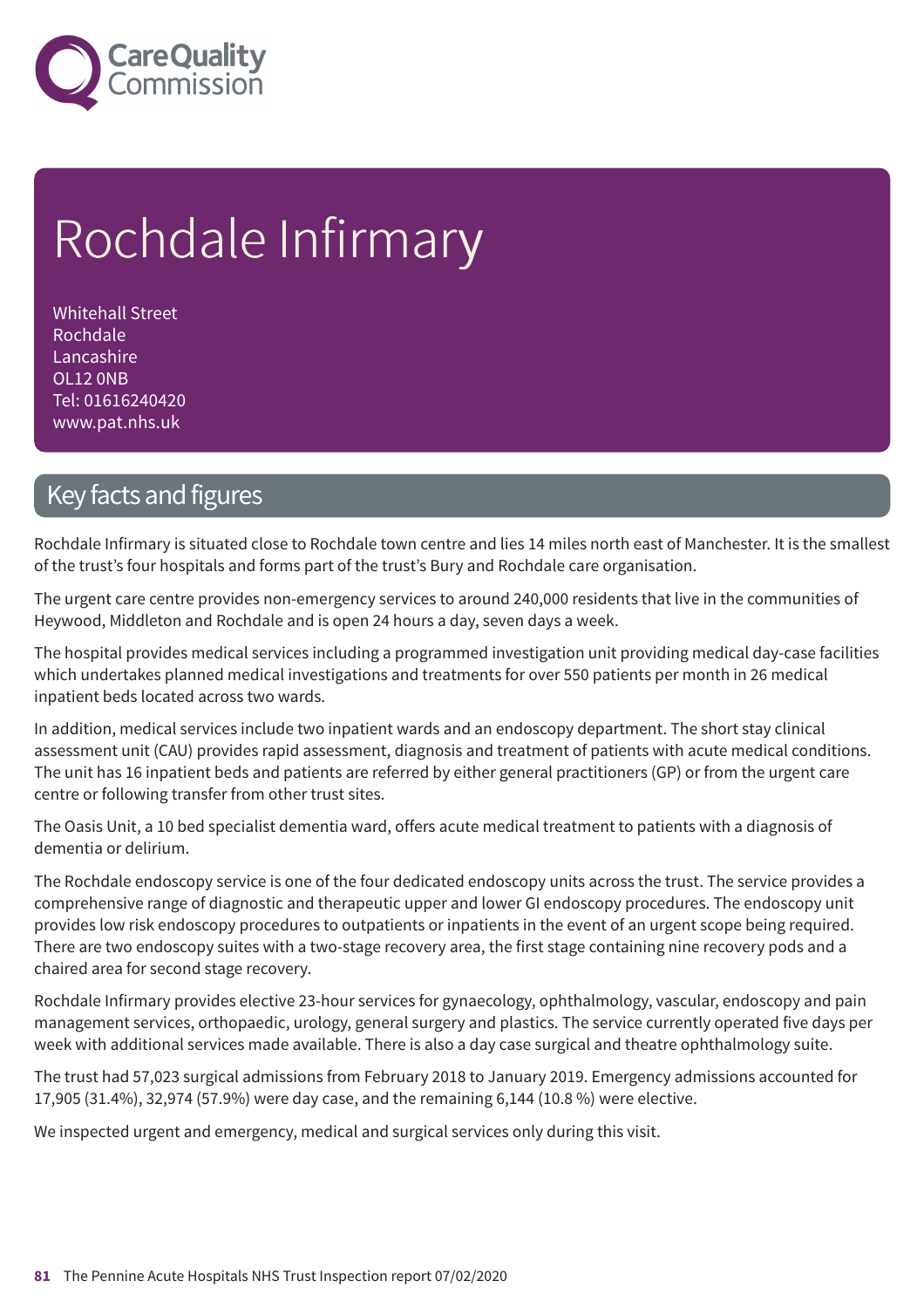

# Rochdale Infirmary

Whitehall Street Rochdale Lancashire OL12 0NB Tel: 01616240420 www.pat.nhs.uk

### Key facts and figures

Rochdale Infirmary is situated close to Rochdale town centre and lies 14 miles north east of Manchester. It is the smallest of the trust's four hospitals and forms part of the trust's Bury and Rochdale care organisation.

The urgent care centre provides non-emergency services to around 240,000 residents that live in the communities of Heywood, Middleton and Rochdale and is open 24 hours a day, seven days a week.

The hospital provides medical services including a programmed investigation unit providing medical day-case facilities which undertakes planned medical investigations and treatments for over 550 patients per month in 26 medical inpatient beds located across two wards.

In addition, medical services include two inpatient wards and an endoscopy department. The short stay clinical assessment unit (CAU) provides rapid assessment, diagnosis and treatment of patients with acute medical conditions. The unit has 16 inpatient beds and patients are referred by either general practitioners (GP) or from the urgent care centre or following transfer from other trust sites.

The Oasis Unit, a 10 bed specialist dementia ward, offers acute medical treatment to patients with a diagnosis of dementia or delirium.

The Rochdale endoscopy service is one of the four dedicated endoscopy units across the trust. The service provides a comprehensive range of diagnostic and therapeutic upper and lower GI endoscopy procedures. The endoscopy unit provides low risk endoscopy procedures to outpatients or inpatients in the event of an urgent scope being required. There are two endoscopy suites with a two-stage recovery area, the first stage containing nine recovery pods and a chaired area for second stage recovery.

Rochdale Infirmary provides elective 23-hour services for gynaecology, ophthalmology, vascular, endoscopy and pain management services, orthopaedic, urology, general surgery and plastics. The service currently operated five days per week with additional services made available. There is also a day case surgical and theatre ophthalmology suite.

The trust had 57,023 surgical admissions from February 2018 to January 2019. Emergency admissions accounted for 17,905 (31.4%), 32,974 (57.9%) were day case, and the remaining 6,144 (10.8 %) were elective.

We inspected urgent and emergency, medical and surgical services only during this visit.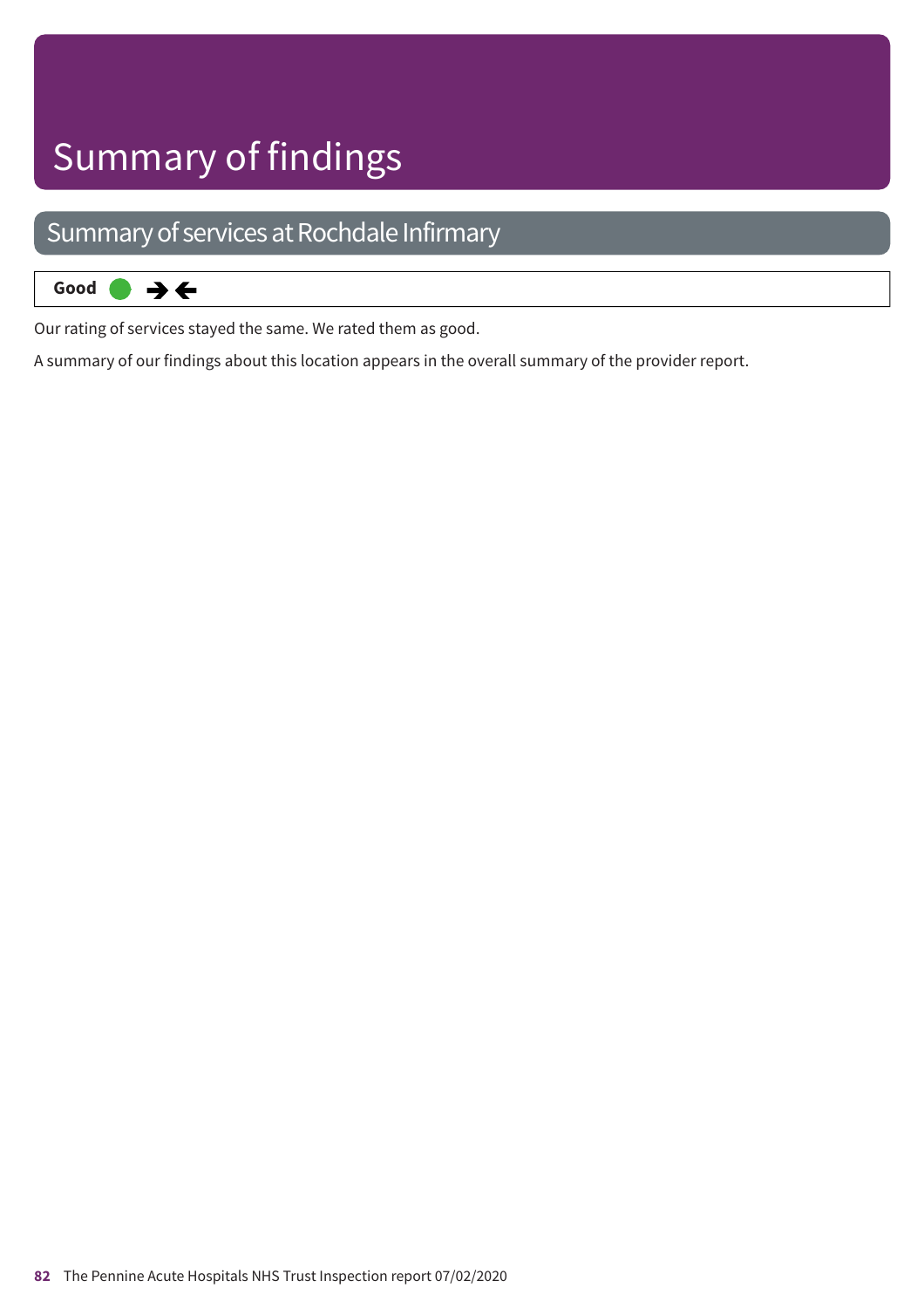# Summary of findings

### Summary of services at Rochdale Infirmary



Our rating of services stayed the same. We rated them as good.

A summary of our findings about this location appears in the overall summary of the provider report.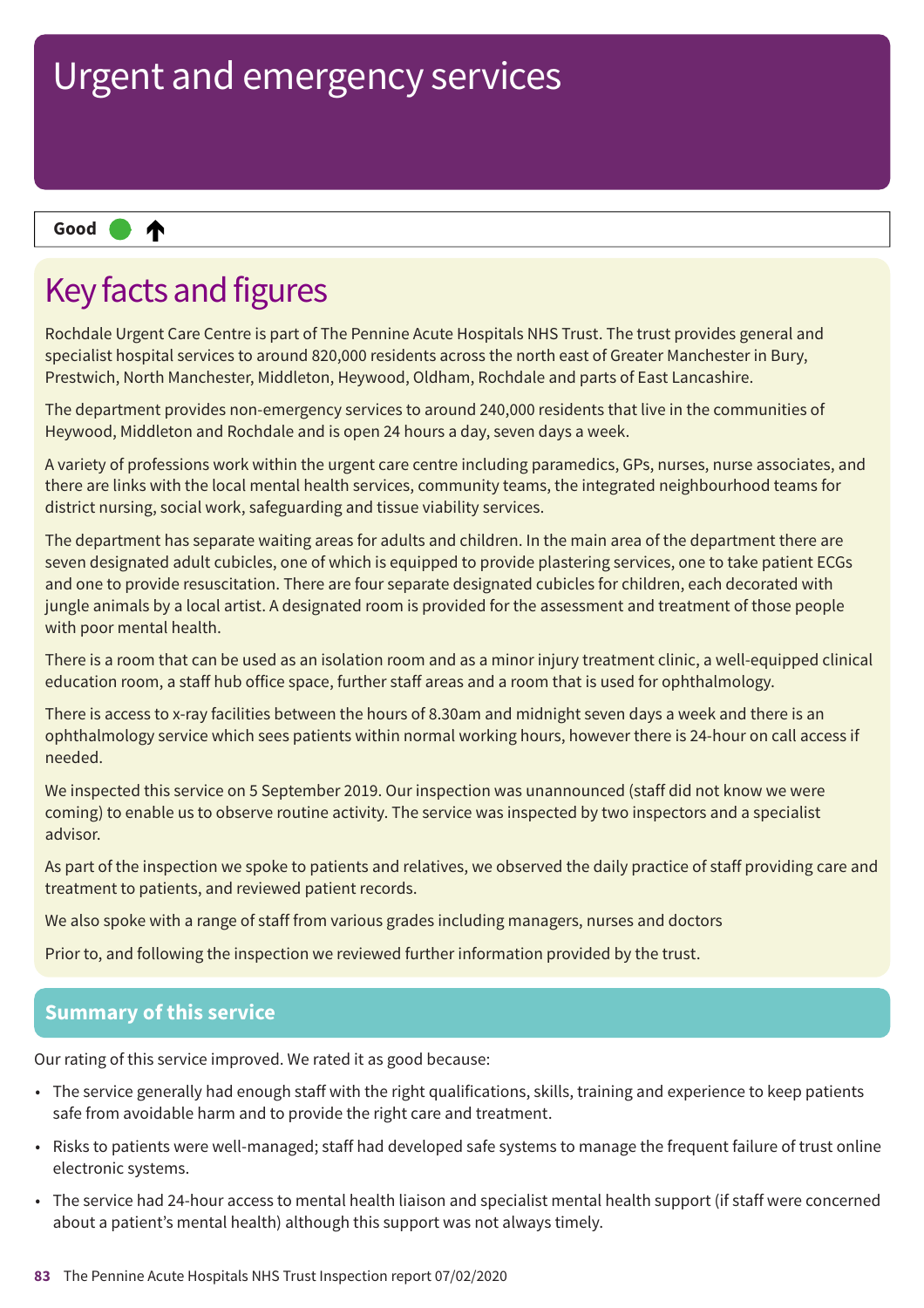#### ₳ **Up one rating Good –––**

### Key facts and figures

Rochdale Urgent Care Centre is part of The Pennine Acute Hospitals NHS Trust. The trust provides general and specialist hospital services to around 820,000 residents across the north east of Greater Manchester in Bury, Prestwich, North Manchester, Middleton, Heywood, Oldham, Rochdale and parts of East Lancashire.

The department provides non-emergency services to around 240,000 residents that live in the communities of Heywood, Middleton and Rochdale and is open 24 hours a day, seven days a week.

A variety of professions work within the urgent care centre including paramedics, GPs, nurses, nurse associates, and there are links with the local mental health services, community teams, the integrated neighbourhood teams for district nursing, social work, safeguarding and tissue viability services.

The department has separate waiting areas for adults and children. In the main area of the department there are seven designated adult cubicles, one of which is equipped to provide plastering services, one to take patient ECGs and one to provide resuscitation. There are four separate designated cubicles for children, each decorated with jungle animals by a local artist. A designated room is provided for the assessment and treatment of those people with poor mental health.

There is a room that can be used as an isolation room and as a minor injury treatment clinic, a well-equipped clinical education room, a staff hub office space, further staff areas and a room that is used for ophthalmology.

There is access to x-ray facilities between the hours of 8.30am and midnight seven days a week and there is an ophthalmology service which sees patients within normal working hours, however there is 24-hour on call access if needed.

We inspected this service on 5 September 2019. Our inspection was unannounced (staff did not know we were coming) to enable us to observe routine activity. The service was inspected by two inspectors and a specialist advisor.

As part of the inspection we spoke to patients and relatives, we observed the daily practice of staff providing care and treatment to patients, and reviewed patient records.

We also spoke with a range of staff from various grades including managers, nurses and doctors

Prior to, and following the inspection we reviewed further information provided by the trust.

#### **Summary of this service**

Our rating of this service improved. We rated it as good because:

- The service generally had enough staff with the right qualifications, skills, training and experience to keep patients safe from avoidable harm and to provide the right care and treatment.
- Risks to patients were well-managed; staff had developed safe systems to manage the frequent failure of trust online electronic systems.
- The service had 24-hour access to mental health liaison and specialist mental health support (if staff were concerned about a patient's mental health) although this support was not always timely.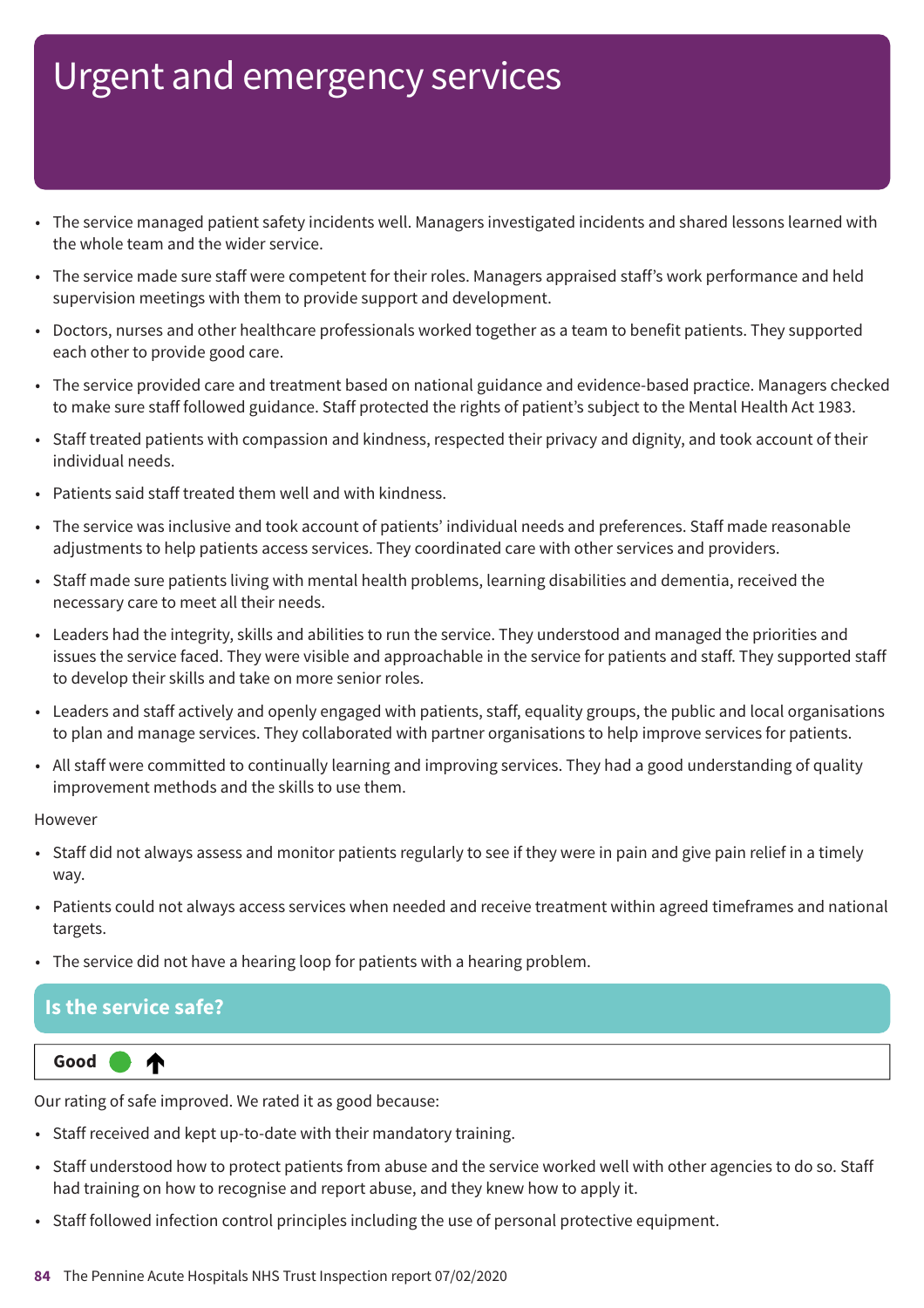- The service managed patient safety incidents well. Managers investigated incidents and shared lessons learned with the whole team and the wider service.
- The service made sure staff were competent for their roles. Managers appraised staff's work performance and held supervision meetings with them to provide support and development.
- Doctors, nurses and other healthcare professionals worked together as a team to benefit patients. They supported each other to provide good care.
- The service provided care and treatment based on national guidance and evidence-based practice. Managers checked to make sure staff followed guidance. Staff protected the rights of patient's subject to the Mental Health Act 1983.
- Staff treated patients with compassion and kindness, respected their privacy and dignity, and took account of their individual needs.
- Patients said staff treated them well and with kindness.
- The service was inclusive and took account of patients' individual needs and preferences. Staff made reasonable adjustments to help patients access services. They coordinated care with other services and providers.
- Staff made sure patients living with mental health problems, learning disabilities and dementia, received the necessary care to meet all their needs.
- Leaders had the integrity, skills and abilities to run the service. They understood and managed the priorities and issues the service faced. They were visible and approachable in the service for patients and staff. They supported staff to develop their skills and take on more senior roles.
- Leaders and staff actively and openly engaged with patients, staff, equality groups, the public and local organisations to plan and manage services. They collaborated with partner organisations to help improve services for patients.
- All staff were committed to continually learning and improving services. They had a good understanding of quality improvement methods and the skills to use them.

#### However

- Staff did not always assess and monitor patients regularly to see if they were in pain and give pain relief in a timely way.
- Patients could not always access services when needed and receive treatment within agreed timeframes and national targets.
- The service did not have a hearing loop for patients with a hearing problem.

#### **Is the service safe?**

∧



Our rating of safe improved. We rated it as good because:

- Staff received and kept up-to-date with their mandatory training.
- Staff understood how to protect patients from abuse and the service worked well with other agencies to do so. Staff had training on how to recognise and report abuse, and they knew how to apply it.
- Staff followed infection control principles including the use of personal protective equipment.
- **84** The Pennine Acute Hospitals NHS Trust Inspection report 07/02/2020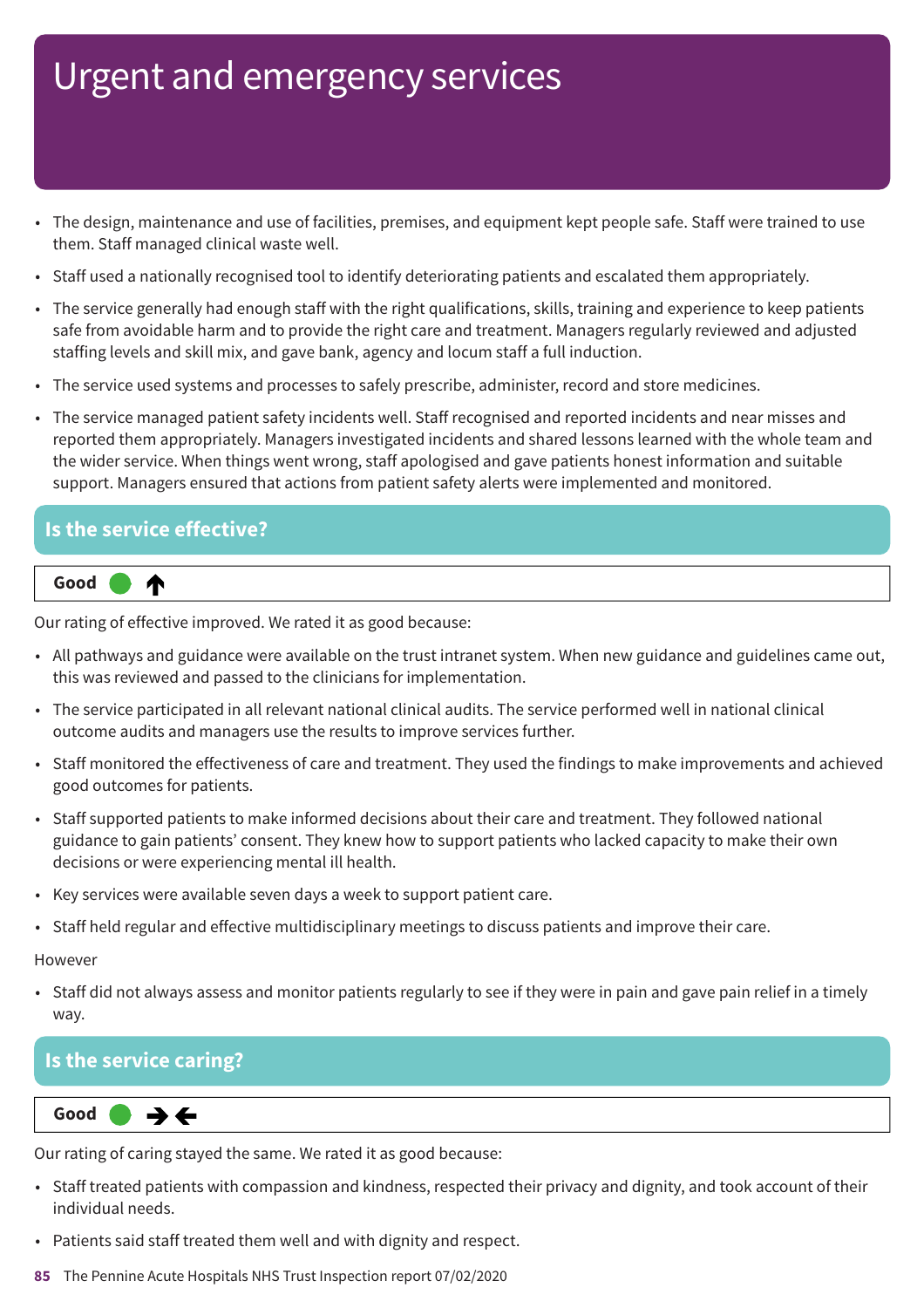- The design, maintenance and use of facilities, premises, and equipment kept people safe. Staff were trained to use them. Staff managed clinical waste well.
- Staff used a nationally recognised tool to identify deteriorating patients and escalated them appropriately.
- The service generally had enough staff with the right qualifications, skills, training and experience to keep patients safe from avoidable harm and to provide the right care and treatment. Managers regularly reviewed and adjusted staffing levels and skill mix, and gave bank, agency and locum staff a full induction.
- The service used systems and processes to safely prescribe, administer, record and store medicines.
- The service managed patient safety incidents well. Staff recognised and reported incidents and near misses and reported them appropriately. Managers investigated incidents and shared lessons learned with the whole team and the wider service. When things went wrong, staff apologised and gave patients honest information and suitable support. Managers ensured that actions from patient safety alerts were implemented and monitored.

#### **Is the service effective?**



Our rating of effective improved. We rated it as good because:

- All pathways and guidance were available on the trust intranet system. When new guidance and guidelines came out, this was reviewed and passed to the clinicians for implementation.
- The service participated in all relevant national clinical audits. The service performed well in national clinical outcome audits and managers use the results to improve services further.
- Staff monitored the effectiveness of care and treatment. They used the findings to make improvements and achieved good outcomes for patients.
- Staff supported patients to make informed decisions about their care and treatment. They followed national guidance to gain patients' consent. They knew how to support patients who lacked capacity to make their own decisions or were experiencing mental ill health.
- Key services were available seven days a week to support patient care.
- Staff held regular and effective multidisciplinary meetings to discuss patients and improve their care.

However

• Staff did not always assess and monitor patients regularly to see if they were in pain and gave pain relief in a timely way.

#### **Is the service caring?**

 $\rightarrow$   $\leftarrow$ **Same–––rating Good –––**

Our rating of caring stayed the same. We rated it as good because:

- Staff treated patients with compassion and kindness, respected their privacy and dignity, and took account of their individual needs.
- Patients said staff treated them well and with dignity and respect.
- **85** The Pennine Acute Hospitals NHS Trust Inspection report 07/02/2020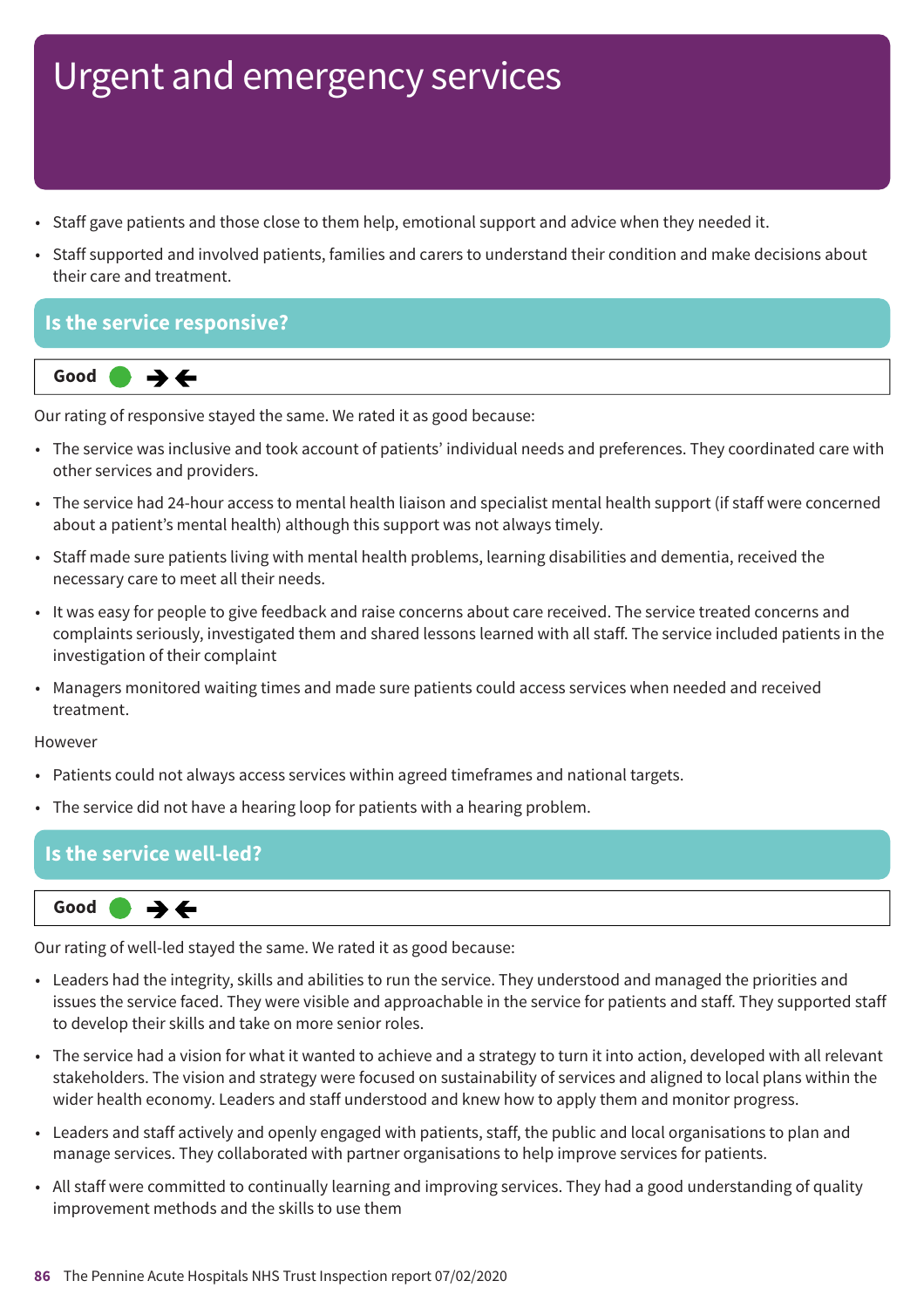- Staff gave patients and those close to them help, emotional support and advice when they needed it.
- Staff supported and involved patients, families and carers to understand their condition and make decisions about their care and treatment.

#### **Is the service responsive?**



Our rating of responsive stayed the same. We rated it as good because:

- The service was inclusive and took account of patients' individual needs and preferences. They coordinated care with other services and providers.
- The service had 24-hour access to mental health liaison and specialist mental health support (if staff were concerned about a patient's mental health) although this support was not always timely.
- Staff made sure patients living with mental health problems, learning disabilities and dementia, received the necessary care to meet all their needs.
- It was easy for people to give feedback and raise concerns about care received. The service treated concerns and complaints seriously, investigated them and shared lessons learned with all staff. The service included patients in the investigation of their complaint
- Managers monitored waiting times and made sure patients could access services when needed and received treatment.

#### However

- Patients could not always access services within agreed timeframes and national targets.
- The service did not have a hearing loop for patients with a hearing problem.

#### **Is the service well-led?**



Our rating of well-led stayed the same. We rated it as good because:

- Leaders had the integrity, skills and abilities to run the service. They understood and managed the priorities and issues the service faced. They were visible and approachable in the service for patients and staff. They supported staff to develop their skills and take on more senior roles.
- The service had a vision for what it wanted to achieve and a strategy to turn it into action, developed with all relevant stakeholders. The vision and strategy were focused on sustainability of services and aligned to local plans within the wider health economy. Leaders and staff understood and knew how to apply them and monitor progress.
- Leaders and staff actively and openly engaged with patients, staff, the public and local organisations to plan and manage services. They collaborated with partner organisations to help improve services for patients.
- All staff were committed to continually learning and improving services. They had a good understanding of quality improvement methods and the skills to use them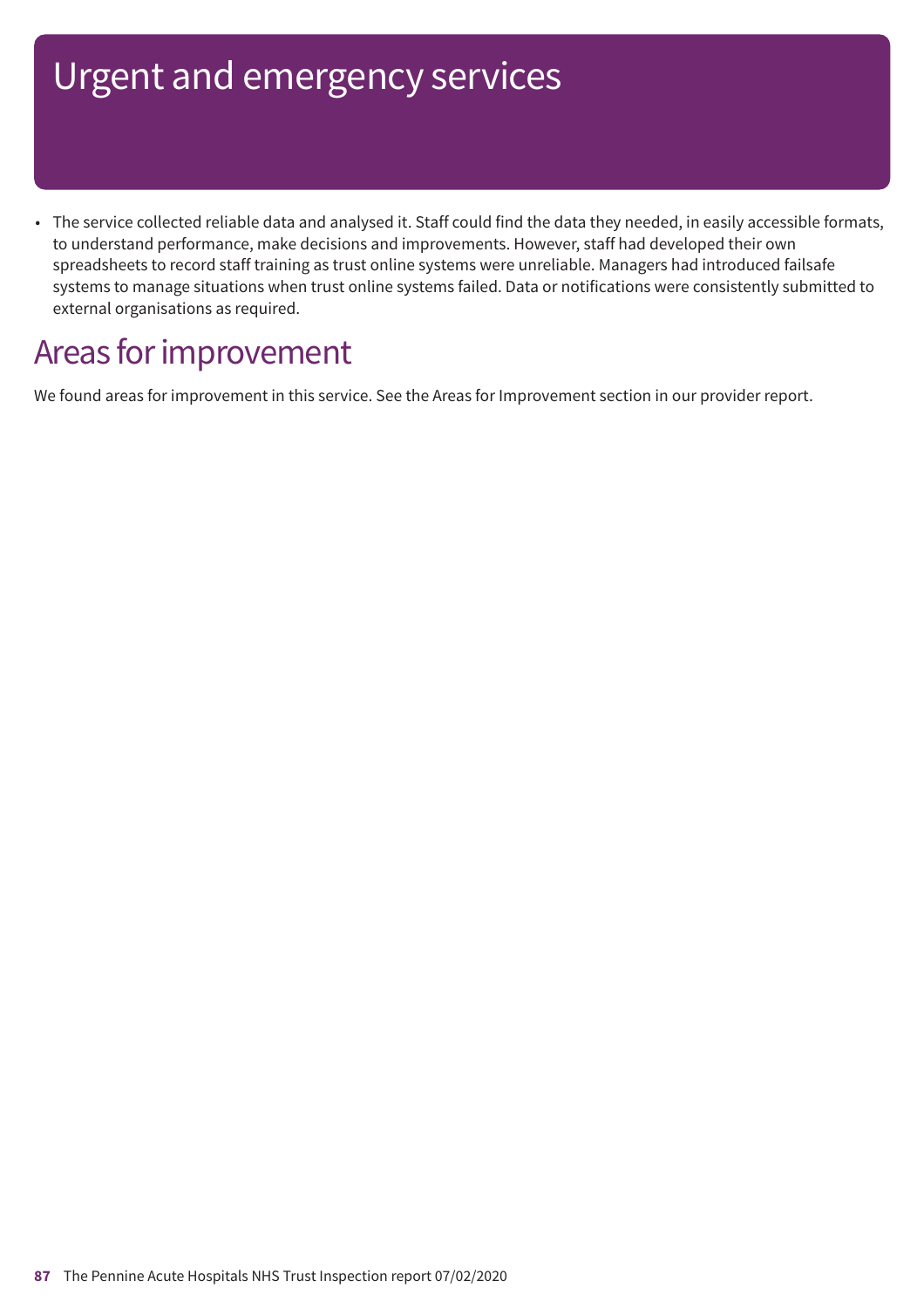• The service collected reliable data and analysed it. Staff could find the data they needed, in easily accessible formats, to understand performance, make decisions and improvements. However, staff had developed their own spreadsheets to record staff training as trust online systems were unreliable. Managers had introduced failsafe systems to manage situations when trust online systems failed. Data or notifications were consistently submitted to external organisations as required.

### Areas for improvement

We found areas for improvement in this service. See the Areas for Improvement section in our provider report.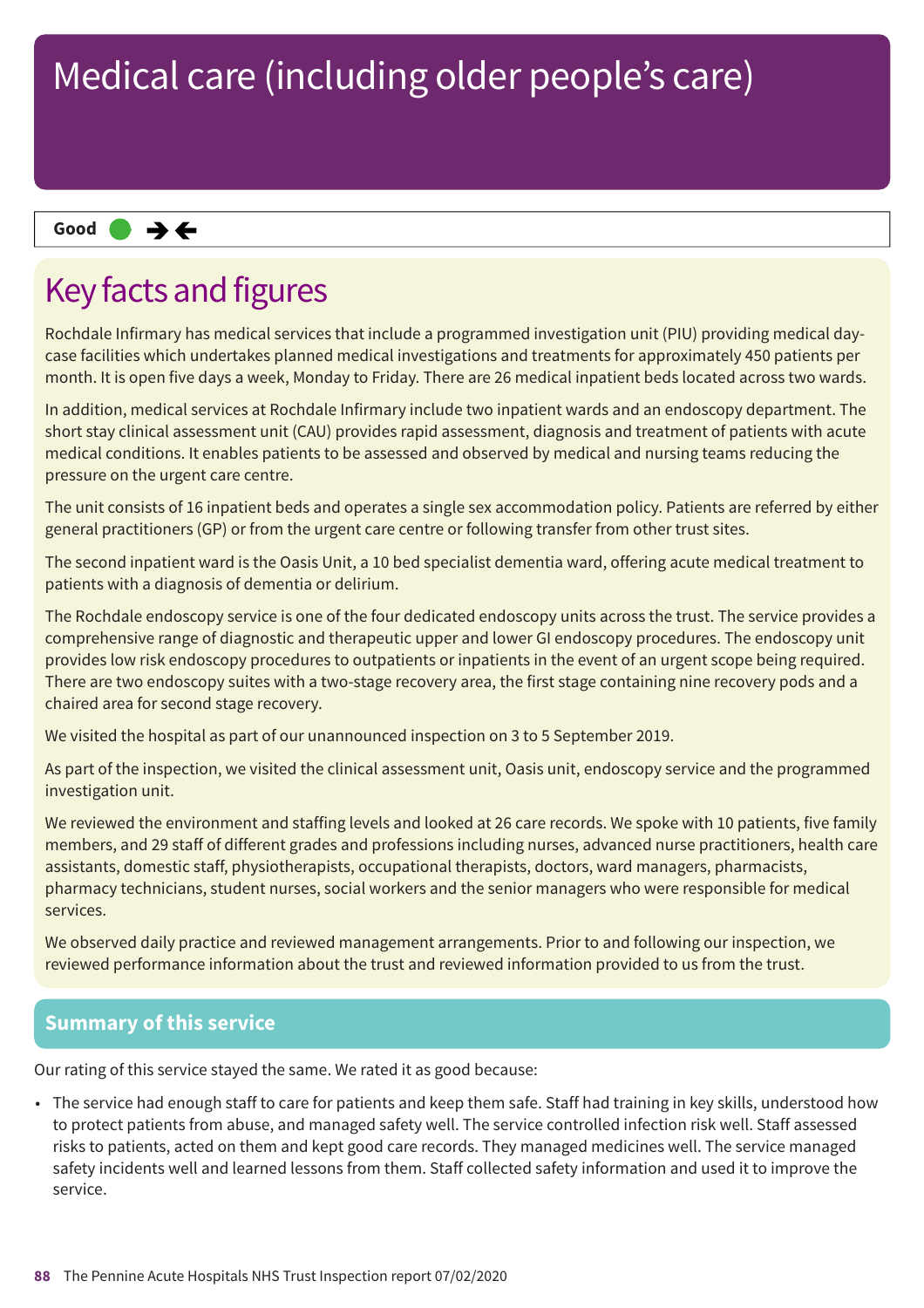#### **Same–––rating Good –––**

### Key facts and figures

Rochdale Infirmary has medical services that include a programmed investigation unit (PIU) providing medical daycase facilities which undertakes planned medical investigations and treatments for approximately 450 patients per month. It is open five days a week, Monday to Friday. There are 26 medical inpatient beds located across two wards.

In addition, medical services at Rochdale Infirmary include two inpatient wards and an endoscopy department. The short stay clinical assessment unit (CAU) provides rapid assessment, diagnosis and treatment of patients with acute medical conditions. It enables patients to be assessed and observed by medical and nursing teams reducing the pressure on the urgent care centre.

The unit consists of 16 inpatient beds and operates a single sex accommodation policy. Patients are referred by either general practitioners (GP) or from the urgent care centre or following transfer from other trust sites.

The second inpatient ward is the Oasis Unit, a 10 bed specialist dementia ward, offering acute medical treatment to patients with a diagnosis of dementia or delirium.

The Rochdale endoscopy service is one of the four dedicated endoscopy units across the trust. The service provides a comprehensive range of diagnostic and therapeutic upper and lower GI endoscopy procedures. The endoscopy unit provides low risk endoscopy procedures to outpatients or inpatients in the event of an urgent scope being required. There are two endoscopy suites with a two-stage recovery area, the first stage containing nine recovery pods and a chaired area for second stage recovery.

We visited the hospital as part of our unannounced inspection on 3 to 5 September 2019.

As part of the inspection, we visited the clinical assessment unit, Oasis unit, endoscopy service and the programmed investigation unit.

We reviewed the environment and staffing levels and looked at 26 care records. We spoke with 10 patients, five family members, and 29 staff of different grades and professions including nurses, advanced nurse practitioners, health care assistants, domestic staff, physiotherapists, occupational therapists, doctors, ward managers, pharmacists, pharmacy technicians, student nurses, social workers and the senior managers who were responsible for medical services.

We observed daily practice and reviewed management arrangements. Prior to and following our inspection, we reviewed performance information about the trust and reviewed information provided to us from the trust.

#### **Summary of this service**

Our rating of this service stayed the same. We rated it as good because:

• The service had enough staff to care for patients and keep them safe. Staff had training in key skills, understood how to protect patients from abuse, and managed safety well. The service controlled infection risk well. Staff assessed risks to patients, acted on them and kept good care records. They managed medicines well. The service managed safety incidents well and learned lessons from them. Staff collected safety information and used it to improve the service.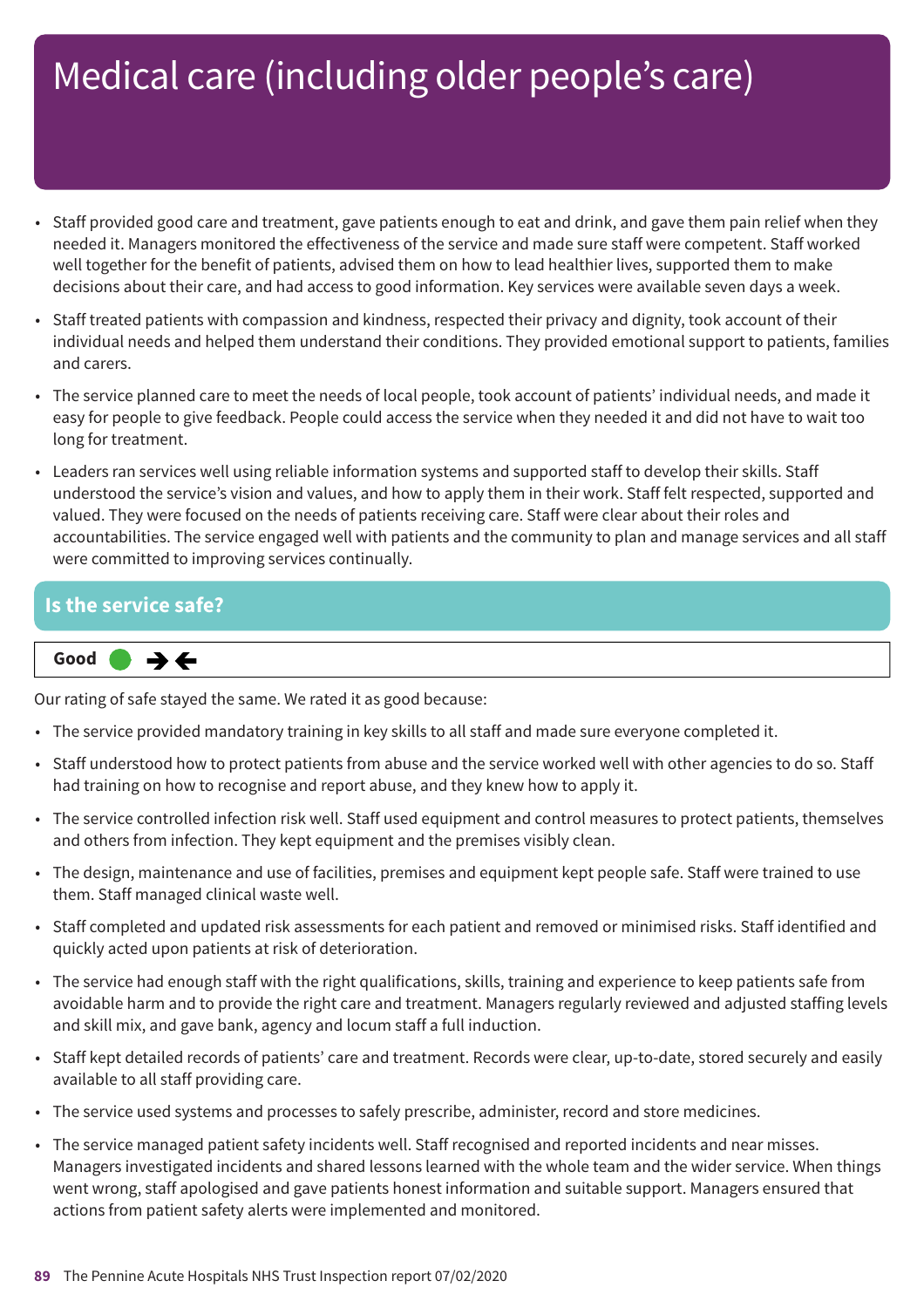- Staff provided good care and treatment, gave patients enough to eat and drink, and gave them pain relief when they needed it. Managers monitored the effectiveness of the service and made sure staff were competent. Staff worked well together for the benefit of patients, advised them on how to lead healthier lives, supported them to make decisions about their care, and had access to good information. Key services were available seven days a week.
- Staff treated patients with compassion and kindness, respected their privacy and dignity, took account of their individual needs and helped them understand their conditions. They provided emotional support to patients, families and carers.
- The service planned care to meet the needs of local people, took account of patients' individual needs, and made it easy for people to give feedback. People could access the service when they needed it and did not have to wait too long for treatment.
- Leaders ran services well using reliable information systems and supported staff to develop their skills. Staff understood the service's vision and values, and how to apply them in their work. Staff felt respected, supported and valued. They were focused on the needs of patients receiving care. Staff were clear about their roles and accountabilities. The service engaged well with patients and the community to plan and manage services and all staff were committed to improving services continually.

#### **Is the service safe?**



Our rating of safe stayed the same. We rated it as good because:

- The service provided mandatory training in key skills to all staff and made sure everyone completed it.
- Staff understood how to protect patients from abuse and the service worked well with other agencies to do so. Staff had training on how to recognise and report abuse, and they knew how to apply it.
- The service controlled infection risk well. Staff used equipment and control measures to protect patients, themselves and others from infection. They kept equipment and the premises visibly clean.
- The design, maintenance and use of facilities, premises and equipment kept people safe. Staff were trained to use them. Staff managed clinical waste well.
- Staff completed and updated risk assessments for each patient and removed or minimised risks. Staff identified and quickly acted upon patients at risk of deterioration.
- The service had enough staff with the right qualifications, skills, training and experience to keep patients safe from avoidable harm and to provide the right care and treatment. Managers regularly reviewed and adjusted staffing levels and skill mix, and gave bank, agency and locum staff a full induction.
- Staff kept detailed records of patients' care and treatment. Records were clear, up-to-date, stored securely and easily available to all staff providing care.
- The service used systems and processes to safely prescribe, administer, record and store medicines.
- The service managed patient safety incidents well. Staff recognised and reported incidents and near misses. Managers investigated incidents and shared lessons learned with the whole team and the wider service. When things went wrong, staff apologised and gave patients honest information and suitable support. Managers ensured that actions from patient safety alerts were implemented and monitored.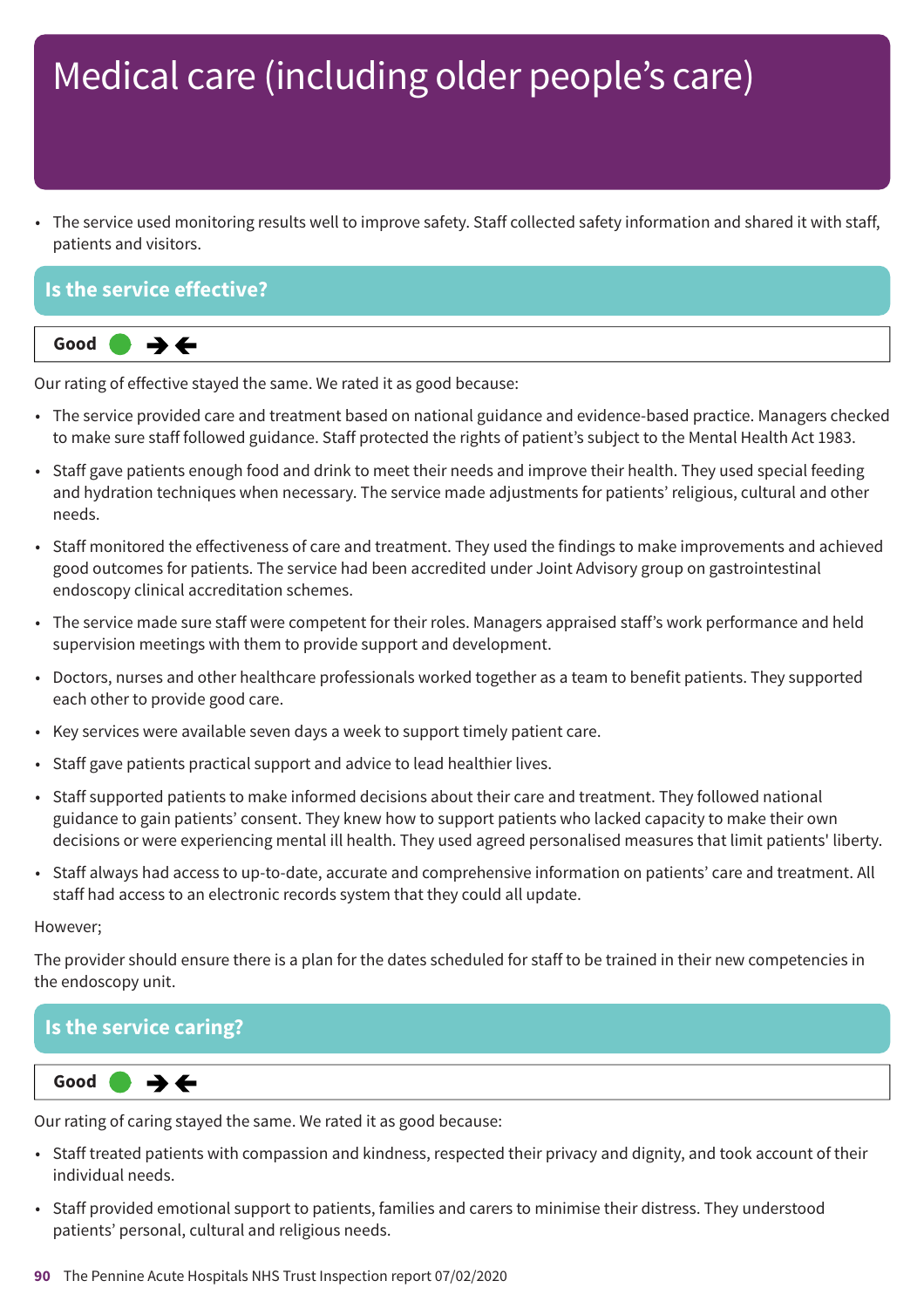• The service used monitoring results well to improve safety. Staff collected safety information and shared it with staff, patients and visitors.

#### **Is the service effective?**



Our rating of effective stayed the same. We rated it as good because:

- The service provided care and treatment based on national guidance and evidence-based practice. Managers checked to make sure staff followed guidance. Staff protected the rights of patient's subject to the Mental Health Act 1983.
- Staff gave patients enough food and drink to meet their needs and improve their health. They used special feeding and hydration techniques when necessary. The service made adjustments for patients' religious, cultural and other needs.
- Staff monitored the effectiveness of care and treatment. They used the findings to make improvements and achieved good outcomes for patients. The service had been accredited under Joint Advisory group on gastrointestinal endoscopy clinical accreditation schemes.
- The service made sure staff were competent for their roles. Managers appraised staff's work performance and held supervision meetings with them to provide support and development.
- Doctors, nurses and other healthcare professionals worked together as a team to benefit patients. They supported each other to provide good care.
- Key services were available seven days a week to support timely patient care.
- Staff gave patients practical support and advice to lead healthier lives.
- Staff supported patients to make informed decisions about their care and treatment. They followed national guidance to gain patients' consent. They knew how to support patients who lacked capacity to make their own decisions or were experiencing mental ill health. They used agreed personalised measures that limit patients' liberty.
- Staff always had access to up-to-date, accurate and comprehensive information on patients' care and treatment. All staff had access to an electronic records system that they could all update.

#### However;

The provider should ensure there is a plan for the dates scheduled for staff to be trained in their new competencies in the endoscopy unit.

#### **Is the service caring?**



Our rating of caring stayed the same. We rated it as good because:

- Staff treated patients with compassion and kindness, respected their privacy and dignity, and took account of their individual needs.
- Staff provided emotional support to patients, families and carers to minimise their distress. They understood patients' personal, cultural and religious needs.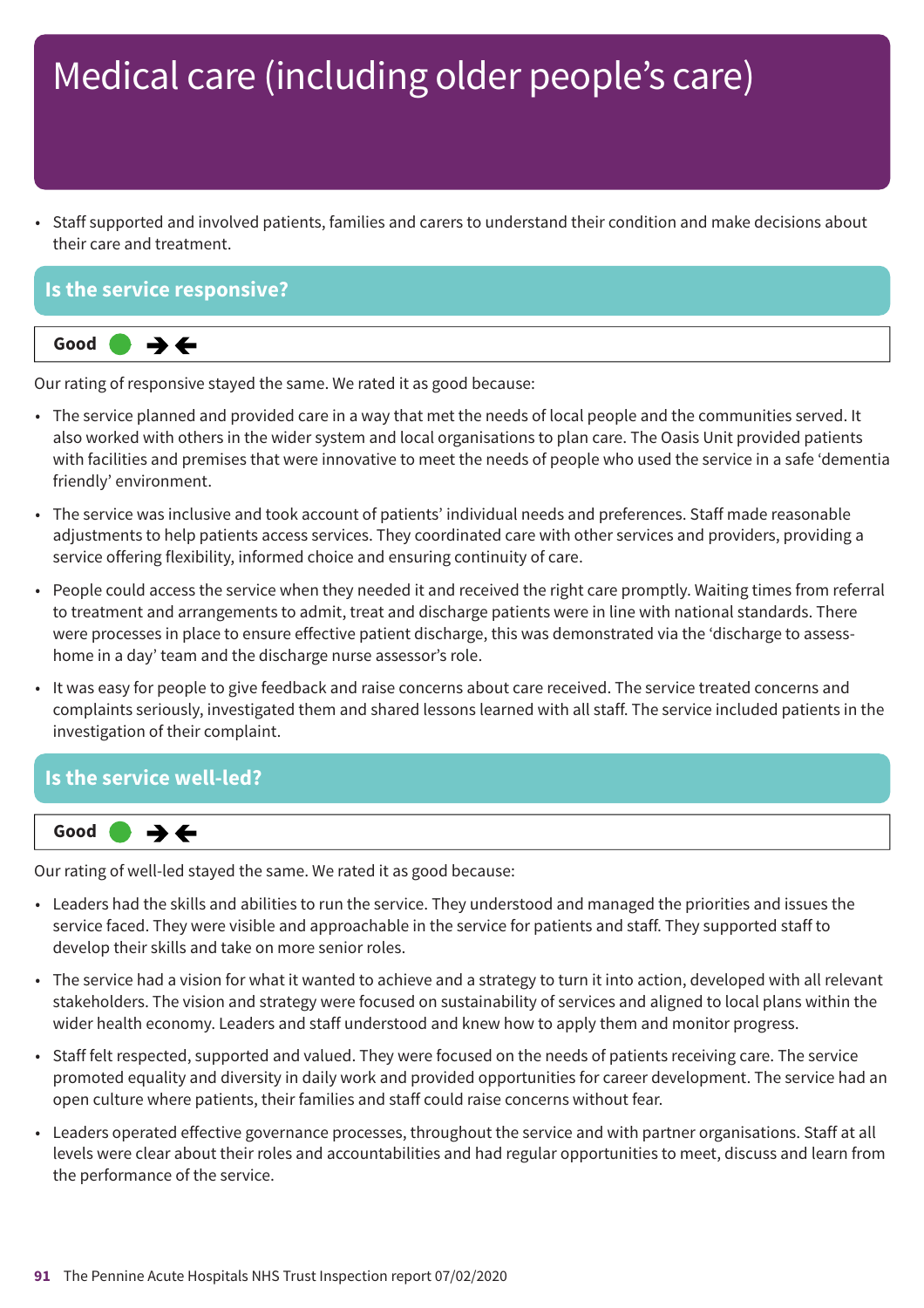• Staff supported and involved patients, families and carers to understand their condition and make decisions about their care and treatment.

#### **Is the service responsive?**



Our rating of responsive stayed the same. We rated it as good because:

- The service planned and provided care in a way that met the needs of local people and the communities served. It also worked with others in the wider system and local organisations to plan care. The Oasis Unit provided patients with facilities and premises that were innovative to meet the needs of people who used the service in a safe 'dementia friendly' environment.
- The service was inclusive and took account of patients' individual needs and preferences. Staff made reasonable adjustments to help patients access services. They coordinated care with other services and providers, providing a service offering flexibility, informed choice and ensuring continuity of care.
- People could access the service when they needed it and received the right care promptly. Waiting times from referral to treatment and arrangements to admit, treat and discharge patients were in line with national standards. There were processes in place to ensure effective patient discharge, this was demonstrated via the 'discharge to assesshome in a day' team and the discharge nurse assessor's role.
- It was easy for people to give feedback and raise concerns about care received. The service treated concerns and complaints seriously, investigated them and shared lessons learned with all staff. The service included patients in the investigation of their complaint.

#### **Is the service well-led?**



Our rating of well-led stayed the same. We rated it as good because:

- Leaders had the skills and abilities to run the service. They understood and managed the priorities and issues the service faced. They were visible and approachable in the service for patients and staff. They supported staff to develop their skills and take on more senior roles.
- The service had a vision for what it wanted to achieve and a strategy to turn it into action, developed with all relevant stakeholders. The vision and strategy were focused on sustainability of services and aligned to local plans within the wider health economy. Leaders and staff understood and knew how to apply them and monitor progress.
- Staff felt respected, supported and valued. They were focused on the needs of patients receiving care. The service promoted equality and diversity in daily work and provided opportunities for career development. The service had an open culture where patients, their families and staff could raise concerns without fear.
- Leaders operated effective governance processes, throughout the service and with partner organisations. Staff at all levels were clear about their roles and accountabilities and had regular opportunities to meet, discuss and learn from the performance of the service.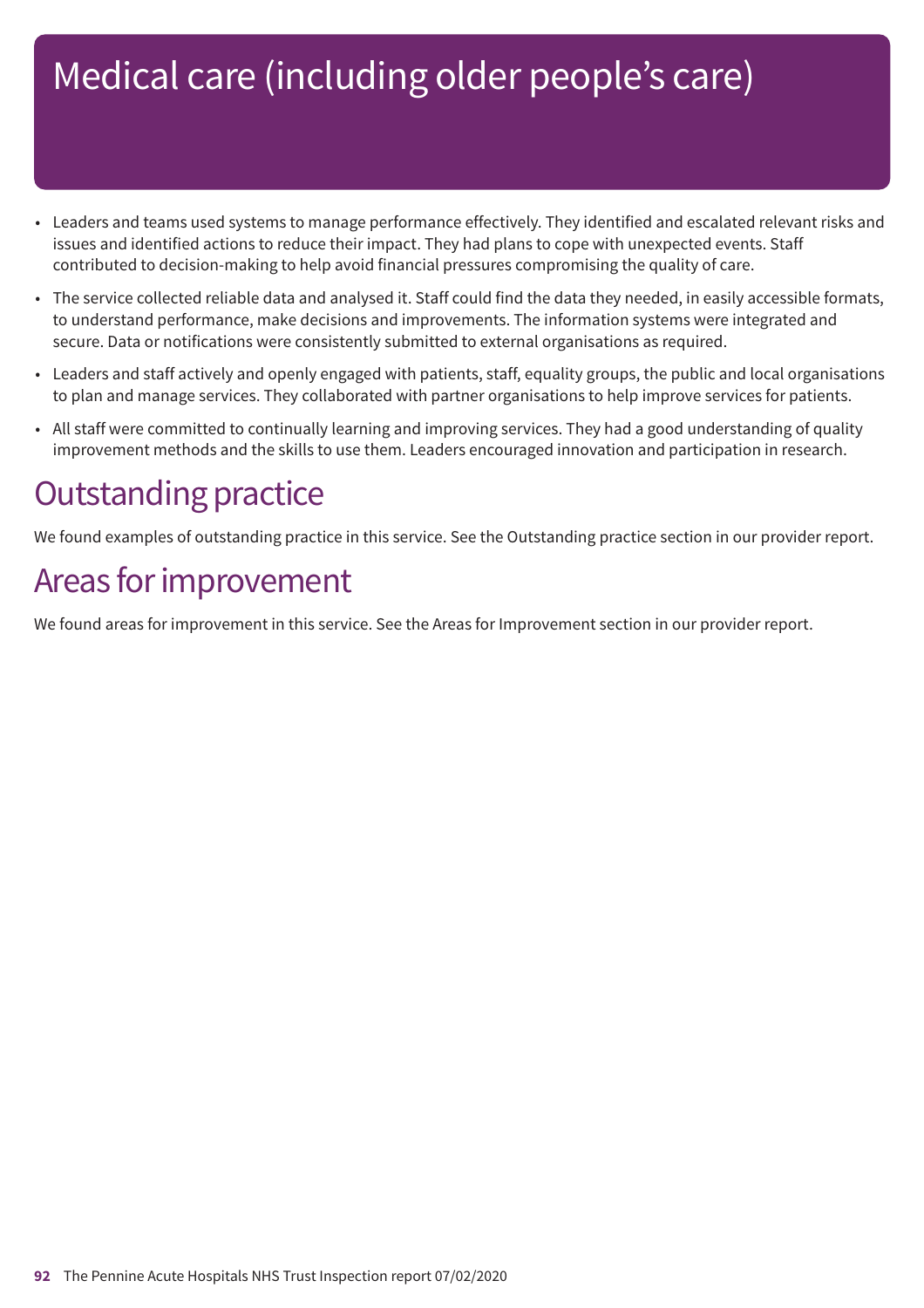- Leaders and teams used systems to manage performance effectively. They identified and escalated relevant risks and issues and identified actions to reduce their impact. They had plans to cope with unexpected events. Staff contributed to decision-making to help avoid financial pressures compromising the quality of care.
- The service collected reliable data and analysed it. Staff could find the data they needed, in easily accessible formats, to understand performance, make decisions and improvements. The information systems were integrated and secure. Data or notifications were consistently submitted to external organisations as required.
- Leaders and staff actively and openly engaged with patients, staff, equality groups, the public and local organisations to plan and manage services. They collaborated with partner organisations to help improve services for patients.
- All staff were committed to continually learning and improving services. They had a good understanding of quality improvement methods and the skills to use them. Leaders encouraged innovation and participation in research.

### **Outstanding practice**

We found examples of outstanding practice in this service. See the Outstanding practice section in our provider report.

### Areas for improvement

We found areas for improvement in this service. See the Areas for Improvement section in our provider report.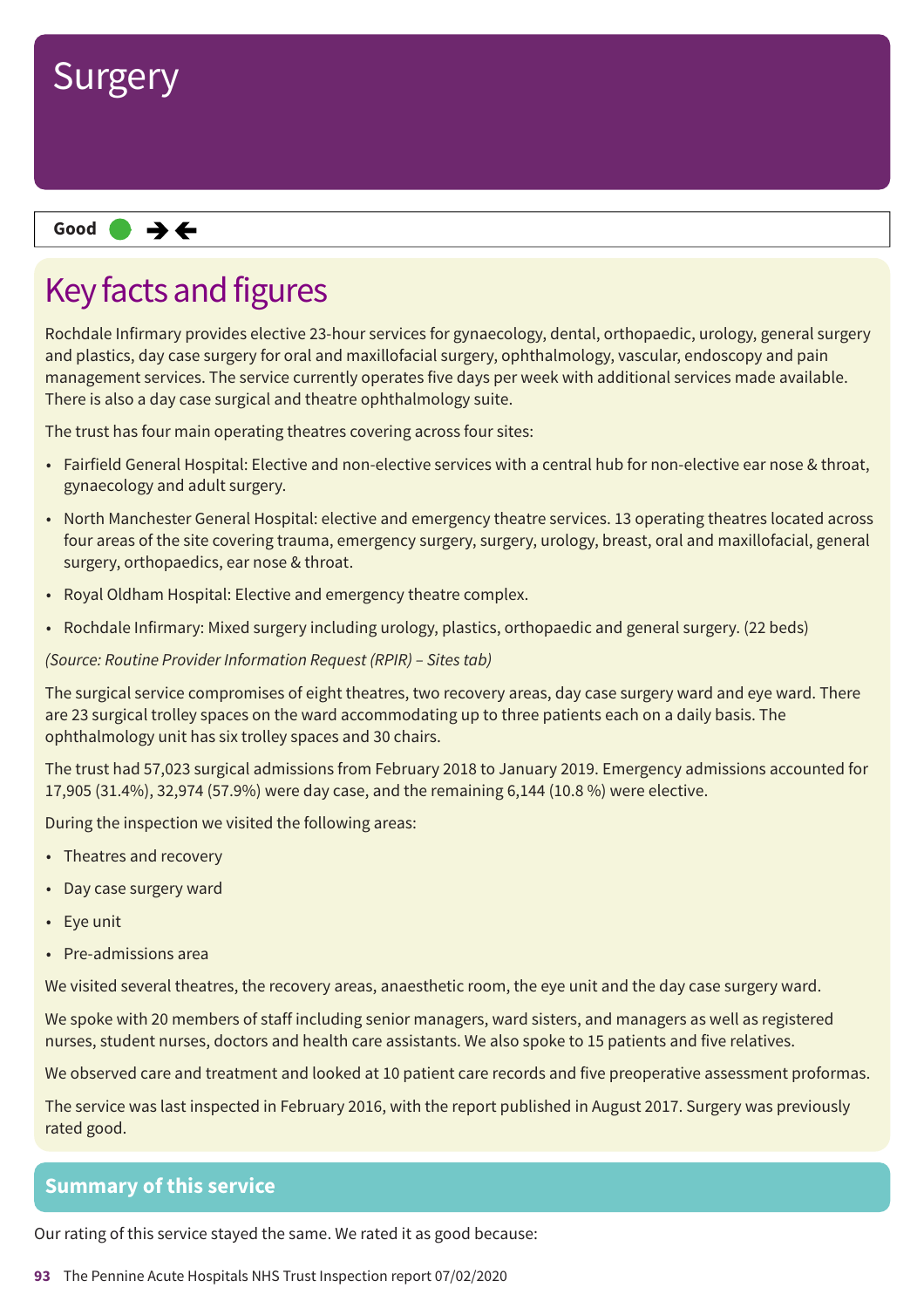

#### **Same–––rating Good –––**

### Key facts and figures

Rochdale Infirmary provides elective 23-hour services for gynaecology, dental, orthopaedic, urology, general surgery and plastics, day case surgery for oral and maxillofacial surgery, ophthalmology, vascular, endoscopy and pain management services. The service currently operates five days per week with additional services made available. There is also a day case surgical and theatre ophthalmology suite.

The trust has four main operating theatres covering across four sites:

- Fairfield General Hospital: Elective and non-elective services with a central hub for non-elective ear nose & throat, gynaecology and adult surgery.
- North Manchester General Hospital: elective and emergency theatre services. 13 operating theatres located across four areas of the site covering trauma, emergency surgery, surgery, urology, breast, oral and maxillofacial, general surgery, orthopaedics, ear nose & throat.
- Royal Oldham Hospital: Elective and emergency theatre complex.
- Rochdale Infirmary: Mixed surgery including urology, plastics, orthopaedic and general surgery. (22 beds)

*(Source: Routine Provider Information Request (RPIR) – Sites tab)*

The surgical service compromises of eight theatres, two recovery areas, day case surgery ward and eye ward. There are 23 surgical trolley spaces on the ward accommodating up to three patients each on a daily basis. The ophthalmology unit has six trolley spaces and 30 chairs.

The trust had 57,023 surgical admissions from February 2018 to January 2019. Emergency admissions accounted for 17,905 (31.4%), 32,974 (57.9%) were day case, and the remaining 6,144 (10.8 %) were elective.

During the inspection we visited the following areas:

- Theatres and recovery
- Day case surgery ward
- Eye unit
- Pre-admissions area

We visited several theatres, the recovery areas, anaesthetic room, the eye unit and the day case surgery ward.

We spoke with 20 members of staff including senior managers, ward sisters, and managers as well as registered nurses, student nurses, doctors and health care assistants. We also spoke to 15 patients and five relatives.

We observed care and treatment and looked at 10 patient care records and five preoperative assessment proformas.

The service was last inspected in February 2016, with the report published in August 2017. Surgery was previously rated good.

#### **Summary of this service**

Our rating of this service stayed the same. We rated it as good because:

**93** The Pennine Acute Hospitals NHS Trust Inspection report 07/02/2020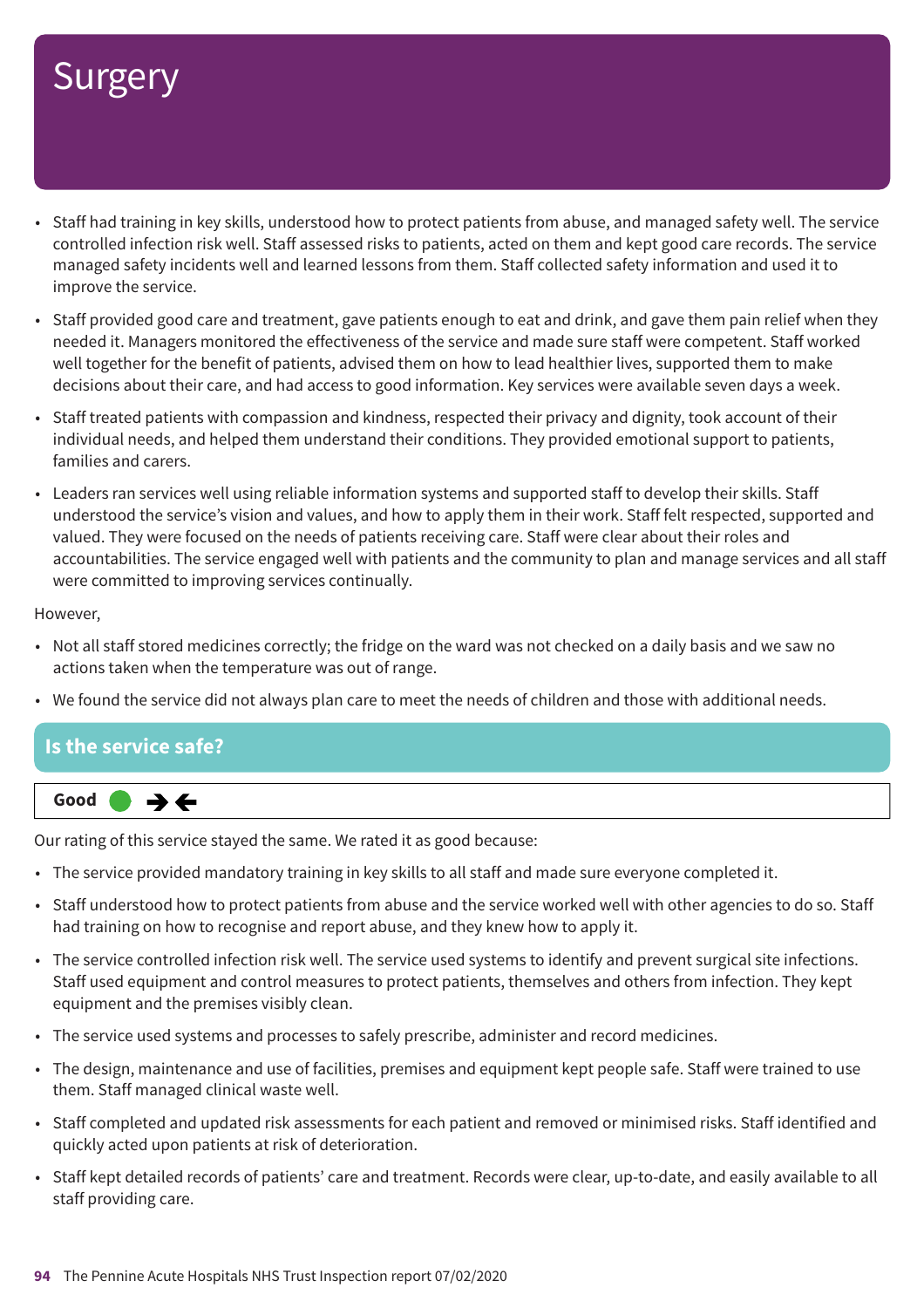## Surgery

- Staff had training in key skills, understood how to protect patients from abuse, and managed safety well. The service controlled infection risk well. Staff assessed risks to patients, acted on them and kept good care records. The service managed safety incidents well and learned lessons from them. Staff collected safety information and used it to improve the service.
- Staff provided good care and treatment, gave patients enough to eat and drink, and gave them pain relief when they needed it. Managers monitored the effectiveness of the service and made sure staff were competent. Staff worked well together for the benefit of patients, advised them on how to lead healthier lives, supported them to make decisions about their care, and had access to good information. Key services were available seven days a week.
- Staff treated patients with compassion and kindness, respected their privacy and dignity, took account of their individual needs, and helped them understand their conditions. They provided emotional support to patients, families and carers.
- Leaders ran services well using reliable information systems and supported staff to develop their skills. Staff understood the service's vision and values, and how to apply them in their work. Staff felt respected, supported and valued. They were focused on the needs of patients receiving care. Staff were clear about their roles and accountabilities. The service engaged well with patients and the community to plan and manage services and all staff were committed to improving services continually.

However,

- Not all staff stored medicines correctly; the fridge on the ward was not checked on a daily basis and we saw no actions taken when the temperature was out of range.
- We found the service did not always plan care to meet the needs of children and those with additional needs.

#### **Is the service safe?**



Our rating of this service stayed the same. We rated it as good because:

- The service provided mandatory training in key skills to all staff and made sure everyone completed it.
- Staff understood how to protect patients from abuse and the service worked well with other agencies to do so. Staff had training on how to recognise and report abuse, and they knew how to apply it.
- The service controlled infection risk well. The service used systems to identify and prevent surgical site infections. Staff used equipment and control measures to protect patients, themselves and others from infection. They kept equipment and the premises visibly clean.
- The service used systems and processes to safely prescribe, administer and record medicines.
- The design, maintenance and use of facilities, premises and equipment kept people safe. Staff were trained to use them. Staff managed clinical waste well.
- Staff completed and updated risk assessments for each patient and removed or minimised risks. Staff identified and quickly acted upon patients at risk of deterioration.
- Staff kept detailed records of patients' care and treatment. Records were clear, up-to-date, and easily available to all staff providing care.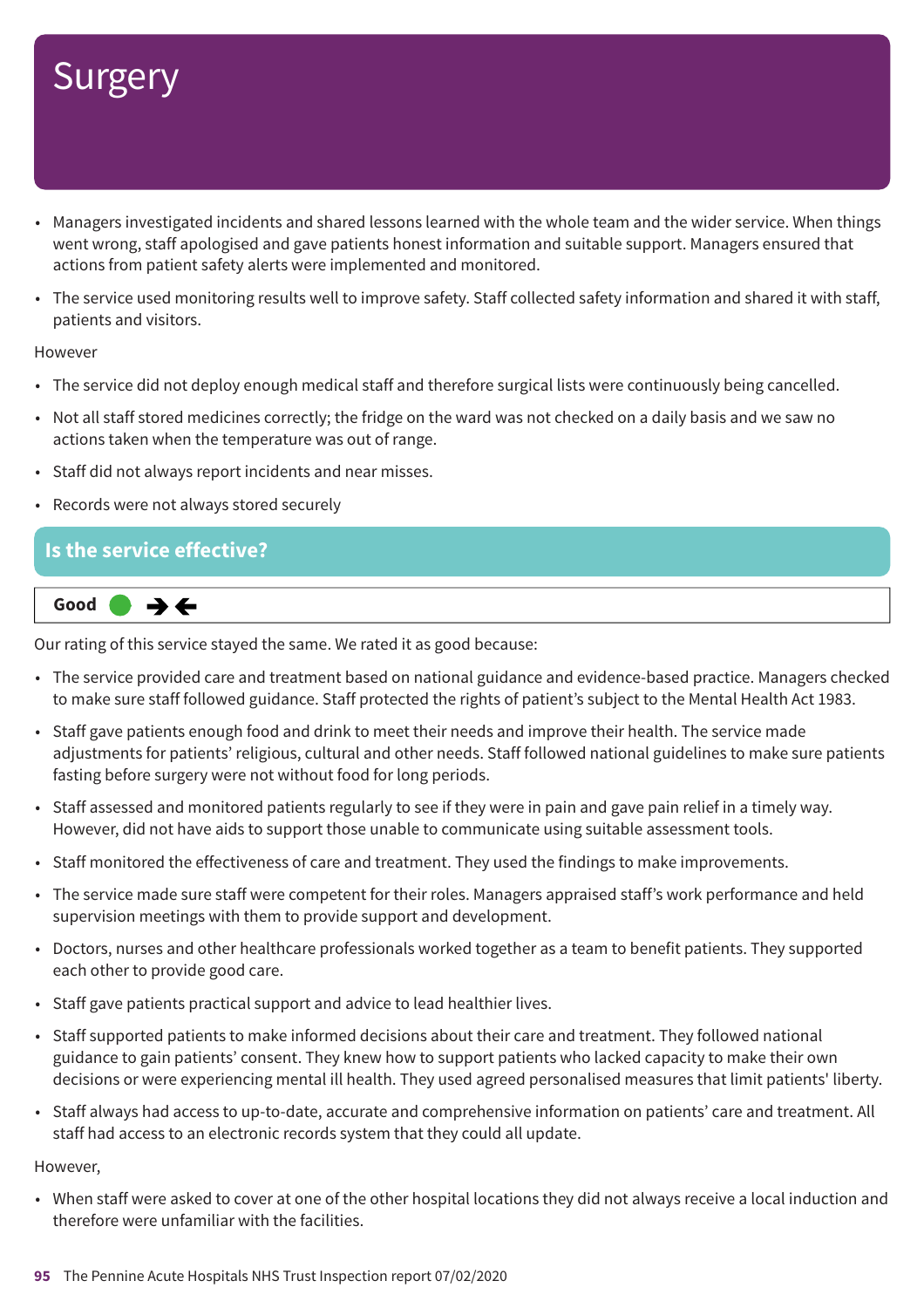## **Surgery**

- Managers investigated incidents and shared lessons learned with the whole team and the wider service. When things went wrong, staff apologised and gave patients honest information and suitable support. Managers ensured that actions from patient safety alerts were implemented and monitored.
- The service used monitoring results well to improve safety. Staff collected safety information and shared it with staff, patients and visitors.

#### However

- The service did not deploy enough medical staff and therefore surgical lists were continuously being cancelled.
- Not all staff stored medicines correctly; the fridge on the ward was not checked on a daily basis and we saw no actions taken when the temperature was out of range.
- Staff did not always report incidents and near misses.
- Records were not always stored securely

#### **Is the service effective?**



Our rating of this service stayed the same. We rated it as good because:

- The service provided care and treatment based on national guidance and evidence-based practice. Managers checked to make sure staff followed guidance. Staff protected the rights of patient's subject to the Mental Health Act 1983.
- Staff gave patients enough food and drink to meet their needs and improve their health. The service made adjustments for patients' religious, cultural and other needs. Staff followed national guidelines to make sure patients fasting before surgery were not without food for long periods.
- Staff assessed and monitored patients regularly to see if they were in pain and gave pain relief in a timely way. However, did not have aids to support those unable to communicate using suitable assessment tools.
- Staff monitored the effectiveness of care and treatment. They used the findings to make improvements.
- The service made sure staff were competent for their roles. Managers appraised staff's work performance and held supervision meetings with them to provide support and development.
- Doctors, nurses and other healthcare professionals worked together as a team to benefit patients. They supported each other to provide good care.
- Staff gave patients practical support and advice to lead healthier lives.
- Staff supported patients to make informed decisions about their care and treatment. They followed national guidance to gain patients' consent. They knew how to support patients who lacked capacity to make their own decisions or were experiencing mental ill health. They used agreed personalised measures that limit patients' liberty.
- Staff always had access to up-to-date, accurate and comprehensive information on patients' care and treatment. All staff had access to an electronic records system that they could all update.

However,

• When staff were asked to cover at one of the other hospital locations they did not always receive a local induction and therefore were unfamiliar with the facilities.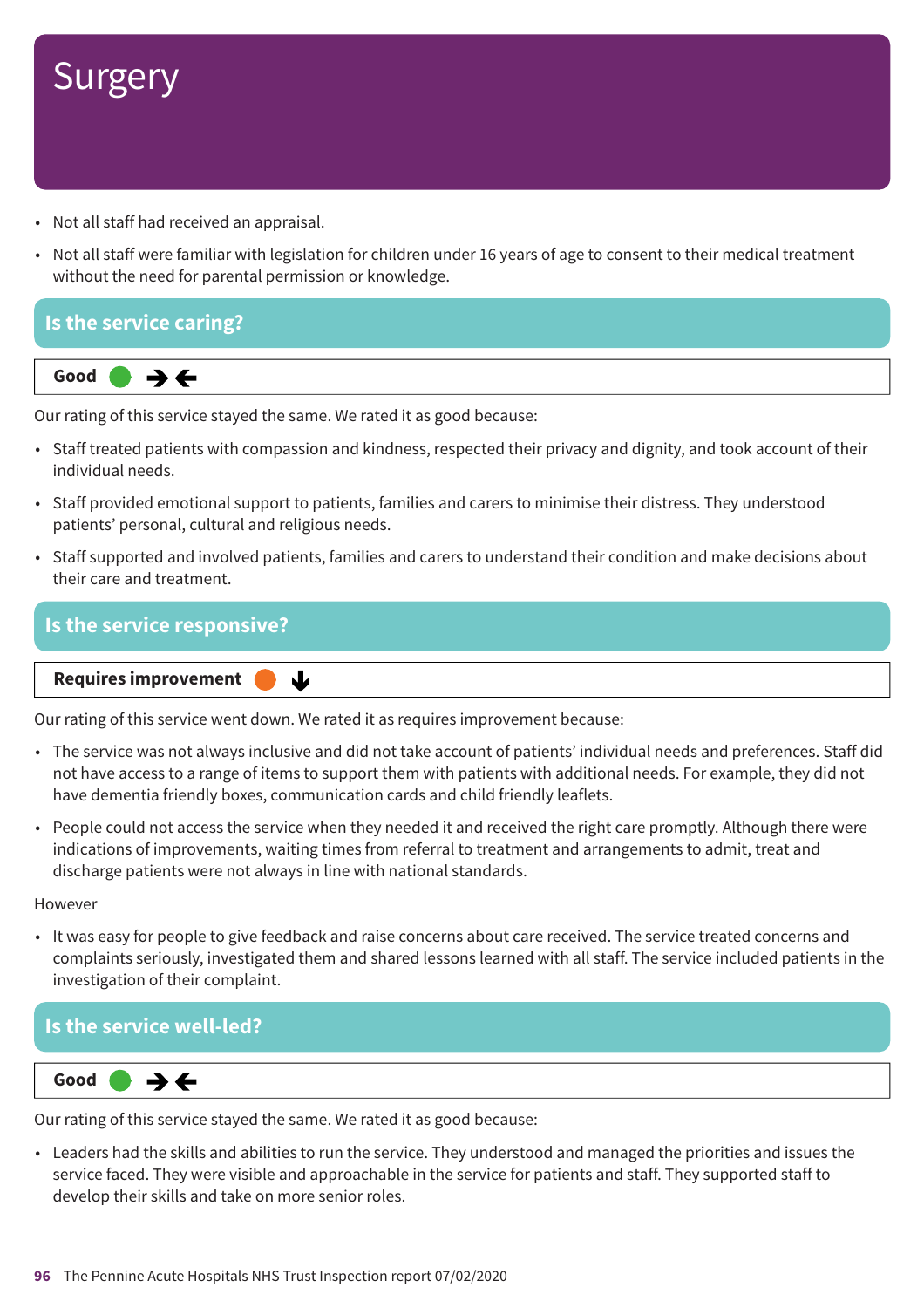

- Not all staff had received an appraisal.
- Not all staff were familiar with legislation for children under 16 years of age to consent to their medical treatment without the need for parental permission or knowledge.



Our rating of this service stayed the same. We rated it as good because:

- Staff treated patients with compassion and kindness, respected their privacy and dignity, and took account of their individual needs.
- Staff provided emotional support to patients, families and carers to minimise their distress. They understood patients' personal, cultural and religious needs.
- Staff supported and involved patients, families and carers to understand their condition and make decisions about their care and treatment.

#### **Is the service responsive?**

#### **Requires improvement**

Our rating of this service went down. We rated it as requires improvement because:

J

- The service was not always inclusive and did not take account of patients' individual needs and preferences. Staff did not have access to a range of items to support them with patients with additional needs. For example, they did not have dementia friendly boxes, communication cards and child friendly leaflets.
- People could not access the service when they needed it and received the right care promptly. Although there were indications of improvements, waiting times from referral to treatment and arrangements to admit, treat and discharge patients were not always in line with national standards.

**However** 

• It was easy for people to give feedback and raise concerns about care received. The service treated concerns and complaints seriously, investigated them and shared lessons learned with all staff. The service included patients in the investigation of their complaint.

#### **Is the service well-led?**



Our rating of this service stayed the same. We rated it as good because:

• Leaders had the skills and abilities to run the service. They understood and managed the priorities and issues the service faced. They were visible and approachable in the service for patients and staff. They supported staff to develop their skills and take on more senior roles.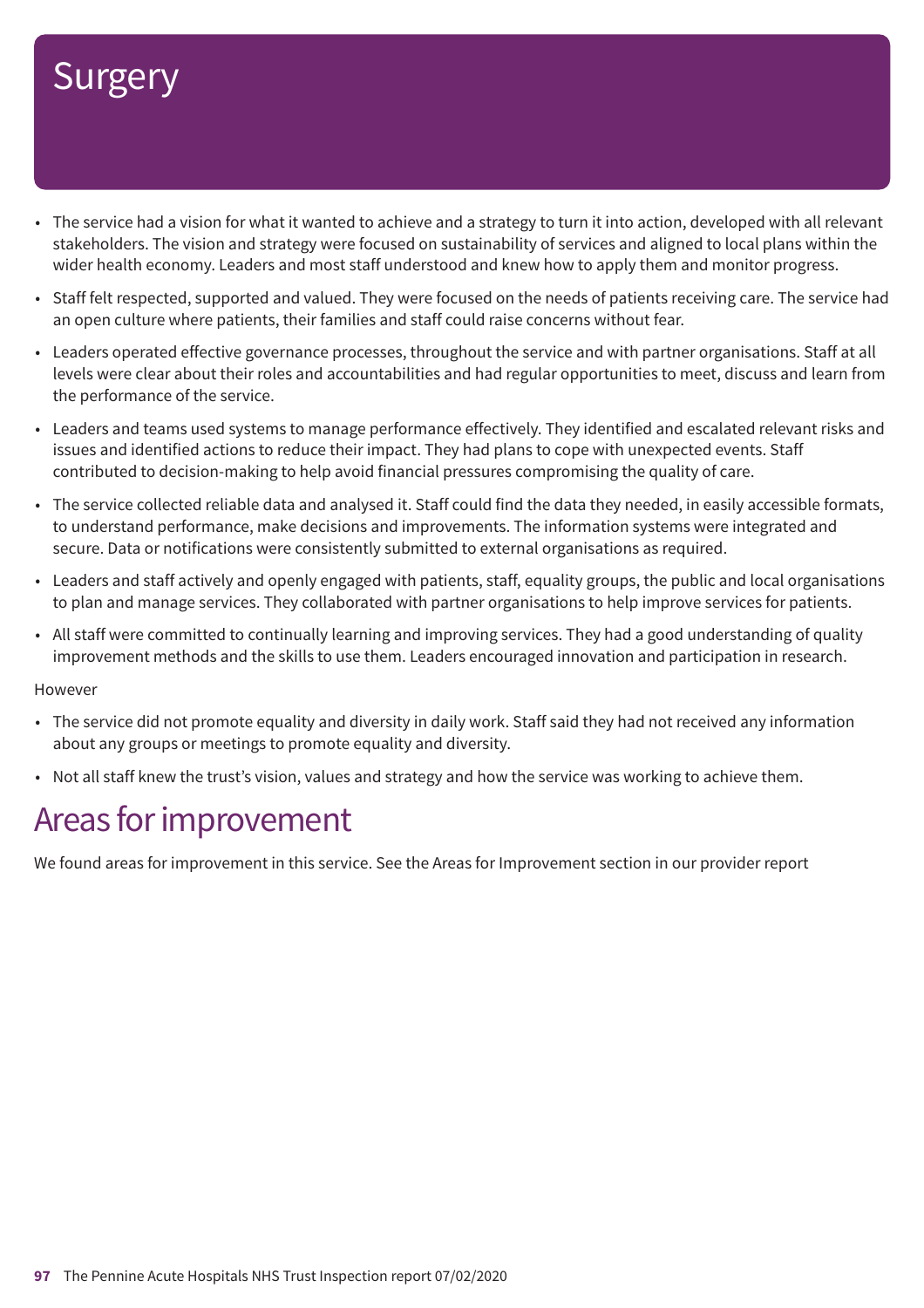## **Surgery**

- The service had a vision for what it wanted to achieve and a strategy to turn it into action, developed with all relevant stakeholders. The vision and strategy were focused on sustainability of services and aligned to local plans within the wider health economy. Leaders and most staff understood and knew how to apply them and monitor progress.
- Staff felt respected, supported and valued. They were focused on the needs of patients receiving care. The service had an open culture where patients, their families and staff could raise concerns without fear.
- Leaders operated effective governance processes, throughout the service and with partner organisations. Staff at all levels were clear about their roles and accountabilities and had regular opportunities to meet, discuss and learn from the performance of the service.
- Leaders and teams used systems to manage performance effectively. They identified and escalated relevant risks and issues and identified actions to reduce their impact. They had plans to cope with unexpected events. Staff contributed to decision-making to help avoid financial pressures compromising the quality of care.
- The service collected reliable data and analysed it. Staff could find the data they needed, in easily accessible formats, to understand performance, make decisions and improvements. The information systems were integrated and secure. Data or notifications were consistently submitted to external organisations as required.
- Leaders and staff actively and openly engaged with patients, staff, equality groups, the public and local organisations to plan and manage services. They collaborated with partner organisations to help improve services for patients.
- All staff were committed to continually learning and improving services. They had a good understanding of quality improvement methods and the skills to use them. Leaders encouraged innovation and participation in research.

However

- The service did not promote equality and diversity in daily work. Staff said they had not received any information about any groups or meetings to promote equality and diversity.
- Not all staff knew the trust's vision, values and strategy and how the service was working to achieve them.

### Areas for improvement

We found areas for improvement in this service. See the Areas for Improvement section in our provider report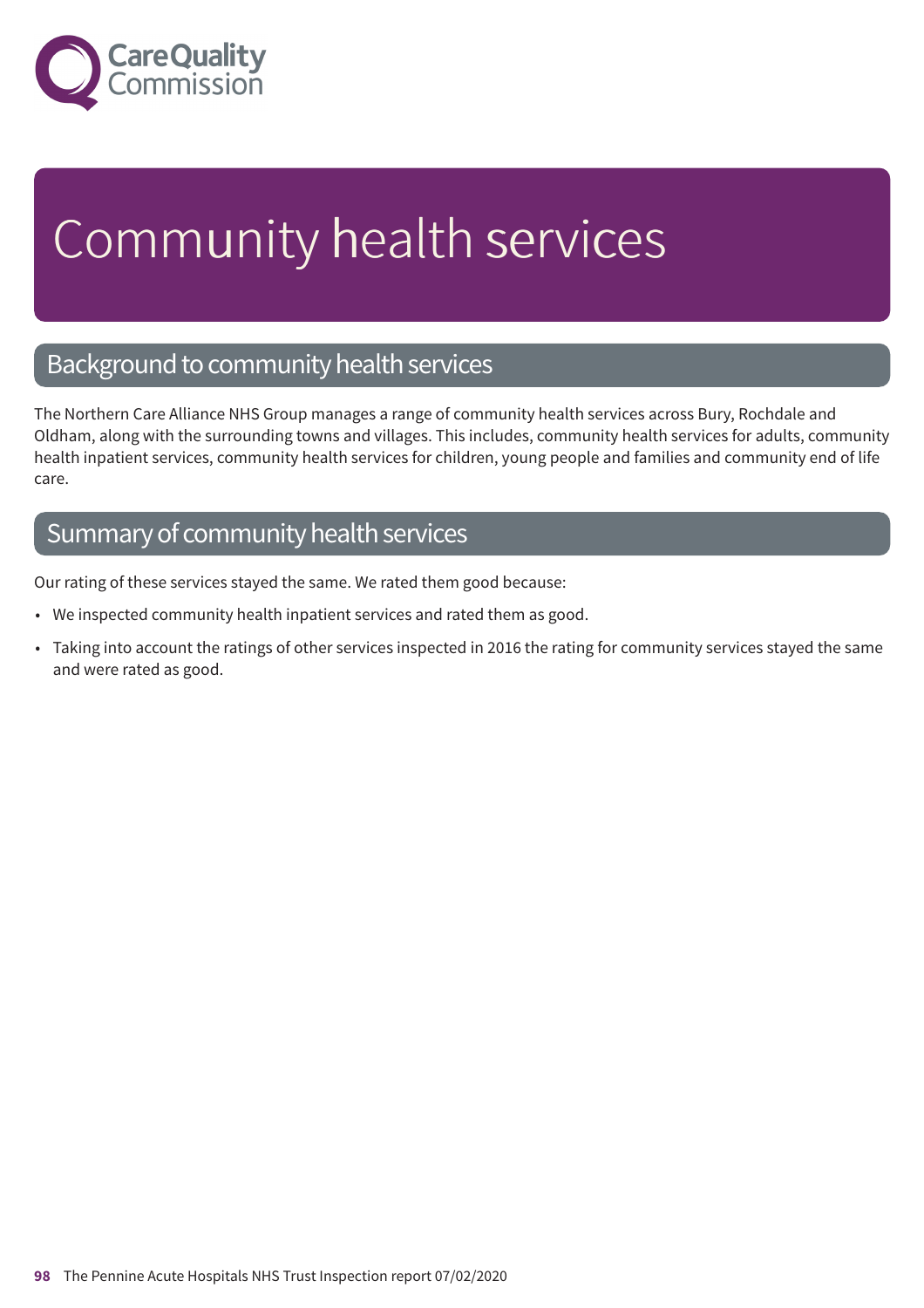

# Community health services

### Background to community health services

The Northern Care Alliance NHS Group manages a range of community health services across Bury, Rochdale and Oldham, along with the surrounding towns and villages. This includes, community health services for adults, community health inpatient services, community health services for children, young people and families and community end of life care.

### Summary of community health services

Our rating of these services stayed the same. We rated them good because:

- We inspected community health inpatient services and rated them as good.
- Taking into account the ratings of other services inspected in 2016 the rating for community services stayed the same and were rated as good.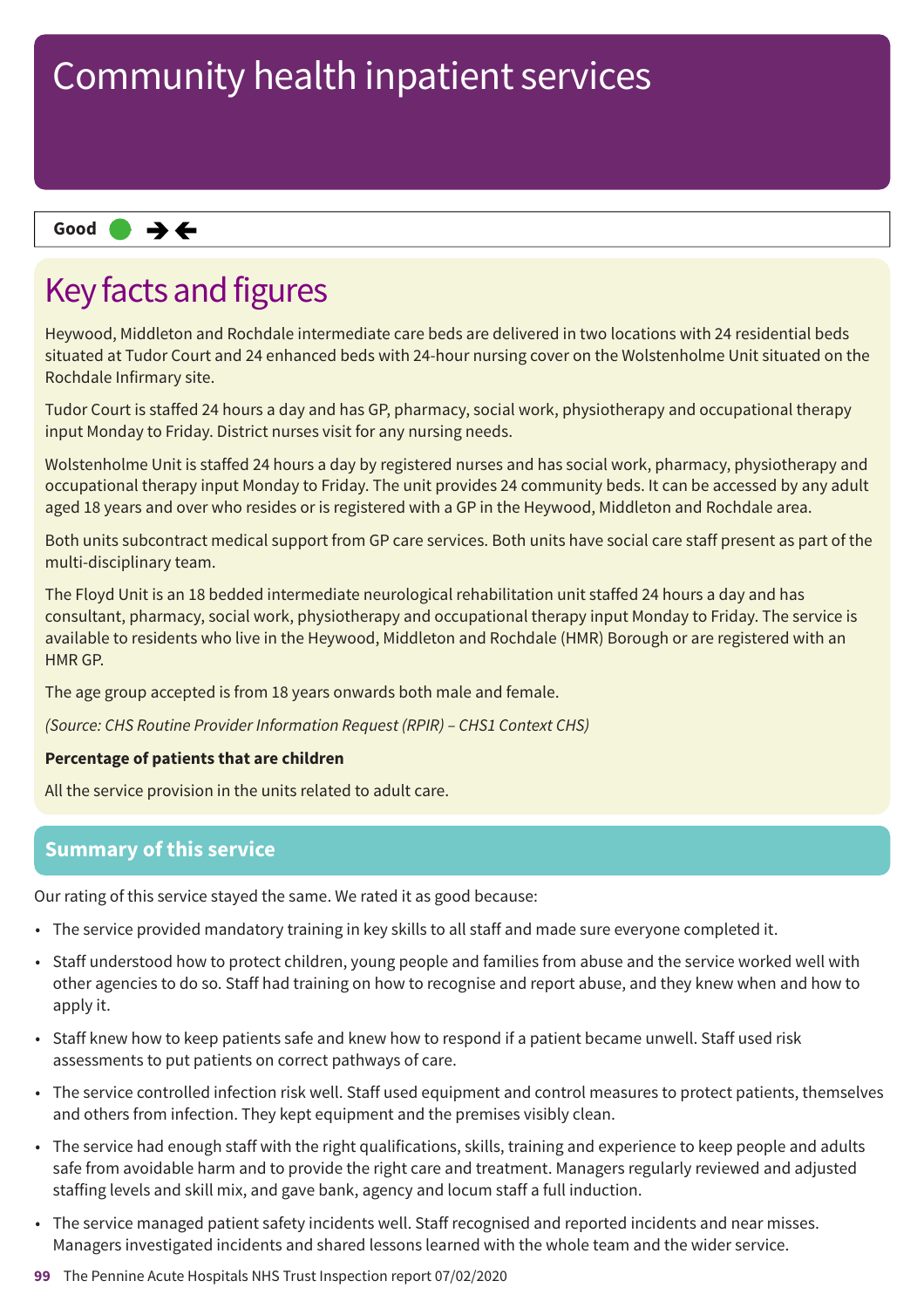#### **Same–––rating Good –––**

### Key facts and figures

Heywood, Middleton and Rochdale intermediate care beds are delivered in two locations with 24 residential beds situated at Tudor Court and 24 enhanced beds with 24-hour nursing cover on the Wolstenholme Unit situated on the Rochdale Infirmary site.

Tudor Court is staffed 24 hours a day and has GP, pharmacy, social work, physiotherapy and occupational therapy input Monday to Friday. District nurses visit for any nursing needs.

Wolstenholme Unit is staffed 24 hours a day by registered nurses and has social work, pharmacy, physiotherapy and occupational therapy input Monday to Friday. The unit provides 24 community beds. It can be accessed by any adult aged 18 years and over who resides or is registered with a GP in the Heywood, Middleton and Rochdale area.

Both units subcontract medical support from GP care services. Both units have social care staff present as part of the multi-disciplinary team.

The Floyd Unit is an 18 bedded intermediate neurological rehabilitation unit staffed 24 hours a day and has consultant, pharmacy, social work, physiotherapy and occupational therapy input Monday to Friday. The service is available to residents who live in the Heywood, Middleton and Rochdale (HMR) Borough or are registered with an HMR GP.

The age group accepted is from 18 years onwards both male and female.

*(Source: CHS Routine Provider Information Request (RPIR) – CHS1 Context CHS)*

#### **Percentage of patients that are children**

All the service provision in the units related to adult care.

#### **Summary of this service**

Our rating of this service stayed the same. We rated it as good because:

- The service provided mandatory training in key skills to all staff and made sure everyone completed it.
- Staff understood how to protect children, young people and families from abuse and the service worked well with other agencies to do so. Staff had training on how to recognise and report abuse, and they knew when and how to apply it.
- Staff knew how to keep patients safe and knew how to respond if a patient became unwell. Staff used risk assessments to put patients on correct pathways of care.
- The service controlled infection risk well. Staff used equipment and control measures to protect patients, themselves and others from infection. They kept equipment and the premises visibly clean.
- The service had enough staff with the right qualifications, skills, training and experience to keep people and adults safe from avoidable harm and to provide the right care and treatment. Managers regularly reviewed and adjusted staffing levels and skill mix, and gave bank, agency and locum staff a full induction.
- The service managed patient safety incidents well. Staff recognised and reported incidents and near misses. Managers investigated incidents and shared lessons learned with the whole team and the wider service.
- **99** The Pennine Acute Hospitals NHS Trust Inspection report 07/02/2020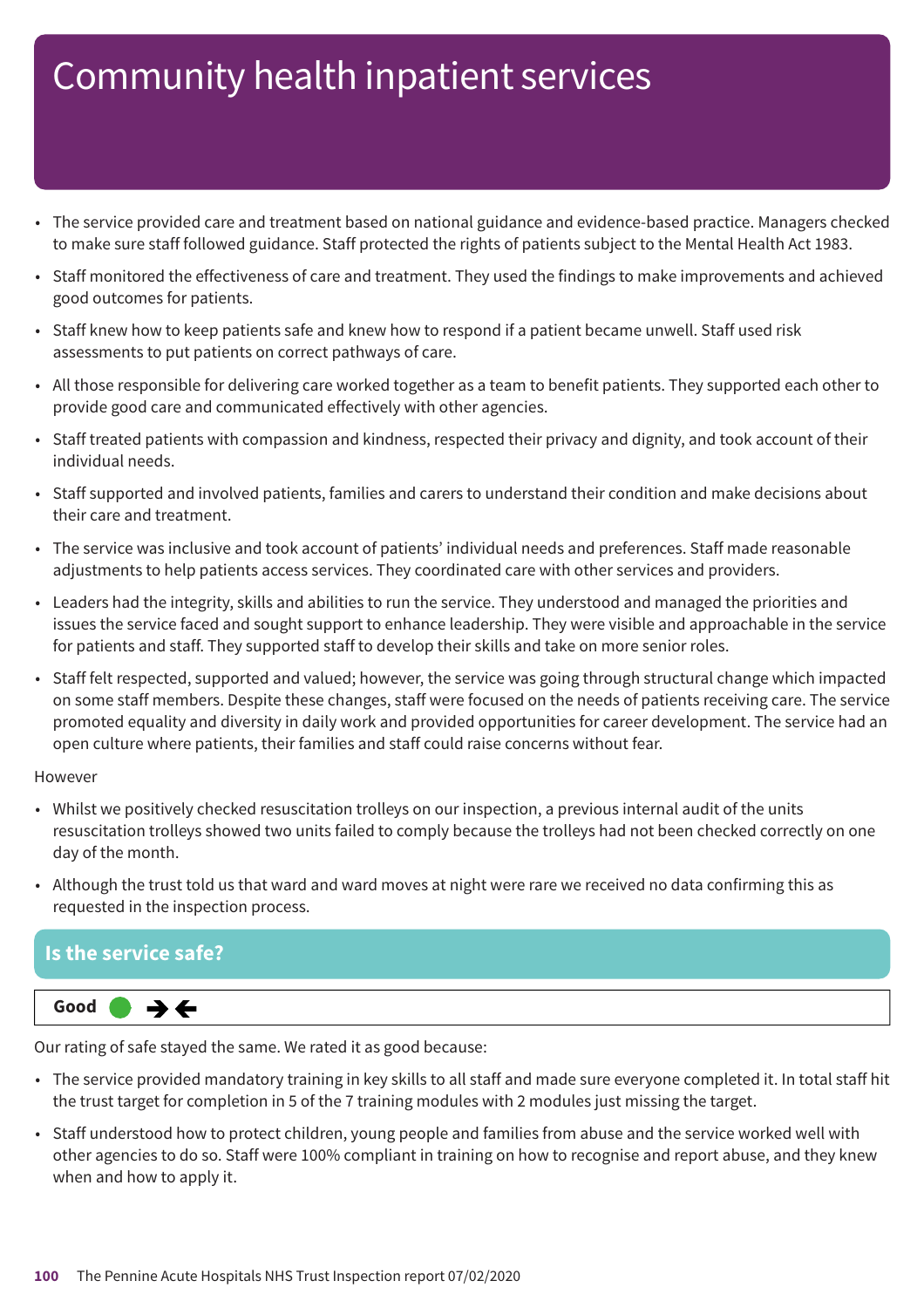- The service provided care and treatment based on national guidance and evidence-based practice. Managers checked to make sure staff followed guidance. Staff protected the rights of patients subject to the Mental Health Act 1983.
- Staff monitored the effectiveness of care and treatment. They used the findings to make improvements and achieved good outcomes for patients.
- Staff knew how to keep patients safe and knew how to respond if a patient became unwell. Staff used risk assessments to put patients on correct pathways of care.
- All those responsible for delivering care worked together as a team to benefit patients. They supported each other to provide good care and communicated effectively with other agencies.
- Staff treated patients with compassion and kindness, respected their privacy and dignity, and took account of their individual needs.
- Staff supported and involved patients, families and carers to understand their condition and make decisions about their care and treatment.
- The service was inclusive and took account of patients' individual needs and preferences. Staff made reasonable adjustments to help patients access services. They coordinated care with other services and providers.
- Leaders had the integrity, skills and abilities to run the service. They understood and managed the priorities and issues the service faced and sought support to enhance leadership. They were visible and approachable in the service for patients and staff. They supported staff to develop their skills and take on more senior roles.
- Staff felt respected, supported and valued; however, the service was going through structural change which impacted on some staff members. Despite these changes, staff were focused on the needs of patients receiving care. The service promoted equality and diversity in daily work and provided opportunities for career development. The service had an open culture where patients, their families and staff could raise concerns without fear.

#### However

- Whilst we positively checked resuscitation trolleys on our inspection, a previous internal audit of the units resuscitation trolleys showed two units failed to comply because the trolleys had not been checked correctly on one day of the month.
- Although the trust told us that ward and ward moves at night were rare we received no data confirming this as requested in the inspection process.

#### **Is the service safe?**



Our rating of safe stayed the same. We rated it as good because:

- The service provided mandatory training in key skills to all staff and made sure everyone completed it. In total staff hit the trust target for completion in 5 of the 7 training modules with 2 modules just missing the target.
- Staff understood how to protect children, young people and families from abuse and the service worked well with other agencies to do so. Staff were 100% compliant in training on how to recognise and report abuse, and they knew when and how to apply it.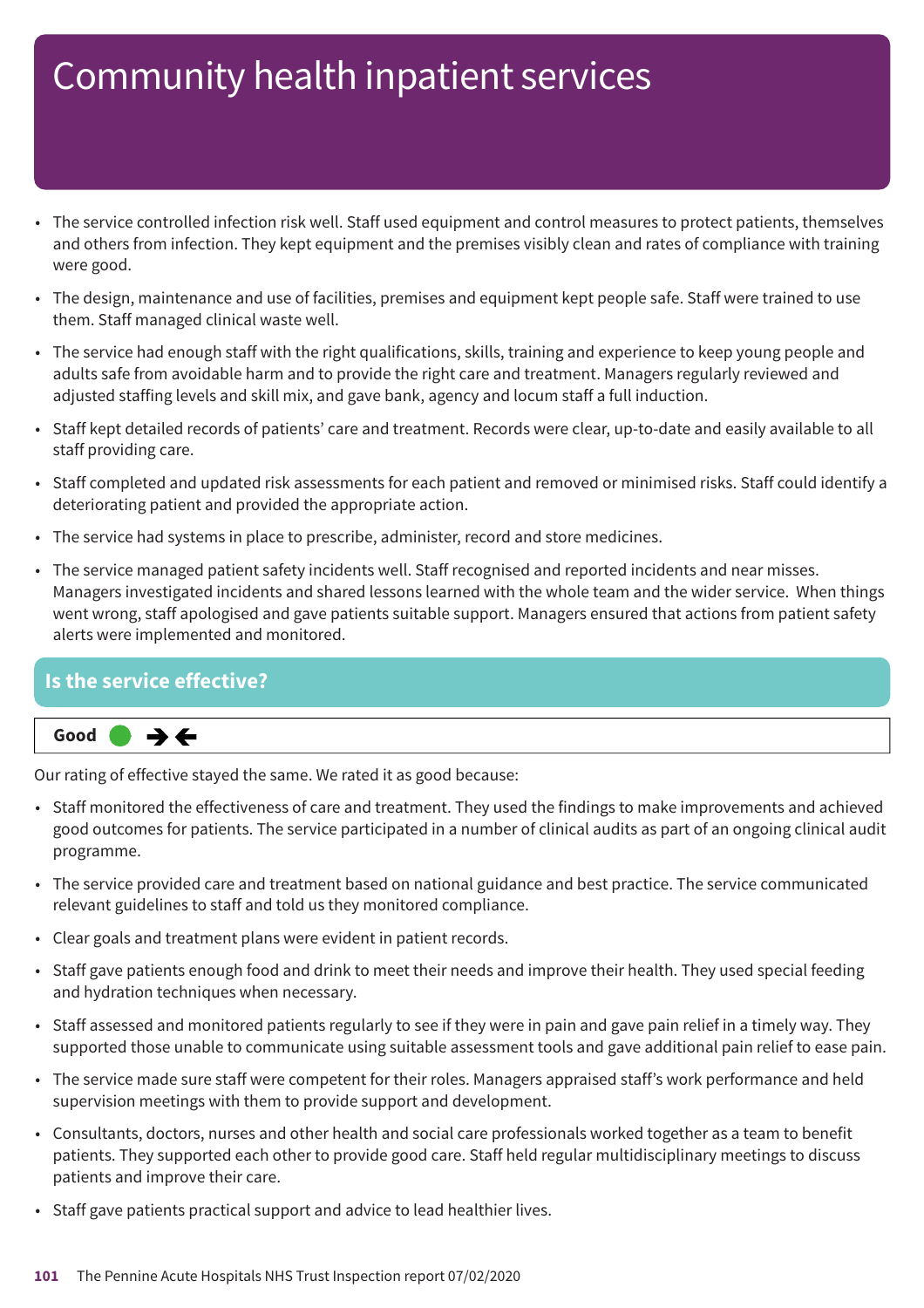- The service controlled infection risk well. Staff used equipment and control measures to protect patients, themselves and others from infection. They kept equipment and the premises visibly clean and rates of compliance with training were good.
- The design, maintenance and use of facilities, premises and equipment kept people safe. Staff were trained to use them. Staff managed clinical waste well.
- The service had enough staff with the right qualifications, skills, training and experience to keep young people and adults safe from avoidable harm and to provide the right care and treatment. Managers regularly reviewed and adjusted staffing levels and skill mix, and gave bank, agency and locum staff a full induction.
- Staff kept detailed records of patients' care and treatment. Records were clear, up-to-date and easily available to all staff providing care.
- Staff completed and updated risk assessments for each patient and removed or minimised risks. Staff could identify a deteriorating patient and provided the appropriate action.
- The service had systems in place to prescribe, administer, record and store medicines.
- The service managed patient safety incidents well. Staff recognised and reported incidents and near misses. Managers investigated incidents and shared lessons learned with the whole team and the wider service. When things went wrong, staff apologised and gave patients suitable support. Managers ensured that actions from patient safety alerts were implemented and monitored.

#### **Is the service effective?**



Our rating of effective stayed the same. We rated it as good because:

- Staff monitored the effectiveness of care and treatment. They used the findings to make improvements and achieved good outcomes for patients. The service participated in a number of clinical audits as part of an ongoing clinical audit programme.
- The service provided care and treatment based on national guidance and best practice. The service communicated relevant guidelines to staff and told us they monitored compliance.
- Clear goals and treatment plans were evident in patient records.
- Staff gave patients enough food and drink to meet their needs and improve their health. They used special feeding and hydration techniques when necessary.
- Staff assessed and monitored patients regularly to see if they were in pain and gave pain relief in a timely way. They supported those unable to communicate using suitable assessment tools and gave additional pain relief to ease pain.
- The service made sure staff were competent for their roles. Managers appraised staff's work performance and held supervision meetings with them to provide support and development.
- Consultants, doctors, nurses and other health and social care professionals worked together as a team to benefit patients. They supported each other to provide good care. Staff held regular multidisciplinary meetings to discuss patients and improve their care.
- Staff gave patients practical support and advice to lead healthier lives.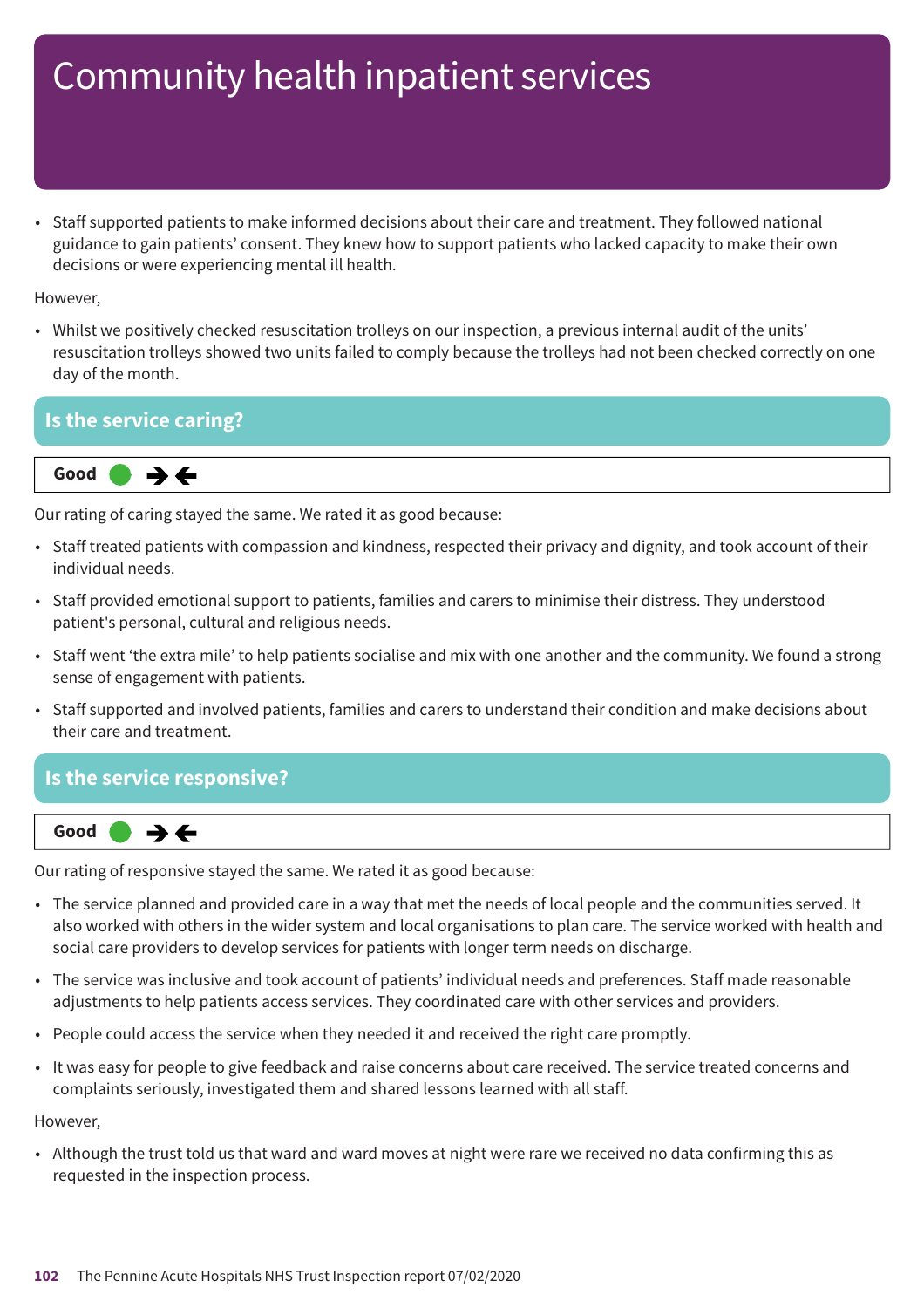• Staff supported patients to make informed decisions about their care and treatment. They followed national guidance to gain patients' consent. They knew how to support patients who lacked capacity to make their own decisions or were experiencing mental ill health.

However,

• Whilst we positively checked resuscitation trolleys on our inspection, a previous internal audit of the units' resuscitation trolleys showed two units failed to comply because the trolleys had not been checked correctly on one day of the month.

### **Is the service caring? Same–––rating Good –––** ⇛←

Our rating of caring stayed the same. We rated it as good because:

- Staff treated patients with compassion and kindness, respected their privacy and dignity, and took account of their individual needs.
- Staff provided emotional support to patients, families and carers to minimise their distress. They understood patient's personal, cultural and religious needs.
- Staff went 'the extra mile' to help patients socialise and mix with one another and the community. We found a strong sense of engagement with patients.
- Staff supported and involved patients, families and carers to understand their condition and make decisions about their care and treatment.

#### **Is the service responsive?**



Our rating of responsive stayed the same. We rated it as good because:

- The service planned and provided care in a way that met the needs of local people and the communities served. It also worked with others in the wider system and local organisations to plan care. The service worked with health and social care providers to develop services for patients with longer term needs on discharge.
- The service was inclusive and took account of patients' individual needs and preferences. Staff made reasonable adjustments to help patients access services. They coordinated care with other services and providers.
- People could access the service when they needed it and received the right care promptly.
- It was easy for people to give feedback and raise concerns about care received. The service treated concerns and complaints seriously, investigated them and shared lessons learned with all staff.

However,

• Although the trust told us that ward and ward moves at night were rare we received no data confirming this as requested in the inspection process.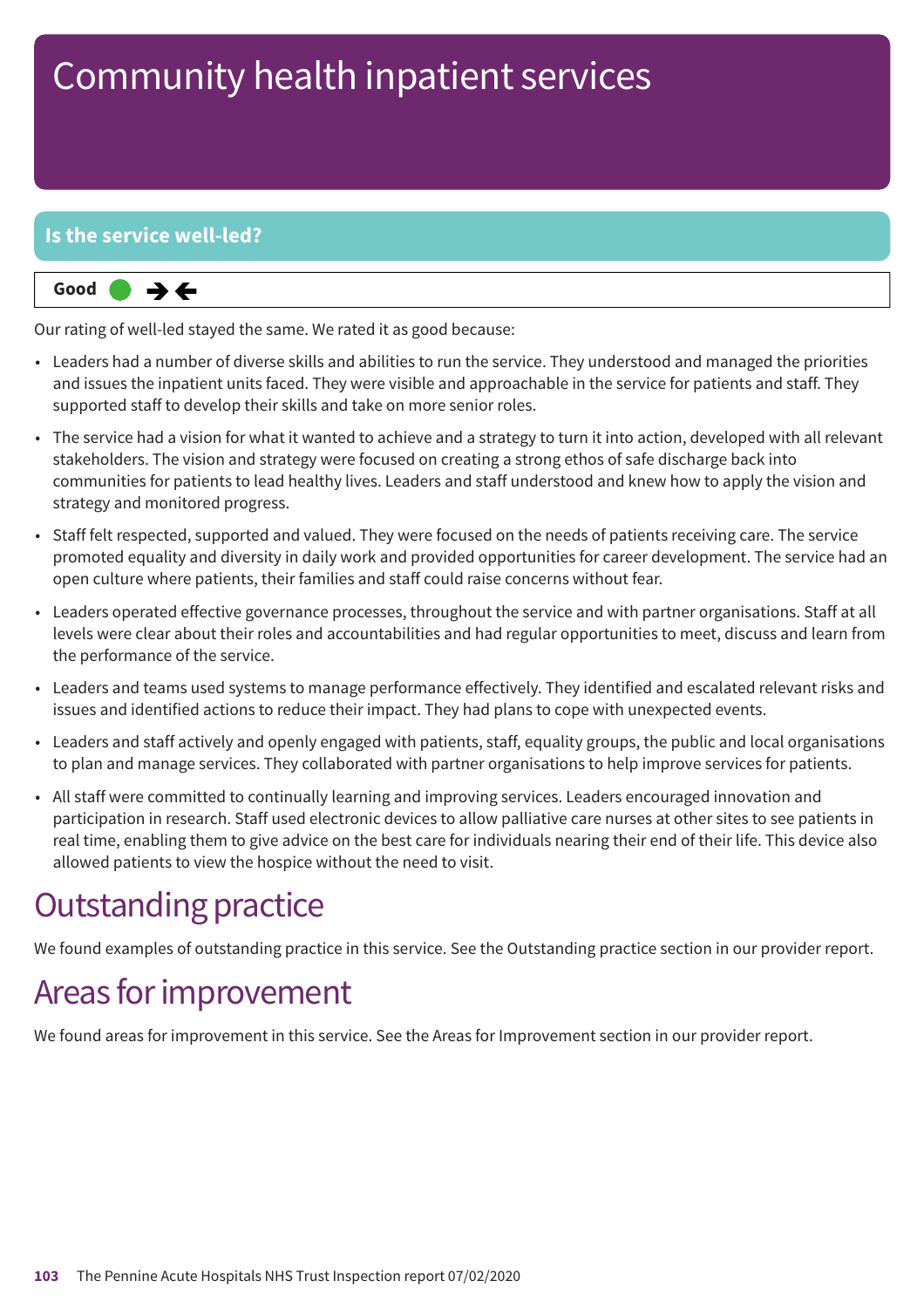#### **Is the service well-led?**



Our rating of well-led stayed the same. We rated it as good because:

- Leaders had a number of diverse skills and abilities to run the service. They understood and managed the priorities and issues the inpatient units faced. They were visible and approachable in the service for patients and staff. They supported staff to develop their skills and take on more senior roles.
- The service had a vision for what it wanted to achieve and a strategy to turn it into action, developed with all relevant stakeholders. The vision and strategy were focused on creating a strong ethos of safe discharge back into communities for patients to lead healthy lives. Leaders and staff understood and knew how to apply the vision and strategy and monitored progress.
- Staff felt respected, supported and valued. They were focused on the needs of patients receiving care. The service promoted equality and diversity in daily work and provided opportunities for career development. The service had an open culture where patients, their families and staff could raise concerns without fear.
- Leaders operated effective governance processes, throughout the service and with partner organisations. Staff at all levels were clear about their roles and accountabilities and had regular opportunities to meet, discuss and learn from the performance of the service.
- Leaders and teams used systems to manage performance effectively. They identified and escalated relevant risks and issues and identified actions to reduce their impact. They had plans to cope with unexpected events.
- Leaders and staff actively and openly engaged with patients, staff, equality groups, the public and local organisations to plan and manage services. They collaborated with partner organisations to help improve services for patients.
- All staff were committed to continually learning and improving services. Leaders encouraged innovation and participation in research. Staff used electronic devices to allow palliative care nurses at other sites to see patients in real time, enabling them to give advice on the best care for individuals nearing their end of their life. This device also allowed patients to view the hospice without the need to visit.

### **Outstanding practice**

We found examples of outstanding practice in this service. See the Outstanding practice section in our provider report.

### Areas for improvement

We found areas for improvement in this service. See the Areas for Improvement section in our provider report.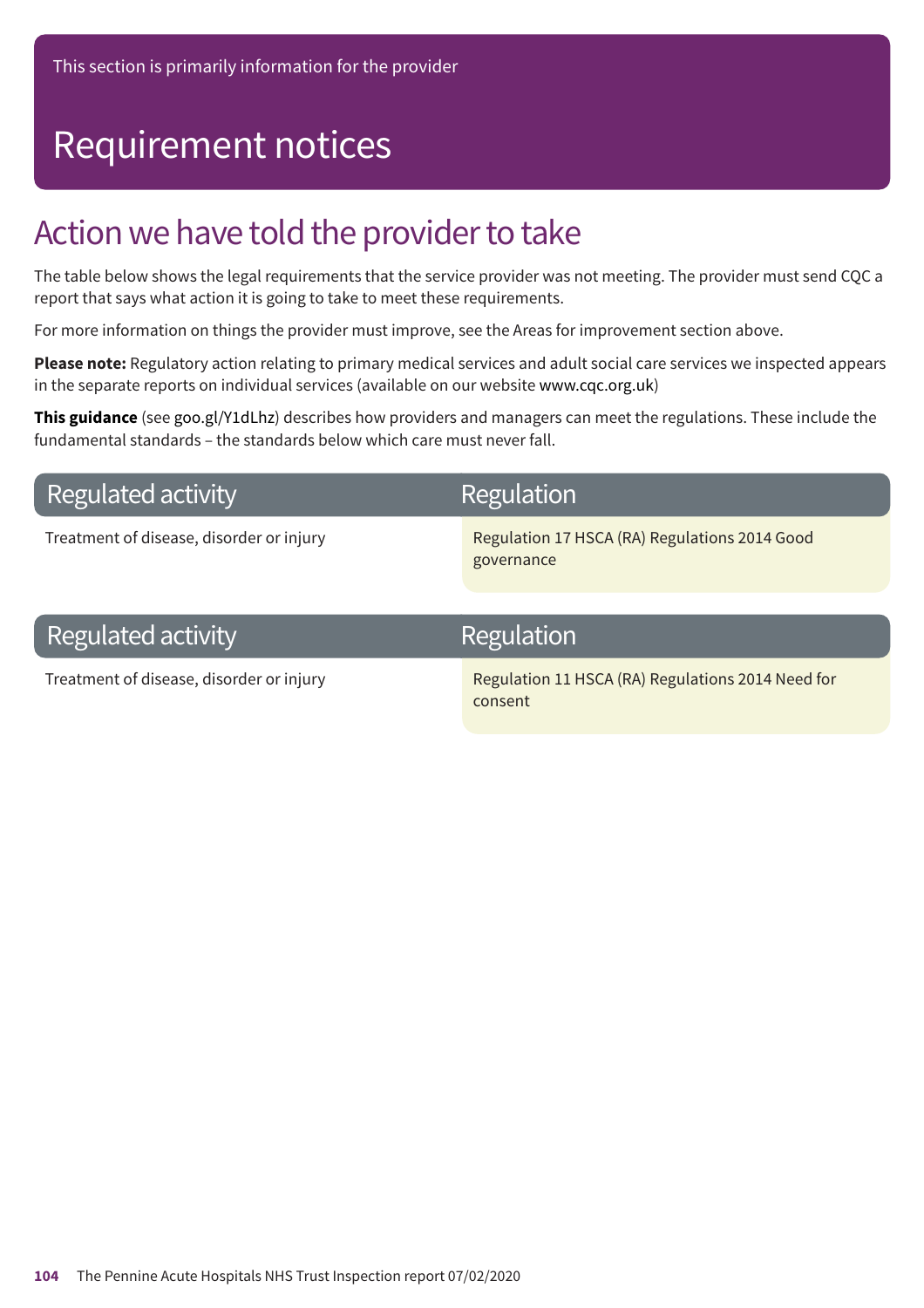## Requirement notices

### Action we have told the provider to take

The table below shows the legal requirements that the service provider was not meeting. The provider must send CQC a report that says what action it is going to take to meet these requirements.

For more information on things the provider must improve, see the Areas for improvement section above.

**Please note:** Regulatory action relating to primary medical services and adult social care services we inspected appears in the separate reports on individual services (available on our website www.cqc.org.uk)

**This guidance** (see goo.gl/Y1dLhz) describes how providers and managers can meet the regulations. These include the fundamental standards – the standards below which care must never fall.

### **Regulated activity**

### **Regulation**

Treatment of disease, disorder or injury Regulation 17 HSCA (RA) Regulations 2014 Good governance

### **Regulated activity**

### Regulation

Treatment of disease, disorder or injury Regulation 11 HSCA (RA) Regulations 2014 Need for consent